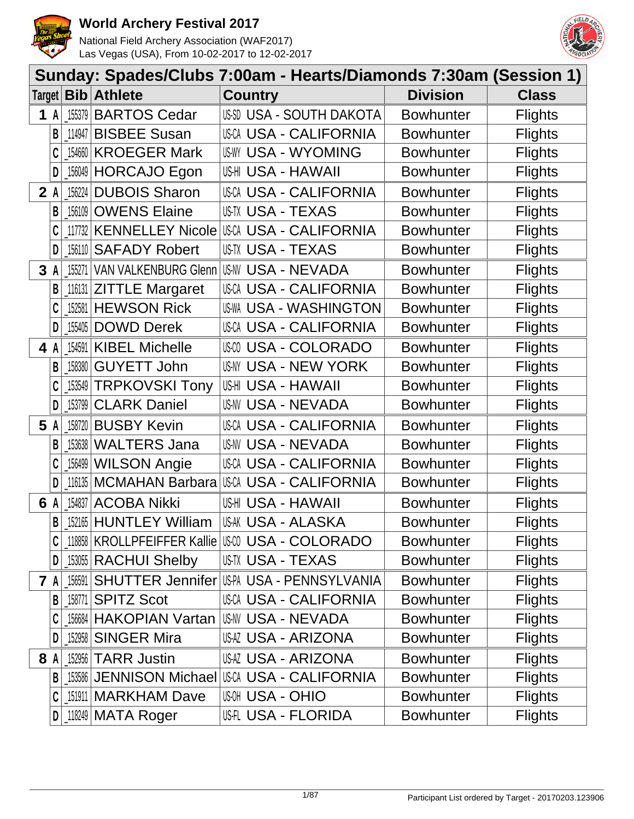



| Sunday: Spades/Clubs 7:00am - Hearts/Diamonds 7:30am (Session 1) |                                          |                  |                |
|------------------------------------------------------------------|------------------------------------------|------------------|----------------|
| Target   Bib   Athlete                                           | <b>Country</b>                           | <b>Division</b>  | <b>Class</b>   |
| 155379<br><b>BARTOS Cedar</b><br>1 A                             | US-SD USA - SOUTH DAKOTA                 | <b>Bowhunter</b> | <b>Flights</b> |
| <b>BISBEE Susan</b><br>B<br>114947                               | <b>USCA USA - CALIFORNIA</b>             | <b>Bowhunter</b> | <b>Flights</b> |
| <b>KROEGER Mark</b><br>154660                                    | <b>US-WY USA - WYOMING</b>               | <b>Bowhunter</b> | <b>Flights</b> |
| 156049 HORCAJO Egon<br>D                                         | US-HI USA - HAWAII                       | <b>Bowhunter</b> | <b>Flights</b> |
| <b>DUBOIS Sharon</b><br>156224<br>2A                             | USCA USA - CALIFORNIA                    | <b>Bowhunter</b> | <b>Flights</b> |
| <b>156109 OWENS Elaine</b><br>B                                  | USTX USA - TEXAS                         | <b>Bowhunter</b> | <b>Flights</b> |
|                                                                  |                                          | <b>Bowhunter</b> | <b>Flights</b> |
| 156110 SAFADY Robert<br>D                                        | US-TX USA - TEXAS                        | <b>Bowhunter</b> | <b>Flights</b> |
| 155271<br>3A                                                     | VAN VALKENBURG Glenn US-NV USA - NEVADA  | <b>Bowhunter</b> | <b>Flights</b> |
| <b>ZITTLE Margaret</b><br>116131<br>B                            | USCA USA - CALIFORNIA                    | <b>Bowhunter</b> | <b>Flights</b> |
| 152581 HEWSON Rick                                               | <b>US-WA USA - WASHINGTON</b>            | <b>Bowhunter</b> | <b>Flights</b> |
| <b>DOWD Derek</b><br>D<br>155405                                 | <b>USCA USA - CALIFORNIA</b>             | <b>Bowhunter</b> | <b>Flights</b> |
| <b>KIBEL Michelle</b><br>154591<br>4 A                           | USM USA - COLORADO                       | <b>Bowhunter</b> | <b>Flights</b> |
| <b>GUYETT John</b><br>B<br>158380                                | USNY USA - NEW YORK                      | <b>Bowhunter</b> | <b>Flights</b> |
| <b>TRPKOVSKI Tony</b><br>C<br>153549                             | US-HI USA - HAWAII                       | <b>Bowhunter</b> | <b>Flights</b> |
| <b>CLARK Daniel</b><br>D<br>153799                               | USNV USA - NEVADA                        | <b>Bowhunter</b> | <b>Flights</b> |
| <b>BUSBY Kevin</b><br>5 A<br>158720                              | <b>USCA USA - CALIFORNIA</b>             | <b>Bowhunter</b> | <b>Flights</b> |
| <b>WALTERS Jana</b><br>153638<br>В                               | <b>US-NV USA - NEVADA</b>                | <b>Bowhunter</b> | <b>Flights</b> |
| <b>WILSON Angie</b><br>156499                                    | <b>USCA USA - CALIFORNIA</b>             | <b>Bowhunter</b> | <b>Flights</b> |
| <b>MCMAHAN Barbara</b><br>116135<br>D                            | USCA USA - CALIFORNIA                    | <b>Bowhunter</b> | <b>Flights</b> |
| <b>ACOBA Nikki</b><br>154837<br>6 A                              | US-HI USA - HAWAII                       | <b>Bowhunter</b> | <b>Flights</b> |
| 152165 HUNTLEY William<br>B                                      | US-AK USA - ALASKA                       | <b>Bowhunter</b> | <b>Flights</b> |
| 118858   KROLLPFEIFFER Kallie   USW USA - COLORADO               |                                          | <b>Bowhunter</b> | <b>Flights</b> |
| [153055 RACHUI Shelby<br>D                                       | US-TX USA - TEXAS                        | <b>Bowhunter</b> | <b>Flights</b> |
| 156591<br><b>7</b> A                                             | SHUTTER Jennifer USPA USA - PENNSYLVANIA | <b>Bowhunter</b> | <b>Flights</b> |
| <b>SPITZ Scot</b><br>158771<br>B                                 | USCA USA - CALIFORNIA                    | <b>Bowhunter</b> | <b>Flights</b> |
| 156684 HAKOPIAN Vartan                                           | US-NV USA - NEVADA                       | <b>Bowhunter</b> | <b>Flights</b> |
| 152958 SINGER Mira<br>D                                          | USAZ USA - ARIZONA                       | <b>Bowhunter</b> | <b>Flights</b> |
| 152956 TARR Justin<br>8 A                                        | <b>USAZ USA - ARIZONA</b>                | <b>Bowhunter</b> | <b>Flights</b> |
| 153586 JENNISON Michael<br>$\mathsf{B}$                          | IUSCA USA - CALIFORNIA                   | <b>Bowhunter</b> | <b>Flights</b> |
| [151911   MARKHAM Dave                                           | <b>USA - OHIO</b>                        | <b>Bowhunter</b> | <b>Flights</b> |
| $118249$ MATA Roger<br>D                                         | USH USA - FLORIDA                        | <b>Bowhunter</b> | <b>Flights</b> |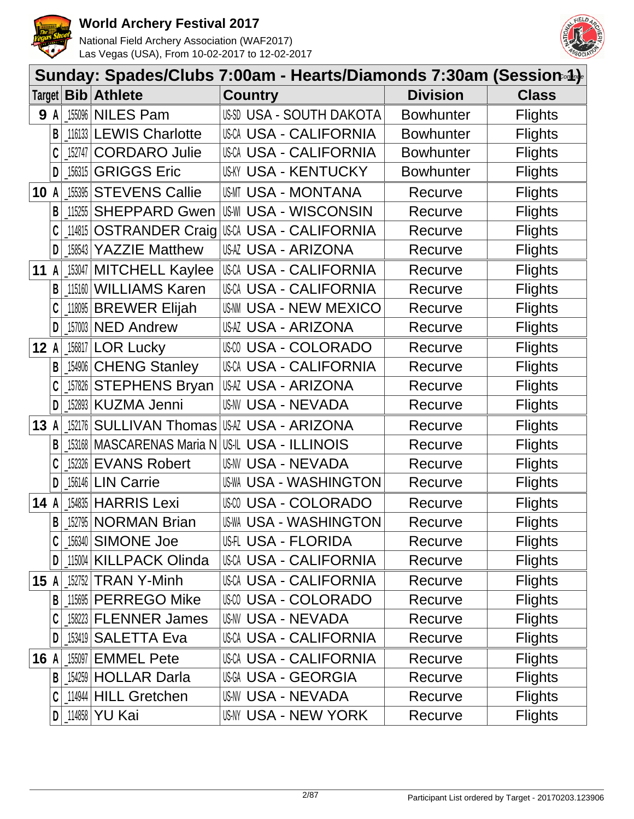



|      |            |         |                              | Sunday: Spades/Clubs 7:00am - Hearts/Diamonds 7:30am (Session-4)- |                  |                |
|------|------------|---------|------------------------------|-------------------------------------------------------------------|------------------|----------------|
|      |            |         | Target   Bib   Athlete       | <b>Country</b>                                                    | <b>Division</b>  | <b>Class</b>   |
|      | <b>9</b> A |         | 155096 NILES Pam             | US-SD USA - SOUTH DAKOTA                                          | <b>Bowhunter</b> | <b>Flights</b> |
|      | В          |         | 116133 LEWIS Charlotte       | USCA USA - CALIFORNIA                                             | <b>Bowhunter</b> | <b>Flights</b> |
|      |            | 152747  | <b>CORDARO Julie</b>         | <b>USCA USA - CALIFORNIA</b>                                      | <b>Bowhunter</b> | <b>Flights</b> |
|      | D          | 156315  | <b>GRIGGS Eric</b>           | USKY USA - KENTUCKY                                               | Bowhunter        | <b>Flights</b> |
| 10   | A          | 155395  | <b>STEVENS Callie</b>        | <b>US-MT USA - MONTANA</b>                                        | Recurve          | <b>Flights</b> |
|      | B          | 115255  | <b>SHEPPARD Gwen</b>         | <b>US-WI USA - WISCONSIN</b>                                      | Recurve          | <b>Flights</b> |
|      |            | _114815 | <b>OSTRANDER Craig</b>       | USCA USA - CALIFORNIA                                             | Recurve          | <b>Flights</b> |
|      | D          | 158543  | <b>YAZZIE Matthew</b>        | USAZ USA - ARIZONA                                                | Recurve          | <b>Flights</b> |
| 11   | A          |         | 153047   MITCHELL Kaylee     | <b>USCA USA - CALIFORNIA</b>                                      | Recurve          | <b>Flights</b> |
|      | B          |         | 115160 WILLIAMS Karen        | <b>USCA USA - CALIFORNIA</b>                                      | Recurve          | <b>Flights</b> |
|      |            | 118095  | <b>BREWER Elijah</b>         | <b>USAM USA - NEW MEXICO</b>                                      | Recurve          | <b>Flights</b> |
|      | D          |         | 157003 NED Andrew            | USAZ USA - ARIZONA                                                | Recurve          | <b>Flights</b> |
| 12   | A          |         | 156817 LOR Lucky             | USM USA - COLORADO                                                | Recurve          | <b>Flights</b> |
|      | B          |         | 154906 CHENG Stanley         | <b>USCA USA - CALIFORNIA</b>                                      | Recurve          | <b>Flights</b> |
|      |            |         | 157826 STEPHENS Bryan        | USAZ USA - ARIZONA                                                | Recurve          | <b>Flights</b> |
|      | D          |         | 152893 KUZMA Jenni           | USNV USA - NEVADA                                                 | Recurve          | <b>Flights</b> |
| 13   | A          | 152176  | <b>SULLIVAN Thomas</b>       | USAZ USA - ARIZONA                                                | Recurve          | <b>Flights</b> |
|      | B          |         | 153168   MASCARENAS Maria N  | US-IL USA - ILLINOIS                                              | Recurve          | <b>Flights</b> |
|      |            | 152326  | <b>EVANS Robert</b>          | USNV USA - NEVADA                                                 | Recurve          | <b>Flights</b> |
|      |            | 156146  | <b>LIN Carrie</b>            | <b>US-WA USA - WASHINGTON</b>                                     | Recurve          | <b>Flights</b> |
| 14   | A          |         | 154835 HARRIS Lexi           | <b>USA - COLORADO</b>                                             | Recurve          | <b>Flights</b> |
|      | B          |         | 152795 NORMAN Brian          | <b>US-WA USA - WASHINGTON</b>                                     | Recurve          | <b>Flights</b> |
|      |            |         | 156340 SIMONE Joe            | USH USA - FLORIDA                                                 | Recurve          | <b>Flights</b> |
|      | D          |         | 115004 KILLPACK Olinda       | USCA USA - CALIFORNIA                                             | Recurve          | <b>Flights</b> |
| 15 A |            |         | 152752 TRAN Y-Minh           | <b>USCA USA - CALIFORNIA</b>                                      | Recurve          | <b>Flights</b> |
|      | B          |         | 115695 PERREGO Mike          | USM USA - COLORADO                                                | Recurve          | <b>Flights</b> |
|      |            |         | 158223 FLENNER James         | US-NV USA - NEVADA                                                | Recurve          | <b>Flights</b> |
|      |            |         | 153419   <b>SALETTA Eva</b>  | USCA USA - CALIFORNIA                                             | Recurve          | <b>Flights</b> |
| 16 A |            | 155097  | <b>EMMEL Pete</b>            | <b>USCA USA - CALIFORNIA</b>                                      | Recurve          | <b>Flights</b> |
|      | B          |         | 154259 HOLLAR Darla          | USGA USA - GEORGIA                                                | Recurve          | <b>Flights</b> |
|      |            |         | 114944   HILL Gretchen       | US-NV USA - NEVADA                                                | Recurve          | <b>Flights</b> |
|      | D          |         | <sub>-</sub> 114858   YU Kai | US-NY USA - NEW YORK                                              | Recurve          | <b>Flights</b> |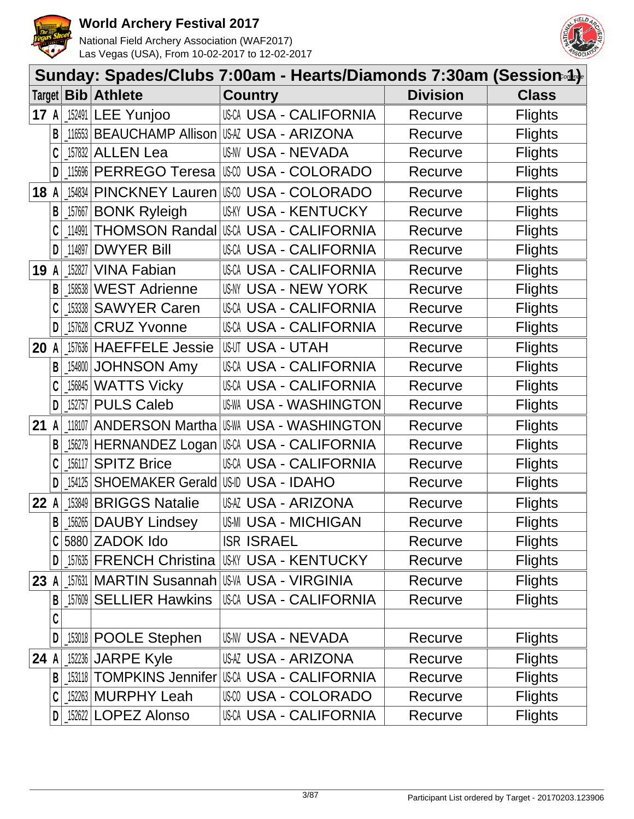



|      |   |                      |                                    | Sunday: Spades/Clubs 7:00am - Hearts/Diamonds 7:30am (Session.4). |                 |                |
|------|---|----------------------|------------------------------------|-------------------------------------------------------------------|-----------------|----------------|
|      |   | $Target $ <b>Bib</b> | <b>Athlete</b>                     | <b>Country</b>                                                    | <b>Division</b> | <b>Class</b>   |
| 17 A |   | 152491               | <b>LEE Yunjoo</b>                  | <b>USCA USA - CALIFORNIA</b>                                      | Recurve         | <b>Flights</b> |
|      | B | 116553               |                                    | BEAUCHAMP Allison USAZ USA - ARIZONA                              | Recurve         | <b>Flights</b> |
|      |   | 157832               | <b>ALLEN Lea</b>                   | <b>US-NV USA - NEVADA</b>                                         | Recurve         | <b>Flights</b> |
|      | D | 115696               | PERREGO Teresa                     | USCO USA - COLORADO                                               | Recurve         | <b>Flights</b> |
| 18   | A | 154834               | <b>PINCKNEY Lauren</b>             | USM USA - COLORADO                                                | Recurve         | <b>Flights</b> |
|      | B | 157667               | <b>BONK Ryleigh</b>                | <b>US-KY USA - KENTUCKY</b>                                       | Recurve         | <b>Flights</b> |
|      | C | 114991               | <b>THOMSON Randal</b>              | USCA USA - CALIFORNIA                                             | Recurve         | <b>Flights</b> |
|      | D | _114897              | <b>DWYER Bill</b>                  | <b>USCA USA - CALIFORNIA</b>                                      | Recurve         | <b>Flights</b> |
| 19   |   | 152827               | <b>VINA Fabian</b>                 | <b>USCA USA - CALIFORNIA</b>                                      | Recurve         | <b>Flights</b> |
|      | B | 158538               | <b>WEST Adrienne</b>               | USNY USA - NEW YORK                                               | Recurve         | <b>Flights</b> |
|      |   | 153338               | <b>SAWYER Caren</b>                | <b>USCA USA - CALIFORNIA</b>                                      | Recurve         | <b>Flights</b> |
|      | D | 157628               | <b>CRUZ Yvonne</b>                 | <b>USCA USA - CALIFORNIA</b>                                      | Recurve         | <b>Flights</b> |
| 20   | A | 157636               | <b>HAEFFELE Jessie</b>             | <b>USUT USA - UTAH</b>                                            | Recurve         | <b>Flights</b> |
|      | B | 154800               | <b>JOHNSON Amy</b>                 | USCA USA - CALIFORNIA                                             | Recurve         | <b>Flights</b> |
|      |   | 156845               | <b>WATTS Vicky</b>                 | <b>USCA USA - CALIFORNIA</b>                                      | Recurve         | <b>Flights</b> |
|      | D | 152757               | <b>PULS Caleb</b>                  | <b>US-WA USA - WASHINGTON</b>                                     | Recurve         | <b>Flights</b> |
| 21   | A | 118107               | <b>ANDERSON Martha</b>             | USWA USA - WASHINGTON                                             | Recurve         | <b>Flights</b> |
|      | B | 156279               |                                    | HERNANDEZ Logan USA USA - CALIFORNIA                              | Recurve         | <b>Flights</b> |
|      |   | 156117               | <b>SPITZ Brice</b>                 | <b>USCA USA - CALIFORNIA</b>                                      | Recurve         | <b>Flights</b> |
|      | D | 154125               | SHOEMAKER Gerald US-ID USA - IDAHO |                                                                   | Recurve         | <b>Flights</b> |
| 22   |   | 153849               | <b>BRIGGS Natalie</b>              | USAZ USA - ARIZONA                                                | Recurve         | <b>Flights</b> |
|      | B | $\_156265$           | <b>DAUBY Lindsey</b>               | <b>US-MI USA - MICHIGAN</b>                                       | Recurve         | <b>Flights</b> |
|      |   |                      | 5880 ZADOK Ido                     | <b>ISR ISRAEL</b>                                                 | Recurve         | <b>Flights</b> |
|      | D |                      |                                    | 157635 FRENCH Christina USAY USA - KENTUCKY                       | Recurve         | <b>Flights</b> |
| 23 A |   |                      |                                    | <b>[157631   MARTIN Susannah   US-VA USA - VIRGINIA</b>           | Recurve         | <b>Flights</b> |
|      | В | 157609               | <b>SELLIER Hawkins</b>             | <b>USCA USA - CALIFORNIA</b>                                      | Recurve         | <b>Flights</b> |
|      | C |                      |                                    |                                                                   |                 |                |
|      | D |                      | 153018 <b>POOLE Stephen</b>        | US-NV USA - NEVADA                                                | Recurve         | <b>Flights</b> |
| 24   |   |                      | 152236 JARPE Kyle                  | <b>USAZ USA - ARIZONA</b>                                         | Recurve         | <b>Flights</b> |
|      | B |                      | 153118   TOMPKINS Jennifer         | USCA USA - CALIFORNIA                                             | Recurve         | <b>Flights</b> |
|      | C |                      | 152263 MURPHY Leah                 | USM USA - COLORADO                                                | Recurve         | <b>Flights</b> |
|      | D |                      | 152622 LOPEZ Alonso                | USCA USA - CALIFORNIA                                             | Recurve         | <b>Flights</b> |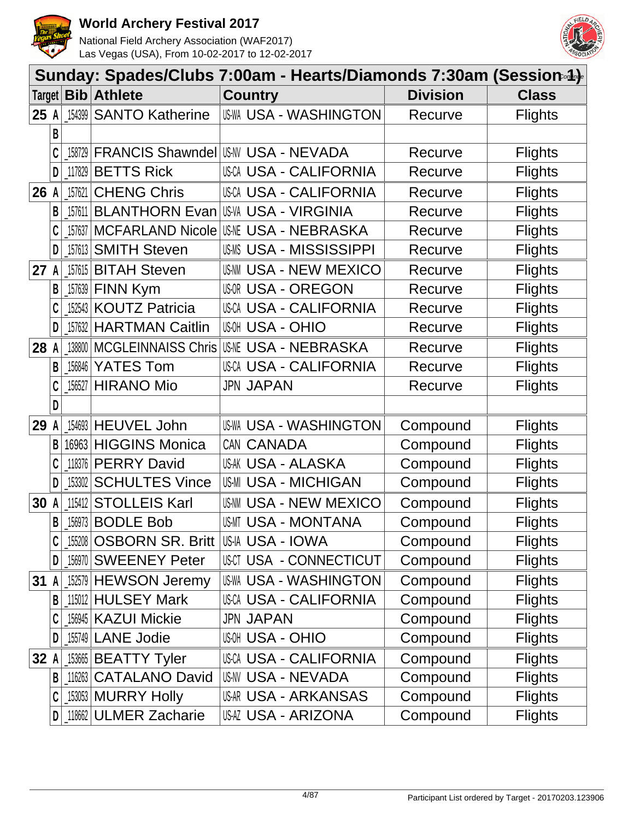



|        | Sunday: Spades/Clubs 7:00am - Hearts/Diamonds 7:30am (Session-4)- |                                   |                                               |                                                |                 |                |  |
|--------|-------------------------------------------------------------------|-----------------------------------|-----------------------------------------------|------------------------------------------------|-----------------|----------------|--|
| Target |                                                                   |                                   | <b>Bib</b> Athlete                            | <b>Country</b>                                 | <b>Division</b> | <b>Class</b>   |  |
| 25 A   |                                                                   | 154399                            | <b>SANTO Katherine</b>                        | <b>US-WA USA - WASHINGTON</b>                  | Recurve         | <b>Flights</b> |  |
|        | B                                                                 |                                   |                                               |                                                |                 |                |  |
|        |                                                                   |                                   |                                               | [158729   FRANCIS Shawndel   US-W USA - NEVADA | Recurve         | <b>Flights</b> |  |
|        | D                                                                 |                                   | 117829 BETTS Rick                             | USCA USA - CALIFORNIA                          | Recurve         | <b>Flights</b> |  |
| 26     | A                                                                 | 157621                            | <b>CHENG Chris</b>                            | <b>USCA USA - CALIFORNIA</b>                   | Recurve         | <b>Flights</b> |  |
|        | B                                                                 | 157611                            | <b>BLANTHORN Evan</b>                         | <b>US-VA USA - VIRGINIA</b>                    | Recurve         | <b>Flights</b> |  |
|        |                                                                   | 157637                            | <b>MCFARLAND Nicole</b>                       | <b>USME USA - NEBRASKA</b>                     | Recurve         | <b>Flights</b> |  |
|        | D                                                                 | $\left[ \frac{157613}{ } \right]$ | <b>SMITH Steven</b>                           | <b>USMS USA - MISSISSIPPI</b>                  | Recurve         | <b>Flights</b> |  |
| 27     | A                                                                 |                                   | 157615 BITAH Steven                           | <b>US-NN USA - NEW MEXICO</b>                  | Recurve         | <b>Flights</b> |  |
|        | B                                                                 | 157639                            | FINN Kym                                      | <b>USOR USA - OREGON</b>                       | Recurve         | <b>Flights</b> |  |
|        |                                                                   |                                   | 152543 KOUTZ Patricia                         | <b>USCA USA - CALIFORNIA</b>                   | Recurve         | <b>Flights</b> |  |
|        |                                                                   |                                   | 157632 HARTMAN Caitlin                        | <b>USA - OHIO</b>                              | Recurve         | <b>Flights</b> |  |
| 28     | A                                                                 | 138800                            | <b>MCGLEINNAISS Chris</b>                     | <b>USA - NEBRASKA</b>                          | Recurve         | <b>Flights</b> |  |
|        | B                                                                 | 156846                            | <b>YATES Tom</b>                              | USCA USA - CALIFORNIA                          | Recurve         | <b>Flights</b> |  |
|        |                                                                   | 156527                            | <b>HIRANO Mio</b>                             | <b>JPN JAPAN</b>                               | Recurve         | <b>Flights</b> |  |
|        | D                                                                 |                                   |                                               |                                                |                 |                |  |
| 29     | A                                                                 |                                   | 154693 HEUVEL John                            | <b>US-WA USA - WASHINGTON</b>                  | Compound        | <b>Flights</b> |  |
|        | B                                                                 |                                   | 16963 HIGGINS Monica                          | CAN CANADA                                     | Compound        | <b>Flights</b> |  |
|        |                                                                   |                                   | 118376 PERRY David                            | <b>US-AK USA - ALASKA</b>                      | Compound        | <b>Flights</b> |  |
|        |                                                                   | 153302                            | <b>SCHULTES Vince</b>                         | <b>US-MI USA - MICHIGAN</b>                    | Compound        | <b>Flights</b> |  |
| 30     |                                                                   | 115412                            | <b>STOLLEIS Karl</b>                          | <b>USAM USA - NEW MEXICO</b>                   | Compound        | <b>Flights</b> |  |
|        | B                                                                 |                                   | 156973 BODLE Bob                              | USMT USA - MONTANA                             | Compound        | <b>Flights</b> |  |
|        |                                                                   |                                   | _155208   OSBORN SR. Britt   US-IA USA - IOWA |                                                | Compound        | <b>Flights</b> |  |
|        | D                                                                 |                                   | 156970 SWEENEY Peter                          | USCT USA - CONNECTICUT                         | Compound        | <b>Flights</b> |  |
| 31     | A                                                                 |                                   | 152579 HEWSON Jeremy                          | <b>US-WA USA - WASHINGTON</b>                  | Compound        | <b>Flights</b> |  |
|        | В                                                                 |                                   | 115012 HULSEY Mark                            | <b>USCA USA - CALIFORNIA</b>                   | Compound        | <b>Flights</b> |  |
|        |                                                                   |                                   | 156945   KAZUI Mickie                         | <b>JPN JAPAN</b>                               | Compound        | <b>Flights</b> |  |
|        | D                                                                 |                                   | [155749 LANE Jodie                            | <b>USA - OHIO</b>                              | Compound        | <b>Flights</b> |  |
| 32     |                                                                   |                                   | 153665 BEATTY Tyler                           | USCA USA - CALIFORNIA                          | Compound        | <b>Flights</b> |  |
|        | B                                                                 | 116263                            | <b>CATALANO David</b>                         | US-NV USA - NEVADA                             | Compound        | <b>Flights</b> |  |
|        | C                                                                 |                                   | [153053   MURRY Holly                         | <b>USA - ARKANSAS</b>                          | Compound        | <b>Flights</b> |  |
|        | D                                                                 |                                   | 118662 ULMER Zacharie                         | USAZ USA - ARIZONA                             | Compound        | <b>Flights</b> |  |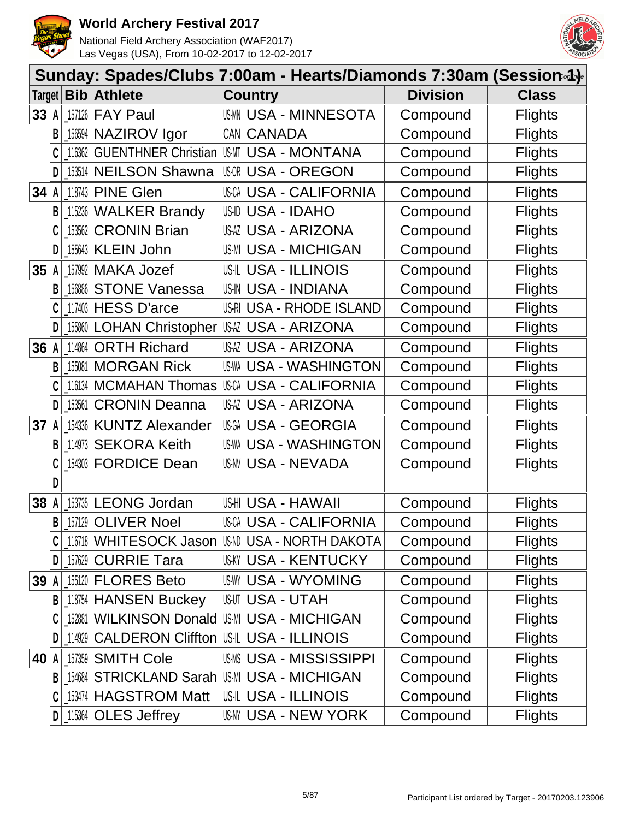



|      | Sunday: Spades/Clubs 7:00am - Hearts/Diamonds 7:30am (Session.4). |        |                            |                                                    |                 |                |  |
|------|-------------------------------------------------------------------|--------|----------------------------|----------------------------------------------------|-----------------|----------------|--|
|      |                                                                   |        | Target <b>Bib Athlete</b>  | <b>Country</b>                                     | <b>Division</b> | <b>Class</b>   |  |
| 33 A |                                                                   |        | 157126 FAY Paul            | <b>USMIN USA - MINNESOTA</b>                       | Compound        | <b>Flights</b> |  |
|      | B                                                                 |        | 156594 NAZIROV Igor        | CAN CANADA                                         | Compound        | <b>Flights</b> |  |
|      |                                                                   | 116362 | <b>GUENTHNER Christian</b> | IUSMT USA - MONTANA                                | Compound        | <b>Flights</b> |  |
|      | D                                                                 |        | 153514 NEILSON Shawna      | <b>US-OR USA - OREGON</b>                          | Compound        | <b>Flights</b> |  |
| 34 A |                                                                   |        | 118743 PINE Glen           | <b>USCA USA - CALIFORNIA</b>                       | Compound        | <b>Flights</b> |  |
|      | B                                                                 |        | 115236 WALKER Brandy       | <b>US-ID USA - IDAHO</b>                           | Compound        | <b>Flights</b> |  |
|      |                                                                   | 153562 | <b>CRONIN Brian</b>        | USAZ USA - ARIZONA                                 | Compound        | <b>Flights</b> |  |
|      | D                                                                 | 155643 | <b>KLEIN John</b>          | <b>US-MI USA - MICHIGAN</b>                        | Compound        | <b>Flights</b> |  |
| 35   | A                                                                 |        | 157992 MAKA Jozef          | <b>US-IL USA - ILLINOIS</b>                        | Compound        | <b>Flights</b> |  |
|      | B                                                                 | 156886 | <b>STONE Vanessa</b>       | <b>US-IN USA - INDIANA</b>                         | Compound        | <b>Flights</b> |  |
|      |                                                                   |        | 117403 HESS D'arce         | US-RI USA - RHODE ISLAND                           | Compound        | <b>Flights</b> |  |
|      |                                                                   |        |                            | [15860] LOHAN Christopher USA - ARIZONA            | Compound        | <b>Flights</b> |  |
| 36   | A                                                                 | 114864 | <b>ORTH Richard</b>        | USAZ USA - ARIZONA                                 | Compound        | <b>Flights</b> |  |
|      | B                                                                 | 155081 | <b>MORGAN Rick</b>         | <b>US-WA USA - WASHINGTON</b>                      | Compound        | <b>Flights</b> |  |
|      |                                                                   |        | 116134 MCMAHAN Thomas      | USCA USA - CALIFORNIA                              | Compound        | <b>Flights</b> |  |
|      | D                                                                 | 153561 | <b>CRONIN Deanna</b>       | USAZ USA - ARIZONA                                 | Compound        | <b>Flights</b> |  |
| 37   | A                                                                 |        | 154336 KUNTZ Alexander     | <b>USGA USA - GEORGIA</b>                          | Compound        | <b>Flights</b> |  |
|      | B                                                                 | 114973 | <b>SEKORA Keith</b>        | <b>US-WA USA - WASHINGTON</b>                      | Compound        | <b>Flights</b> |  |
|      |                                                                   | 154303 | <b>FORDICE Dean</b>        | <b>US-NV USA - NEVADA</b>                          | Compound        | <b>Flights</b> |  |
|      | D                                                                 |        |                            |                                                    |                 |                |  |
| 38   |                                                                   |        | 153735 LEONG Jordan        | USHI USA - HAWAII                                  | Compound        | <b>Flights</b> |  |
|      | B                                                                 |        | 157129 OLIVER Noel         | <b>USCA USA - CALIFORNIA</b>                       | Compound        | <b>Flights</b> |  |
|      |                                                                   |        |                            | _116718   WHITESOCK Jason   USM USA - NORTH DAKOTA | Compound        | <b>Flights</b> |  |
|      | D                                                                 |        | 157629 CURRIE Tara         | <b>USKY USA - KENTUCKY</b>                         | Compound        | <b>Flights</b> |  |
| 39 A |                                                                   |        | 155120 <b>FLORES Beto</b>  | <b>USWY USA - WYOMING</b>                          | Compound        | <b>Flights</b> |  |
|      | B                                                                 |        | 118754 HANSEN Buckey       | USUT USA - UTAH                                    | Compound        | <b>Flights</b> |  |
|      |                                                                   |        |                            | 152881 WILKINSON Donald USMI USA - MICHIGAN        | Compound        | <b>Flights</b> |  |
|      | D                                                                 |        |                            | 114929 CALDERON Cliffton USL USA - ILLINOIS        | Compound        | <b>Flights</b> |  |
| 40   | A                                                                 |        | 157359 SMITH Cole          | <b>USMS USA - MISSISSIPPI</b>                      | Compound        | <b>Flights</b> |  |
|      | B                                                                 |        |                            | 154684 STRICKLAND Sarah USM USA - MICHIGAN         | Compound        | <b>Flights</b> |  |
|      |                                                                   |        | 153474 HAGSTROM Matt       | <b>US-IL USA - ILLINOIS</b>                        | Compound        | <b>Flights</b> |  |
|      | D                                                                 |        | 115364 OLES Jeffrey        | USNY USA - NEW YORK                                | Compound        | <b>Flights</b> |  |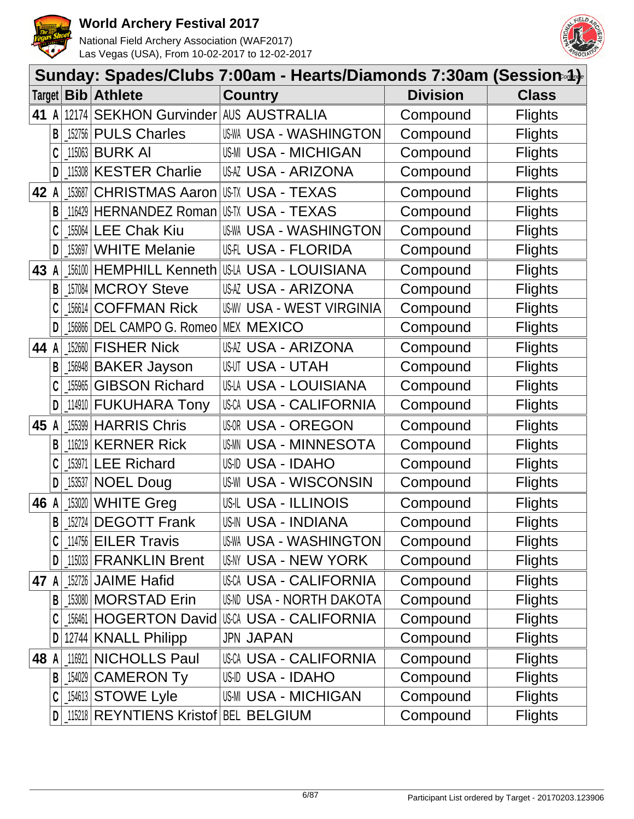



|      |              |        |                                      | Sunday: Spades/Clubs 7:00am - Hearts/Diamonds 7:30am (Session-4)- |                 |                |
|------|--------------|--------|--------------------------------------|-------------------------------------------------------------------|-----------------|----------------|
|      |              |        | Target   Bib   Athlete               | <b>Country</b>                                                    | <b>Division</b> | <b>Class</b>   |
| 41   | $\mathsf{A}$ |        | 12174 SEKHON Gurvinder AUS AUSTRALIA |                                                                   | Compound        | <b>Flights</b> |
|      | В            |        | 152756 PULS Charles                  | US-WA USA - WASHINGTON                                            | Compound        | <b>Flights</b> |
|      |              | 115063 | <b>BURK AI</b>                       | <b>US-MI USA - MICHIGAN</b>                                       | Compound        | <b>Flights</b> |
|      | D            |        | 115308 KESTER Charlie                | USAZ USA - ARIZONA                                                | Compound        | <b>Flights</b> |
| 42   | A            | 153687 | <b>CHRISTMAS Aaron</b>               | USTX USA - TEXAS                                                  | Compound        | <b>Flights</b> |
|      | B            |        | 116429 HERNANDEZ Roman               | USTX USA - TEXAS                                                  | Compound        | <b>Flights</b> |
|      |              |        | 155064 LEE Chak Kiu                  | US-WA USA - WASHINGTON                                            | Compound        | <b>Flights</b> |
|      | D            | 153697 | <b>WHITE Melanie</b>                 | <b>USFL USA - FLORIDA</b>                                         | Compound        | <b>Flights</b> |
| 43   |              | 156100 | <b>HEMPHILL Kenneth</b>              | US-LA USA - LOUISIANA                                             | Compound        | <b>Flights</b> |
|      | B            | 157084 | <b>MCROY Steve</b>                   | USAZ USA - ARIZONA                                                | Compound        | <b>Flights</b> |
|      |              | 156614 | <b>COFFMAN Rick</b>                  | <b>USW USA - WEST VIRGINIA</b>                                    | Compound        | <b>Flights</b> |
|      | D            | 156866 | DEL CAMPO G. Romeo MEX MEXICO        |                                                                   | Compound        | <b>Flights</b> |
| 44   | A            | 152660 | <b>FISHER Nick</b>                   | USAZ USA - ARIZONA                                                | Compound        | <b>Flights</b> |
|      | B            | 156948 | <b>BAKER Jayson</b>                  | USUT USA - UTAH                                                   | Compound        | <b>Flights</b> |
|      |              | 155965 | <b>GIBSON Richard</b>                | US-LA USA - LOUISIANA                                             | Compound        | <b>Flights</b> |
|      | D            |        | 114910 FUKUHARA Tony                 | USCA USA - CALIFORNIA                                             | Compound        | <b>Flights</b> |
| 45   | A            |        | 155399 HARRIS Chris                  | <b>USOR USA - OREGON</b>                                          | Compound        | <b>Flights</b> |
|      | B            | 116219 | <b>KERNER Rick</b>                   | <b>USA - MINNESOTA</b><br>US-MN                                   | Compound        | <b>Flights</b> |
|      |              | 153971 | <b>LEE Richard</b>                   | <b>US-ID USA - IDAHO</b>                                          | Compound        | <b>Flights</b> |
|      | D            | 153537 | <b>NOEL Doug</b>                     | <b>US-WI USA - WISCONSIN</b>                                      | Compound        | <b>Flights</b> |
| 46   | A            | 153020 | <b>WHITE Greg</b>                    | <b>US-IL USA - ILLINOIS</b>                                       | Compound        | <b>Flights</b> |
|      | B            |        | 152724 DEGOTT Frank                  | <b>US-IN USA - INDIANA</b>                                        | Compound        | <b>Flights</b> |
|      |              |        | 114756 EILER Travis                  | US-WA USA - WASHINGTON                                            | Compound        | <b>Flights</b> |
|      | D            |        | 115033 FRANKLIN Brent                | USNY USA - NEW YORK                                               | Compound        | <b>Flights</b> |
| 47 A |              |        | 152726 JAIME Hafid                   | USCA USA - CALIFORNIA                                             | Compound        | <b>Flights</b> |
|      | B            |        | 153080 MORSTAD Erin                  | US-ND USA - NORTH DAKOTA                                          | Compound        | <b>Flights</b> |
|      |              |        |                                      | 156461 HOGERTON David USA - CALIFORNIA                            | Compound        | <b>Flights</b> |
|      |              |        | 12744 KNALL Philipp                  | <b>JPN JAPAN</b>                                                  | Compound        | <b>Flights</b> |
| 48   | A            | 116921 | NICHOLLS Paul                        | <b>USCA USA - CALIFORNIA</b>                                      | Compound        | <b>Flights</b> |
|      | B            |        | 154029 CAMERON Ty                    | US-ID USA - IDAHO                                                 | Compound        | <b>Flights</b> |
|      |              |        | [154613 STOWE Lyle                   | <b>US-MI USA - MICHIGAN</b>                                       | Compound        | <b>Flights</b> |
|      | D            |        | 115218 REYNTIENS Kristof BEL BELGIUM |                                                                   | Compound        | <b>Flights</b> |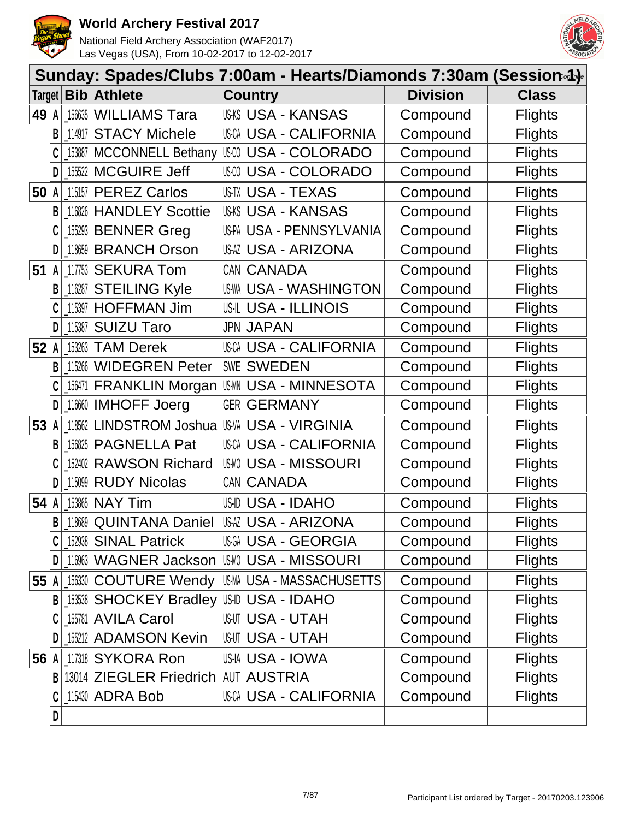



|      |              |        |                                         | Sunday: Spades/Clubs 7:00am - Hearts/Diamonds 7:30am (Session-4)- |                 |                |
|------|--------------|--------|-----------------------------------------|-------------------------------------------------------------------|-----------------|----------------|
|      |              |        | Target   Bib   Athlete                  | <b>Country</b>                                                    | <b>Division</b> | <b>Class</b>   |
| 49 A |              |        | [156635   WILLIAMS Tara                 | <b>USKS USA - KANSAS</b>                                          | Compound        | <b>Flights</b> |
|      | B            |        | 114917 STACY Michele                    | USCA USA - CALIFORNIA                                             | Compound        | <b>Flights</b> |
|      |              |        | 153887   MCCONNELL Bethany              | USCO USA - COLORADO                                               | Compound        | <b>Flights</b> |
|      | D            |        | [155522   MCGUIRE Jeff                  | USM USA - COLORADO                                                | Compound        | <b>Flights</b> |
| 50 A |              |        | $11515$ PEREZ Carlos                    | USTX USA - TEXAS                                                  | Compound        | <b>Flights</b> |
|      | B            |        | 116826 HANDLEY Scottie                  | <b>US-KS USA - KANSAS</b>                                         | Compound        | <b>Flights</b> |
|      |              |        | [155293 BENNER Greg                     | US-PA USA - PENNSYLVANIA                                          | Compound        | <b>Flights</b> |
|      | D            |        | 118659 BRANCH Orson                     | USAZ USA - ARIZONA                                                | Compound        | <b>Flights</b> |
| 51   | A            |        | 117753 SEKURA Tom                       | CAN CANADA                                                        | Compound        | <b>Flights</b> |
|      | В            | 116287 | <b>STEILING Kyle</b>                    | <b>US-WA USA - WASHINGTON</b>                                     | Compound        | <b>Flights</b> |
|      |              |        | 115397 HOFFMAN Jim                      | <b>US-IL USA - ILLINOIS</b>                                       | Compound        | <b>Flights</b> |
|      | D            | 115387 | <b>SUIZU Taro</b>                       | <b>JPN JAPAN</b>                                                  | Compound        | <b>Flights</b> |
| 52 A |              |        | $153263$ TAM Derek                      | USCA USA - CALIFORNIA                                             | Compound        | <b>Flights</b> |
|      | B            |        | 115266 WIDEGREN Peter                   | <b>SWE SWEDEN</b>                                                 | Compound        | <b>Flights</b> |
|      | C            |        | _156471 FRANKLIN Morgan                 | USMN USA - MINNESOTA                                              | Compound        | <b>Flights</b> |
|      | D            |        | [116660   IMHOFF Joerg                  | <b>GER GERMANY</b>                                                | Compound        | <b>Flights</b> |
| 53 A |              |        | 118562 LINDSTROM Joshua                 | <b>US-VA USA - VIRGINIA</b>                                       | Compound        | <b>Flights</b> |
|      | B            | 156825 | <b>PAGNELLA Pat</b>                     | <b>USCA USA - CALIFORNIA</b>                                      | Compound        | <b>Flights</b> |
|      |              |        | 152402 RAWSON Richard                   | <b>USMO USA - MISSOURI</b>                                        | Compound        | <b>Flights</b> |
|      |              | 115099 | <b>RUDY Nicolas</b>                     | CAN CANADA                                                        | Compound        | <b>Flights</b> |
| 54 A |              |        | 153865 NAY Tim                          | USID USA - IDAHO                                                  | Compound        | <b>Flights</b> |
|      | $\mathsf{B}$ |        | 18689 QUINTANA Daniel                   | <b>USAZ USA - ARIZONA</b>                                         | Compound        | <b>Flights</b> |
|      |              |        | 152938 SINAL Patrick                    | <b>USGA USA - GEORGIA</b>                                         | Compound        | <b>Flights</b> |
|      | D            |        |                                         | 116963   WAGNER Jackson   USM USA - MISSOURI                      | Compound        | <b>Flights</b> |
| 55 A |              |        |                                         |                                                                   | Compound        | <b>Flights</b> |
|      | B            |        | _153538 SHOCKEY Bradley USD USA - IDAHO |                                                                   | Compound        | <b>Flights</b> |
|      |              |        | 155781 AVILA Carol                      | <b>USUT USA - UTAH</b>                                            | Compound        | <b>Flights</b> |
|      |              |        | [155212 ADAMSON Kevin                   | <b>USUT USA - UTAH</b>                                            | Compound        | <b>Flights</b> |
| 56 A |              |        | 117318 SYKORA Ron                       | USIA USA - IOWA                                                   | Compound        | <b>Flights</b> |
|      | B            |        | 13014 ZIEGLER Friedrich AUT AUSTRIA     |                                                                   | Compound        | <b>Flights</b> |
|      |              |        | $115430$ $ADRA Bob$                     | <b>USCA USA - CALIFORNIA</b>                                      | Compound        | <b>Flights</b> |
|      | D            |        |                                         |                                                                   |                 |                |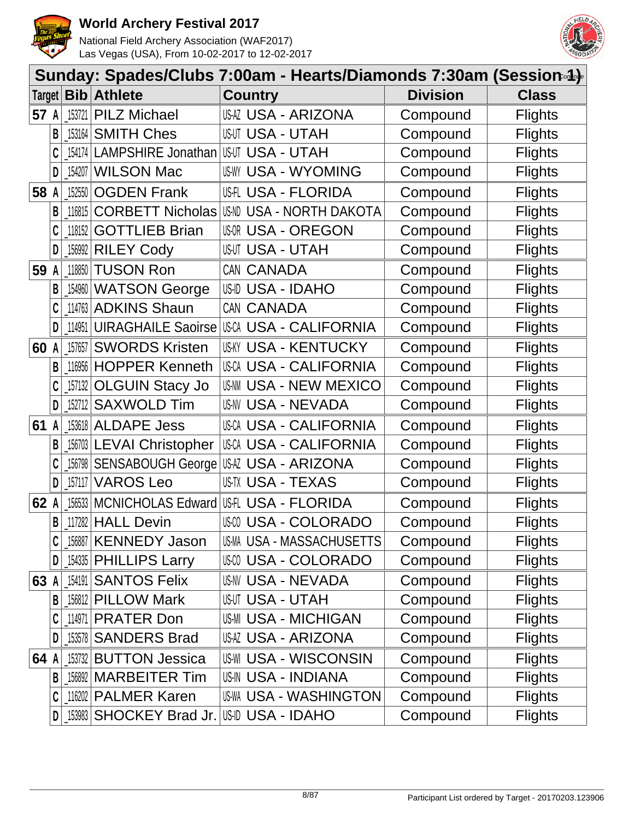



|        |   |         |                          | Sunday: Spades/Clubs 7:00am - Hearts/Diamonds 7:30am (Session.4). |                 |                |
|--------|---|---------|--------------------------|-------------------------------------------------------------------|-----------------|----------------|
| Target |   |         | <b>Bib</b> Athlete       | <b>Country</b>                                                    | <b>Division</b> | <b>Class</b>   |
| 57 A   |   |         | 153721 PILZ Michael      | USAZ USA - ARIZONA                                                | Compound        | <b>Flights</b> |
|        | В | 153164  | <b>SMITH Ches</b>        | <b>USUT USA - UTAH</b>                                            | Compound        | <b>Flights</b> |
|        |   | 154174  | LAMPSHIRE Jonathan       | <b>USUT USA - UTAH</b>                                            | Compound        | <b>Flights</b> |
|        | D | 154207  | <b>WILSON Mac</b>        | <b>US-WY USA - WYOMING</b>                                        | Compound        | <b>Flights</b> |
| 58     | A | 152550  | <b>OGDEN Frank</b>       | <b>USH USA - FLORIDA</b>                                          | Compound        | <b>Flights</b> |
|        | B | 116815  | <b>CORBETT Nicholas</b>  | <b>USA - NORTH DAKOTA</b><br>US-ND                                | Compound        | <b>Flights</b> |
|        |   | 118152  | <b>GOTTLIEB Brian</b>    | <b>USOR USA - OREGON</b>                                          | Compound        | <b>Flights</b> |
|        | D | 156992  | <b>RILEY Cody</b>        | <b>USUT USA - UTAH</b>                                            | Compound        | <b>Flights</b> |
| 59     | A | 118850  | <b>TUSON Ron</b>         | CAN CANADA                                                        | Compound        | <b>Flights</b> |
|        | В | 154960  | <b>WATSON George</b>     | US-ID USA - IDAHO                                                 | Compound        | <b>Flights</b> |
|        |   |         | 114763 ADKINS Shaun      | CAN CANADA                                                        | Compound        | <b>Flights</b> |
|        | D | 114951  |                          | UIRAGHAILE Saoirse USA USA - CALIFORNIA                           | Compound        | <b>Flights</b> |
| 60     | A | 157657  | <b>SWORDS Kristen</b>    | <b>US-KY USA - KENTUCKY</b>                                       | Compound        | <b>Flights</b> |
|        | B | 116956  | <b>HOPPER Kenneth</b>    | <b>USCA USA - CALIFORNIA</b>                                      | Compound        | <b>Flights</b> |
|        |   | _157132 | <b>OLGUIN Stacy Jo</b>   | <b>USA - NEW MEXICO</b><br>US-NM                                  | Compound        | <b>Flights</b> |
|        | D | 152712  | <b>SAXWOLD Tim</b>       | USNV USA - NEVADA                                                 | Compound        | <b>Flights</b> |
| 61     | A |         | 153618 ALDAPE Jess       | USCA USA - CALIFORNIA                                             | Compound        | <b>Flights</b> |
|        | В |         | 156703 LEVAI Christopher | USCA USA - CALIFORNIA                                             | Compound        | <b>Flights</b> |
|        |   |         |                          | 156798 SENSABOUGH George USAZ USA - ARIZONA                       | Compound        | <b>Flights</b> |
|        | D | 157117  | <b>VAROS Leo</b>         | USTX USA - TEXAS                                                  | Compound        | <b>Flights</b> |
| 62     |   | 156533  | <b>MCNICHOLAS Edward</b> | <b>USFL USA - FLORIDA</b>                                         | Compound        | <b>Flights</b> |
|        | B |         | 117282 HALL Devin        | <b>USA - COLORADO</b>                                             | Compound        | <b>Flights</b> |
|        |   | 156887  | <b>KENNEDY Jason</b>     | US-MA USA - MASSACHUSETTS                                         | Compound        | <b>Flights</b> |
|        | D |         | 154335 PHILLIPS Larry    | USCO USA - COLORADO                                               | Compound        | <b>Flights</b> |
| 63 A   |   |         | 154191 SANTOS Felix      | US-NV USA - NEVADA                                                | Compound        | <b>Flights</b> |
|        | B |         | 156812 PILLOW Mark       | <b>USUT USA - UTAH</b>                                            | Compound        | <b>Flights</b> |
|        |   |         | 114971 PRATER Don        | <b>US-MI USA - MICHIGAN</b>                                       | Compound        | <b>Flights</b> |
|        | D |         | 153578 SANDERS Brad      | USAZ USA - ARIZONA                                                | Compound        | <b>Flights</b> |
| 64 A   |   |         | 153732 BUTTON Jessica    | <b>US-WI USA - WISCONSIN</b>                                      | Compound        | <b>Flights</b> |
|        | B |         | 156892 MARBEITER Tim     | <b>US-IN USA - INDIANA</b>                                        | Compound        | <b>Flights</b> |
|        |   |         | 116202 PALMER Karen      | US-WA USA - WASHINGTON                                            | Compound        | <b>Flights</b> |
|        | D |         | 153983 SHOCKEY Brad Jr.  | US-ID USA - IDAHO                                                 | Compound        | <b>Flights</b> |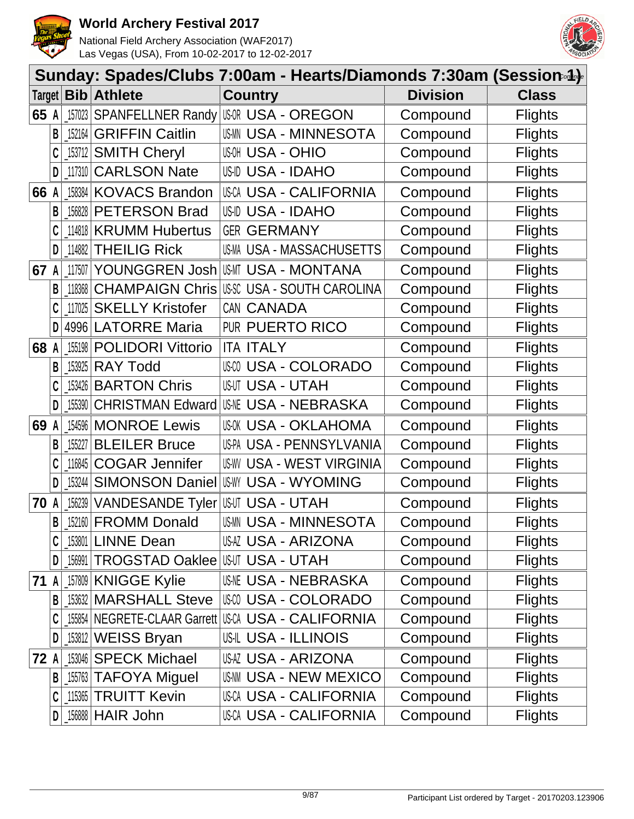



|        |   |         |                                             | Sunday: Spades/Clubs 7:00am - Hearts/Diamonds 7:30am (Session-4)- |                 |                |
|--------|---|---------|---------------------------------------------|-------------------------------------------------------------------|-----------------|----------------|
| Target |   |         | <b>Bib</b> Athlete                          | <b>Country</b>                                                    | <b>Division</b> | <b>Class</b>   |
| 65     | A |         | 157023 SPANFELLNER Randy                    | USOR USA - OREGON                                                 | Compound        | <b>Flights</b> |
|        | В | 152164  | <b>GRIFFIN Caitlin</b>                      | <b>USA - MINNESOTA</b><br>US-MN                                   | Compound        | <b>Flights</b> |
|        |   | _153712 | <b>SMITH Cheryl</b>                         | <b>USA - OHIO</b>                                                 | Compound        | <b>Flights</b> |
|        | D |         | 117310 CARLSON Nate                         | US-ID USA - IDAHO                                                 | Compound        | <b>Flights</b> |
| 66     | A | 158384  | <b>KOVACS Brandon</b>                       | <b>USCA USA - CALIFORNIA</b>                                      | Compound        | <b>Flights</b> |
|        | B |         | 156828 PETERSON Brad                        | USID USA - IDAHO                                                  | Compound        | <b>Flights</b> |
|        |   |         | 114818 KRUMM Hubertus                       | <b>GER GERMANY</b>                                                | Compound        | <b>Flights</b> |
|        | D | 114882  | <b>THEILIG Rick</b>                         | US-MA USA - MASSACHUSETTS                                         | Compound        | <b>Flights</b> |
| 67     | A | 117507  | YOUNGGREN Josh                              | USMT USA - MONTANA                                                | Compound        | <b>Flights</b> |
|        | B | 118368  | <b>CHAMPAIGN Chris</b>                      | US-SC USA - SOUTH CAROLINA                                        | Compound        | <b>Flights</b> |
|        |   | 117025  | <b>SKELLY Kristofer</b>                     | CAN CANADA                                                        | Compound        | <b>Flights</b> |
|        | D | 4996    | <b>LATORRE Maria</b>                        | PUR PUERTO RICO                                                   | Compound        | <b>Flights</b> |
| 68     | A | 155198  | <b>POLIDORI Vittorio</b>                    | <b>ITA ITALY</b>                                                  | Compound        | <b>Flights</b> |
|        | B | 153925  | <b>RAY Todd</b>                             | USM USA - COLORADO                                                | Compound        | <b>Flights</b> |
|        |   |         | 153426 BARTON Chris                         | <b>USUT USA - UTAH</b>                                            | Compound        | <b>Flights</b> |
|        | D | 155390  | <b>CHRISTMAN Edward</b>                     | <b>USNE USA - NEBRASKA</b>                                        | Compound        | <b>Flights</b> |
| 69     | A |         | 154596 MONROE Lewis                         | <b>US-OK USA - OKLAHOMA</b>                                       | Compound        | <b>Flights</b> |
|        | В | 155227  | <b>BLEILER Bruce</b>                        | US-PA USA - PENNSYLVANIA                                          | Compound        | <b>Flights</b> |
|        |   | 116845  | <b>COGAR Jennifer</b>                       | <b>US-WY USA - WEST VIRGINIA</b>                                  | Compound        | <b>Flights</b> |
|        | D | 153244  |                                             | <b>SIMONSON Daniel USW USA - WYOMING</b>                          | Compound        | <b>Flights</b> |
| 70     | A | 156239  | VANDESANDE Tyler USUT USA - UTAH            |                                                                   | Compound        | <b>Flights</b> |
|        | B |         | 152160 FROMM Donald                         | USMN USA - MINNESOTA                                              | Compound        | <b>Flights</b> |
|        |   |         | 153801 LINNE Dean                           | USAZ USA - ARIZONA                                                | Compound        | <b>Flights</b> |
|        | D |         | _156991   TROGSTAD Oaklee   USUT USA - UTAH |                                                                   | Compound        | <b>Flights</b> |
| 71 A   |   |         | 157809 KNIGGE Kylie                         | <b>USME USA - NEBRASKA</b>                                        | Compound        | <b>Flights</b> |
|        | B |         | 153632 MARSHALL Steve                       | US-00 USA - COLORADO                                              | Compound        | <b>Flights</b> |
|        |   |         |                                             | 155854 NEGRETE-CLAAR Garrett USCA USA - CALIFORNIA                | Compound        | <b>Flights</b> |
|        |   |         | 153812 WEISS Bryan                          | <b>US-IL USA - ILLINOIS</b>                                       | Compound        | <b>Flights</b> |
| 72 A   |   |         | 153046 SPECK Michael                        | USAZ USA - ARIZONA                                                | Compound        | <b>Flights</b> |
|        | B |         | 155763 TAFOYA Miguel                        | <b>US-NN USA - NEW MEXICO</b>                                     | Compound        | <b>Flights</b> |
|        | C |         | 115365 TRUITT Kevin                         | <b>USCA USA - CALIFORNIA</b>                                      | Compound        | <b>Flights</b> |
|        | D |         | <sub>_156888</sub>  HAIR John               | <b>USCA USA - CALIFORNIA</b>                                      | Compound        | <b>Flights</b> |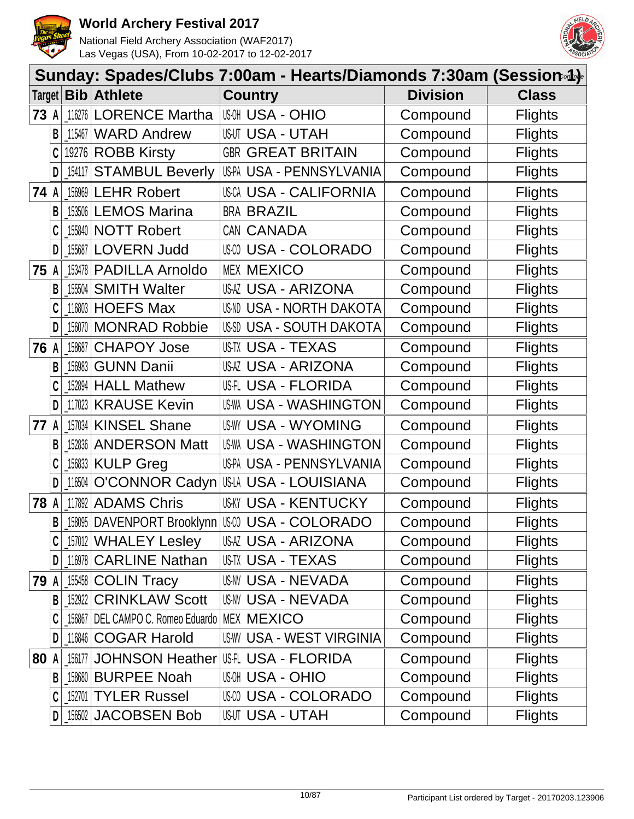



|        |              |           |                                                  | Sunday: Spades/Clubs 7:00am - Hearts/Diamonds 7:30am (Session-4)- |                 |                |
|--------|--------------|-----------|--------------------------------------------------|-------------------------------------------------------------------|-----------------|----------------|
| Target |              |           | <b>Bib</b> Athlete                               | <b>Country</b>                                                    | <b>Division</b> | <b>Class</b>   |
| 73 A   |              |           | 116276 LORENCE Martha                            | <b>USA - OHIO</b>                                                 | Compound        | <b>Flights</b> |
|        | B            |           | 115467 WARD Andrew                               | <b>USUT USA - UTAH</b>                                            | Compound        | <b>Flights</b> |
|        |              |           | 19276 ROBB Kirsty                                | <b>GBR GREAT BRITAIN</b>                                          | Compound        | <b>Flights</b> |
|        | D            |           | [154117 STAMBUL Beverly                          | US-PA USA - PENNSYLVANIA                                          | Compound        | <b>Flights</b> |
| 74 A   |              |           | [156969 LEHR Robert                              | <b>USCA USA - CALIFORNIA</b>                                      | Compound        | <b>Flights</b> |
|        | B            |           | [153506 LEMOS Marina                             | <b>BRA BRAZIL</b>                                                 | Compound        | <b>Flights</b> |
|        |              |           | 155840 NOTT Robert                               | CAN CANADA                                                        | Compound        | <b>Flights</b> |
|        | D            |           | 155687 LOVERN Judd                               | USM USA - COLORADO                                                | Compound        | <b>Flights</b> |
| 75     | A            |           | 153478 PADILLA Arnoldo                           | <b>MEX MEXICO</b>                                                 | Compound        | <b>Flights</b> |
|        | B            |           | 155504 SMITH Walter                              | USAZ USA - ARIZONA                                                | Compound        | <b>Flights</b> |
|        |              |           | 116803 HOEFS Max                                 | US-ND USA - NORTH DAKOTA                                          | Compound        | <b>Flights</b> |
|        | D            |           | 156070 MONRAD Robbie                             | US-SD USA - SOUTH DAKOTA                                          | Compound        | <b>Flights</b> |
| 76 A   |              | 158687    | <b>CHAPOY Jose</b>                               | US-TX USA - TEXAS                                                 | Compound        | <b>Flights</b> |
|        | B            | $-156983$ | <b>GUNN Danii</b>                                | USAZ USA - ARIZONA                                                | Compound        | <b>Flights</b> |
|        |              |           | [152894   HALL Mathew                            | US-FLORIDA                                                        | Compound        | <b>Flights</b> |
|        | D            |           | 117023 KRAUSE Kevin                              | US-WA USA - WASHINGTON                                            | Compound        | <b>Flights</b> |
| 77     | A            |           | 157034 KINSEL Shane                              | <b>US-WY USA - WYOMING</b>                                        | Compound        | <b>Flights</b> |
|        | B            |           | 152836 ANDERSON Matt                             | <b>USA - WASHINGTON</b><br>US-WA                                  | Compound        | <b>Flights</b> |
|        |              |           | 156833 KULP Greg                                 | US-PA USA - PENNSYLVANIA                                          | Compound        | <b>Flights</b> |
|        | D            | 116504    | O'CONNOR Cadyn                                   | US-LA USA - LOUISIANA                                             | Compound        | <b>Flights</b> |
| 78 A   |              | 117892    | <b>ADAMS Chris</b>                               | USKY USA - KENTUCKY                                               | Compound        | <b>Flights</b> |
|        | $\mathsf{B}$ |           | [158095   DAVENPORT Brooklynn                    | USCO USA - COLORADO                                               | Compound        | <b>Flights</b> |
|        |              |           | $157012$ WHALEY Lesley                           | USAZ USA - ARIZONA                                                | Compound        | <b>Flights</b> |
|        | D            |           | 116978 CARLINE Nathan                            | <b>US-TX USA - TEXAS</b>                                          | Compound        | <b>Flights</b> |
| 79 A   |              |           | 155458 COLIN Tracy                               | <b>US-NV USA - NEVADA</b>                                         | Compound        | <b>Flights</b> |
|        | B            |           | 152922 CRINKLAW Scott                            | <b>US-NV USA - NEVADA</b>                                         | Compound        | <b>Flights</b> |
|        |              |           | 156867   DEL CAMPO C. Romeo Eduardo   MEX MEXICO |                                                                   | Compound        | <b>Flights</b> |
|        | D            |           | 116846 COGAR Harold                              | <b>US-WY USA - WEST VIRGINIA</b>                                  | Compound        | <b>Flights</b> |
| 80 A   |              |           | 156177 JOHNSON Heather                           | <b>USFL USA - FLORIDA</b>                                         | Compound        | <b>Flights</b> |
|        | B            |           | 158680 BURPEE Noah                               | <b>USA - OHIO</b>                                                 | Compound        | <b>Flights</b> |
|        | C            |           | 152701 TYLER Russel                              | USCO USA - COLORADO                                               | Compound        | <b>Flights</b> |
|        | D            |           | 156502 JACOBSEN Bob                              | <b>USUT USA - UTAH</b>                                            | Compound        | <b>Flights</b> |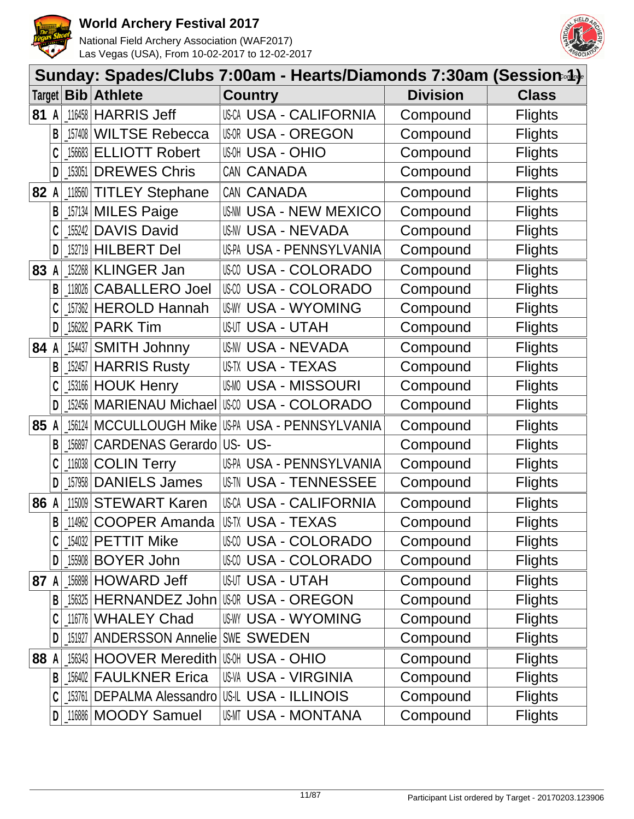



|      |   |        |                                         | Sunday: Spades/Clubs 7:00am - Hearts/Diamonds 7:30am (Session-4)- |                 |                |
|------|---|--------|-----------------------------------------|-------------------------------------------------------------------|-----------------|----------------|
|      |   |        | Target   Bib   Athlete                  | <b>Country</b>                                                    | <b>Division</b> | <b>Class</b>   |
| 81   | A |        | 116458 HARRIS Jeff                      | <b>USCA USA - CALIFORNIA</b>                                      | Compound        | <b>Flights</b> |
|      | В | 157408 | <b>WILTSE Rebecca</b>                   | <b>USO - OREGON</b>                                               | Compound        | <b>Flights</b> |
|      |   | 156683 | <b>ELLIOTT Robert</b>                   | <b>USA - OHIO</b>                                                 | Compound        | <b>Flights</b> |
|      | D | 153051 | <b>DREWES Chris</b>                     | CAN CANADA                                                        | Compound        | <b>Flights</b> |
| 82   | A | 118560 | <b>TITLEY Stephane</b>                  | CAN CANADA                                                        | Compound        | <b>Flights</b> |
|      | B |        | 157134 MILES Paige                      | <b>USAM USA - NEW MEXICO</b>                                      | Compound        | <b>Flights</b> |
|      |   | 155242 | <b>DAVIS David</b>                      | US-NV USA - NEVADA                                                | Compound        | <b>Flights</b> |
|      | D | 152719 | <b>HILBERT Del</b>                      | US-PA USA - PENNSYLVANIA                                          | Compound        | <b>Flights</b> |
| 83   |   |        | 152268 KLINGER Jan                      | <b>USA - COLORADO</b>                                             | Compound        | <b>Flights</b> |
|      | B | 118026 | <b>CABALLERO Joel</b>                   | <b>USA - COLORADO</b><br>US-CO                                    | Compound        | <b>Flights</b> |
|      |   | 157362 | <b>HEROLD Hannah</b>                    | <b>USA - WYOMING</b><br>US-WY                                     | Compound        | <b>Flights</b> |
|      | D | 156282 | <b>PARK Tim</b>                         | <b>USUT USA - UTAH</b>                                            | Compound        | <b>Flights</b> |
| 84   | A | 154437 | <b>SMITH Johnny</b>                     | <b>USNV USA - NEVADA</b>                                          | Compound        | <b>Flights</b> |
|      | B | 152457 | <b>HARRIS Rusty</b>                     | USTX USA - TEXAS                                                  | Compound        | <b>Flights</b> |
|      |   |        | 153166 HOUK Henry                       | <b>USMO USA - MISSOURI</b>                                        | Compound        | <b>Flights</b> |
|      | D |        | 152456   MARIENAU Michael               | USM USA - COLORADO                                                | Compound        | <b>Flights</b> |
| 85   | A | 156124 | <b>MCCULLOUGH Mike</b>                  | US-PA USA - PENNSYLVANIA                                          | Compound        | <b>Flights</b> |
|      | В | 156897 | <b>CARDENAS Gerardo</b>                 | US-US-                                                            | Compound        | <b>Flights</b> |
|      |   | 116038 | <b>COLIN Terry</b>                      | US-PA USA - PENNSYLVANIA                                          | Compound        | <b>Flights</b> |
|      |   | 157958 | <b>DANIELS James</b>                    | <b>USIN USA - TENNESSEE</b>                                       | Compound        | <b>Flights</b> |
| 86   | A | 115009 | <b>STEWART Karen</b>                    | <b>USCA USA - CALIFORNIA</b>                                      | Compound        | <b>Flights</b> |
|      | B |        | 114962 COOPER Amanda                    | <b>US-TX USA - TEXAS</b>                                          | Compound        | <b>Flights</b> |
|      |   |        | 154032   PETTIT Mike                    | USA - COLORADO                                                    | Compound        | <b>Flights</b> |
|      | D |        | 155908 BOYER John                       | <b>USO USA - COLORADO</b>                                         | Compound        | <b>Flights</b> |
| 87 A |   |        | 156898 HOWARD Jeff                      | USUT USA - UTAH                                                   | Compound        | <b>Flights</b> |
|      | B |        |                                         | 156325 HERNANDEZ John USR USA - OREGON                            | Compound        | <b>Flights</b> |
|      |   |        | 116776 WHALEY Chad                      | <b>US-WY USA - WYOMING</b>                                        | Compound        | <b>Flights</b> |
|      | D |        | 151927   ANDERSSON Annelie   SWE SWEDEN |                                                                   | Compound        | <b>Flights</b> |
| 88   | A |        | 156343 HOOVER Meredith                  | <b>USH USA - OHIO</b>                                             | Compound        | <b>Flights</b> |
|      | B |        | 156402 FAULKNER Erica                   | <b>US-VA USA - VIRGINIA</b>                                       | Compound        | <b>Flights</b> |
|      |   |        | 153761 DEPALMA Alessandro               | US-IL USA - ILLINOIS                                              | Compound        | <b>Flights</b> |
|      | D |        | 116886   MOODY Samuel                   | USMT USA - MONTANA                                                | Compound        | <b>Flights</b> |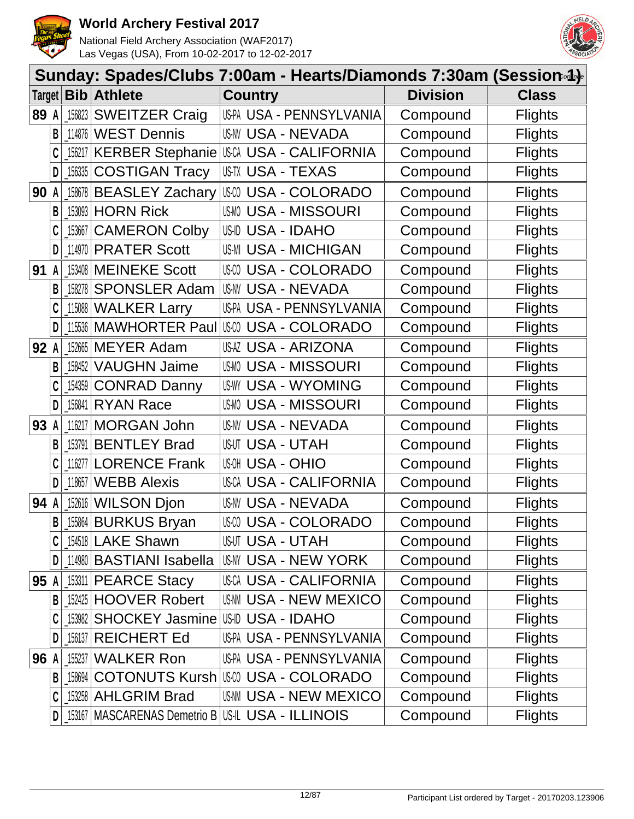



|        |   |            |                                          | Sunday: Spades/Clubs 7:00am - Hearts/Diamonds 7:30am (Session-4)- |                 |                |
|--------|---|------------|------------------------------------------|-------------------------------------------------------------------|-----------------|----------------|
| Target |   | <b>Bib</b> | <b>Athlete</b>                           | <b>Country</b>                                                    | <b>Division</b> | <b>Class</b>   |
| 89     | A | 156823     | <b>SWEITZER Craig</b>                    | US-PA USA - PENNSYLVANIA                                          | Compound        | <b>Flights</b> |
|        | В | 114876     | <b>WEST Dennis</b>                       | <b>US-NV USA - NEVADA</b>                                         | Compound        | <b>Flights</b> |
|        |   | 156217     |                                          | KERBER Stephanie USA USA - CALIFORNIA                             | Compound        | <b>Flights</b> |
|        | D | 156335     | <b>COSTIGAN Tracy</b>                    | US-TX USA - TEXAS                                                 | Compound        | <b>Flights</b> |
| 90     | A | 158678     | <b>BEASLEY Zachary</b>                   | <b>USA - COLORADO</b>                                             | Compound        | <b>Flights</b> |
|        | B | 153093     | <b>HORN Rick</b>                         | <b>USA - MISSOURI</b><br>US-MO                                    | Compound        | <b>Flights</b> |
|        |   | 153667     | <b>CAMERON Colby</b>                     | <b>USA - IDAHO</b><br>US-ID                                       | Compound        | <b>Flights</b> |
|        | D |            | 114970 PRATER Scott                      | <b>US-MI USA - MICHIGAN</b>                                       | Compound        | <b>Flights</b> |
| 91     | A |            | 153408 MEINEKE Scott                     | <b>USA - COLORADO</b><br>US-CO                                    | Compound        | <b>Flights</b> |
|        | B | 158278     | <b>SPONSLER Adam</b>                     | US-NV USA - NEVADA                                                | Compound        | <b>Flights</b> |
|        |   |            | 115088 WALKER Larry                      | US-PA USA - PENNSYLVANIA                                          | Compound        | <b>Flights</b> |
|        | D |            | 115536 MAWHORTER Paul                    | USCO USA - COLORADO                                               | Compound        | <b>Flights</b> |
| 92     | A | 152665     | <b>MEYER Adam</b>                        | USAZ USA - ARIZONA                                                | Compound        | <b>Flights</b> |
|        | B | 158452     | <b>VAUGHN Jaime</b>                      | <b>USA - MISSOURI</b><br>US-MO                                    | Compound        | <b>Flights</b> |
|        |   | 154359     | <b>CONRAD Danny</b>                      | <b>USA - WYOMING</b><br>US-WY                                     | Compound        | <b>Flights</b> |
|        | D | 156841     | <b>RYAN Race</b>                         | <b>USMO USA - MISSOURI</b>                                        | Compound        | <b>Flights</b> |
| 93     | A | 116217     | <b>MORGAN John</b>                       | <b>USNV USA - NEVADA</b>                                          | Compound        | <b>Flights</b> |
|        | В | 153791     | <b>BENTLEY Brad</b>                      | USUT USA - UTAH                                                   | Compound        | <b>Flights</b> |
|        |   | 116277     | <b>LORENCE Frank</b>                     | <b>USA - OHIO</b>                                                 | Compound        | <b>Flights</b> |
|        | D | 118657     | <b>WEBB Alexis</b>                       | <b>USA - CALIFORNIA</b><br>US-CA                                  | Compound        | <b>Flights</b> |
| 94     | A | 152616     | <b>WILSON Djon</b>                       | <b>USNV USA - NEVADA</b>                                          | Compound        | <b>Flights</b> |
|        | B |            | 155864 BURKUS Bryan                      | <b>USA - COLORADO</b>                                             | Compound        | <b>Flights</b> |
|        |   |            | .154518 LAKE Shawn                       | USUT USA - UTAH                                                   | Compound        | <b>Flights</b> |
|        | D |            | 114980   BASTIANI Isabella               | <b>US-NY USA - NEW YORK</b>                                       | Compound        | <b>Flights</b> |
| 95 A   |   |            | 153311 PEARCE Stacy                      | USCA USA - CALIFORNIA                                             | Compound        | <b>Flights</b> |
|        | B |            | 152425 HOOVER Robert                     | <b>US-NN USA - NEW MEXICO</b>                                     | Compound        | <b>Flights</b> |
|        |   |            | 153982 SHOCKEY Jasmine US-ID USA - IDAHO |                                                                   | Compound        | <b>Flights</b> |
|        | D |            | 156137 REICHERT Ed                       | US-PA USA - PENNSYLVANIA                                          | Compound        | <b>Flights</b> |
| 96     | A | 155237     | <b>WALKER Ron</b>                        | US-PA USA - PENNSYLVANIA                                          | Compound        | <b>Flights</b> |
|        | B |            | 158694 COTONUTS Kursh                    | III:00 USA - COLORADO                                             | Compound        | <b>Flights</b> |
|        |   |            | 153258 AHLGRIM Brad                      | <b>USAM USA - NEW MEXICO</b>                                      | Compound        | <b>Flights</b> |
|        | D |            |                                          | 153167   MASCARENAS Demetrio B   US-IL USA - ILLINOIS             | Compound        | <b>Flights</b> |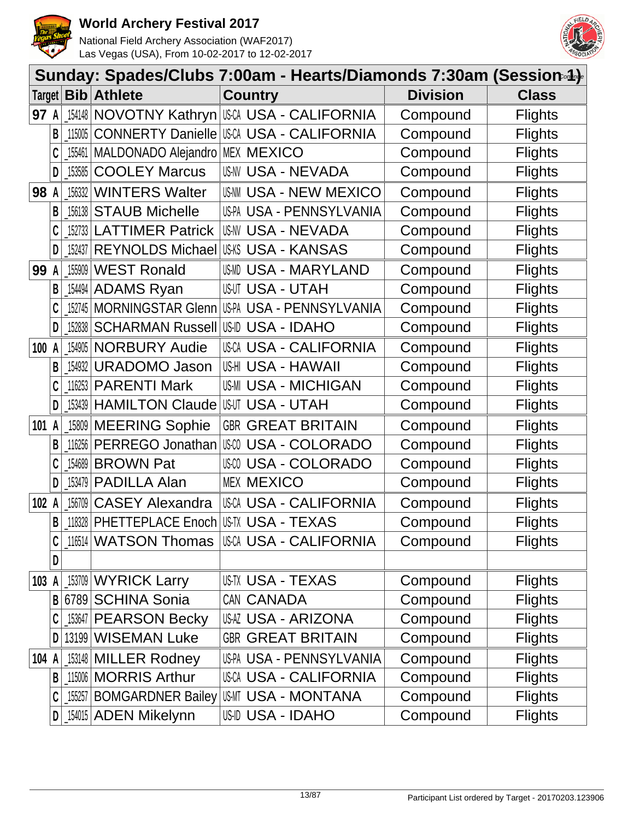



|        |              |                                   |                                             | Sunday: Spades/Clubs 7:00am - Hearts/Diamonds 7:30am (Session-4)- |                 |                |  |  |  |  |  |  |
|--------|--------------|-----------------------------------|---------------------------------------------|-------------------------------------------------------------------|-----------------|----------------|--|--|--|--|--|--|
| Target |              |                                   | <b>Bib Athlete</b>                          | <b>Country</b>                                                    | <b>Division</b> | <b>Class</b>   |  |  |  |  |  |  |
| 97 A   |              |                                   |                                             | 154148 NOVOTNY Kathryn USCA USA - CALIFORNIA                      | Compound        | <b>Flights</b> |  |  |  |  |  |  |
|        | B            | 115005                            |                                             | <b>CONNERTY Danielle USCA USA - CALIFORNIA</b>                    | Compound        | <b>Flights</b> |  |  |  |  |  |  |
|        |              | 155461                            | MALDONADO Alejandro MEX MEXICO              |                                                                   | Compound        | <b>Flights</b> |  |  |  |  |  |  |
|        | D            | 153585                            | <b>COOLEY Marcus</b>                        | <b>US-NV USA - NEVADA</b>                                         | Compound        | <b>Flights</b> |  |  |  |  |  |  |
| 98 A   |              | 156332                            | <b>WINTERS Walter</b>                       | US-NN USA - NEW MEXICO                                            | Compound        | <b>Flights</b> |  |  |  |  |  |  |
|        | B            |                                   | 156138 STAUB Michelle                       | US-PA USA - PENNSYLVANIA                                          | Compound        | <b>Flights</b> |  |  |  |  |  |  |
|        |              |                                   | 152733 LATTIMER Patrick                     | US-NV USA - NEVADA                                                | Compound        | <b>Flights</b> |  |  |  |  |  |  |
|        | D            | 152437                            | REYNOLDS Michael                            | USKS USA - KANSAS                                                 | Compound        | <b>Flights</b> |  |  |  |  |  |  |
| 99     | A            | 155909                            | <b>WEST Ronald</b>                          | USMD USA - MARYLAND                                               | Compound        | <b>Flights</b> |  |  |  |  |  |  |
|        | B            | $\left[ \frac{154494}{ } \right]$ | <b>ADAMS Ryan</b>                           | <b>USUT USA - UTAH</b>                                            | Compound        | <b>Flights</b> |  |  |  |  |  |  |
|        |              |                                   |                                             | 152745   MORNINGSTAR GIenn   US-PA USA - PENNSYLVANIA             | Compound        | <b>Flights</b> |  |  |  |  |  |  |
|        | D            | $-152838$                         | <b>SCHARMAN Russell US-ID USA - IDAHO</b>   |                                                                   | Compound        | <b>Flights</b> |  |  |  |  |  |  |
| 100 A  |              |                                   | 154905 NORBURY Audie                        | USCA USA - CALIFORNIA                                             | Compound        | <b>Flights</b> |  |  |  |  |  |  |
|        | B            | 154932                            | <b>URADOMO Jason</b>                        | USHI USA - HAWAII                                                 | Compound        | <b>Flights</b> |  |  |  |  |  |  |
|        |              |                                   | 116253 PARENTI Mark                         | <b>US-MI USA - MICHIGAN</b>                                       | Compound        | <b>Flights</b> |  |  |  |  |  |  |
|        | D            |                                   | _153439   HAMILTON Claude   USUT USA - UTAH |                                                                   | Compound        | <b>Flights</b> |  |  |  |  |  |  |
| 101 A  |              |                                   | 15809 MEERING Sophie                        | <b>GBR GREAT BRITAIN</b>                                          | Compound        | <b>Flights</b> |  |  |  |  |  |  |
|        | B            |                                   | 116256 PERREGO Jonathan                     | USA - COLORADO<br>US-CO                                           | Compound        | <b>Flights</b> |  |  |  |  |  |  |
|        | C            | 154689                            | <b>BROWN Pat</b>                            | <b>USA - COLORADO</b>                                             | Compound        | <b>Flights</b> |  |  |  |  |  |  |
|        | D            | 153479                            | <b>PADILLA Alan</b>                         | <b>MEX MEXICO</b>                                                 | Compound        | <b>Flights</b> |  |  |  |  |  |  |
| 102    | A            | 156709                            | <b>CASEY Alexandra</b>                      | USCA USA - CALIFORNIA                                             | Compound        | <b>Flights</b> |  |  |  |  |  |  |
|        | $\mathsf{B}$ |                                   | 18328 PHETTEPLACE Enoch USTX USA - TEXAS    |                                                                   | Compound        | <b>Flights</b> |  |  |  |  |  |  |
|        |              |                                   | 116514 WATSON Thomas                        | IUSCA USA - CALIFORNIA                                            | Compound        | <b>Flights</b> |  |  |  |  |  |  |
|        | D            |                                   |                                             |                                                                   |                 |                |  |  |  |  |  |  |
| 103 A  |              |                                   | 153709 WYRICK Larry                         | USTX USA - TEXAS                                                  | Compound        | <b>Flights</b> |  |  |  |  |  |  |
|        | B            |                                   | 6789 SCHINA Sonia                           | CAN CANADA                                                        | Compound        | <b>Flights</b> |  |  |  |  |  |  |
|        |              |                                   | 153647 PEARSON Becky                        | <b>USAZ USA - ARIZONA</b>                                         | Compound        | <b>Flights</b> |  |  |  |  |  |  |
|        | D            |                                   | 13199 WISEMAN Luke                          | <b>GBR GREAT BRITAIN</b>                                          | Compound        | <b>Flights</b> |  |  |  |  |  |  |
| 104 A  |              |                                   | 153148 MILLER Rodney                        | US-PA USA - PENNSYLVANIA                                          | Compound        | <b>Flights</b> |  |  |  |  |  |  |
|        | B            |                                   | 15006 MORRIS Arthur                         | USCA USA - CALIFORNIA                                             | Compound        | <b>Flights</b> |  |  |  |  |  |  |
|        |              |                                   | 155257 BOMGARDNER Bailey                    | USMT USA - MONTANA                                                | Compound        | <b>Flights</b> |  |  |  |  |  |  |
|        | D            |                                   | 154015 ADEN Mikelynn                        | US-ID USA - IDAHO                                                 | Compound        | <b>Flights</b> |  |  |  |  |  |  |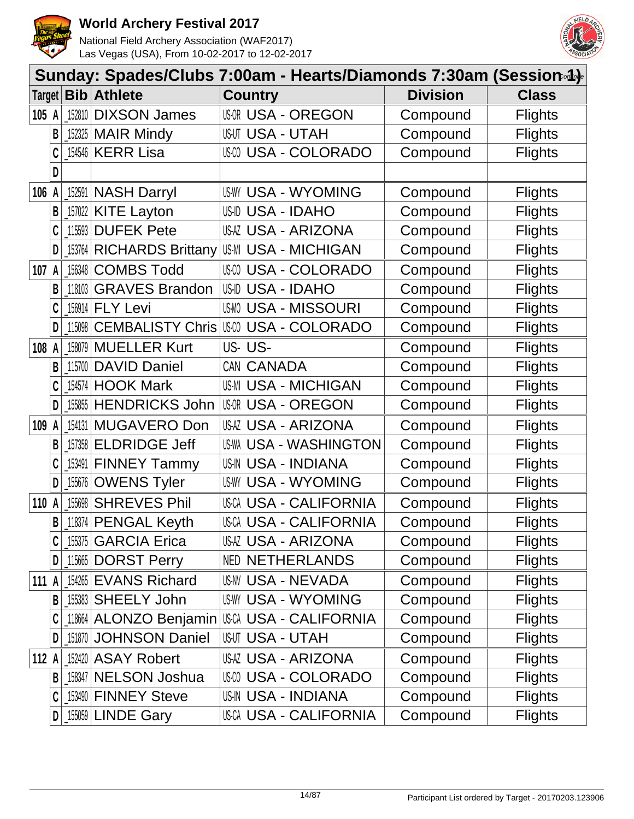



|         |   |           |                                 | Sunday: Spades/Clubs 7:00am - Hearts/Diamonds 7:30am (Session-4)- |                 |                |
|---------|---|-----------|---------------------------------|-------------------------------------------------------------------|-----------------|----------------|
|         |   |           | Target <b>Bib Athlete</b>       | <b>Country</b>                                                    | <b>Division</b> | <b>Class</b>   |
| 105 A   |   | 152810    | <b>DIXSON James</b>             | <b>USOR USA - OREGON</b>                                          | Compound        | <b>Flights</b> |
|         | B |           | $152325$ MAIR Mindy             | <b>USUT USA - UTAH</b>                                            | Compound        | <b>Flights</b> |
|         |   |           | 154546 KERR Lisa                | <b>USA - COLORADO</b>                                             | Compound        | <b>Flights</b> |
|         | D |           |                                 |                                                                   |                 |                |
| 106 A   |   |           | 152591 NASH Darryl              | USWY USA - WYOMING                                                | Compound        | <b>Flights</b> |
|         | B |           | $157022$ KITE Layton            | USID USA - IDAHO                                                  | Compound        | <b>Flights</b> |
|         |   | 115593    | <b>DUFEK Pete</b>               | USAZ USA - ARIZONA                                                | Compound        | <b>Flights</b> |
|         | D | $-153764$ | <b>RICHARDS Brittany</b>        | <b>US-MI USA - MICHIGAN</b>                                       | Compound        | <b>Flights</b> |
| 107     | A | 156348    | <b>COMBS Todd</b>               | <b>USA - COLORADO</b>                                             | Compound        | <b>Flights</b> |
|         | В | $-118103$ | <b>GRAVES Brandon</b>           | USID USA - IDAHO                                                  | Compound        | <b>Flights</b> |
|         |   | 156914    | <b>FLY Levi</b>                 | <b>USMO USA - MISSOURI</b>                                        | Compound        | <b>Flights</b> |
|         | D | 115098    |                                 | <b>CEMBALISTY Chris USA - COLORADO</b>                            | Compound        | <b>Flights</b> |
| 108 A   |   | 158079    | <b>MUELLER Kurt</b>             | US-US-                                                            | Compound        | <b>Flights</b> |
|         | B | 115700    | <b>DAVID Daniel</b>             | CAN CANADA                                                        | Compound        | <b>Flights</b> |
|         |   | 154574    | <b>HOOK Mark</b>                | <b>US-MI USA - MICHIGAN</b>                                       | Compound        | <b>Flights</b> |
|         | D | 155855    | <b>HENDRICKS John</b>           | <b>USOR USA - OREGON</b>                                          | Compound        | <b>Flights</b> |
| 109 A   |   | 154131    | MUGAVERO Don                    | <b>USAZ USA - ARIZONA</b>                                         | Compound        | <b>Flights</b> |
|         | В | $-157358$ | <b>ELDRIDGE Jeff</b>            | <b>US-WA USA - WASHINGTON</b>                                     | Compound        | <b>Flights</b> |
|         |   | 153491    | <b>FINNEY Tammy</b>             | <b>US-IN USA - INDIANA</b>                                        | Compound        | <b>Flights</b> |
|         | D | 155676    | <b>OWENS Tyler</b>              | <b>US-WY USA - WYOMING</b>                                        | Compound        | <b>Flights</b> |
| 110 A   |   | 155698    | <b>SHREVES Phil</b>             | <b>USCA USA - CALIFORNIA</b>                                      | Compound        | <b>Flights</b> |
|         | B |           | $\lfloor$ 118374   PENGAL Keyth | <b>USCA USA - CALIFORNIA</b>                                      | Compound        | <b>Flights</b> |
|         |   |           | [155375 GARCIA Erica            | USAZ USA - ARIZONA                                                | Compound        | <b>Flights</b> |
|         | D |           | 115665 DORST Perry              | <b>NED NETHERLANDS</b>                                            | Compound        | <b>Flights</b> |
| 111 A   |   |           | 154265 EVANS Richard            | <b>US-NV USA - NEVADA</b>                                         | Compound        | <b>Flights</b> |
|         | В |           | <b>_155383 SHEELY John</b>      | <b>US-WY USA - WYOMING</b>                                        | Compound        | <b>Flights</b> |
|         |   |           |                                 | 118664 ALONZO Benjamin USCA USA - CALIFORNIA                      | Compound        | <b>Flights</b> |
|         | D |           | 151870 JOHNSON Daniel           | <b>USUT USA - UTAH</b>                                            | Compound        | <b>Flights</b> |
| 112 $A$ |   |           | 152420 ASAY Robert              | USAZ USA - ARIZONA                                                | Compound        | <b>Flights</b> |
|         | B |           | <b>158347 NELSON Joshua</b>     | USM USA - COLORADO                                                | Compound        | <b>Flights</b> |
|         |   |           | 153490 FINNEY Steve             | <b>US-IN USA - INDIANA</b>                                        | Compound        | <b>Flights</b> |
|         | D |           | $155059$ LINDE Gary             | USCA USA - CALIFORNIA                                             | Compound        | <b>Flights</b> |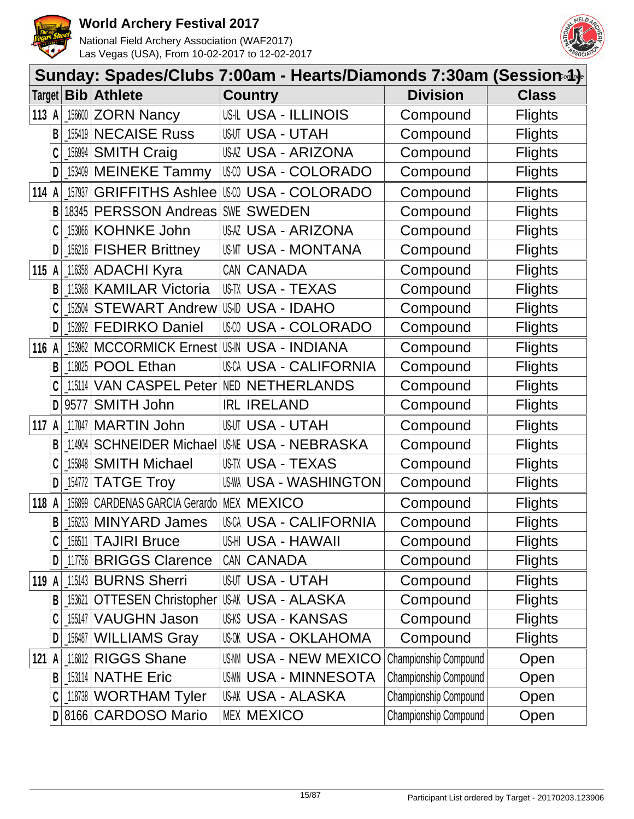



|         |              |         |                                                   | Sunday: Spades/Clubs 7:00am - Hearts/Diamonds 7:30am (Session-4)- |                       |                |
|---------|--------------|---------|---------------------------------------------------|-------------------------------------------------------------------|-----------------------|----------------|
|         |              |         | Target   Bib   Athlete                            | <b>Country</b>                                                    | <b>Division</b>       | <b>Class</b>   |
| 113 $A$ |              |         | $156600$ ZORN Nancy                               | <b>USIL USA - ILLINOIS</b>                                        | Compound              | <b>Flights</b> |
|         | B            |         | 155419 NECAISE Russ                               | <b>USUT USA - UTAH</b>                                            | Compound              | <b>Flights</b> |
|         | C            | 156994  | <b>SMITH Craig</b>                                | USAZ USA - ARIZONA                                                | Compound              | <b>Flights</b> |
|         | D            |         | 153409 MEINEKE Tammy                              | USCO USA - COLORADO                                               | Compound              | <b>Flights</b> |
| 114 A   |              | 157937  | <b>GRIFFITHS Ashlee</b>                           | <b>USA - COLORADO</b>                                             | Compound              | <b>Flights</b> |
|         | B            |         | 18345 PERSSON Andreas                             | SWE SWEDEN                                                        | Compound              | <b>Flights</b> |
|         |              |         | 153066 KOHNKE John                                | USAZ USA - ARIZONA                                                | Compound              | <b>Flights</b> |
|         | D            |         | [156216   FISHER Brittney                         | USMT USA - MONTANA                                                | Compound              | <b>Flights</b> |
| 115 A   |              |         | 116358 ADACHI Kyra                                | CAN CANADA                                                        | Compound              | <b>Flights</b> |
|         | B            |         | 115368 KAMILAR Victoria                           | US-TX USA - TEXAS                                                 | Compound              | <b>Flights</b> |
|         |              |         | 152504 STEWART Andrew                             | USID USA - IDAHO                                                  | Compound              | <b>Flights</b> |
|         | D            |         | 152892 FEDIRKO Daniel                             | USM USA - COLORADO                                                | Compound              | <b>Flights</b> |
| 116     | A            |         | 153962   MCCORMICK Ernest                         | <b>US-IN USA - INDIANA</b>                                        | Compound              | <b>Flights</b> |
|         | B            | 118025  | <b>POOL Ethan</b>                                 | <b>USCA USA - CALIFORNIA</b>                                      | Compound              | <b>Flights</b> |
|         |              |         | 115114 VAN CASPEL Peter                           | <b>NED NETHERLANDS</b>                                            | Compound              | <b>Flights</b> |
|         | D            | 9577    | <b>SMITH John</b>                                 | <b>IRL IRELAND</b>                                                | Compound              | <b>Flights</b> |
| 117 A   |              |         | 117047   MARTIN John                              | <b>USUT USA - UTAH</b>                                            | Compound              | <b>Flights</b> |
|         | B            | 114904  | <b>SCHNEIDER Michael USA - NEBRASKA</b>           |                                                                   | Compound              | <b>Flights</b> |
|         |              |         | 155848 SMITH Michael                              | US-TX USA - TEXAS                                                 | Compound              | <b>Flights</b> |
|         | D            | _154772 | <b>TATGE Troy</b>                                 | <b>US-WA USA - WASHINGTON</b>                                     | Compound              | <b>Flights</b> |
| 118     | A            |         | 156899 CARDENAS GARCIA Gerardo                    | <b>MEX MEXICO</b>                                                 | Compound              | <b>Flights</b> |
|         | $\mathsf{B}$ |         | 156233 MINYARD James                              | <b>USCA USA - CALIFORNIA</b>                                      | Compound              | <b>Flights</b> |
|         |              |         | $156511$ TAJIRI Bruce                             | US-HI USA - HAWAII                                                | Compound              | <b>Flights</b> |
|         | $\mathsf{D}$ |         | 117756 BRIGGS Clarence                            | CAN CANADA                                                        | Compound              | <b>Flights</b> |
| 119 A   |              |         | 115143 BURNS Sherri                               | <b>USUT USA - UTAH</b>                                            | Compound              | <b>Flights</b> |
|         | B            |         | _153621   OTTESEN Christopher   USA WISA - ALASKA |                                                                   | Compound              | <b>Flights</b> |
|         |              |         | 155147   VAUGHN Jason                             | <b>US-KS USA - KANSAS</b>                                         | Compound              | <b>Flights</b> |
|         | D            |         | 156487 WILLIAMS Gray                              | USOK USA - OKLAHOMA                                               | Compound              | <b>Flights</b> |
| 121 $A$ |              |         | 116812 RIGGS Shane                                | <b>US-NN USA - NEW MEXICO</b>                                     | Championship Compound | Open           |
|         | $\mathsf{B}$ |         | 153114 NATHE Eric                                 | <b>USMN USA - MINNESOTA</b>                                       | Championship Compound | Open           |
|         |              |         | 118738 WORTHAM Tyler                              | US-AK USA - ALASKA                                                | Championship Compound | Open           |
|         |              |         | D 8166 CARDOSO Mario                              | <b>MEX MEXICO</b>                                                 | Championship Compound | Open           |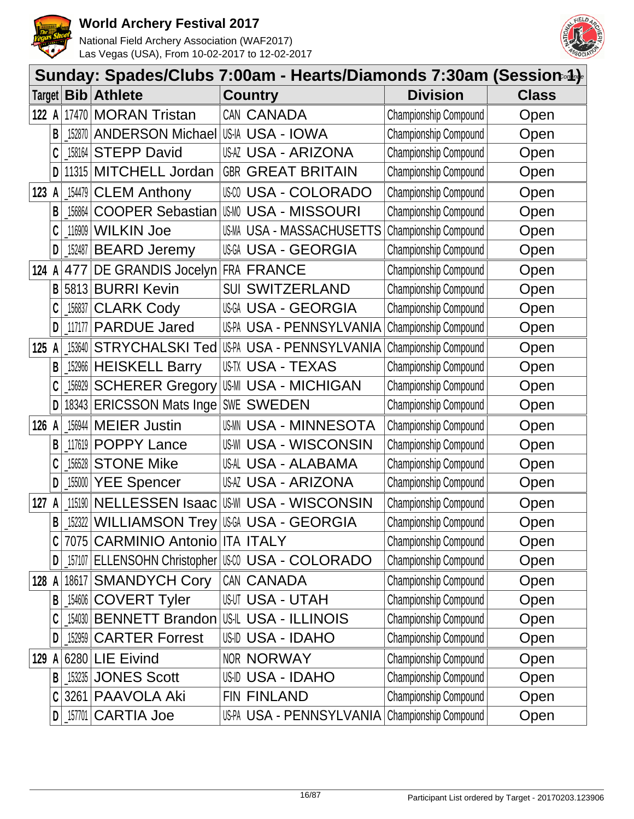



|        |   |                                            |                                          |       | Sunday: Spades/Clubs 7:00am - Hearts/Diamonds 7:30am (Session.4). |                              |              |
|--------|---|--------------------------------------------|------------------------------------------|-------|-------------------------------------------------------------------|------------------------------|--------------|
| Target |   | $\mathbf{Bib}$                             | <b>Athlete</b>                           |       | <b>Country</b>                                                    | <b>Division</b>              | <b>Class</b> |
| 122 A  |   | 17470                                      | <b>MORAN Tristan</b>                     |       | CAN CANADA                                                        | Championship Compound        | Open         |
|        | B | 152870                                     | ANDERSON Michael US-IA USA - IOWA        |       |                                                                   | Championship Compound        | Open         |
|        |   | 158164                                     | <b>STEPP David</b>                       |       | USAZ USA - ARIZONA                                                | Championship Compound        | Open         |
|        | D | 11315                                      | MITCHELL Jordan                          |       | <b>GBR GREAT BRITAIN</b>                                          | Championship Compound        | Open         |
| 123    | A | $\begin{array}{c c} \n154479\n\end{array}$ | <b>CLEM Anthony</b>                      | US-CO | USA - COLORADO                                                    | Championship Compound        | Open         |
|        | B | 156864                                     | <b>COOPER Sebastian</b>                  |       | <b>USMO USA - MISSOURI</b>                                        | Championship Compound        | Open         |
|        | C | 116909                                     | <b>WILKIN Joe</b>                        |       | US-MA USA - MASSACHUSETTS                                         | Championship Compound        | Open         |
|        | D |                                            | 152487 BEARD Jeremy                      |       | <b>USGA USA - GEORGIA</b>                                         | Championship Compound        | Open         |
| 124    | A | 477                                        | DE GRANDIS Jocelyn FRA FRANCE            |       |                                                                   | Championship Compound        | Open         |
|        | B | 5813                                       | <b>BURRI Kevin</b>                       |       | <b>SUI SWITZERLAND</b>                                            | Championship Compound        | Open         |
|        |   | 156837                                     | <b>CLARK Cody</b>                        |       | USGA USA - GEORGIA                                                | Championship Compound        | Open         |
|        | D | 117177                                     | <b>PARDUE Jared</b>                      |       | US-PA USA - PENNSYLVANIA                                          | Championship Compound        | Open         |
| 125A   |   | 153640                                     | <b>STRYCHALSKI Ted</b>                   |       | US-PA USA - PENNSYLVANIA                                          | Championship Compound        | Open         |
|        | B | 152966                                     | <b>HEISKELL Barry</b>                    |       | <b>US-TX USA - TEXAS</b>                                          | Championship Compound        | Open         |
|        |   | 156929                                     | <b>SCHERER Gregory</b>                   |       | <b>US-MI USA - MICHIGAN</b>                                       | Championship Compound        | Open         |
|        | D | 18343                                      | <b>ERICSSON Mats Inge SWE SWEDEN</b>     |       |                                                                   | Championship Compound        | Open         |
| 126    | A | 156944                                     | <b>MEIER Justin</b>                      | US-MN | <b>USA - MINNESOTA</b>                                            | Championship Compound        | Open         |
|        | B | 117619                                     | <b>POPPY Lance</b>                       |       | <b>US-WI USA - WISCONSIN</b>                                      | Championship Compound        | Open         |
|        |   | 156528                                     | <b>STONE Mike</b>                        |       | USAL USA - ALABAMA                                                | Championship Compound        | Open         |
|        | D | 155000                                     | <b>YEE Spencer</b>                       |       | USAZ USA - ARIZONA                                                | <b>Championship Compound</b> | Open         |
| 127    | A | 115190                                     | <b>NELLESSEN Isaac</b>                   |       | <b>US-WI USA - WISCONSIN</b>                                      | Championship Compound        | Open         |
|        | B |                                            | 152322   WILLIAMSON Trey   USA - GEORGIA |       |                                                                   | Championship Compound        | Open         |
|        |   |                                            | 7075 CARMINIO Antonio ITA ITALY          |       |                                                                   | Championship Compound        | Open         |
|        | D |                                            |                                          |       | 157107 ELLENSOHN Christopher US-00 USA - COLORADO                 | Championship Compound        | Open         |
| 128 A  |   |                                            | 18617 SMANDYCH Cory                      |       | CAN CANADA                                                        | Championship Compound        | Open         |
|        | B |                                            | 154606 COVERT Tyler                      |       | <b>USUT USA - UTAH</b>                                            | Championship Compound        | Open         |
|        |   |                                            | 154030 BENNETT Brandon                   |       | US-IL USA - ILLINOIS                                              | Championship Compound        | Open         |
|        | D |                                            | 152959 CARTER Forrest                    |       | USID USA - IDAHO                                                  | <b>Championship Compound</b> | Open         |
| 129    | A |                                            | 6280 LIE Eivind                          |       | <b>NOR NORWAY</b>                                                 | Championship Compound        | Open         |
|        | B |                                            | 153235 JONES Scott                       |       | USID USA - IDAHO                                                  | Championship Compound        | Open         |
|        | C |                                            | 3261 PAAVOLA Aki                         |       | FIN FINLAND                                                       | Championship Compound        | Open         |
|        | D | 157701                                     | <b>CARTIA Joe</b>                        |       | US-PA USA - PENNSYLVANIA                                          | Championship Compound        | Open         |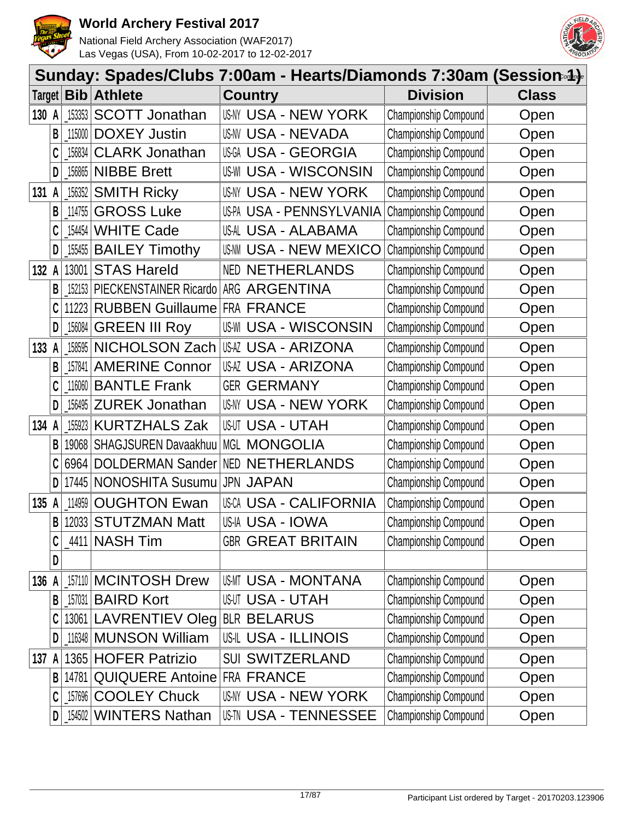



|        |   |                                                               |                                    | Sunday: Spades/Clubs 7:00am - Hearts/Diamonds 7:30am (Session-4)- |                       |              |
|--------|---|---------------------------------------------------------------|------------------------------------|-------------------------------------------------------------------|-----------------------|--------------|
| Target |   | <b>Bib</b>                                                    | <b>Athlete</b>                     | <b>Country</b>                                                    | <b>Division</b>       | <b>Class</b> |
| 130    | A | 153353                                                        | <b>SCOTT Jonathan</b>              | USNY USA - NEW YORK                                               | Championship Compound | Open         |
|        | B | 115000                                                        | <b>DOXEY Justin</b>                | <b>US-NV USA - NEVADA</b>                                         | Championship Compound | Open         |
|        |   | 156834                                                        | <b>CLARK Jonathan</b>              | <b>USA - GEORGIA</b>                                              | Championship Compound | Open         |
|        | D | 156865                                                        | <b>NIBBE Brett</b>                 | <b>USA - WISCONSIN</b><br>US-WI                                   | Championship Compound | Open         |
| 131    |   | 156352                                                        | <b>SMITH Ricky</b>                 | <b>USNY USA - NEW YORK</b>                                        | Championship Compound | Open         |
|        | B | 114755                                                        | <b>GROSS Luke</b>                  | US-PA USA - PENNSYLVANIA                                          | Championship Compound | Open         |
|        | C | 154454                                                        | <b>WHITE Cade</b>                  | USAL USA - ALABAMA                                                | Championship Compound | Open         |
|        | D | 155455                                                        | <b>BAILEY Timothy</b>              | <b>USA - NEW MEXICO</b><br>US-NM                                  | Championship Compound | Open         |
| 132    | A | 13001                                                         | <b>STAS Hareld</b>                 | <b>NED NETHERLANDS</b>                                            | Championship Compound | Open         |
|        | В | 152153                                                        | PIECKENSTAINER Ricardo             | ARG ARGENTINA                                                     | Championship Compound | Open         |
|        |   | 11223                                                         | <b>RUBBEN Guillaume FRA FRANCE</b> |                                                                   | Championship Compound | Open         |
|        | D | $\left[ \begin{smallmatrix} 156084 \end{smallmatrix} \right]$ | <b>GREEN III Roy</b>               | US-WI USA - WISCONSIN                                             | Championship Compound | Open         |
| 133    |   | 158595                                                        | NICHOLSON Zach                     | <b>USAZ USA - ARIZONA</b>                                         | Championship Compound | Open         |
|        | B | 157841                                                        | <b>AMERINE Connor</b>              | USAZ USA - ARIZONA                                                | Championship Compound | Open         |
|        | C | 116060                                                        | <b>BANTLE Frank</b>                | <b>GER GERMANY</b>                                                | Championship Compound | Open         |
|        | D | 156495                                                        | <b>ZUREK Jonathan</b>              | <b>USA - NEW YORK</b><br>US-NY                                    | Championship Compound | Open         |
| 134    |   | 155923                                                        | <b>KURTZHALS Zak</b>               | USUT USA - UTAH                                                   | Championship Compound | Open         |
|        | В | 19068                                                         | <b>SHAGJSUREN Davaakhuu</b>        | <b>MGL MONGOLIA</b>                                               | Championship Compound | Open         |
|        |   | 6964                                                          | DOLDERMAN Sander                   | <b>NED NETHERLANDS</b>                                            | Championship Compound | Open         |
|        | D | 17445                                                         | <b>NONOSHITA Susumu</b>            | <b>JPN JAPAN</b>                                                  | Championship Compound | Open         |
| 135    |   | 114959                                                        | <b>OUGHTON Ewan</b>                | <b>USA - CALIFORNIA</b><br>US CA                                  | Championship Compound | Open         |
|        | В | 12033                                                         | <b>STUTZMAN Matt</b>               | US-IA USA - IOWA                                                  | Championship Compound | Open         |
|        | C | 4411                                                          | <b>NASH Tim</b>                    | <b>GBR GREAT BRITAIN</b>                                          | Championship Compound | Open         |
|        | D |                                                               |                                    |                                                                   |                       |              |
| 136    | A |                                                               | 157110 MCINTOSH Drew               | <b>USMT USA - MONTANA</b>                                         | Championship Compound | Open         |
|        | B | 157031                                                        | <b>BAIRD Kort</b>                  | <b>USUT USA - UTAH</b>                                            | Championship Compound | Open         |
|        |   |                                                               | 13061 LAVRENTIEV Oleg BLR BELARUS  |                                                                   | Championship Compound | Open         |
|        | D |                                                               | 116348 MUNSON William              | <b>US-IL USA - ILLINOIS</b>                                       | Championship Compound | Open         |
| 137    | A |                                                               | 1365 HOFER Patrizio                | <b>SUI SWITZERLAND</b>                                            | Championship Compound | Open         |
|        | B | 14781                                                         | <b>QUIQUERE Antoine FRA FRANCE</b> |                                                                   | Championship Compound | Open         |
|        | C | 157696                                                        | <b>COOLEY Chuck</b>                | USNY USA - NEW YORK                                               | Championship Compound | Open         |
|        | D | _154502                                                       | <b>WINTERS Nathan</b>              | USIN USA - TENNESSEE                                              | Championship Compound | Open         |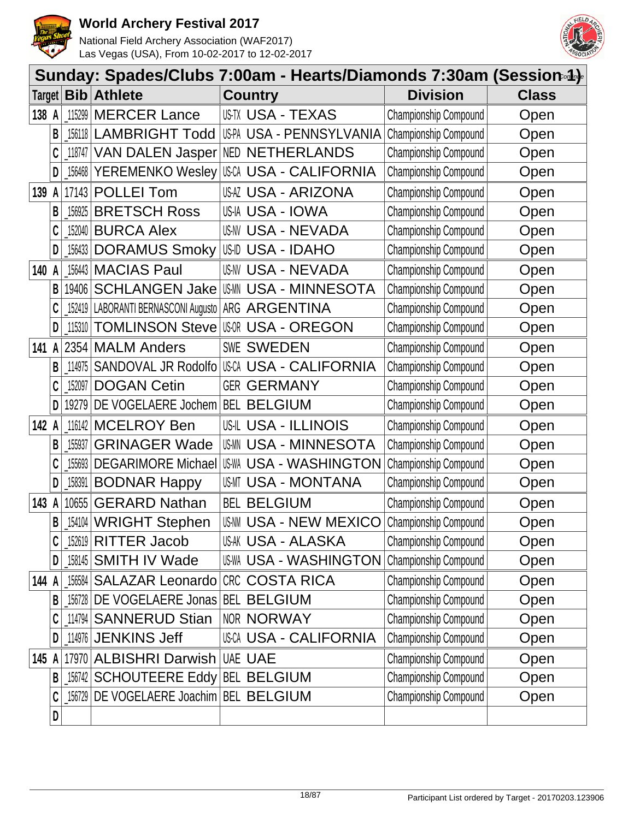



|         | Sunday: Spades/Clubs 7:00am - Hearts/Diamonds 7:30am (Session.4). |                                                     |                                                       |                                           |                              |              |  |  |  |  |
|---------|-------------------------------------------------------------------|-----------------------------------------------------|-------------------------------------------------------|-------------------------------------------|------------------------------|--------------|--|--|--|--|
| Target  |                                                                   | <b>Bib</b>                                          | <b>Athlete</b>                                        | <b>Country</b>                            | <b>Division</b>              | <b>Class</b> |  |  |  |  |
| 138 A   |                                                                   | 115299                                              | <b>MERCER Lance</b>                                   | US-TX USA - TEXAS                         | Championship Compound        | Open         |  |  |  |  |
|         | B                                                                 | 156118                                              | <b>LAMBRIGHT Todd</b>                                 | US-PA USA - PENNSYLVANIA                  | Championship Compound        | Open         |  |  |  |  |
|         |                                                                   | 118747                                              |                                                       | VAN DALEN Jasper NED NETHERLANDS          | Championship Compound        | Open         |  |  |  |  |
|         | D                                                                 | $\left[ \begin{matrix} 156468 \end{matrix} \right]$ |                                                       | YEREMENKO Wesley USA USA - CALIFORNIA     | Championship Compound        | Open         |  |  |  |  |
| 139     | A                                                                 | 17143                                               | <b>POLLEI Tom</b>                                     | <b>USAZ USA - ARIZONA</b>                 | Championship Compound        | Open         |  |  |  |  |
|         | B                                                                 | 156925                                              | <b>BRETSCH Ross</b>                                   | USIA USA - IOWA                           | Championship Compound        | Open         |  |  |  |  |
|         | C                                                                 | 152040                                              | <b>BURCA Alex</b>                                     | US-NV USA - NEVADA                        | Championship Compound        | Open         |  |  |  |  |
|         | D                                                                 | $\_$ 156433 $ $                                     | <b>DORAMUS Smoky</b>                                  | US-ID USA - IDAHO                         | Championship Compound        | Open         |  |  |  |  |
| 140     | A                                                                 | 156443                                              | <b>MACIAS Paul</b>                                    | US-NV USA - NEVADA                        | Championship Compound        | Open         |  |  |  |  |
|         | B                                                                 | 19406                                               |                                                       | <b>SCHLANGEN Jake USM USA - MINNESOTA</b> | Championship Compound        | Open         |  |  |  |  |
|         |                                                                   |                                                     | 152419   LABORANTI BERNASCONI Augusto   ARG ARGENTINA |                                           | Championship Compound        | Open         |  |  |  |  |
|         | D                                                                 | 115310                                              |                                                       | <b>TOMLINSON Steve USOR USA - OREGON</b>  | Championship Compound        | Open         |  |  |  |  |
| 141 $A$ |                                                                   |                                                     | 2354 MALM Anders                                      | SWE SWEDEN                                | Championship Compound        | Open         |  |  |  |  |
|         | B                                                                 | 114975                                              | SANDOVAL JR Rodolfo                                   | IUSCA USA - CALIFORNIA                    | Championship Compound        | Open         |  |  |  |  |
|         | C                                                                 | 152097                                              | <b>DOGAN Cetin</b>                                    | <b>GER GERMANY</b>                        | Championship Compound        | Open         |  |  |  |  |
|         | D                                                                 | 19279                                               | DE VOGELAERE Jochem                                   | <b>BEL BELGIUM</b>                        | Championship Compound        | Open         |  |  |  |  |
| 142 A   |                                                                   | 116142                                              | <b>MCELROY Ben</b>                                    | USIL USA - ILLINOIS                       | Championship Compound        | Open         |  |  |  |  |
|         | B                                                                 | 155937                                              | <b>GRINAGER Wade</b>                                  | <b>USMN USA - MINNESOTA</b>               | Championship Compound        | Open         |  |  |  |  |
|         |                                                                   | 155693                                              | <b>DEGARIMORE Michael</b>                             | USWA USA - WASHINGTON                     | Championship Compound        | Open         |  |  |  |  |
|         | D                                                                 | 158391                                              | <b>BODNAR Happy</b>                                   | USMT USA - MONTANA                        | <b>Championship Compound</b> | Open         |  |  |  |  |
| 143     | A                                                                 | 10655                                               | <b>GERARD Nathan</b>                                  | <b>BEL BELGIUM</b>                        | Championship Compound        | Open         |  |  |  |  |
|         | B                                                                 |                                                     | 154104 WRIGHT Stephen                                 | <b>US-NN USA - NEW MEXICO</b>             | Championship Compound        | Open         |  |  |  |  |
|         |                                                                   |                                                     | $152619$ RITTER Jacob                                 | <b>US-AK USA - ALASKA</b>                 | Championship Compound        | Open         |  |  |  |  |
|         | D                                                                 |                                                     | [158145 SMITH IV Wade                                 | <b>US-WA USA - WASHINGTON</b>             | Championship Compound        | Open         |  |  |  |  |
| 144 A   |                                                                   |                                                     | 156584 SALAZAR Leonardo CRC COSTA RICA                |                                           | Championship Compound        | Open         |  |  |  |  |
|         | B                                                                 |                                                     | 156728 DE VOGELAERE Jonas BEL BELGIUM                 |                                           | Championship Compound        | Open         |  |  |  |  |
|         |                                                                   |                                                     | 114794 SANNERUD Stian                                 | NOR NORWAY                                | Championship Compound        | Open         |  |  |  |  |
|         | D                                                                 |                                                     | $114976$ JENKINS Jeff                                 | USCA USA - CALIFORNIA                     | Championship Compound        | Open         |  |  |  |  |
| 145 A   |                                                                   |                                                     | 17970 ALBISHRI Darwish UAE UAE                        |                                           | Championship Compound        | Open         |  |  |  |  |
|         | B                                                                 |                                                     | 156742 SCHOUTEERE Eddy BEL BELGIUM                    |                                           | Championship Compound        | Open         |  |  |  |  |
|         | C                                                                 |                                                     | 156729 DE VOGELAERE Joachim BEL BELGIUM               |                                           | Championship Compound        | Open         |  |  |  |  |
|         | D                                                                 |                                                     |                                                       |                                           |                              |              |  |  |  |  |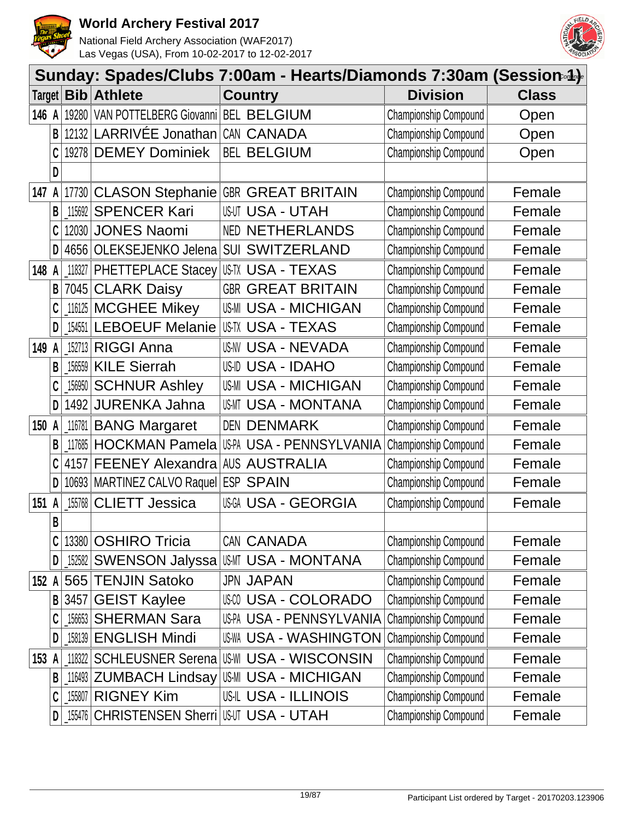



|        | Sunday: Spades/Clubs 7:00am - Hearts/Diamonds 7:30am (Session-4)- |                                                                                                                                                                                                                                                                                                                                                                                                                                             |                                             |            |                               |                              |              |  |  |  |
|--------|-------------------------------------------------------------------|---------------------------------------------------------------------------------------------------------------------------------------------------------------------------------------------------------------------------------------------------------------------------------------------------------------------------------------------------------------------------------------------------------------------------------------------|---------------------------------------------|------------|-------------------------------|------------------------------|--------------|--|--|--|
| Target |                                                                   | <b>Bib</b>                                                                                                                                                                                                                                                                                                                                                                                                                                  | <b>Athlete</b>                              |            | <b>Country</b>                | <b>Division</b>              | <b>Class</b> |  |  |  |
| 146 A  |                                                                   | 19280                                                                                                                                                                                                                                                                                                                                                                                                                                       | VAN POTTELBERG Giovanni BEL BELGIUM         |            |                               | Championship Compound        | Open         |  |  |  |
|        | B                                                                 | 12132                                                                                                                                                                                                                                                                                                                                                                                                                                       | LARRIVÉE Jonathan                           |            | CAN CANADA                    | Championship Compound        | Open         |  |  |  |
|        |                                                                   |                                                                                                                                                                                                                                                                                                                                                                                                                                             | 19278 DEMEY Dominiek                        |            | <b>BEL BELGIUM</b>            | Championship Compound        | Open         |  |  |  |
|        | D                                                                 |                                                                                                                                                                                                                                                                                                                                                                                                                                             |                                             |            |                               |                              |              |  |  |  |
| 147    | A                                                                 |                                                                                                                                                                                                                                                                                                                                                                                                                                             | 17730 CLASON Stephanie GBR GREAT BRITAIN    |            |                               | Championship Compound        | Female       |  |  |  |
|        | B                                                                 | 115692                                                                                                                                                                                                                                                                                                                                                                                                                                      | <b>SPENCER Kari</b>                         |            | <b>USUT USA - UTAH</b>        | Championship Compound        | Female       |  |  |  |
|        |                                                                   | 12030                                                                                                                                                                                                                                                                                                                                                                                                                                       | <b>JONES Naomi</b>                          |            | <b>NED NETHERLANDS</b>        | Championship Compound        | Female       |  |  |  |
|        | D                                                                 | 4656                                                                                                                                                                                                                                                                                                                                                                                                                                        | OLEKSEJENKO Jelena                          |            | <b>SUI SWITZERLAND</b>        | Championship Compound        | Female       |  |  |  |
| 148    | A                                                                 | 118327                                                                                                                                                                                                                                                                                                                                                                                                                                      | <b>PHETTEPLACE Stacey</b>                   |            | USTX USA - TEXAS              | Championship Compound        | Female       |  |  |  |
|        | B                                                                 | 7045                                                                                                                                                                                                                                                                                                                                                                                                                                        | <b>CLARK Daisy</b>                          |            | <b>GBR GREAT BRITAIN</b>      | Championship Compound        | Female       |  |  |  |
|        |                                                                   | 116125                                                                                                                                                                                                                                                                                                                                                                                                                                      | <b>MCGHEE Mikey</b>                         |            | <b>US-MI USA - MICHIGAN</b>   | Championship Compound        | Female       |  |  |  |
|        | D                                                                 | $-154551$                                                                                                                                                                                                                                                                                                                                                                                                                                   | <b>LEBOEUF Melanie</b>                      |            | IUSTX USA - TEXAS             | Championship Compound        | Female       |  |  |  |
| 149    | A                                                                 | 152713                                                                                                                                                                                                                                                                                                                                                                                                                                      | <b>RIGGI Anna</b>                           |            | <b>US-NV USA - NEVADA</b>     | Championship Compound        | Female       |  |  |  |
|        | B                                                                 | 156559                                                                                                                                                                                                                                                                                                                                                                                                                                      | <b>KILE Sierrah</b>                         |            | <b>US-ID USA - IDAHO</b>      | Championship Compound        | Female       |  |  |  |
|        |                                                                   | 156950                                                                                                                                                                                                                                                                                                                                                                                                                                      | <b>SCHNUR Ashley</b>                        |            | <b>US-MI USA - MICHIGAN</b>   | Championship Compound        | Female       |  |  |  |
|        | D                                                                 | 1492                                                                                                                                                                                                                                                                                                                                                                                                                                        | <b>JURENKA Jahna</b>                        |            | USMT USA - MONTANA            | Championship Compound        | Female       |  |  |  |
| 150 A  |                                                                   | 116781                                                                                                                                                                                                                                                                                                                                                                                                                                      | <b>BANG Margaret</b>                        | <b>DEN</b> | <b>DENMARK</b>                | Championship Compound        | Female       |  |  |  |
|        | B                                                                 | 117685                                                                                                                                                                                                                                                                                                                                                                                                                                      | <b>HOCKMAN Pamela</b>                       |            | US-PA USA - PENNSYLVANIA      | Championship Compound        | Female       |  |  |  |
|        | C                                                                 | 4157                                                                                                                                                                                                                                                                                                                                                                                                                                        | <b>FEENEY Alexandra</b>                     |            | AUS AUSTRALIA                 | Championship Compound        | Female       |  |  |  |
|        | D                                                                 |                                                                                                                                                                                                                                                                                                                                                                                                                                             | 10693 MARTINEZ CALVO Raquel ESP SPAIN       |            |                               | Championship Compound        | Female       |  |  |  |
| 151    | A                                                                 | 155768                                                                                                                                                                                                                                                                                                                                                                                                                                      | <b>CLIETT Jessica</b>                       |            | <b>USGA USA - GEORGIA</b>     | Championship Compound        | Female       |  |  |  |
|        | B                                                                 |                                                                                                                                                                                                                                                                                                                                                                                                                                             |                                             |            |                               |                              |              |  |  |  |
|        |                                                                   |                                                                                                                                                                                                                                                                                                                                                                                                                                             | 13380 OSHIRO Tricia                         |            | CAN CANADA                    | <b>Championship Compound</b> | Female       |  |  |  |
|        | D                                                                 | $-152582$                                                                                                                                                                                                                                                                                                                                                                                                                                   | <b>SWENSON Jalyssa</b>                      |            | USMT USA - MONTANA            | Championship Compound        | Female       |  |  |  |
| 152 A  |                                                                   |                                                                                                                                                                                                                                                                                                                                                                                                                                             | 565 TENJIN Satoko                           |            | <b>JPN JAPAN</b>              | Championship Compound        | Female       |  |  |  |
|        | B                                                                 | 3457                                                                                                                                                                                                                                                                                                                                                                                                                                        | <b>GEIST Kaylee</b>                         |            | USA - COLORADO                | Championship Compound        | Female       |  |  |  |
|        |                                                                   | 156653                                                                                                                                                                                                                                                                                                                                                                                                                                      | <b>SHERMAN Sara</b>                         |            | US-PA USA - PENNSYLVANIA      | Championship Compound        | Female       |  |  |  |
|        | D                                                                 | 158139                                                                                                                                                                                                                                                                                                                                                                                                                                      | <b>ENGLISH Mindi</b>                        |            | <b>US-WA USA - WASHINGTON</b> | Championship Compound        | Female       |  |  |  |
| 153 A  |                                                                   | 118322                                                                                                                                                                                                                                                                                                                                                                                                                                      | <b>SCHLEUSNER Serena</b>                    |            | <b>US-WI USA - WISCONSIN</b>  | Championship Compound        | Female       |  |  |  |
|        | B                                                                 |                                                                                                                                                                                                                                                                                                                                                                                                                                             | 116493 ZUMBACH Lindsay US-MI USA - MICHIGAN |            |                               | Championship Compound        | Female       |  |  |  |
|        |                                                                   | $\setlength{\unitlength}{0.5cm} \begin{picture}(20,5) \label{picc} \put(0,0){\dashbox{0.5}(5,0){ }} \thicklines \put(0,0){\dashbox{0.5}(5,0){ }} \thicklines \put(0,0){\dashbox{0.5}(5,0){ }} \thicklines \put(0,0){\dashbox{0.5}(5,0){ }} \thicklines \put(0,0){\dashbox{0.5}(5,0){ }} \thicklines \put(0,0){\dashbox{0.5}(5,0){ }} \thicklines \put(0,0){\dashbox{0.5}(5,0){ }} \thicklines \put(0,0){\dashbox{0.5}(5,0){ }} \thicklines$ | <b>RIGNEY Kim</b>                           |            | <b>US-IL USA - ILLINOIS</b>   | Championship Compound        | Female       |  |  |  |
|        | D                                                                 |                                                                                                                                                                                                                                                                                                                                                                                                                                             | 155476 CHRISTENSEN Sherri USUT USA - UTAH   |            |                               | Championship Compound        | Female       |  |  |  |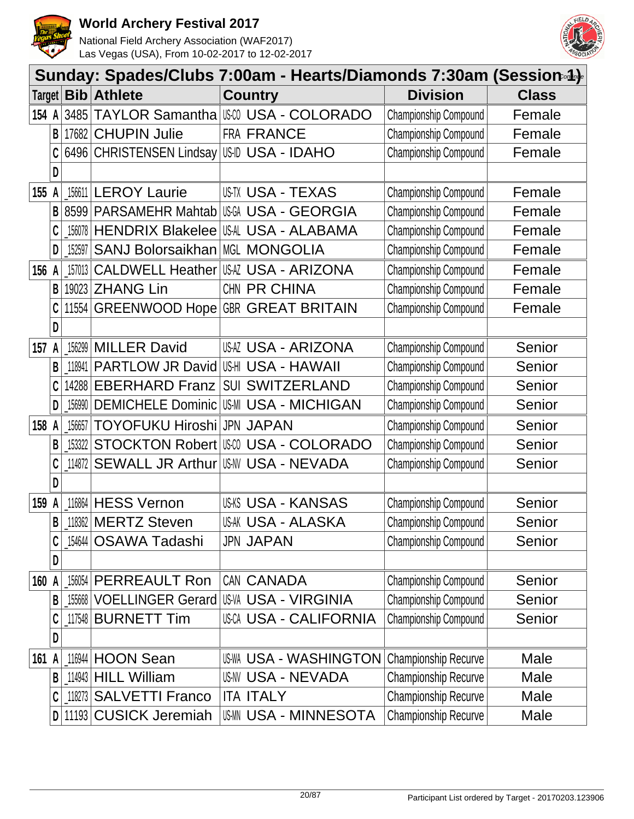



|        |              |            |                                             | Sunday: Spades/Clubs 7:00am - Hearts/Diamonds 7:30am (Session-4) |                             |              |
|--------|--------------|------------|---------------------------------------------|------------------------------------------------------------------|-----------------------------|--------------|
| Target |              | <b>Bib</b> | <b>Athlete</b>                              | <b>Country</b>                                                   | <b>Division</b>             | <b>Class</b> |
| 154 A  |              | 3485       |                                             | TAYLOR Samantha   USA - COLORADO                                 | Championship Compound       | Female       |
|        | B            | 17682      | <b>CHUPIN Julie</b>                         | FRA FRANCE                                                       | Championship Compound       | Female       |
|        |              |            | 6496 CHRISTENSEN Lindsay                    | US-ID USA - IDAHO                                                | Championship Compound       | Female       |
|        | D            |            |                                             |                                                                  |                             |              |
| 155    | A            |            | 156611 LEROY Laurie                         | US-TX USA - TEXAS                                                | Championship Compound       | Female       |
|        | B            |            | 8599 PARSAMEHR Mahtab                       | <b>USA - GEORGIA</b>                                             | Championship Compound       | Female       |
|        |              | 156078     | <b>HENDRIX Blakelee</b>                     | USAL USA - ALABAMA                                               | Championship Compound       | Female       |
|        | D            | $\_152597$ | <b>SANJ Bolorsaikhan</b>                    | <b>MGL MONGOLIA</b>                                              | Championship Compound       | Female       |
| 156    | A            | 157013     | <b>CALDWELL Heather</b>                     | <b>USAZ USA - ARIZONA</b>                                        | Championship Compound       | Female       |
|        | B            | 19023      | <b>ZHANG Lin</b>                            | CHN PR CHINA                                                     | Championship Compound       | Female       |
|        |              | 11554      | GREENWOOD Hope                              | <b>GBR GREAT BRITAIN</b>                                         | Championship Compound       | Female       |
|        | D            |            |                                             |                                                                  |                             |              |
| 157    | A            | 156299     | <b>MILLER David</b>                         | USAZ USA - ARIZONA                                               | Championship Compound       | Senior       |
|        | B            | 118941     | <b>PARTLOW JR David</b>                     | USHI USA - HAWAII                                                | Championship Compound       | Senior       |
|        |              | 14288      | <b>EBERHARD Franz</b>                       | <b>SUI SWITZERLAND</b>                                           | Championship Compound       | Senior       |
|        | D            | 156990     | <b>DEMICHELE Dominic USM USA - MICHIGAN</b> |                                                                  | Championship Compound       | Senior       |
| 158 A  |              | 156657     | <b>TOYOFUKU Hiroshi</b>                     | <b>JPN JAPAN</b>                                                 | Championship Compound       | Senior       |
|        | B            | 153322     | <b>STOCKTON Robert   US 00</b>              | USA - COLORADO                                                   | Championship Compound       | Senior       |
|        | C            | 114872     | <b>SEWALL JR Arthur</b>                     | <b>US-NV USA - NEVADA</b>                                        | Championship Compound       | Senior       |
|        | D            |            |                                             |                                                                  |                             |              |
| 159    | A            | 116864     | <b>HESS Vernon</b>                          | <b>USKS USA - KANSAS</b>                                         | Championship Compound       | Senior       |
|        | B            |            | 118362 MERTZ Steven                         | USAK USA - ALASKA                                                | Championship Compound       | Senior       |
|        | C            |            | 154644   OSAWA Tadashi                      | <b>JPN JAPAN</b>                                                 | Championship Compound       | Senior       |
|        | D            |            |                                             |                                                                  |                             |              |
| 160 A  |              | 156054     | PERREAULT Ron                               | CAN CANADA                                                       | Championship Compound       | Senior       |
|        | B            |            | 155668 VOELLINGER Gerard                    | <b>US-VA USA - VIRGINIA</b>                                      | Championship Compound       | Senior       |
|        |              |            | 117548 BURNETT Tim                          | <b>USCA USA - CALIFORNIA</b>                                     | Championship Compound       | Senior       |
|        | D            |            |                                             |                                                                  |                             |              |
| 161 A  |              |            | 116944 HOON Sean                            | <b>US-WA USA - WASHINGTON</b>                                    | <b>Championship Recurve</b> | Male         |
|        | B            |            | $114943$ HILL William                       | <b>US-NV USA - NEVADA</b>                                        | Championship Recurve        | Male         |
|        | C            |            | 118273 SALVETTI Franco                      | <b>ITA ITALY</b>                                                 | <b>Championship Recurve</b> | Male         |
|        | $\mathsf{D}$ |            | 11193 CUSICK Jeremiah                       | <b>USMN USA - MINNESOTA</b>                                      | <b>Championship Recurve</b> | Male         |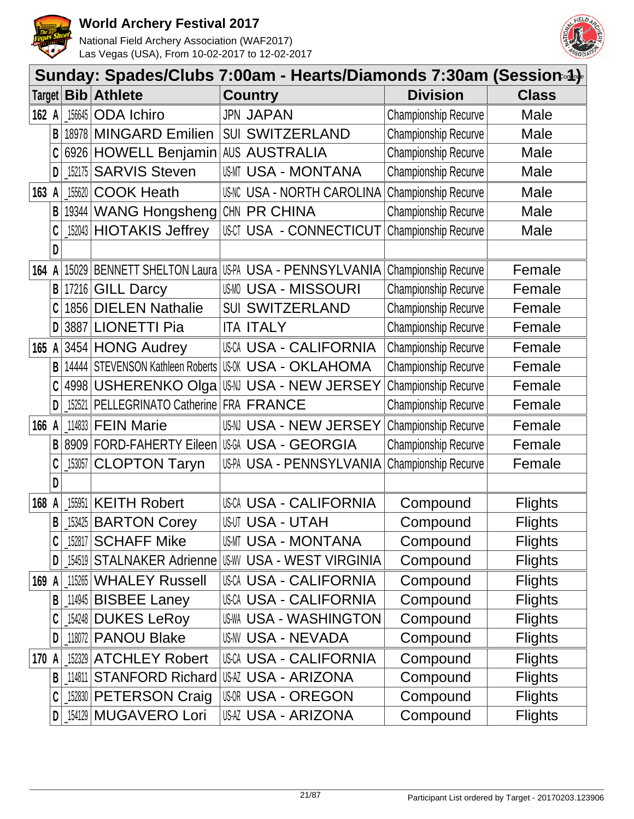



|        | Sunday: Spades/Clubs 7:00am - Hearts/Diamonds 7:30am (Session.4). |            |                                    |                                                      |                             |                |  |  |  |  |
|--------|-------------------------------------------------------------------|------------|------------------------------------|------------------------------------------------------|-----------------------------|----------------|--|--|--|--|
| Target |                                                                   | <b>Bib</b> | <b>Athlete</b>                     | <b>Country</b>                                       | <b>Division</b>             | <b>Class</b>   |  |  |  |  |
| 162 A  |                                                                   | 156645     | <b>ODA</b> Ichiro                  | <b>JPN JAPAN</b>                                     | <b>Championship Recurve</b> | Male           |  |  |  |  |
|        | В                                                                 |            | 18978 MINGARD Emilien              | <b>SUI SWITZERLAND</b>                               | <b>Championship Recurve</b> | Male           |  |  |  |  |
|        |                                                                   |            | 6926 HOWELL Benjamin AUS AUSTRALIA |                                                      | Championship Recurve        | Male           |  |  |  |  |
|        | D                                                                 | 152175     | <b>SARVIS Steven</b>               | USMT USA - MONTANA                                   | <b>Championship Recurve</b> | Male           |  |  |  |  |
| 163    | A                                                                 | 155620     | <b>COOK Heath</b>                  | <b>US-NC USA - NORTH CAROLINA</b>                    | Championship Recurve        | Male           |  |  |  |  |
|        | B                                                                 |            | 19344 WANG Hongsheng               | CHN PR CHINA                                         | <b>Championship Recurve</b> | Male           |  |  |  |  |
|        |                                                                   |            | 152043 HIOTAKIS Jeffrey            | USCT USA - CONNECTICUT                               | <b>Championship Recurve</b> | Male           |  |  |  |  |
|        | D                                                                 |            |                                    |                                                      |                             |                |  |  |  |  |
| 164    |                                                                   |            |                                    | 15029 BENNETT SHELTON Laura US-PA USA - PENNSYLVANIA | Championship Recurve        | Female         |  |  |  |  |
|        | В                                                                 |            | 17216 GILL Darcy                   | <b>USMO USA - MISSOURI</b>                           | Championship Recurve        | Female         |  |  |  |  |
|        | C                                                                 | 1856       | <b>DIELEN Nathalie</b>             | <b>SUI SWITZERLAND</b>                               | Championship Recurve        | Female         |  |  |  |  |
|        | D                                                                 | 3887       | <b>LIONETTI Pia</b>                | <b>ITA ITALY</b>                                     | Championship Recurve        | Female         |  |  |  |  |
| 165    | A                                                                 |            | 3454 HONG Audrey                   | USCA USA - CALIFORNIA                                | Championship Recurve        | Female         |  |  |  |  |
|        | B                                                                 |            | 14444   STEVENSON Kathleen Roberts | <b>USOK USA - OKLAHOMA</b>                           | <b>Championship Recurve</b> | Female         |  |  |  |  |
|        |                                                                   | 4998       | <b>USHERENKO Olga</b>              | ∣ßM USA - NEW JERSEY                                 | <b>Championship Recurve</b> | Female         |  |  |  |  |
|        | D                                                                 | 152521     | PELLEGRINATO Catherine FRA FRANCE  |                                                      | <b>Championship Recurve</b> | Female         |  |  |  |  |
| 166 A  |                                                                   |            | 114833 <b>FEIN Marie</b>           | USN USA - NEW JERSEY                                 | Championship Recurve        | Female         |  |  |  |  |
|        | B                                                                 |            | 8909 FORD-FAHERTY Eileen           | IUSGA USA - GEORGIA                                  | <b>Championship Recurve</b> | Female         |  |  |  |  |
|        |                                                                   | 153057     | <b>CLOPTON Taryn</b>               | US-PA USA - PENNSYLVANIA                             | Championship Recurve        | Female         |  |  |  |  |
|        | D                                                                 |            |                                    |                                                      |                             |                |  |  |  |  |
| 168    | A                                                                 | 155951     | <b>KEITH Robert</b>                | USCA USA - CALIFORNIA                                | Compound                    | <b>Flights</b> |  |  |  |  |
|        | B                                                                 |            | [153425 BARTON Corey               | <b>USUT USA - UTAH</b>                               | Compound                    | <b>Flights</b> |  |  |  |  |
|        |                                                                   | _152817    | <b>SCHAFF Mike</b>                 | USMT USA - MONTANA                                   | Compound                    | <b>Flights</b> |  |  |  |  |
|        | D                                                                 |            |                                    | 154519 STALNAKER Adrienne USW USA - WEST VIRGINIA    | Compound                    | <b>Flights</b> |  |  |  |  |
| 169 A  |                                                                   |            | 115265 WHALEY Russell              | USCA USA - CALIFORNIA                                | Compound                    | <b>Flights</b> |  |  |  |  |
|        | B                                                                 |            | 114945 BISBEE Laney                | USCA USA - CALIFORNIA                                | Compound                    | <b>Flights</b> |  |  |  |  |
|        |                                                                   |            | 154248 DUKES LeRoy                 | <b>USWA USA - WASHINGTON</b>                         | Compound                    | <b>Flights</b> |  |  |  |  |
|        | D                                                                 |            | 118072 PANOU Blake                 | <b>US-NV USA - NEVADA</b>                            | Compound                    | <b>Flights</b> |  |  |  |  |
| 170    | A                                                                 |            | 152329 ATCHLEY Robert              | USCA USA - CALIFORNIA                                | Compound                    | <b>Flights</b> |  |  |  |  |
|        | B                                                                 |            | 114811 STANFORD Richard            | USAZ USA - ARIZONA                                   | Compound                    | <b>Flights</b> |  |  |  |  |
|        |                                                                   |            | 152830 PETERSON Craig              | US-OR USA - OREGON                                   | Compound                    | <b>Flights</b> |  |  |  |  |
|        | D                                                                 |            | 154129 MUGAVERO Lori               | <b>USAZ USA - ARIZONA</b>                            | Compound                    | <b>Flights</b> |  |  |  |  |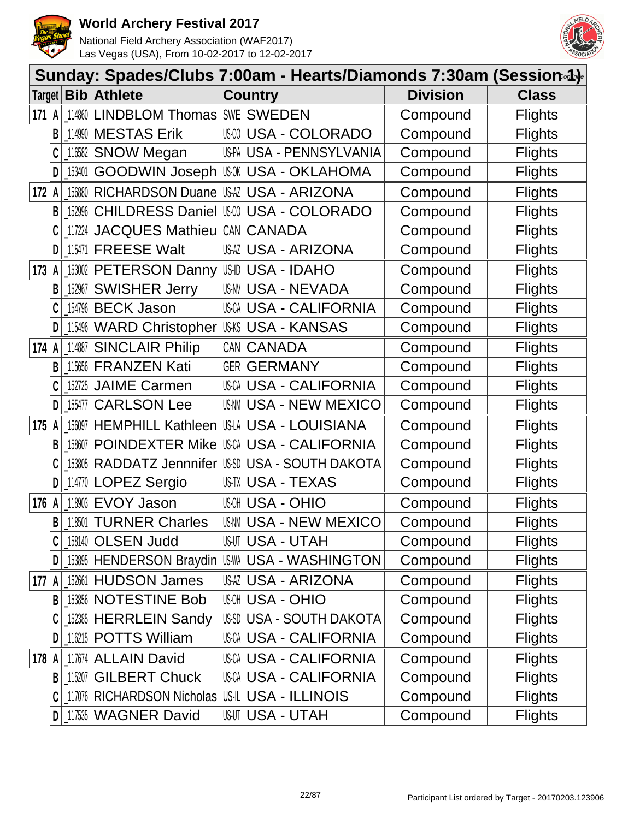



|       |   | Sunday: Spades/Clubs 7:00am - Hearts/Diamonds 7:30am (Session-4)- |                                   |                                                |                 |                |  |  |  |  |
|-------|---|-------------------------------------------------------------------|-----------------------------------|------------------------------------------------|-----------------|----------------|--|--|--|--|
|       |   |                                                                   | Target   Bib   Athlete            | <b>Country</b>                                 | <b>Division</b> | <b>Class</b>   |  |  |  |  |
| 171   | A | 114860                                                            | <b>LINDBLOM Thomas SWE SWEDEN</b> |                                                | Compound        | <b>Flights</b> |  |  |  |  |
|       | В |                                                                   | 114990 MESTAS Erik                | USCO USA - COLORADO                            | Compound        | <b>Flights</b> |  |  |  |  |
|       |   | 116582                                                            | <b>SNOW Megan</b>                 | US-PA USA - PENNSYLVANIA                       | Compound        | <b>Flights</b> |  |  |  |  |
|       | D | 153401                                                            |                                   | GOODWIN Joseph USM USA - OKLAHOMA              | Compound        | <b>Flights</b> |  |  |  |  |
| 172   | A | 156880                                                            | <b>RICHARDSON Duane</b>           | USAZ USA - ARIZONA                             | Compound        | <b>Flights</b> |  |  |  |  |
|       | B | 152996                                                            | <b>CHILDRESS Daniel</b>           | <b>USCO USA - COLORADO</b>                     | Compound        | <b>Flights</b> |  |  |  |  |
|       |   | 117224                                                            | <b>JACQUES Mathieu</b>            | CAN CANADA                                     | Compound        | <b>Flights</b> |  |  |  |  |
|       | D |                                                                   | 115471 FREESE Walt                | <b>USAZ USA - ARIZONA</b>                      | Compound        | <b>Flights</b> |  |  |  |  |
| 173   | A |                                                                   | 153002 PETERSON Danny             | USID USA - IDAHO                               | Compound        | <b>Flights</b> |  |  |  |  |
|       | В | 152967                                                            | <b>SWISHER Jerry</b>              | <b>USNV USA - NEVADA</b>                       | Compound        | <b>Flights</b> |  |  |  |  |
|       |   |                                                                   | 154796 BECK Jason                 | <b>USCA USA - CALIFORNIA</b>                   | Compound        | <b>Flights</b> |  |  |  |  |
|       | D | 115496                                                            |                                   | WARD Christopher USKS USA - KANSAS             | Compound        | <b>Flights</b> |  |  |  |  |
| 174   | A | 114887                                                            | <b>SINCLAIR Philip</b>            | CAN CANADA                                     | Compound        | <b>Flights</b> |  |  |  |  |
|       | B | 115656                                                            | <b>FRANZEN Kati</b>               | <b>GER GERMANY</b>                             | Compound        | <b>Flights</b> |  |  |  |  |
|       |   | 152725                                                            | <b>JAIME Carmen</b>               | <b>USCA USA - CALIFORNIA</b>                   | Compound        | <b>Flights</b> |  |  |  |  |
|       | D | 155477                                                            | <b>CARLSON Lee</b>                | <b>US-NN USA - NEW MEXICO</b>                  | Compound        | <b>Flights</b> |  |  |  |  |
| 175   | A | 156097                                                            | <b>HEMPHILL Kathleen</b>          | USLA USA - LOUISIANA                           | Compound        | <b>Flights</b> |  |  |  |  |
|       | B | 158607                                                            | <b>POINDEXTER Mike</b>            | USCA USA - CALIFORNIA                          | Compound        | <b>Flights</b> |  |  |  |  |
|       |   | 153805                                                            | RADDATZ Jennnifer US-SD           | <b>USA - SOUTH DAKOTA</b>                      | Compound        | <b>Flights</b> |  |  |  |  |
|       | D | 114770                                                            | <b>LOPEZ Sergio</b>               | <b>US-TX USA - TEXAS</b>                       | Compound        | <b>Flights</b> |  |  |  |  |
| 176   | A | 118903                                                            | <b>EVOY Jason</b>                 | <b>USA - OHIO</b>                              | Compound        | <b>Flights</b> |  |  |  |  |
|       | B | 118501                                                            | <b>TURNER Charles</b>             | <b>US-NM USA - NEW MEXICO</b>                  | Compound        | <b>Flights</b> |  |  |  |  |
|       |   |                                                                   | 158140 OLSEN Judd                 | USUT USA - UTAH                                | Compound        | <b>Flights</b> |  |  |  |  |
|       | D |                                                                   |                                   | 153895 HENDERSON Braydin USMA USA - WASHINGTON | Compound        | <b>Flights</b> |  |  |  |  |
| 177 A |   |                                                                   | 152661 HUDSON James               | USAZ USA - ARIZONA                             | Compound        | <b>Flights</b> |  |  |  |  |
|       | B |                                                                   | 153856 NOTESTINE Bob              | <b>USA - OHIO</b>                              | Compound        | <b>Flights</b> |  |  |  |  |
|       |   |                                                                   | 152385 HERRLEIN Sandy             | USSD USA - SOUTH DAKOTA                        | Compound        | <b>Flights</b> |  |  |  |  |
|       | D |                                                                   | 116215 POTTS William              | <b>USCA USA - CALIFORNIA</b>                   | Compound        | <b>Flights</b> |  |  |  |  |
| 178 A |   |                                                                   | 117674 ALLAIN David               | <b>USCA USA - CALIFORNIA</b>                   | Compound        | <b>Flights</b> |  |  |  |  |
|       | B | 115207                                                            | <b>GILBERT Chuck</b>              | <b>USCA USA - CALIFORNIA</b>                   | Compound        | <b>Flights</b> |  |  |  |  |
|       |   |                                                                   | 117076 RICHARDSON Nicholas        | US-IL USA - ILLINOIS                           | Compound        | <b>Flights</b> |  |  |  |  |
|       | D |                                                                   | 117535 WAGNER David               | <b>USUT USA - UTAH</b>                         | Compound        | <b>Flights</b> |  |  |  |  |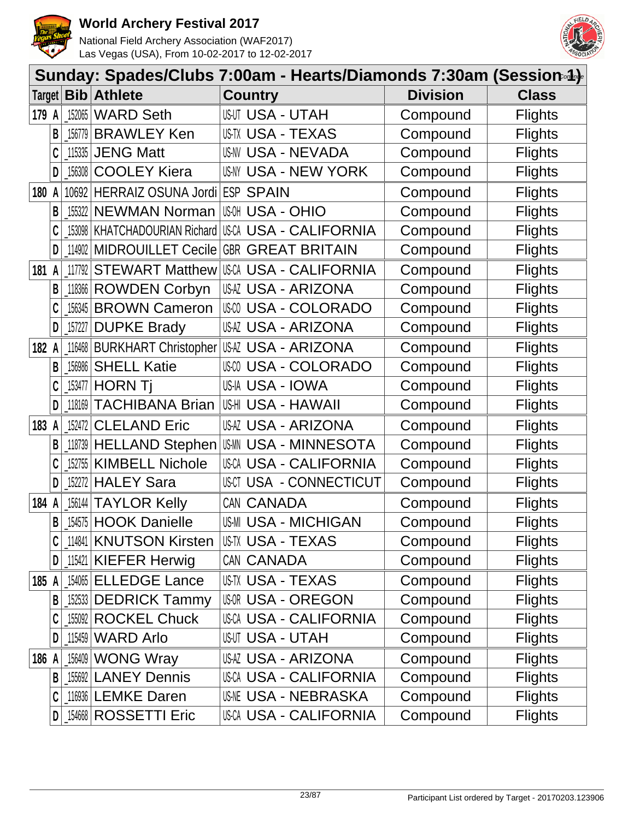



|        |   |                    |                                     | Sunday: Spades/Clubs 7:00am - Hearts/Diamonds 7:30am (Session-4)- |                 |                |
|--------|---|--------------------|-------------------------------------|-------------------------------------------------------------------|-----------------|----------------|
| Target |   |                    | <b>Bib Athlete</b>                  | <b>Country</b>                                                    | <b>Division</b> | <b>Class</b>   |
| 179 A  |   | 152065             | <b>WARD Seth</b>                    | <b>USUT USA - UTAH</b>                                            | Compound        | <b>Flights</b> |
|        | B | 156779             | <b>BRAWLEY Ken</b>                  | US-TX USA - TEXAS                                                 | Compound        | <b>Flights</b> |
|        |   | 115335             | <b>JENG Matt</b>                    | US-NV USA - NEVADA                                                | Compound        | <b>Flights</b> |
|        | D | 156308             | <b>COOLEY Kiera</b>                 | <b>US-NY USA - NEW YORK</b>                                       | Compound        | <b>Flights</b> |
| 180 A  |   |                    | 10692 HERRAIZ OSUNA Jordi ESP SPAIN |                                                                   | Compound        | <b>Flights</b> |
|        | B |                    | 155322 NEWMAN Norman                | <b>USA - OHIO</b>                                                 | Compound        | <b>Flights</b> |
|        |   |                    | 153098   KHATCHADOURIAN Richard     | USCA USA - CALIFORNIA                                             | Compound        | <b>Flights</b> |
|        | D |                    | 114902 MIDROUILLET Cecile           | <b>GBR GREAT BRITAIN</b>                                          | Compound        | <b>Flights</b> |
| 181    | A | 117792             | <b>STEWART Matthew</b>              | USCA USA - CALIFORNIA                                             | Compound        | <b>Flights</b> |
|        | B |                    | 118366 ROWDEN Corbyn                | <b>USAZ USA - ARIZONA</b>                                         | Compound        | <b>Flights</b> |
|        | C |                    | 156345 BROWN Cameron                | <b>USA - COLORADO</b><br>US-CO                                    | Compound        | <b>Flights</b> |
|        | D | $\frac{157227}{ }$ | <b>DUPKE Brady</b>                  | USAZ USA - ARIZONA                                                | Compound        | <b>Flights</b> |
| 182    | A |                    | 116468 BURKHART Christopher         | IUSAZ USA - ARIZONA                                               | Compound        | <b>Flights</b> |
|        | B | 156986             | <b>SHELL Katie</b>                  | USCO USA - COLORADO                                               | Compound        | <b>Flights</b> |
|        |   | $\_153477$         | <b>HORN Tj</b>                      | US-IA USA - IOWA                                                  | Compound        | <b>Flights</b> |
|        | D | 118169             | <b>TACHIBANA Brian</b>              | US-HI USA - HAWAII                                                | Compound        | <b>Flights</b> |
| 183 A  |   | 152472             | <b>CLELAND Eric</b>                 | USAZ USA - ARIZONA                                                | Compound        | <b>Flights</b> |
|        | B |                    | 118739 HELLAND Stephen              | IUSMN USA - MINNESOTA                                             | Compound        | <b>Flights</b> |
|        |   |                    | 152755   KIMBELL Nichole            | USCA USA - CALIFORNIA                                             | Compound        | <b>Flights</b> |
|        | D | 152272             | <b>HALEY Sara</b>                   | USCT USA - CONNECTICUT                                            | Compound        | <b>Flights</b> |
| 184 A  |   |                    | 156144 TAYLOR Kelly                 | CAN CANADA                                                        | Compound        | <b>Flights</b> |
|        |   |                    | <b>B</b> 154575 HOOK Danielle       | <b>US-MI USA - MICHIGAN</b>                                       | Compound        | <b>Flights</b> |
|        |   |                    | 114841 KNUTSON Kirsten              | USTX USA - TEXAS                                                  | Compound        | <b>Flights</b> |
|        | D |                    | $115421$ KIEFER Herwig              | CAN CANADA                                                        | Compound        | <b>Flights</b> |
| 185 A  |   |                    | 154065 ELLEDGE Lance                | <b>USTX USA - TEXAS</b>                                           | Compound        | <b>Flights</b> |
|        | B |                    | 152533 DEDRICK Tammy                | <b>USOR USA - OREGON</b>                                          | Compound        | <b>Flights</b> |
|        |   |                    | 155092 ROCKEL Chuck                 | USCA USA - CALIFORNIA                                             | Compound        | <b>Flights</b> |
|        | D |                    | $115459$ WARD Arlo                  | <b>USUT USA - UTAH</b>                                            | Compound        | <b>Flights</b> |
| 186 A  |   |                    | 156409 WONG Wray                    | USAZ USA - ARIZONA                                                | Compound        | <b>Flights</b> |
|        | B |                    | 155692 LANEY Dennis                 | USCA USA - CALIFORNIA                                             | Compound        | <b>Flights</b> |
|        |   |                    | 116936 LEMKE Daren                  | <b>USNE USA - NEBRASKA</b>                                        | Compound        | <b>Flights</b> |
|        | D |                    | 154668 ROSSETTI Eric                | USCA USA - CALIFORNIA                                             | Compound        | <b>Flights</b> |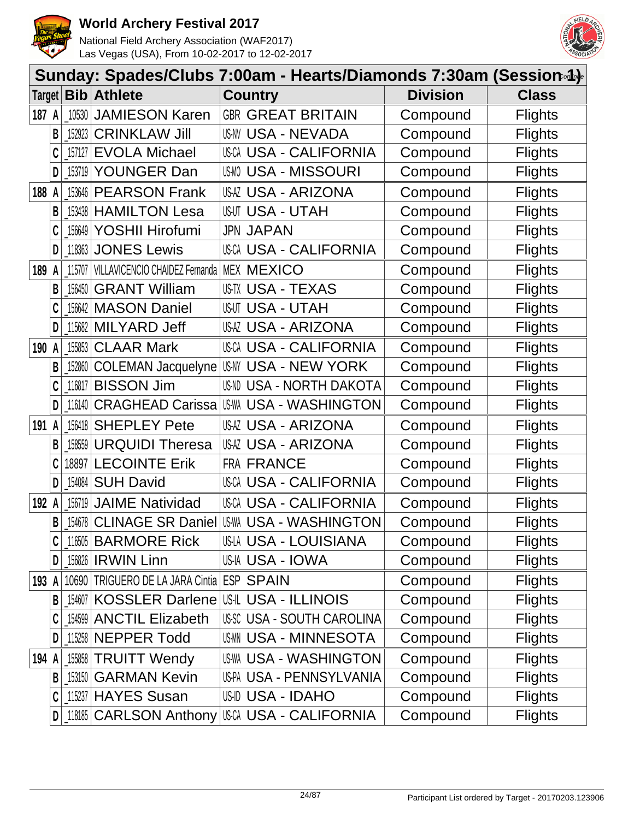



|         |   |                                                               |                                            | Sunday: Spades/Clubs 7:00am - Hearts/Diamonds 7:30am (Session-4)-                                           |                 |                |
|---------|---|---------------------------------------------------------------|--------------------------------------------|-------------------------------------------------------------------------------------------------------------|-----------------|----------------|
|         |   |                                                               | Target <b>Bib Athlete</b>                  | <b>Country</b>                                                                                              | <b>Division</b> | <b>Class</b>   |
| 187 A   |   |                                                               | 10530 JAMIESON Karen                       | <b>GBR GREAT BRITAIN</b>                                                                                    | Compound        | <b>Flights</b> |
|         | B | 152923                                                        | <b>CRINKLAW Jill</b>                       | <b>US-NV USA - NEVADA</b>                                                                                   | Compound        | <b>Flights</b> |
|         |   | 157127                                                        | <b>EVOLA Michael</b>                       | USCA USA - CALIFORNIA                                                                                       | Compound        | <b>Flights</b> |
|         | D | 153719                                                        | YOUNGER Dan                                | <b>USMO USA - MISSOURI</b>                                                                                  | Compound        | <b>Flights</b> |
| 188 A   |   |                                                               | 153646 PEARSON Frank                       | <b>USAZ USA - ARIZONA</b>                                                                                   | Compound        | <b>Flights</b> |
|         | B |                                                               | 153438 HAMILTON Lesa                       | <b>USUT USA - UTAH</b>                                                                                      | Compound        | <b>Flights</b> |
|         |   | $\_156649$                                                    | YOSHII Hirofumi                            | <b>JPN JAPAN</b>                                                                                            | Compound        | <b>Flights</b> |
|         | D |                                                               | 118363 JONES Lewis                         | <b>USCA USA - CALIFORNIA</b>                                                                                | Compound        | <b>Flights</b> |
| 189     | A | 115707                                                        | VILLAVICENCIO CHAIDEZ Fernanda             | <b>MEX MEXICO</b>                                                                                           | Compound        | <b>Flights</b> |
|         | B | 156450                                                        | <b>GRANT William</b>                       | US-TX USA - TEXAS                                                                                           | Compound        | <b>Flights</b> |
|         |   |                                                               | 156642   MASON Daniel                      | <b>USUT USA - UTAH</b>                                                                                      | Compound        | <b>Flights</b> |
|         | D |                                                               | 115682 MILYARD Jeff                        | USAZ USA - ARIZONA                                                                                          | Compound        | <b>Flights</b> |
| 190     | A |                                                               | [155853 CLAAR Mark                         | <b>USCA USA - CALIFORNIA</b>                                                                                | Compound        | <b>Flights</b> |
|         | B |                                                               | 152860 COLEMAN Jacquelyne                  | USNY USA - NEW YORK                                                                                         | Compound        | <b>Flights</b> |
|         |   |                                                               | 116817   <b>BISSON Jim</b>                 | US-ND USA - NORTH DAKOTA                                                                                    | Compound        | <b>Flights</b> |
|         | D | 116140                                                        | <b>CRAGHEAD Carissa</b>                    | <b>IUS-WA USA - WASHINGTON</b>                                                                              | Compound        | <b>Flights</b> |
| 191 A   |   |                                                               | 156418 SHEPLEY Pete                        | <b>USAZ USA - ARIZONA</b>                                                                                   | Compound        | <b>Flights</b> |
|         | B | 158559                                                        | <b>URQUIDI Theresa</b>                     | USAZ USA - ARIZONA                                                                                          | Compound        | <b>Flights</b> |
|         | C | 18897                                                         | <b>LECOINTE Erik</b>                       | FRA FRANCE                                                                                                  | Compound        | <b>Flights</b> |
|         | D | $\left[ \begin{smallmatrix} 154084 \end{smallmatrix} \right]$ | <b>SUH David</b>                           | USCA USA - CALIFORNIA                                                                                       | Compound        | <b>Flights</b> |
| 192 A   |   | 156719                                                        | <b>JAIME Natividad</b>                     | <b>USCA USA - CALIFORNIA</b>                                                                                | Compound        | <b>Flights</b> |
|         | B |                                                               |                                            | <b>SEE SEE SEE DANIEL SEE AND INCORDED IN THE SEE ON SEE ON SEE ON SEE ON SEE ON SEE ON SEE ON SEE ON S</b> | Compound        | <b>Flights</b> |
|         |   |                                                               | 116505 BARMORE Rick                        | US-LA USA - LOUISIANA                                                                                       | Compound        | <b>Flights</b> |
|         | D |                                                               | 156826 <b>IRWIN</b> Linn                   | USIA USA - IOWA                                                                                             | Compound        | <b>Flights</b> |
| 193 A   |   |                                                               | 10690 TRIGUERO DE LA JARA Cintia ESP SPAIN |                                                                                                             | Compound        | <b>Flights</b> |
|         | B |                                                               |                                            | 154607 KOSSLER Darlene US-IL USA - ILLINOIS                                                                 | Compound        | <b>Flights</b> |
|         |   |                                                               | 154599 ANCTIL Elizabeth                    | USSC USA - SOUTH CAROLINA                                                                                   | Compound        | <b>Flights</b> |
|         | D |                                                               | 115258 NEPPER Todd                         | <b>USMN USA - MINNESOTA</b>                                                                                 | Compound        | <b>Flights</b> |
| 194 $A$ |   |                                                               | 155858 TRUITT Wendy                        | <b>US-WA USA - WASHINGTON</b>                                                                               | Compound        | <b>Flights</b> |
|         | B |                                                               | <b>153150 GARMAN Kevin</b>                 | US-PA USA - PENNSYLVANIA                                                                                    | Compound        | <b>Flights</b> |
|         |   |                                                               | 115237 HAYES Susan                         | US-ID USA - IDAHO                                                                                           | Compound        | <b>Flights</b> |
|         | D |                                                               |                                            | 188   CARLSON Anthony   USA - CALIFORNIA                                                                    | Compound        | <b>Flights</b> |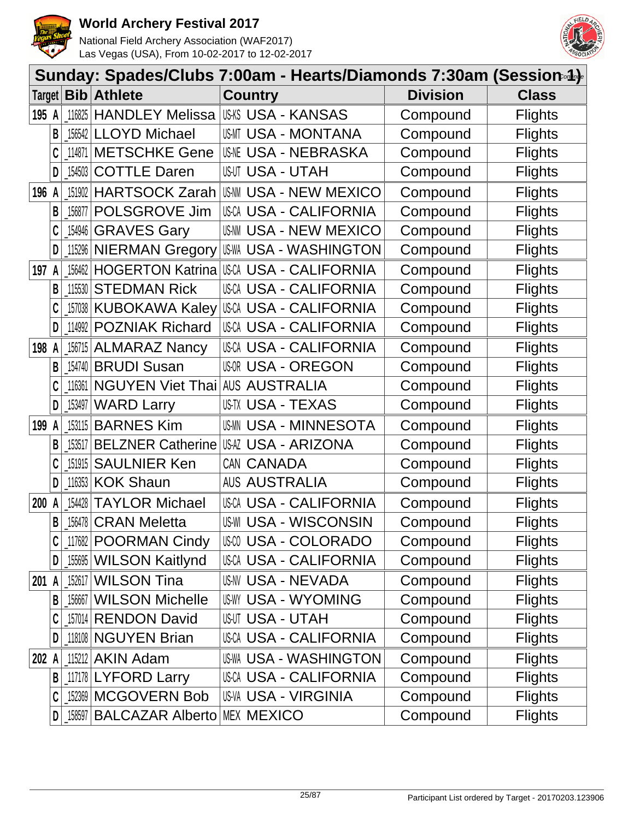



|        |              |            |                                | Sunday: Spades/Clubs 7:00am - Hearts/Diamonds 7:30am (Session-4)- |                 |                |
|--------|--------------|------------|--------------------------------|-------------------------------------------------------------------|-----------------|----------------|
| Target |              |            | <b>Bib</b> Athlete             | <b>Country</b>                                                    | <b>Division</b> | <b>Class</b>   |
| 195 A  |              |            |                                | 116825   HANDLEY Melissa   USA S - KANSAS                         | Compound        | <b>Flights</b> |
|        | B            |            | 156542 LLOYD Michael           | USMT USA - MONTANA                                                | Compound        | <b>Flights</b> |
|        |              |            | 114871 METSCHKE Gene           | <b>USA - NEBRASKA</b>                                             | Compound        | <b>Flights</b> |
|        | D            | $-154503$  | <b>COTTLE Daren</b>            | <b>USUT USA - UTAH</b>                                            | Compound        | <b>Flights</b> |
| 196 A  |              | 151902     | <b>HARTSOCK Zarah</b>          | <b>US-NN USA - NEW MEXICO</b>                                     | Compound        | <b>Flights</b> |
|        | B            | 156877     | POLSGROVE Jim                  | USCA USA - CALIFORNIA                                             | Compound        | <b>Flights</b> |
|        | C            | $\_154946$ | <b>GRAVES Gary</b>             | <b>USAM USA - NEW MEXICO</b>                                      | Compound        | <b>Flights</b> |
|        | D            |            | 115296 NIERMAN Gregory         | US-WA USA - WASHINGTON                                            | Compound        | <b>Flights</b> |
| 197    | A            |            | 156462 HOGERTON Katrina        | USCA USA - CALIFORNIA                                             | Compound        | <b>Flights</b> |
|        | B            |            | 115530 STEDMAN Rick            | <b>USCA USA - CALIFORNIA</b>                                      | Compound        | <b>Flights</b> |
|        |              |            | 157038 KUBOKAWA Kaley          | USCA USA - CALIFORNIA                                             | Compound        | <b>Flights</b> |
|        | D            |            | 114992 POZNIAK Richard         | USCA USA - CALIFORNIA                                             | Compound        | <b>Flights</b> |
| 198 A  |              |            | 156715 ALMARAZ Nancy           | <b>USCA USA - CALIFORNIA</b>                                      | Compound        | <b>Flights</b> |
|        | B            |            | [154740 BRUDI Susan            | <b>USOR USA - OREGON</b>                                          | Compound        | <b>Flights</b> |
|        |              | 116361     | NGUYEN Viet Thai AUS AUSTRALIA |                                                                   | Compound        | <b>Flights</b> |
|        | D            | 153497     | <b>WARD Larry</b>              | US-TX USA - TEXAS                                                 | Compound        | <b>Flights</b> |
| 199 A  |              |            | 153115 BARNES Kim              | <b>USMN USA - MINNESOTA</b>                                       | Compound        | <b>Flights</b> |
|        | B            | 153517     | <b>BELZNER Catherine</b>       | USAZ USA - ARIZONA                                                | Compound        | <b>Flights</b> |
|        |              |            | 151915 SAULNIER Ken            | CAN CANADA                                                        | Compound        | <b>Flights</b> |
|        | D            |            | 116353 KOK Shaun               | <b>AUS AUSTRALIA</b>                                              | Compound        | <b>Flights</b> |
| 200    | $\mathsf{A}$ | 154428     | <b>TAYLOR Michael</b>          | <b>USCA USA - CALIFORNIA</b>                                      | Compound        | <b>Flights</b> |
|        | $\mathsf{B}$ |            | $156478$ CRAN Meletta          | <b>US-WI USA - WISCONSIN</b>                                      | Compound        | <b>Flights</b> |
|        |              |            | 117682 POORMAN Cindy           | USA - COLORADO                                                    | Compound        | <b>Flights</b> |
|        | D            |            | [155695   WILSON Kaitlynd      | <b>USCA USA - CALIFORNIA</b>                                      | Compound        | <b>Flights</b> |
| 201 A  |              |            | 152617 WILSON Tina             | <b>US-NV USA - NEVADA</b>                                         | Compound        | <b>Flights</b> |
|        | B            |            | 156667 WILSON Michelle         | <b>USWY USA - WYOMING</b>                                         | Compound        | <b>Flights</b> |
|        |              |            | 157014 RENDON David            | <b>USUT USA - UTAH</b>                                            | Compound        | <b>Flights</b> |
|        | D            |            | 118108 NGUYEN Brian            | USCA USA - CALIFORNIA                                             | Compound        | <b>Flights</b> |
| 202 A  |              |            | 115212 AKIN Adam               | US-WA USA - WASHINGTON                                            | Compound        | <b>Flights</b> |
|        | B            |            | 117178 LYFORD Larry            | <b>USCA USA - CALIFORNIA</b>                                      | Compound        | <b>Flights</b> |
|        |              |            | 152369 MCGOVERN Bob            | <b>US-VA USA - VIRGINIA</b>                                       | Compound        | <b>Flights</b> |
|        | D            |            | 158597 BALCAZAR Alberto        | <b>MEX MEXICO</b>                                                 | Compound        | <b>Flights</b> |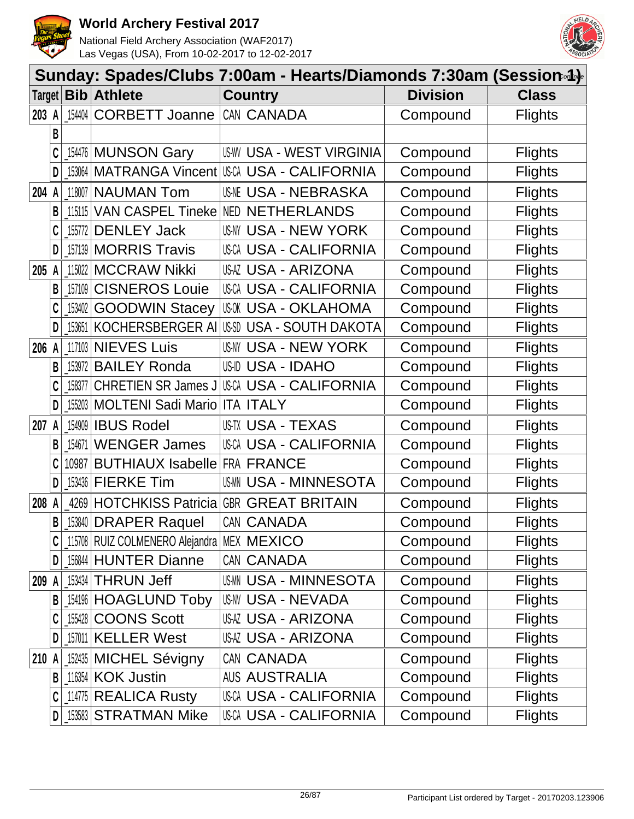



|        | Sunday: Spades/Clubs 7:00am - Hearts/Diamonds 7:30am (Session.4). |        |                                                |                                   |                 |                |  |  |  |  |
|--------|-------------------------------------------------------------------|--------|------------------------------------------------|-----------------------------------|-----------------|----------------|--|--|--|--|
| Target |                                                                   |        | <b>Bib</b> Athlete                             | <b>Country</b>                    | <b>Division</b> | <b>Class</b>   |  |  |  |  |
| 203 A  |                                                                   | 154404 | <b>CORBETT Joanne</b>                          | CAN CANADA                        | Compound        | <b>Flights</b> |  |  |  |  |
|        | B                                                                 |        |                                                |                                   |                 |                |  |  |  |  |
|        |                                                                   |        | 154476 MUNSON Gary                             | <b>US-WY USA - WEST VIRGINIA</b>  | Compound        | <b>Flights</b> |  |  |  |  |
|        | D                                                                 |        | 153064 MATRANGA Vincent                        | IUSCA USA - CALIFORNIA            | Compound        | <b>Flights</b> |  |  |  |  |
| 204    | A                                                                 | 118007 | <b>NAUMAN Tom</b>                              | <b>USNE USA - NEBRASKA</b>        | Compound        | <b>Flights</b> |  |  |  |  |
|        | B                                                                 | 115115 |                                                | VAN CASPEL Tineke NED NETHERLANDS | Compound        | <b>Flights</b> |  |  |  |  |
|        | C                                                                 | 155772 | <b>DENLEY Jack</b>                             | USNY USA - NEW YORK               | Compound        | <b>Flights</b> |  |  |  |  |
|        | D                                                                 |        | 157139 MORRIS Travis                           | <b>USCA USA - CALIFORNIA</b>      | Compound        | <b>Flights</b> |  |  |  |  |
| 205    |                                                                   | 115022 | <b>MCCRAW Nikki</b>                            | <b>USAZ USA - ARIZONA</b>         | Compound        | <b>Flights</b> |  |  |  |  |
|        | B                                                                 | 157109 | <b>CISNEROS Louie</b>                          | <b>USCA USA - CALIFORNIA</b>      | Compound        | <b>Flights</b> |  |  |  |  |
|        |                                                                   | 153402 | <b>GOODWIN Stacey</b>                          | <b>USOK USA - OKLAHOMA</b>        | Compound        | <b>Flights</b> |  |  |  |  |
|        | D                                                                 | 153651 | KOCHERSBERGER AI                               | USSD USA - SOUTH DAKOTA           | Compound        | <b>Flights</b> |  |  |  |  |
| 206    | A                                                                 |        | 117103 NIEVES Luis                             | <b>USNY USA - NEW YORK</b>        | Compound        | <b>Flights</b> |  |  |  |  |
|        | B                                                                 | 153972 | <b>BAILEY Ronda</b>                            | <b>US-ID USA - IDAHO</b>          | Compound        | <b>Flights</b> |  |  |  |  |
|        | C                                                                 | 158377 | <b>CHRETIEN SR James J</b>                     | <b>USCA USA - CALIFORNIA</b>      | Compound        | <b>Flights</b> |  |  |  |  |
|        | D                                                                 | 155203 | <b>MOLTENI Sadi Mario</b>                      | <b>ITA ITALY</b>                  | Compound        | <b>Flights</b> |  |  |  |  |
| 207    | A                                                                 |        | 154909 <b>IBUS Rodel</b>                       | US-TX USA - TEXAS                 | Compound        | <b>Flights</b> |  |  |  |  |
|        | B                                                                 | 154671 | <b>WENGER James</b>                            | <b>USCA USA - CALIFORNIA</b>      | Compound        | <b>Flights</b> |  |  |  |  |
|        |                                                                   | 10987  | <b>BUTHIAUX Isabelle</b>                       | <b>FRA FRANCE</b>                 | Compound        | <b>Flights</b> |  |  |  |  |
|        | D                                                                 |        | 153436 FIERKE Tim                              | <b>USMM USA - MINNESOTA</b>       | Compound        | <b>Flights</b> |  |  |  |  |
| 208    |                                                                   | 4269   | <b>HOTCHKISS Patricia</b>                      | <b>GBR GREAT BRITAIN</b>          | Compound        | <b>Flights</b> |  |  |  |  |
|        | B                                                                 |        | [153840 DRAPER Raquel                          | CAN CANADA                        | Compound        | <b>Flights</b> |  |  |  |  |
|        |                                                                   |        | 115708   RUIZ COLMENERO Alejandra   MEX MEXICO |                                   | Compound        | <b>Flights</b> |  |  |  |  |
|        | D                                                                 |        | 156844 HUNTER Dianne                           | CAN CANADA                        | Compound        | <b>Flights</b> |  |  |  |  |
| 209    | A                                                                 |        | 153434 THRUN Jeff                              | <b>USMN USA - MINNESOTA</b>       | Compound        | <b>Flights</b> |  |  |  |  |
|        | В                                                                 |        | 154196 HOAGLUND Toby                           | US-NV USA - NEVADA                | Compound        | <b>Flights</b> |  |  |  |  |
|        |                                                                   |        | 155428 COONS Scott                             | <b>USAZ USA - ARIZONA</b>         | Compound        | <b>Flights</b> |  |  |  |  |
|        | D                                                                 |        | 157011 KELLER West                             | USAZ USA - ARIZONA                | Compound        | <b>Flights</b> |  |  |  |  |
| 210    |                                                                   |        | 152435 MICHEL Sévigny                          | CAN CANADA                        | Compound        | <b>Flights</b> |  |  |  |  |
|        | B                                                                 |        | 116354 KOK Justin                              | <b>AUS AUSTRALIA</b>              | Compound        | <b>Flights</b> |  |  |  |  |
|        | C                                                                 |        | 114775 REALICA Rusty                           | USCA USA - CALIFORNIA             | Compound        | <b>Flights</b> |  |  |  |  |
|        | D                                                                 |        | 153583 STRATMAN Mike                           | <b>USCA USA - CALIFORNIA</b>      | Compound        | <b>Flights</b> |  |  |  |  |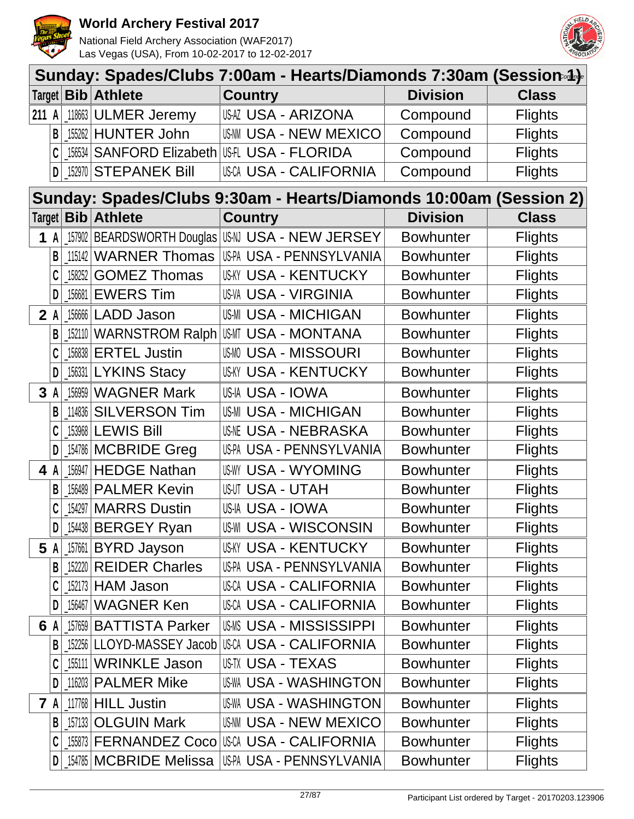



|                         | Sunday: Spades/Clubs 7:00am - Hearts/Diamonds 7:30am (Session.4). |        |                        |                                                                   |                  |                |  |  |  |
|-------------------------|-------------------------------------------------------------------|--------|------------------------|-------------------------------------------------------------------|------------------|----------------|--|--|--|
|                         |                                                                   |        | Target   Bib   Athlete | <b>Country</b>                                                    | <b>Division</b>  | <b>Class</b>   |  |  |  |
| 211 A                   |                                                                   |        | 118663 ULMER Jeremy    | <b>USAZ USA - ARIZONA</b>                                         | Compound         | <b>Flights</b> |  |  |  |
|                         | B                                                                 |        | 155262 HUNTER John     | <b>US-NN USA - NEW MEXICO</b>                                     | Compound         | <b>Flights</b> |  |  |  |
|                         |                                                                   | 156534 |                        | <b>SANFORD Elizabeth USA - FLORIDA</b>                            | Compound         | <b>Flights</b> |  |  |  |
|                         | D                                                                 | 152970 | <b>STEPANEK Bill</b>   | USCA USA - CALIFORNIA                                             | Compound         | <b>Flights</b> |  |  |  |
|                         |                                                                   |        |                        | Sunday: Spades/Clubs 9:30am - Hearts/Diamonds 10:00am (Session 2) |                  |                |  |  |  |
|                         |                                                                   |        | Target   Bib   Athlete | <b>Country</b>                                                    | <b>Division</b>  | <b>Class</b>   |  |  |  |
|                         | 1 A                                                               |        |                        | _157902   BEARDSWORTH Douglas   US-NI USA - NEW JERSEY            | <b>Bowhunter</b> | <b>Flights</b> |  |  |  |
|                         | B                                                                 |        | 115142 WARNER Thomas   | USPA USA - PENNSYLVANIA                                           | <b>Bowhunter</b> | <b>Flights</b> |  |  |  |
|                         | C                                                                 | 158252 | <b>GOMEZ Thomas</b>    | <b>USKY USA - KENTUCKY</b>                                        | <b>Bowhunter</b> | <b>Flights</b> |  |  |  |
|                         | D                                                                 | 156681 | <b>EWERS Tim</b>       | <b>US-VA USA - VIRGINIA</b>                                       | <b>Bowhunter</b> | <b>Flights</b> |  |  |  |
| 2A                      |                                                                   |        | 156666 LADD Jason      | <b>US-MI USA - MICHIGAN</b>                                       | <b>Bowhunter</b> | <b>Flights</b> |  |  |  |
|                         |                                                                   |        |                        | 152110 WARNSTROM Ralph USMT USA - MONTANA                         | <b>Bowhunter</b> | <b>Flights</b> |  |  |  |
|                         | C                                                                 | 156838 | <b>ERTEL Justin</b>    | <b>USMO USA - MISSOURI</b>                                        | <b>Bowhunter</b> | <b>Flights</b> |  |  |  |
|                         | D                                                                 |        | 156331 LYKINS Stacy    | USKY USA - KENTUCKY                                               | <b>Bowhunter</b> | <b>Flights</b> |  |  |  |
| $\overline{\mathbf{3}}$ |                                                                   |        | 156959 WAGNER Mark     | US-IA USA - IOWA                                                  | <b>Bowhunter</b> | <b>Flights</b> |  |  |  |
|                         | B                                                                 | 114836 | <b>SILVERSON Tim</b>   | <b>US-MI USA - MICHIGAN</b>                                       | <b>Bowhunter</b> | <b>Flights</b> |  |  |  |
|                         | C                                                                 | 153968 | <b>LEWIS Bill</b>      | <b>USNE USA - NEBRASKA</b>                                        | <b>Bowhunter</b> | <b>Flights</b> |  |  |  |
|                         | D                                                                 |        | 154786 MCBRIDE Greg    | US-PA USA - PENNSYLVANIA                                          | <b>Bowhunter</b> | <b>Flights</b> |  |  |  |
| 4                       |                                                                   |        | 156947 HEDGE Nathan    | <b>US-WY USA - WYOMING</b>                                        | <b>Bowhunter</b> | <b>Flights</b> |  |  |  |
|                         | B                                                                 | 156489 | <b>PALMER Kevin</b>    | <b>USUT USA - UTAH</b>                                            | <b>Bowhunter</b> | <b>Flights</b> |  |  |  |
|                         |                                                                   |        | 154297   MARRS Dustin  | US-IA USA - IOWA                                                  | <b>Bowhunter</b> | <b>Flights</b> |  |  |  |
|                         | D                                                                 |        | 154438 BERGEY Ryan     | <b>US-WI USA - WISCONSIN</b>                                      | <b>Bowhunter</b> | <b>Flights</b> |  |  |  |
| 5                       |                                                                   |        | 157661 BYRD Jayson     | <b>USKY USA - KENTUCKY</b>                                        | <b>Bowhunter</b> | <b>Flights</b> |  |  |  |
|                         | B                                                                 |        | 152220 REIDER Charles  | US-PA USA - PENNSYLVANIA                                          | <b>Bowhunter</b> | <b>Flights</b> |  |  |  |
|                         | C                                                                 |        | 152173 HAM Jason       | <b>USCA USA - CALIFORNIA</b>                                      | <b>Bowhunter</b> | <b>Flights</b> |  |  |  |
|                         | D                                                                 |        | 156467 WAGNER Ken      | USCA USA - CALIFORNIA                                             | <b>Bowhunter</b> | <b>Flights</b> |  |  |  |
| 6                       |                                                                   | 157659 | <b>BATTISTA Parker</b> | <b>USMS USA - MISSISSIPPI</b>                                     | <b>Bowhunter</b> | <b>Flights</b> |  |  |  |
|                         | B                                                                 | 152256 |                        | LLOYD-MASSEY Jacob USCA USA - CALIFORNIA                          | <b>Bowhunter</b> | <b>Flights</b> |  |  |  |
|                         |                                                                   |        | 155111 WRINKLE Jason   | <b>US-TX USA - TEXAS</b>                                          | <b>Bowhunter</b> | <b>Flights</b> |  |  |  |
|                         | D                                                                 |        | 116203 PALMER Mike     | US-WA USA - WASHINGTON                                            | <b>Bowhunter</b> | <b>Flights</b> |  |  |  |
|                         | 7 A                                                               |        | 117768 HILL Justin     | <b>US-WA USA - WASHINGTON</b>                                     | <b>Bowhunter</b> | <b>Flights</b> |  |  |  |
|                         | B                                                                 |        | 157133 OLGUIN Mark     | USAM USA - NEW MEXICO                                             | <b>Bowhunter</b> | <b>Flights</b> |  |  |  |
|                         | C                                                                 |        |                        | [155873 FERNANDEZ Coco USCA USA - CALIFORNIA]                     | <b>Bowhunter</b> | <b>Flights</b> |  |  |  |
|                         | D                                                                 |        |                        | 154785   MCBRIDE Melissa   USPA USA - PENNSYLVANIA                | <b>Bowhunter</b> | <b>Flights</b> |  |  |  |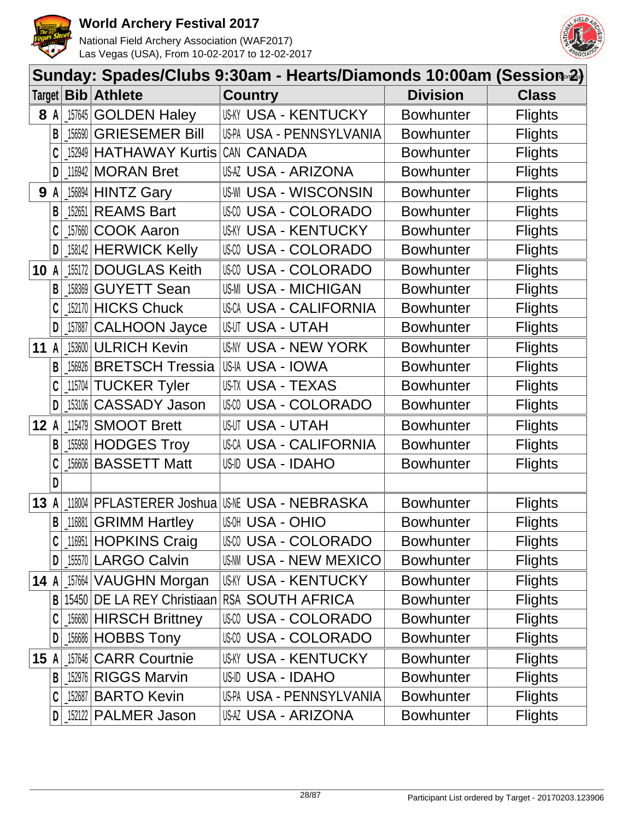



|        | Sunday: Spades/Clubs 9:30am - Hearts/Diamonds 10:00am (Session∞2) |          |                            |                                       |                  |                |  |  |  |
|--------|-------------------------------------------------------------------|----------|----------------------------|---------------------------------------|------------------|----------------|--|--|--|
| Target |                                                                   |          | <b>Bib</b> Athlete         | <b>Country</b>                        | <b>Division</b>  | <b>Class</b>   |  |  |  |
|        | 8 A                                                               | $157645$ | <b>GOLDEN Haley</b>        | <b>USKY USA - KENTUCKY</b>            | Bowhunter        | <b>Flights</b> |  |  |  |
|        | В                                                                 | 156590   | <b>GRIESEMER Bill</b>      | US-PA USA - PENNSYLVANIA              | <b>Bowhunter</b> | <b>Flights</b> |  |  |  |
|        |                                                                   | 152949   | <b>HATHAWAY Kurtis</b>     | CAN CANADA                            | <b>Bowhunter</b> | <b>Flights</b> |  |  |  |
|        | D                                                                 |          | $116942$ MORAN Bret        | USAZ USA - ARIZONA                    | <b>Bowhunter</b> | <b>Flights</b> |  |  |  |
|        | <b>9 A</b>                                                        |          | $156894$ HINTZ Gary        | <b>US-WI USA - WISCONSIN</b>          | <b>Bowhunter</b> | <b>Flights</b> |  |  |  |
|        | B                                                                 | 152651   | <b>REAMS Bart</b>          | <b>USA - COLORADO</b>                 | <b>Bowhunter</b> | <b>Flights</b> |  |  |  |
|        |                                                                   | 157660   | <b>COOK Aaron</b>          | <b>US-KY USA - KENTUCKY</b>           | <b>Bowhunter</b> | <b>Flights</b> |  |  |  |
|        | D                                                                 |          | 158142 HERWICK Kelly       | USM USA - COLORADO                    | <b>Bowhunter</b> | <b>Flights</b> |  |  |  |
| 10     | A                                                                 | 155172   | <b>DOUGLAS Keith</b>       | <b>USA - COLORADO</b>                 | <b>Bowhunter</b> | <b>Flights</b> |  |  |  |
|        | В                                                                 | 158369   | <b>GUYETT Sean</b>         | <b>US-MI USA - MICHIGAN</b>           | <b>Bowhunter</b> | <b>Flights</b> |  |  |  |
|        |                                                                   |          | 152170 HICKS Chuck         | <b>USCA USA - CALIFORNIA</b>          | <b>Bowhunter</b> | <b>Flights</b> |  |  |  |
|        | D                                                                 |          | 157887 CALHOON Jayce       | <b>USUT USA - UTAH</b>                | <b>Bowhunter</b> | <b>Flights</b> |  |  |  |
| 11     | $\mathsf{A}$                                                      |          | 153600 ULRICH Kevin        | <b>US-NY USA - NEW YORK</b>           | <b>Bowhunter</b> | <b>Flights</b> |  |  |  |
|        | B                                                                 | 156926   | <b>BRETSCH Tressia</b>     | US-IA USA - IOWA                      | <b>Bowhunter</b> | <b>Flights</b> |  |  |  |
|        |                                                                   |          | 115704 TUCKER Tyler        | USTX USA - TEXAS                      | <b>Bowhunter</b> | <b>Flights</b> |  |  |  |
|        | D                                                                 |          | 153106 CASSADY Jason       | USM USA - COLORADO                    | <b>Bowhunter</b> | <b>Flights</b> |  |  |  |
| 12A    |                                                                   | 115479   | <b>SMOOT Brett</b>         | <b>USUT USA - UTAH</b>                | <b>Bowhunter</b> | <b>Flights</b> |  |  |  |
|        | B                                                                 |          | 155958 HODGES Troy         | <b>USCA USA - CALIFORNIA</b>          | <b>Bowhunter</b> | <b>Flights</b> |  |  |  |
|        |                                                                   |          | 156606 BASSETT Matt        | <b>US-ID USA - IDAHO</b>              | <b>Bowhunter</b> | <b>Flights</b> |  |  |  |
|        | D                                                                 |          |                            |                                       |                  |                |  |  |  |
| 13     | A                                                                 | 118004   |                            | PFLASTERER Joshua USME USA - NEBRASKA | <b>Bowhunter</b> | <b>Flights</b> |  |  |  |
|        | B                                                                 |          | 116881 GRIMM Hartley       | <b>WOH USA - OHIO</b>                 | <b>Bowhunter</b> | <b>Flights</b> |  |  |  |
|        |                                                                   |          | 116951 HOPKINS Craig       | USA - COLORADO                        | <b>Bowhunter</b> | <b>Flights</b> |  |  |  |
|        | D                                                                 |          | 155570 LARGO Calvin        | <b>USAM USA - NEW MEXICO</b>          | <b>Bowhunter</b> | <b>Flights</b> |  |  |  |
| 14 $A$ |                                                                   |          | 157664 VAUGHN Morgan       | <b>USKY USA - KENTUCKY</b>            | <b>Bowhunter</b> | <b>Flights</b> |  |  |  |
|        | B                                                                 |          | 15450 DE LA REY Christiaan | <b>RSA SOUTH AFRICA</b>               | <b>Bowhunter</b> | <b>Flights</b> |  |  |  |
|        |                                                                   |          | [156680 HIRSCH Brittney    | <b>USA - COLORADO</b>                 | <b>Bowhunter</b> | <b>Flights</b> |  |  |  |
|        | D                                                                 |          | [156686 HOBBS Tony         | USM USA - COLORADO                    | <b>Bowhunter</b> | <b>Flights</b> |  |  |  |
| 15A    |                                                                   |          | 157646 CARR Courtnie       | <b>USKY USA - KENTUCKY</b>            | <b>Bowhunter</b> | <b>Flights</b> |  |  |  |
|        | B                                                                 |          | 152976 RIGGS Marvin        | USID USA - IDAHO                      | <b>Bowhunter</b> | <b>Flights</b> |  |  |  |
|        |                                                                   |          | 152687   BARTO Kevin       | US-PA USA - PENNSYLVANIA              | <b>Bowhunter</b> | <b>Flights</b> |  |  |  |
|        | D                                                                 |          | 152122 PALMER Jason        | USAZ USA - ARIZONA                    | <b>Bowhunter</b> | <b>Flights</b> |  |  |  |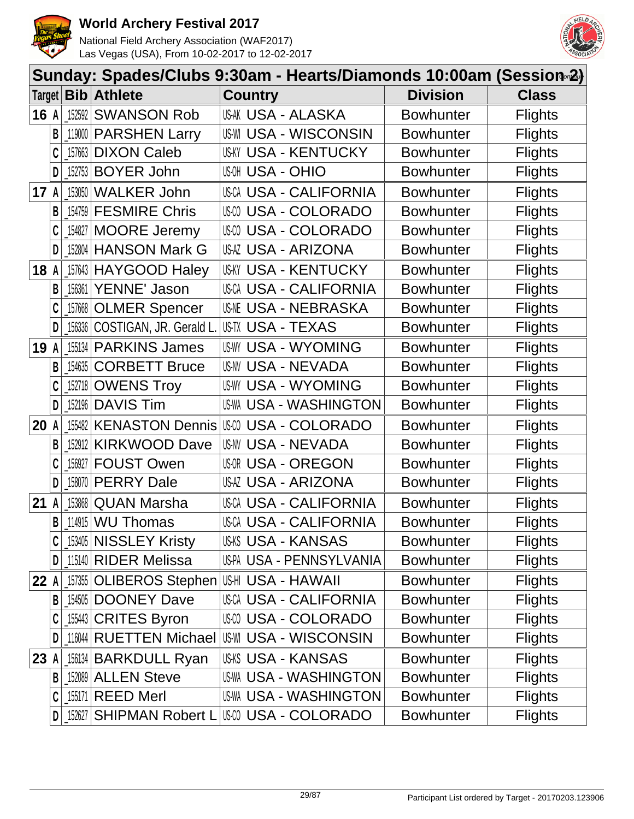



|        | Sunday: Spades/Clubs 9:30am - Hearts/Diamonds 10:00am (Session∞2) |        |                                  |                   |                              |                  |                |  |  |  |
|--------|-------------------------------------------------------------------|--------|----------------------------------|-------------------|------------------------------|------------------|----------------|--|--|--|
|        |                                                                   |        | Target <b>Bib Athlete</b>        | <b>Country</b>    |                              | <b>Division</b>  | <b>Class</b>   |  |  |  |
| 16A    |                                                                   |        | 152592 SWANSON Rob               |                   | <b>US-AK USA - ALASKA</b>    | <b>Bowhunter</b> | <b>Flights</b> |  |  |  |
|        | B                                                                 |        | 119000 PARSHEN Larry             |                   | <b>USWI USA - WISCONSIN</b>  | <b>Bowhunter</b> | <b>Flights</b> |  |  |  |
|        |                                                                   |        | 157663 DIXON Caleb               |                   | <b>USKY USA - KENTUCKY</b>   | <b>Bowhunter</b> | <b>Flights</b> |  |  |  |
|        | D                                                                 |        | 152753 BOYER John                | <b>USA - OHIO</b> |                              | <b>Bowhunter</b> | <b>Flights</b> |  |  |  |
| 17     | A                                                                 | 153050 | <b>WALKER John</b>               |                   | <b>USCA USA - CALIFORNIA</b> | <b>Bowhunter</b> | <b>Flights</b> |  |  |  |
|        | B                                                                 |        | 154759 FESMIRE Chris             |                   | USM USA - COLORADO           | <b>Bowhunter</b> | <b>Flights</b> |  |  |  |
|        |                                                                   |        | 154827 MOORE Jeremy              |                   | USM USA - COLORADO           | <b>Bowhunter</b> | <b>Flights</b> |  |  |  |
|        | D                                                                 |        | 152804 HANSON Mark G             |                   | USAZ USA - ARIZONA           | <b>Bowhunter</b> | <b>Flights</b> |  |  |  |
| 18     | A                                                                 |        | 157643 HAYGOOD Haley             |                   | <b>USKY USA - KENTUCKY</b>   | <b>Bowhunter</b> | <b>Flights</b> |  |  |  |
|        | В                                                                 |        | 156361 YENNE' Jason              |                   | <b>USCA USA - CALIFORNIA</b> | <b>Bowhunter</b> | <b>Flights</b> |  |  |  |
|        |                                                                   |        | 157668 OLMER Spencer             |                   | <b>USNE USA - NEBRASKA</b>   | <b>Bowhunter</b> | <b>Flights</b> |  |  |  |
|        | D                                                                 | 156336 | COSTIGAN, JR. Gerald L.          | US-TX USA - TEXAS |                              | <b>Bowhunter</b> | <b>Flights</b> |  |  |  |
| 19     | A                                                                 |        | [155134   PARKINS James          |                   | <b>US-WY USA - WYOMING</b>   | <b>Bowhunter</b> | <b>Flights</b> |  |  |  |
|        | B                                                                 | 154635 | <b>CORBETT Bruce</b>             |                   | <b>US-NV USA - NEVADA</b>    | <b>Bowhunter</b> | <b>Flights</b> |  |  |  |
|        |                                                                   |        | 152718 OWENS Troy                |                   | <b>US-WY USA - WYOMING</b>   | <b>Bowhunter</b> | <b>Flights</b> |  |  |  |
|        | D                                                                 |        | 152196 DAVIS Tim                 |                   | US-WA USA - WASHINGTON       | <b>Bowhunter</b> | <b>Flights</b> |  |  |  |
| 20     | A                                                                 |        | 155482 KENASTON Dennis           |                   | <b>USA - COLORADO</b>        | <b>Bowhunter</b> | <b>Flights</b> |  |  |  |
|        | B                                                                 | 152912 | <b>KIRKWOOD Dave</b>             |                   | <b>US-NV USA - NEVADA</b>    | <b>Bowhunter</b> | <b>Flights</b> |  |  |  |
|        |                                                                   |        | 156927 FOUST Owen                |                   | <b>USOR USA - OREGON</b>     | <b>Bowhunter</b> | <b>Flights</b> |  |  |  |
|        | D                                                                 | 158070 | <b>PERRY Dale</b>                |                   | USAZ USA - ARIZONA           | <b>Bowhunter</b> | <b>Flights</b> |  |  |  |
| 21     | A                                                                 |        | <sub>_153868</sub>   QUAN Marsha |                   | USCA USA - CALIFORNIA        | <b>Bowhunter</b> | <b>Flights</b> |  |  |  |
|        | $\mathsf{B}$                                                      |        | $114915$ WU Thomas               |                   | <b>USCA USA - CALIFORNIA</b> | <b>Bowhunter</b> | <b>Flights</b> |  |  |  |
|        |                                                                   |        | 153405 NISSLEY Kristy            |                   | USKS USA - KANSAS            | <b>Bowhunter</b> | <b>Flights</b> |  |  |  |
|        | D                                                                 |        | 115140 RIDER Melissa             |                   | US-PA USA - PENNSYLVANIA     | <b>Bowhunter</b> | <b>Flights</b> |  |  |  |
| 22A    |                                                                   |        |                                  |                   |                              | <b>Bowhunter</b> | <b>Flights</b> |  |  |  |
|        | B                                                                 |        | 154505 DOONEY Dave               |                   | USCA USA - CALIFORNIA        | <b>Bowhunter</b> | <b>Flights</b> |  |  |  |
|        |                                                                   |        | 155443 CRITES Byron              |                   | <b>USCO USA - COLORADO</b>   | <b>Bowhunter</b> | <b>Flights</b> |  |  |  |
|        | D                                                                 |        | 116044 RUETTEN Michael           |                   | <b>US-WI USA - WISCONSIN</b> | <b>Bowhunter</b> | <b>Flights</b> |  |  |  |
| $23$ A |                                                                   |        | [156134 BARKDULL Ryan            |                   | USKS USA - KANSAS            | <b>Bowhunter</b> | <b>Flights</b> |  |  |  |
|        | B                                                                 |        | $152089$ ALLEN Steve             |                   | US-WA USA - WASHINGTON       | <b>Bowhunter</b> | <b>Flights</b> |  |  |  |
|        | C                                                                 |        | $155171$ REED Merl               |                   | US-WA USA - WASHINGTON       | <b>Bowhunter</b> | <b>Flights</b> |  |  |  |
|        | D                                                                 |        | 152627 SHIPMAN Robert L          |                   | USM USA - COLORADO           | <b>Bowhunter</b> | <b>Flights</b> |  |  |  |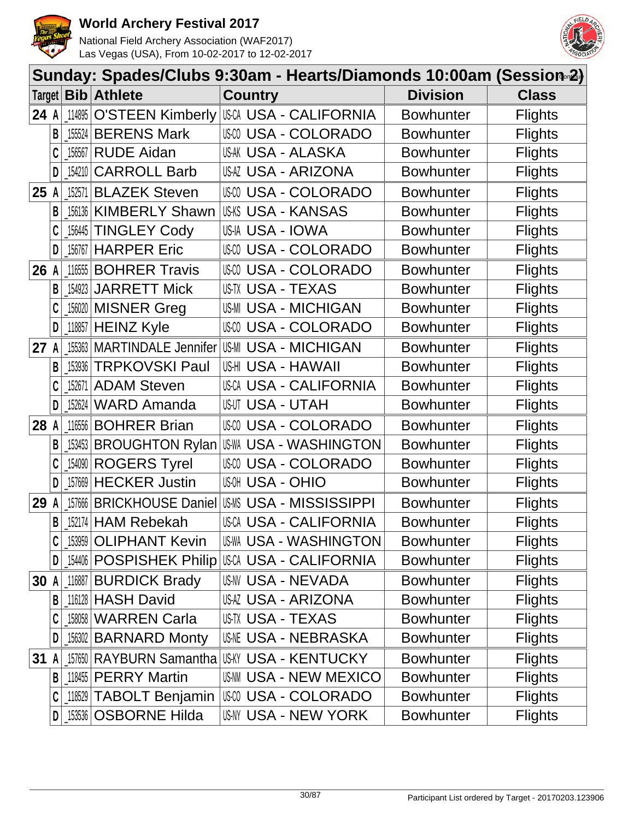



|      |              |        | Sunday: Spades/Clubs 9:30am - Hearts/Diamonds 10:00am (Session∞2) |       |                |                               |                  |                |
|------|--------------|--------|-------------------------------------------------------------------|-------|----------------|-------------------------------|------------------|----------------|
|      |              |        | Target   Bib   Athlete                                            |       | <b>Country</b> |                               | <b>Division</b>  | <b>Class</b>   |
| 24 A |              | 114895 | O'STEEN Kimberly USA USA - CALIFORNIA                             |       |                |                               | <b>Bowhunter</b> | <b>Flights</b> |
|      | B            |        | 155524 BERENS Mark                                                |       |                | USCO USA - COLORADO           | <b>Bowhunter</b> | <b>Flights</b> |
|      |              | 156567 | <b>RUDE Aidan</b>                                                 |       |                | <b>US-AK USA - ALASKA</b>     | <b>Bowhunter</b> | <b>Flights</b> |
|      | D            | 154210 | <b>CARROLL Barb</b>                                               |       |                | USAZ USA - ARIZONA            | <b>Bowhunter</b> | <b>Flights</b> |
| 25   | A            | 152571 | <b>BLAZEK Steven</b>                                              |       |                | USCO USA - COLORADO           | <b>Bowhunter</b> | <b>Flights</b> |
|      | B            |        | [156136   KIMBERLY Shawn                                          |       |                | <b>US-KS USA - KANSAS</b>     | <b>Bowhunter</b> | <b>Flights</b> |
|      |              |        | 156445 TINGLEY Cody                                               |       |                | US-IA USA - IOWA              | <b>Bowhunter</b> | <b>Flights</b> |
|      | D            |        | 156767 HARPER Eric                                                |       |                | <b>USA - COLORADO</b>         | <b>Bowhunter</b> | <b>Flights</b> |
| 26   | A            |        | 11655 BOHRER Travis                                               | US-CO |                | <b>USA - COLORADO</b>         | <b>Bowhunter</b> | <b>Flights</b> |
|      | B            | 154923 | <b>JARRETT Mick</b>                                               |       |                | US-TX USA - TEXAS             | <b>Bowhunter</b> | <b>Flights</b> |
|      |              |        | 156020 MISNER Greg                                                |       |                | <b>US-MI USA - MICHIGAN</b>   | <b>Bowhunter</b> | <b>Flights</b> |
|      | D            |        | _118857 <b>HEINZ Kyle</b>                                         |       |                | USCO USA - COLORADO           | <b>Bowhunter</b> | <b>Flights</b> |
| 27   | $\mathsf{A}$ |        | 155363 MARTINDALE Jennifer                                        |       |                | <b>US-MI USA - MICHIGAN</b>   | <b>Bowhunter</b> | <b>Flights</b> |
|      | B            |        | 153936 TRPKOVSKI Paul                                             |       |                | US-HI USA - HAWAII            | <b>Bowhunter</b> | <b>Flights</b> |
|      | C            |        | [152671   ADAM Steven]                                            |       |                | <b>USCA USA - CALIFORNIA</b>  | <b>Bowhunter</b> | <b>Flights</b> |
|      | D            |        | 152624 WARD Amanda                                                |       |                | <b>USUT USA - UTAH</b>        | <b>Bowhunter</b> | <b>Flights</b> |
| 28 A |              | 116556 | <b>BOHRER Brian</b>                                               |       |                | USCO USA - COLORADO           | <b>Bowhunter</b> | <b>Flights</b> |
|      | B            |        | 153453   BROUGHTON Rylan   US-WA                                  |       |                | <b>USA - WASHINGTON</b>       | <b>Bowhunter</b> | <b>Flights</b> |
|      |              |        | 154090 ROGERS Tyrel                                               |       |                | USCO USA - COLORADO           | <b>Bowhunter</b> | <b>Flights</b> |
|      |              |        | 157669 HECKER Justin                                              |       |                | <b>USOH USA - OHIO</b>        | <b>Bowhunter</b> | <b>Flights</b> |
| 29   | A            |        | 157666 BRICKHOUSE Daniel USMS USA - MISSISSIPPI                   |       |                |                               | <b>Bowhunter</b> | <b>Flights</b> |
|      |              |        | $B$ 152174 HAM Rebekah                                            |       |                | <b>USCA USA - CALIFORNIA</b>  | <b>Bowhunter</b> | <b>Flights</b> |
|      |              |        | 153959 OLIPHANT Kevin                                             |       |                | US-WA USA - WASHINGTON        | <b>Bowhunter</b> | <b>Flights</b> |
|      | D            |        | 154406 POSPISHEK Philip                                           |       |                | USCA USA - CALIFORNIA         | <b>Bowhunter</b> | <b>Flights</b> |
| 30 A |              |        | 116887 BURDICK Brady                                              |       |                | US-NV USA - NEVADA            | <b>Bowhunter</b> | <b>Flights</b> |
|      | B            |        | 116128 HASH David                                                 |       |                | USAZ USA - ARIZONA            | <b>Bowhunter</b> | <b>Flights</b> |
|      |              |        | 158058 WARREN Carla                                               |       |                | US-TX USA - TEXAS             | <b>Bowhunter</b> | <b>Flights</b> |
|      | D            |        | 156302 BARNARD Monty                                              |       |                | <b>USME USA - NEBRASKA</b>    | <b>Bowhunter</b> | <b>Flights</b> |
| 31   | A            |        | 157650 RAYBURN Samantha                                           |       |                | <b>IUSKY USA - KENTUCKY</b>   | <b>Bowhunter</b> | <b>Flights</b> |
|      |              |        | <b>B</b> 118455 <b>PERRY</b> Martin                               |       |                | <b>US-NN USA - NEW MEXICO</b> | <b>Bowhunter</b> | <b>Flights</b> |
|      |              |        | [118529   TABOLT Benjamin                                         |       |                | II\$00 USA - COLORADO         | <b>Bowhunter</b> | <b>Flights</b> |
|      | D            |        | <b>LI53536   OSBORNE Hilda</b>                                    |       |                | USNY USA - NEW YORK           | <b>Bowhunter</b> | <b>Flights</b> |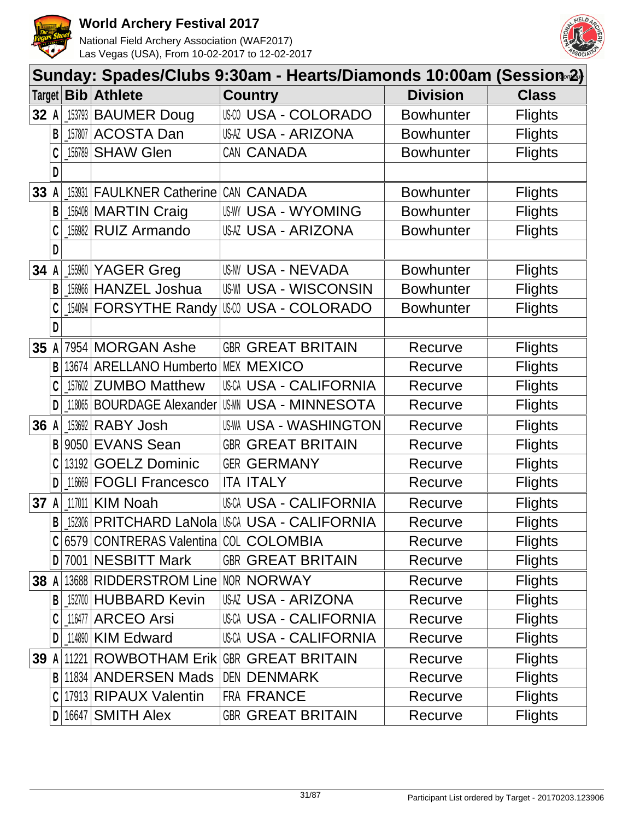



|        | Sunday: Spades/Clubs 9:30am - Hearts/Diamonds 10:00am (Session-2) |            |                                                   |                               |  |                  |                |  |  |  |
|--------|-------------------------------------------------------------------|------------|---------------------------------------------------|-------------------------------|--|------------------|----------------|--|--|--|
| Target |                                                                   | <b>Bib</b> | <b>Athlete</b>                                    | <b>Country</b>                |  | <b>Division</b>  | <b>Class</b>   |  |  |  |
| 32 A   |                                                                   | 153793     | <b>BAUMER Doug</b>                                | <b>USA - COLORADO</b>         |  | <b>Bowhunter</b> | <b>Flights</b> |  |  |  |
|        | B                                                                 | 157807     | <b>ACOSTA Dan</b>                                 | <b>USAZ USA - ARIZONA</b>     |  | <b>Bowhunter</b> | <b>Flights</b> |  |  |  |
|        |                                                                   | 156789     | <b>SHAW Glen</b>                                  | CAN CANADA                    |  | <b>Bowhunter</b> | <b>Flights</b> |  |  |  |
|        | D                                                                 |            |                                                   |                               |  |                  |                |  |  |  |
| 33     |                                                                   | 153931     | <b>FAULKNER Catherine</b>                         | CAN CANADA                    |  | <b>Bowhunter</b> | <b>Flights</b> |  |  |  |
|        | B                                                                 |            | 156408 MARTIN Craig                               | <b>USWY USA - WYOMING</b>     |  | <b>Bowhunter</b> | <b>Flights</b> |  |  |  |
|        | C                                                                 | 156982     | <b>RUIZ Armando</b>                               | <b>USAZ USA - ARIZONA</b>     |  | <b>Bowhunter</b> | <b>Flights</b> |  |  |  |
|        | D                                                                 |            |                                                   |                               |  |                  |                |  |  |  |
| 34     |                                                                   | 155960     | YAGER Greg                                        | <b>US-NV USA - NEVADA</b>     |  | <b>Bowhunter</b> | <b>Flights</b> |  |  |  |
|        | B                                                                 | 156966     | <b>HANZEL Joshua</b>                              | <b>US-WI USA - WISCONSIN</b>  |  | <b>Bowhunter</b> | <b>Flights</b> |  |  |  |
|        |                                                                   | 154094     | <b>FORSYTHE Randy</b>                             | I S © USA - COLORADO          |  | <b>Bowhunter</b> | <b>Flights</b> |  |  |  |
|        | D                                                                 |            |                                                   |                               |  |                  |                |  |  |  |
| 35     | A                                                                 | 7954       | <b>MORGAN Ashe</b>                                | <b>GBR GREAT BRITAIN</b>      |  | Recurve          | <b>Flights</b> |  |  |  |
|        | B                                                                 | 13674      | <b>ARELLANO Humberto</b>                          | <b>MEX MEXICO</b>             |  | Recurve          | <b>Flights</b> |  |  |  |
|        | C                                                                 | 157602     | <b>ZUMBO Matthew</b>                              | <b>USCA USA - CALIFORNIA</b>  |  | Recurve          | <b>Flights</b> |  |  |  |
|        | D                                                                 | 118065     | <b>BOURDAGE Alexander</b>                         | USMN USA - MINNESOTA          |  | Recurve          | <b>Flights</b> |  |  |  |
| 36     | A                                                                 | 153692     | <b>RABY Josh</b>                                  | <b>US-WA USA - WASHINGTON</b> |  | Recurve          | <b>Flights</b> |  |  |  |
|        | B                                                                 | 9050       | <b>EVANS Sean</b>                                 | <b>GBR GREAT BRITAIN</b>      |  | Recurve          | <b>Flights</b> |  |  |  |
|        |                                                                   | 13192      | <b>GOELZ Dominic</b>                              | <b>GER GERMANY</b>            |  | Recurve          | <b>Flights</b> |  |  |  |
|        | D                                                                 | 116669     | <b>FOGLI Francesco</b>                            | <b>ITA ITALY</b>              |  | Recurve          | <b>Flights</b> |  |  |  |
| 37     |                                                                   | 117011     | <b>KIM Noah</b>                                   | USCA USA - CALIFORNIA         |  | Recurve          | <b>Flights</b> |  |  |  |
|        | B                                                                 |            | 152306   PRITCHARD LaNola   USCA USA - CALIFORNIA |                               |  | Recurve          | <b>Flights</b> |  |  |  |
|        |                                                                   |            | 6579 CONTRERAS Valentina COL COLOMBIA             |                               |  | Recurve          | <b>Flights</b> |  |  |  |
|        | D                                                                 |            | 7001 NESBITT Mark                                 | <b>GBR GREAT BRITAIN</b>      |  | Recurve          | <b>Flights</b> |  |  |  |
| 38 A   |                                                                   |            | 13688 RIDDERSTROM Line NOR NORWAY                 |                               |  | Recurve          | <b>Flights</b> |  |  |  |
|        | B                                                                 |            | 152700 HUBBARD Kevin                              | USAZ USA - ARIZONA            |  | Recurve          | <b>Flights</b> |  |  |  |
|        |                                                                   |            | 116477 ARCEO Arsi                                 | <b>USCA USA - CALIFORNIA</b>  |  | Recurve          | <b>Flights</b> |  |  |  |
|        | D                                                                 |            | 114890 KIM Edward                                 | USCA USA - CALIFORNIA         |  | Recurve          | <b>Flights</b> |  |  |  |
| 39     |                                                                   | 11221      | ROWBOTHAM Erik GREAT BRITAIN                      |                               |  | Recurve          | <b>Flights</b> |  |  |  |
|        | B                                                                 |            | 11834 ANDERSEN Mads                               | DEN DENMARK                   |  | Recurve          | <b>Flights</b> |  |  |  |
|        |                                                                   |            | 17913 RIPAUX Valentin                             | FRA FRANCE                    |  | Recurve          | <b>Flights</b> |  |  |  |
|        | D                                                                 |            | 16647 SMITH Alex                                  | <b>GBR GREAT BRITAIN</b>      |  | Recurve          | <b>Flights</b> |  |  |  |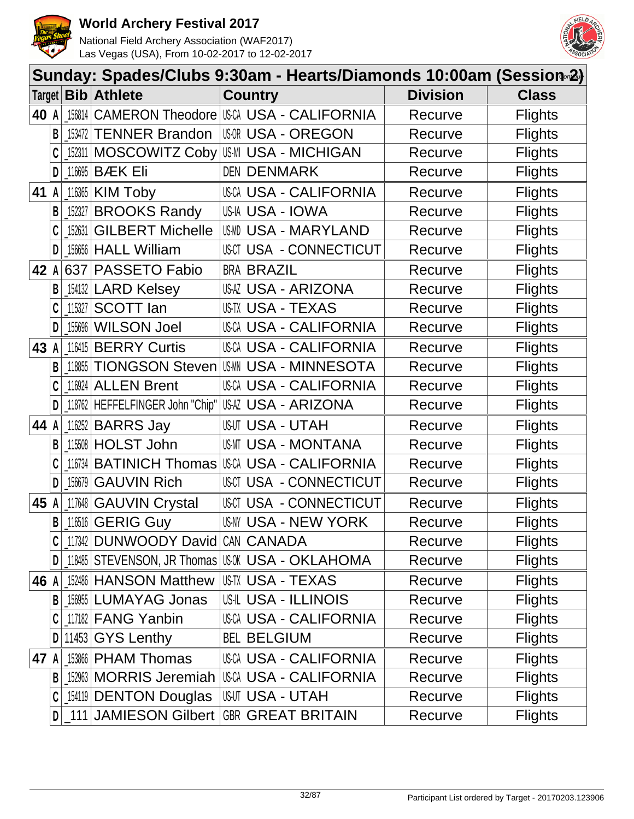



|        | Sunday: Spades/Clubs 9:30am - Hearts/Diamonds 10:00am (Session <sup>2</sup> ) |          |                                         |                                                                 |                |  |  |  |  |
|--------|-------------------------------------------------------------------------------|----------|-----------------------------------------|-----------------------------------------------------------------|----------------|--|--|--|--|
| Target |                                                                               |          | <b>Bib</b> Athlete                      | <b>Country</b><br><b>Division</b>                               | <b>Class</b>   |  |  |  |  |
| 40 A   |                                                                               | 156814   |                                         | CAMERON Theodore USCA USA - CALIFORNIA<br>Recurve               | <b>Flights</b> |  |  |  |  |
|        | B                                                                             | 153472   | <b>TENNER Brandon</b>                   | <b>USOR USA - OREGON</b><br>Recurve                             | <b>Flights</b> |  |  |  |  |
|        |                                                                               | 152311   |                                         | MOSCOWITZ Coby US-MI USA - MICHIGAN<br>Recurve                  | <b>Flights</b> |  |  |  |  |
|        | D                                                                             | 116695   | <b>BÆK Eli</b>                          | <b>DEN DENMARK</b><br>Recurve                                   | <b>Flights</b> |  |  |  |  |
| 41     |                                                                               | 116365   | <b>KIM Toby</b>                         | USCA USA - CALIFORNIA<br>Recurve                                | <b>Flights</b> |  |  |  |  |
|        | B                                                                             | 152327   | <b>BROOKS Randy</b>                     | US-IA USA - IOWA<br>Recurve                                     | <b>Flights</b> |  |  |  |  |
|        |                                                                               | 152631   | <b>GILBERT Michelle</b>                 | USMD USA - MARYLAND<br>Recurve                                  | <b>Flights</b> |  |  |  |  |
|        | D                                                                             |          | 156656 HALL William                     | USCT USA - CONNECTICUT<br>Recurve                               | <b>Flights</b> |  |  |  |  |
| 42     |                                                                               | 637      | PASSETO Fabio                           | <b>BRA BRAZIL</b><br>Recurve                                    | <b>Flights</b> |  |  |  |  |
|        |                                                                               | $154132$ | <b>LARD Kelsey</b>                      | USAZ USA - ARIZONA<br>Recurve                                   | <b>Flights</b> |  |  |  |  |
|        |                                                                               | 115327   | <b>SCOTT lan</b>                        | <b>US-TX USA - TEXAS</b><br>Recurve                             | <b>Flights</b> |  |  |  |  |
|        | D                                                                             | 155696   | <b>WILSON Joel</b>                      | USCA USA - CALIFORNIA<br>Recurve                                | <b>Flights</b> |  |  |  |  |
| 43     |                                                                               | 116415   | <b>BERRY Curtis</b>                     | USCA USA - CALIFORNIA<br>Recurve                                | <b>Flights</b> |  |  |  |  |
|        | B                                                                             | 118855   |                                         | <b>TIONGSON Steven USM USA - MINNESOTA</b><br>Recurve           | <b>Flights</b> |  |  |  |  |
|        | C                                                                             | 116924   | <b>ALLEN Brent</b>                      | <b>USCA USA - CALIFORNIA</b><br>Recurve                         | <b>Flights</b> |  |  |  |  |
|        | D                                                                             | 118762   | HEFFELFINGER John "Chip"                | USAZ USA - ARIZONA<br>Recurve                                   | <b>Flights</b> |  |  |  |  |
| 44     |                                                                               | 116252   | <b>BARRS Jay</b>                        | <b>USUT USA - UTAH</b><br>Recurve                               | <b>Flights</b> |  |  |  |  |
|        | B                                                                             | 115508   | <b>HOLST John</b>                       | USMT USA - MONTANA<br>Recurve                                   | <b>Flights</b> |  |  |  |  |
|        |                                                                               | 116734   |                                         | <b>BATINICH Thomas USA USA - CALIFORNIA</b><br>Recurve          | <b>Flights</b> |  |  |  |  |
|        | D                                                                             | 156679   | <b>GAUVIN Rich</b>                      | USCT USA - CONNECTICUT<br>Recurve                               | <b>Flights</b> |  |  |  |  |
| 45     |                                                                               | 117648   | <b>GAUVIN Crystal</b>                   | USCT USA - CONNECTICUT<br>Recurve                               | <b>Flights</b> |  |  |  |  |
|        |                                                                               |          | $B$   116516 GERIG Guy                  | <b>US-NY USA - NEW YORK</b><br>Recurve                          | <b>Flights</b> |  |  |  |  |
|        |                                                                               |          | 117342 DUNWOODY David CAN CANADA        | Recurve                                                         | <b>Flights</b> |  |  |  |  |
|        | D                                                                             |          |                                         | 118485 STEVENSON, JR Thomas US-0K USA - OKLAHOMA<br>Recurve     | <b>Flights</b> |  |  |  |  |
| 46 A   |                                                                               |          | 152486 HANSON Matthew US-TX USA - TEXAS | Recurve                                                         | <b>Flights</b> |  |  |  |  |
|        | B                                                                             |          | 156955 LUMAYAG Jonas                    | US-IL USA - ILLINOIS<br>Recurve                                 | <b>Flights</b> |  |  |  |  |
|        |                                                                               |          | 117182 FANG Yanbin                      | USCA USA - CALIFORNIA<br>Recurve                                | <b>Flights</b> |  |  |  |  |
|        | D                                                                             |          | $11453$ GYS Lenthy                      | <b>BEL BELGIUM</b><br>Recurve                                   | <b>Flights</b> |  |  |  |  |
| 47     |                                                                               |          | 153866 PHAM Thomas                      | <b>USCA USA - CALIFORNIA</b><br>Recurve                         | <b>Flights</b> |  |  |  |  |
|        |                                                                               |          |                                         | B   152963   MORRIS Jeremiah   USCA USA - CALIFORNIA<br>Recurve | <b>Flights</b> |  |  |  |  |
|        |                                                                               |          | 154119 DENTON Douglas                   | <b>IUSUT USA - UTAH</b><br>Recurve                              | <b>Flights</b> |  |  |  |  |
|        |                                                                               |          |                                         | D 111 JAMIESON Gilbert GBR GREAT BRITAIN<br>Recurve             | <b>Flights</b> |  |  |  |  |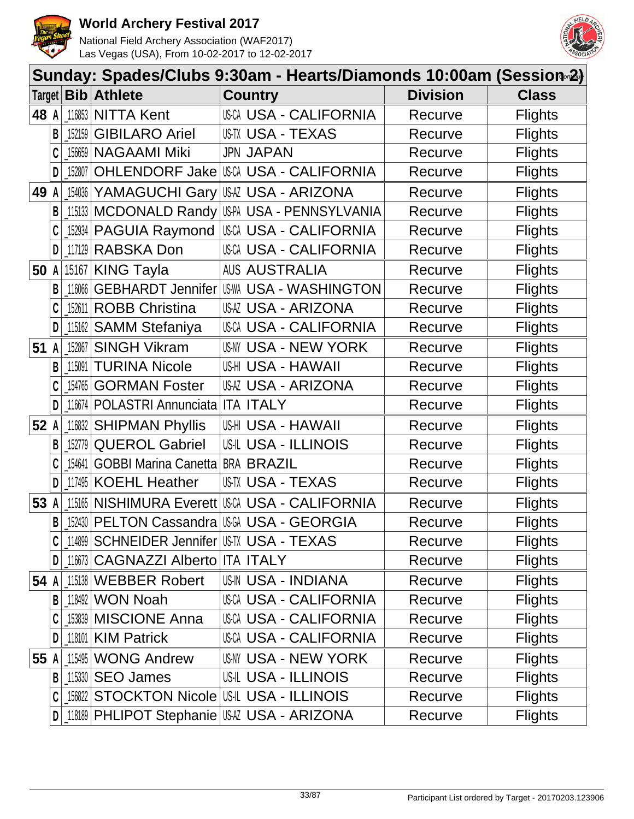



|        | Sunday: Spades/Clubs 9:30am - Hearts/Diamonds 10:00am (Session <sup>2</sup> ) |                 |                                             |                                                     |                 |                |  |  |  |  |
|--------|-------------------------------------------------------------------------------|-----------------|---------------------------------------------|-----------------------------------------------------|-----------------|----------------|--|--|--|--|
| Target |                                                                               | <b>Bib</b>      | <b>Athlete</b>                              | <b>Country</b>                                      | <b>Division</b> | <b>Class</b>   |  |  |  |  |
| 48 A   |                                                                               | 116853          | <b>NITTA Kent</b>                           | <b>USCA USA - CALIFORNIA</b>                        | Recurve         | <b>Flights</b> |  |  |  |  |
|        | B                                                                             | 152159          | <b>GIBILARO Ariel</b>                       | USTX USA - TEXAS                                    | Recurve         | <b>Flights</b> |  |  |  |  |
|        |                                                                               | 156659          | <b>NAGAAMI Miki</b>                         | <b>JPN JAPAN</b>                                    | Recurve         | <b>Flights</b> |  |  |  |  |
|        | D                                                                             | 152807          | OHLENDORF Jake                              | USCA USA - CALIFORNIA                               | Recurve         | <b>Flights</b> |  |  |  |  |
| 49     | A                                                                             | 154036          |                                             | YAMAGUCHI Gary USA - ARIZONA                        | Recurve         | <b>Flights</b> |  |  |  |  |
|        |                                                                               |                 | B   15133   MCDONALD Randy                  | US-PA USA - PENNSYLVANIA                            | Recurve         | <b>Flights</b> |  |  |  |  |
|        |                                                                               | 152934          | <b>PAGUIA Raymond</b>                       | <b>USCA USA - CALIFORNIA</b>                        | Recurve         | <b>Flights</b> |  |  |  |  |
|        | D                                                                             | 117129          | RABSKA Don                                  | <b>USCA USA - CALIFORNIA</b>                        | Recurve         | <b>Flights</b> |  |  |  |  |
| 50     | A                                                                             |                 | 15167 KING Tayla                            | <b>AUS AUSTRALIA</b>                                | Recurve         | <b>Flights</b> |  |  |  |  |
|        |                                                                               | 116066          |                                             | GEBHARDT Jennifer   USM USA - WASHINGTON            | Recurve         | <b>Flights</b> |  |  |  |  |
|        |                                                                               | 152611          | <b>ROBB Christina</b>                       | USAZ USA - ARIZONA                                  | Recurve         | <b>Flights</b> |  |  |  |  |
|        | D                                                                             | 115162          | <b>SAMM Stefaniya</b>                       | <b>USCA USA - CALIFORNIA</b>                        | Recurve         | <b>Flights</b> |  |  |  |  |
| 51     |                                                                               | $A \mid 152867$ | <b>SINGH Vikram</b>                         | USNY USA - NEW YORK                                 | Recurve         | <b>Flights</b> |  |  |  |  |
|        | B                                                                             | 115091          | <b>TURINA Nicole</b>                        | USHI USA - HAWAII                                   | Recurve         | <b>Flights</b> |  |  |  |  |
|        |                                                                               | 154765          | <b>GORMAN Foster</b>                        | USAZ USA - ARIZONA                                  | Recurve         | <b>Flights</b> |  |  |  |  |
|        | D                                                                             | 116674          | POLASTRI Annunciata                         | <b>ITA ITALY</b>                                    | Recurve         | <b>Flights</b> |  |  |  |  |
| 52 A   |                                                                               | 116832          | <b>SHIPMAN Phyllis</b>                      | US-HI USA - HAWAII                                  | Recurve         | <b>Flights</b> |  |  |  |  |
|        | B                                                                             | 152779          | <b>QUEROL Gabriel</b>                       | <b>US-IL USA - ILLINOIS</b>                         | Recurve         | <b>Flights</b> |  |  |  |  |
|        |                                                                               | 154641          | <b>GOBBI Marina Canetta BRA BRAZIL</b>      |                                                     | Recurve         | <b>Flights</b> |  |  |  |  |
|        |                                                                               | 117495          | <b>KOEHL Heather</b>                        | USTX USA - TEXAS                                    | Recurve         | <b>Flights</b> |  |  |  |  |
| 53     |                                                                               | 115165          |                                             | NISHIMURA Everett USA USA - CALIFORNIA              | Recurve         | <b>Flights</b> |  |  |  |  |
|        |                                                                               |                 |                                             | B   152430   PELTON Cassandra   USA - USA - GEORGIA | Recurve         | <b>Flights</b> |  |  |  |  |
|        |                                                                               | 114899          | <b>SCHNEIDER Jennifer US-TX USA - TEXAS</b> |                                                     | Recurve         | <b>Flights</b> |  |  |  |  |
|        | D                                                                             | 116673          | CAGNAZZI Alberto ITA ITALY                  |                                                     | Recurve         | <b>Flights</b> |  |  |  |  |
| 54 A   |                                                                               |                 | 115138 WEBBER Robert                        | <b>US-IN USA - INDIANA</b>                          | Recurve         | <b>Flights</b> |  |  |  |  |
|        | B                                                                             | 118492          | <b>WON Noah</b>                             | USCA USA - CALIFORNIA                               | Recurve         | <b>Flights</b> |  |  |  |  |
|        |                                                                               |                 | 153839 MISCIONE Anna                        | <b>USCA USA - CALIFORNIA</b>                        | Recurve         | <b>Flights</b> |  |  |  |  |
|        | D                                                                             |                 | 118101 KIM Patrick                          | USCA USA - CALIFORNIA                               | Recurve         | <b>Flights</b> |  |  |  |  |
| 55     |                                                                               | 115495          | <b>WONG Andrew</b>                          | USNY USA - NEW YORK                                 | Recurve         | <b>Flights</b> |  |  |  |  |
|        | B                                                                             |                 | 115330 SEO James                            | <b>US-IL USA - ILLINOIS</b>                         | Recurve         | <b>Flights</b> |  |  |  |  |
|        |                                                                               | 156822          |                                             | <b>STOCKTON Nicole US-IL USA - ILLINOIS</b>         | Recurve         | <b>Flights</b> |  |  |  |  |
|        | D                                                                             |                 |                                             | 118189 PHLIPOT Stephanie USA USA - ARIZONA          | Recurve         | <b>Flights</b> |  |  |  |  |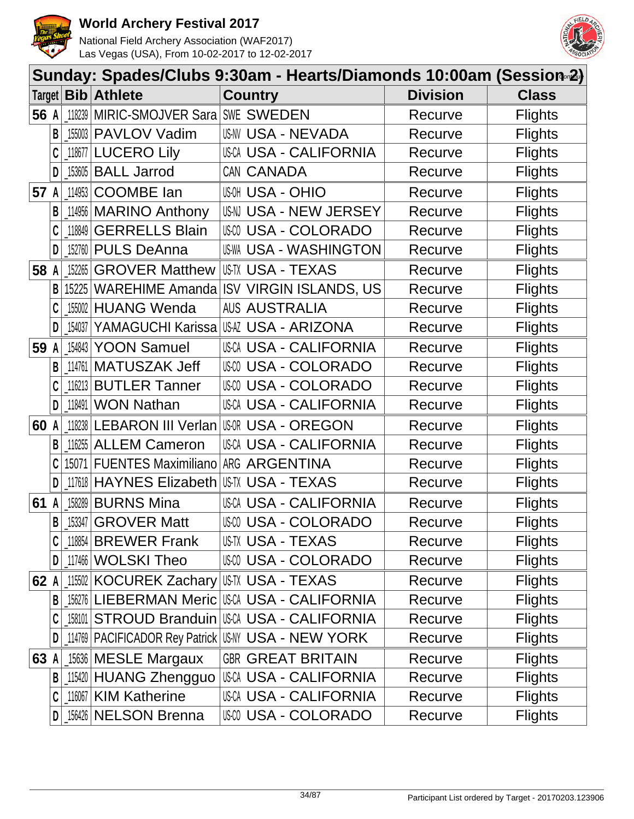



|      | Sunday: Spades/Clubs 9:30am - Hearts/Diamonds 10:00am (Session∞2) |           |                                         |                                                    |                 |                |  |  |  |  |
|------|-------------------------------------------------------------------|-----------|-----------------------------------------|----------------------------------------------------|-----------------|----------------|--|--|--|--|
|      |                                                                   |           | Target <b>Bib Athlete</b>               | <b>Country</b>                                     | <b>Division</b> | <b>Class</b>   |  |  |  |  |
| 56 A |                                                                   |           | 18239 MIRIC-SMOJVER Sara SWE SWEDEN     |                                                    | Recurve         | <b>Flights</b> |  |  |  |  |
|      | B                                                                 |           | 155003 PAVLOV Vadim                     | <b>US-NV USA - NEVADA</b>                          | Recurve         | <b>Flights</b> |  |  |  |  |
|      |                                                                   |           | 118677 LUCERO Lily                      | <b>USCA USA - CALIFORNIA</b>                       | Recurve         | <b>Flights</b> |  |  |  |  |
|      | D                                                                 |           | 153605 BALL Jarrod                      | CAN CANADA                                         | Recurve         | <b>Flights</b> |  |  |  |  |
| 57   | A                                                                 | $-114953$ | <b>COOMBE</b> lan                       | <b>USA - OHIO</b>                                  | Recurve         | <b>Flights</b> |  |  |  |  |
|      | B                                                                 |           | 114956 MARINO Anthony                   | USN USA - NEW JERSEY                               | Recurve         | <b>Flights</b> |  |  |  |  |
|      |                                                                   | 118849    | <b>GERRELLS Blain</b>                   | USM USA - COLORADO                                 | Recurve         | <b>Flights</b> |  |  |  |  |
|      | D                                                                 |           | [152760 PULS DeAnna                     | US-WA USA - WASHINGTON                             | Recurve         | <b>Flights</b> |  |  |  |  |
| 58   | A                                                                 |           | 152265 GROVER Matthew                   | US-TX USA - TEXAS                                  | Recurve         | <b>Flights</b> |  |  |  |  |
|      | B                                                                 | 15225     | WAREHIME Amanda                         | <b>ISV VIRGIN ISLANDS, US</b>                      | Recurve         | <b>Flights</b> |  |  |  |  |
|      |                                                                   |           | 155002 HUANG Wenda                      | <b>AUS AUSTRALIA</b>                               | Recurve         | <b>Flights</b> |  |  |  |  |
|      | D                                                                 | 154037    |                                         | YAMAGUCHI Karissa USA USA - ARIZONA                | Recurve         | <b>Flights</b> |  |  |  |  |
| 59   | A                                                                 |           | 154843 YOON Samuel                      | USCA USA - CALIFORNIA                              | Recurve         | <b>Flights</b> |  |  |  |  |
|      | B                                                                 | 114761    | MATUSZAK Jeff                           | USM USA - COLORADO                                 | Recurve         | <b>Flights</b> |  |  |  |  |
|      |                                                                   |           | 116213 BUTLER Tanner                    | USM USA - COLORADO                                 | Recurve         | <b>Flights</b> |  |  |  |  |
|      | D                                                                 | 118491    | <b>WON Nathan</b>                       | USCA USA - CALIFORNIA                              | Recurve         | <b>Flights</b> |  |  |  |  |
| 60 A |                                                                   |           | 118238 LEBARON III Verlan               | US-OR USA - OREGON                                 | Recurve         | <b>Flights</b> |  |  |  |  |
|      | B                                                                 |           | 116255 ALLEM Cameron                    | <b>USCA USA - CALIFORNIA</b>                       | Recurve         | <b>Flights</b> |  |  |  |  |
|      |                                                                   |           | 15071 FUENTES Maximiliano ARG ARGENTINA |                                                    | Recurve         | <b>Flights</b> |  |  |  |  |
|      |                                                                   |           | 117618 HAYNES Elizabeth                 | USTX USA - TEXAS                                   | Recurve         | <b>Flights</b> |  |  |  |  |
| 61   | A                                                                 |           | 158289 BURNS Mina                       | <b>USCA USA - CALIFORNIA</b>                       | Recurve         | <b>Flights</b> |  |  |  |  |
|      | $\mathsf{B}$                                                      |           | $153347$ GROVER Matt                    | <b>USA - COLORADO</b>                              | Recurve         | <b>Flights</b> |  |  |  |  |
|      |                                                                   |           | $118854$ BREWER Frank                   | USTX USA - TEXAS                                   | Recurve         | <b>Flights</b> |  |  |  |  |
|      | $\mathsf{D}$                                                      |           | 117466 WOLSKI Theo                      | <b>USM USA - COLORADO</b>                          | Recurve         | <b>Flights</b> |  |  |  |  |
| 62 A |                                                                   |           | 115502 KOCUREK Zachary USTX USA - TEXAS |                                                    | Recurve         | <b>Flights</b> |  |  |  |  |
|      | B                                                                 |           |                                         | 156276 LIEBERMAN Meric USCA USA - CALIFORNIA       | Recurve         | <b>Flights</b> |  |  |  |  |
|      |                                                                   |           |                                         | 158101 STROUD Branduin USCA USA - CALIFORNIA       | Recurve         | <b>Flights</b> |  |  |  |  |
|      |                                                                   |           |                                         | 114769 PACIFICADOR Rey Patrick USAY USA - NEW YORK | Recurve         | <b>Flights</b> |  |  |  |  |
| 63 A |                                                                   |           | 15636 MESLE Margaux                     | <b>GBR GREAT BRITAIN</b>                           | Recurve         | <b>Flights</b> |  |  |  |  |
|      | B                                                                 |           | _115420 HUANG Zhengguo                  | USCA USA - CALIFORNIA                              | Recurve         | <b>Flights</b> |  |  |  |  |
|      | C                                                                 |           | 116067 KIM Katherine                    | <b>USCA USA - CALIFORNIA</b>                       | Recurve         | <b>Flights</b> |  |  |  |  |
|      | D                                                                 |           | [156426 NELSON Brenna                   | USM USA - COLORADO                                 | Recurve         | <b>Flights</b> |  |  |  |  |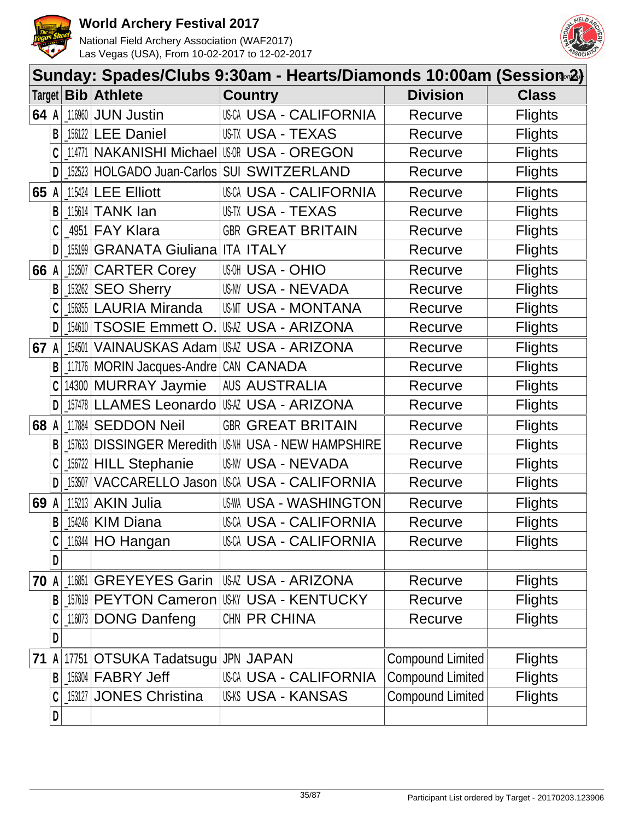



|        | Sunday: Spades/Clubs 9:30am - Hearts/Diamonds 10:00am (Session-2) |        |                                   |                                           |                         |                |  |  |  |  |
|--------|-------------------------------------------------------------------|--------|-----------------------------------|-------------------------------------------|-------------------------|----------------|--|--|--|--|
| Target |                                                                   | Bib    | <b>Athlete</b>                    | <b>Country</b>                            | <b>Division</b>         | <b>Class</b>   |  |  |  |  |
| 64 A   |                                                                   | 116960 | <b>JUN Justin</b>                 | <b>USCA USA - CALIFORNIA</b>              | Recurve                 | <b>Flights</b> |  |  |  |  |
|        | B                                                                 |        | 156122 LEE Daniel                 | <b>US-TX USA - TEXAS</b>                  | Recurve                 | <b>Flights</b> |  |  |  |  |
|        | C                                                                 | 114771 |                                   | <b>NAKANISHI Michael   USA - OREGON</b>   | Recurve                 | <b>Flights</b> |  |  |  |  |
|        | D                                                                 | 152523 |                                   | HOLGADO Juan-Carlos SUI SWITZERLAND       | Recurve                 | <b>Flights</b> |  |  |  |  |
| 65     |                                                                   | 115424 | <b>LEE Elliott</b>                | <b>USCA USA - CALIFORNIA</b>              | Recurve                 | <b>Flights</b> |  |  |  |  |
|        | B                                                                 |        | 115614 TANK lan                   | <b>US-TX USA - TEXAS</b>                  | Recurve                 | <b>Flights</b> |  |  |  |  |
|        | C                                                                 | 4951   | <b>FAY Klara</b>                  | <b>GBR GREAT BRITAIN</b>                  | Recurve                 | <b>Flights</b> |  |  |  |  |
|        | D                                                                 | 155199 | <b>GRANATA Giuliana ITA ITALY</b> |                                           | Recurve                 | <b>Flights</b> |  |  |  |  |
| 66     |                                                                   | 152507 | <b>CARTER Corey</b>               | <b>USA - OHIO</b>                         | Recurve                 | <b>Flights</b> |  |  |  |  |
|        | B                                                                 | 153262 | <b>SEO Sherry</b>                 | <b>US-NV USA - NEVADA</b>                 | Recurve                 | <b>Flights</b> |  |  |  |  |
|        |                                                                   | 156355 | <b>LAURIA Miranda</b>             | USMT USA - MONTANA                        | Recurve                 | <b>Flights</b> |  |  |  |  |
|        | D                                                                 | 154610 |                                   | TSOSIE Emmett O. USA USA - ARIZONA        | Recurve                 | <b>Flights</b> |  |  |  |  |
| 67     | A                                                                 | 154501 |                                   | VAINAUSKAS Adam USAZ USA - ARIZONA        | Recurve                 | <b>Flights</b> |  |  |  |  |
|        | B                                                                 | 117176 | MORIN Jacques-Andre CAN CANADA    |                                           | Recurve                 | <b>Flights</b> |  |  |  |  |
|        | C                                                                 |        | 14300 MURRAY Jaymie               | <b>AUS AUSTRALIA</b>                      | Recurve                 | <b>Flights</b> |  |  |  |  |
|        | D                                                                 | 157478 | LLAMES Leonardo                   | USAZ USA - ARIZONA                        | Recurve                 | <b>Flights</b> |  |  |  |  |
| 68 A   |                                                                   | 117884 | <b>SEDDON Neil</b>                | <b>GBR GREAT BRITAIN</b>                  | Recurve                 | <b>Flights</b> |  |  |  |  |
|        | B                                                                 | 157633 | <b>DISSINGER Meredith US-NH</b>   | <b>USA - NEW HAMPSHIRE</b>                | Recurve                 | <b>Flights</b> |  |  |  |  |
|        |                                                                   | 156722 | <b>HILL Stephanie</b>             | US-NV USA - NEVADA                        | Recurve                 | <b>Flights</b> |  |  |  |  |
|        | D                                                                 | 153507 |                                   | VACCARELLO Jason USCA USA - CALIFORNIA    | Recurve                 | <b>Flights</b> |  |  |  |  |
| 69     |                                                                   | 115213 | <b>AKIN Julia</b>                 | <b>US-WA USA - WASHINGTON</b>             | Recurve                 | <b>Flights</b> |  |  |  |  |
|        | B                                                                 |        | 154246 KIM Diana                  | USCA USA - CALIFORNIA                     | Recurve                 | <b>Flights</b> |  |  |  |  |
|        | C                                                                 |        | 116344 HO Hangan                  | <b>USCA USA - CALIFORNIA</b>              | Recurve                 | <b>Flights</b> |  |  |  |  |
|        | D                                                                 |        |                                   |                                           |                         |                |  |  |  |  |
| 70 A   |                                                                   | 116851 | <b>GREYEYES Garin</b>             | IUSAZ USA - ARIZONA                       | Recurve                 | <b>Flights</b> |  |  |  |  |
|        | B                                                                 |        |                                   | 157619 PEYTON Cameron USKY USA - KENTUCKY | Recurve                 | <b>Flights</b> |  |  |  |  |
|        | C                                                                 | 116073 | <b>DONG Danfeng</b>               | CHN PR CHINA                              | Recurve                 | <b>Flights</b> |  |  |  |  |
|        | D                                                                 |        |                                   |                                           |                         |                |  |  |  |  |
| 71     | A                                                                 | 17751  | OTSUKA Tadatsugu                  | <b>JPN JAPAN</b>                          | <b>Compound Limited</b> | <b>Flights</b> |  |  |  |  |
|        | B                                                                 |        | 156304 FABRY Jeff                 | USCA USA - CALIFORNIA                     | <b>Compound Limited</b> | <b>Flights</b> |  |  |  |  |
|        | C                                                                 |        | 153127 JONES Christina            | <b>US-KS USA - KANSAS</b>                 | <b>Compound Limited</b> | <b>Flights</b> |  |  |  |  |
|        | D                                                                 |        |                                   |                                           |                         |                |  |  |  |  |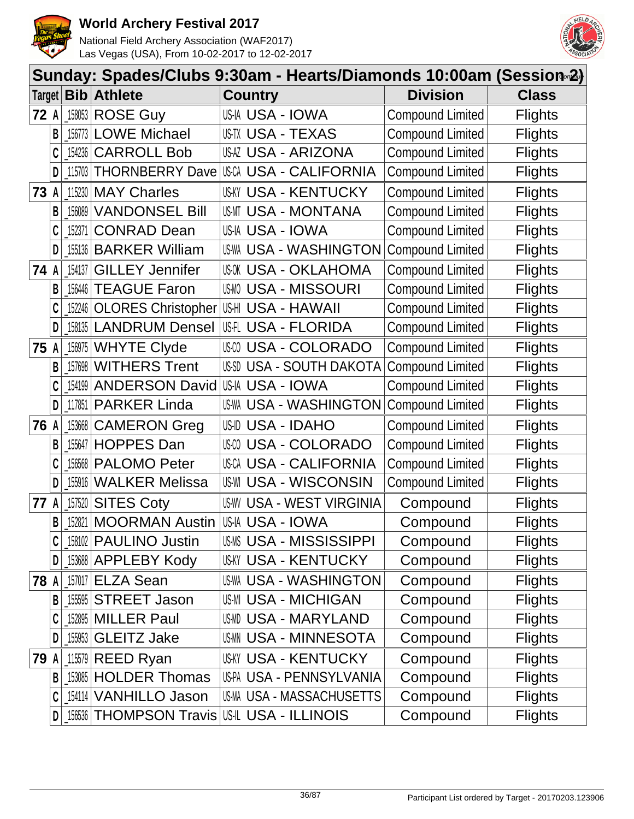



|        | Sunday: Spades/Clubs 9:30am - Hearts/Diamonds 10:00am (Session <sub>®</sub> 2) |          |                                                    |       |                |                               |                         |                |  |  |  |
|--------|--------------------------------------------------------------------------------|----------|----------------------------------------------------|-------|----------------|-------------------------------|-------------------------|----------------|--|--|--|
|        |                                                                                |          | Target   Bib   Athlete                             |       | <b>Country</b> |                               | <b>Division</b>         | <b>Class</b>   |  |  |  |
| $72$ A |                                                                                |          | $158053$ ROSE Guy                                  |       |                | USIA USA - IOWA               | Compound Limited        | <b>Flights</b> |  |  |  |
|        | B                                                                              |          | 156773 LOWE Michael                                |       |                | <b>US-TX USA - TEXAS</b>      | <b>Compound Limited</b> | <b>Flights</b> |  |  |  |
|        |                                                                                | 154236   | <b>CARROLL Bob</b>                                 |       |                | USAZ USA - ARIZONA            | Compound Limited        | <b>Flights</b> |  |  |  |
|        | D                                                                              |          | 115703   THORNBERRY Dave   USCA USA - CALIFORNIA   |       |                |                               | Compound Limited        | <b>Flights</b> |  |  |  |
| 73     | A                                                                              | 115230   | <b>MAY Charles</b>                                 |       |                | <b>USKY USA - KENTUCKY</b>    | Compound Limited        | <b>Flights</b> |  |  |  |
|        | B                                                                              |          | 156089 VANDONSEL Bill                              |       |                | USMT USA - MONTANA            | <b>Compound Limited</b> | <b>Flights</b> |  |  |  |
|        |                                                                                | 152371   | <b>CONRAD Dean</b>                                 |       |                | USIA USA - IOWA               | <b>Compound Limited</b> | <b>Flights</b> |  |  |  |
|        | D                                                                              |          | [155136   BARKER William                           |       |                | <b>US-WA USA - WASHINGTON</b> | <b>Compound Limited</b> | <b>Flights</b> |  |  |  |
| 74 A   |                                                                                | 154137   | <b>GILLEY Jennifer</b>                             |       |                | USOK USA - OKLAHOMA           | Compound Limited        | <b>Flights</b> |  |  |  |
|        | B                                                                              |          | 156446 TEAGUE Faron                                |       |                | <b>USMO USA - MISSOURI</b>    | <b>Compound Limited</b> | <b>Flights</b> |  |  |  |
|        |                                                                                |          | 152246 OLORES Christopher                          |       |                | <b>USHI USA - HAWAII</b>      | Compound Limited        | <b>Flights</b> |  |  |  |
|        | D                                                                              |          | 158135 LANDRUM Densel                              |       |                | IUSFL USA - FLORIDA           | <b>Compound Limited</b> | <b>Flights</b> |  |  |  |
| 75     | $\mathsf{A}$                                                                   | $156975$ | <b>WHYTE Clyde</b>                                 |       |                | USCO USA - COLORADO           | <b>Compound Limited</b> | <b>Flights</b> |  |  |  |
|        | B                                                                              | 157698   | <b>WITHERS Trent</b>                               |       |                | US-SD USA - SOUTH DAKOTA      | <b>Compound Limited</b> | <b>Flights</b> |  |  |  |
|        |                                                                                |          | [154199 ANDERSON David                             |       |                | US-IA USA - IOWA              | <b>Compound Limited</b> | <b>Flights</b> |  |  |  |
|        | D                                                                              |          | 117851 PARKER Linda                                |       |                | <b>US-WA USA - WASHINGTON</b> | <b>Compound Limited</b> | <b>Flights</b> |  |  |  |
| 76 A   |                                                                                |          | 153668 CAMERON Greg                                |       |                | USID USA - IDAHO              | <b>Compound Limited</b> | <b>Flights</b> |  |  |  |
|        | B                                                                              |          | 155647 HOPPES Dan                                  | US-CO |                | <b>USA - COLORADO</b>         | <b>Compound Limited</b> | <b>Flights</b> |  |  |  |
|        | C                                                                              |          | 156568 PALOMO Peter                                |       |                | <b>USCA USA - CALIFORNIA</b>  | Compound Limited        | <b>Flights</b> |  |  |  |
|        | D                                                                              | 155916   | <b>WALKER Melissa</b>                              |       |                | <b>US-WI USA - WISCONSIN</b>  | <b>Compound Limited</b> | <b>Flights</b> |  |  |  |
| 77     | A                                                                              | 157520   | <b>SITES Coty</b>                                  |       |                | US-WV USA - WEST VIRGINIA     | Compound                | <b>Flights</b> |  |  |  |
|        | B                                                                              |          | 152821 MOORMAN Austin                              |       |                | IUSIA USA - IOWA              | Compound                | <b>Flights</b> |  |  |  |
|        |                                                                                |          | 158102 PAULINO Justin                              |       |                | <b>USMS USA - MISSISSIPPI</b> | Compound                | <b>Flights</b> |  |  |  |
|        | DI                                                                             |          | <b>153688 APPLEBY Kody</b>                         |       |                | <b>US-KY USA - KENTUCKY</b>   | Compound                | <b>Flights</b> |  |  |  |
| 78 A   |                                                                                |          | 157017 ELZA Sean                                   |       |                | <b>US-WA USA - WASHINGTON</b> | Compound                | <b>Flights</b> |  |  |  |
|        | B                                                                              |          | 15595 STREET Jason                                 |       |                | <b>US-MI USA - MICHIGAN</b>   | Compound                | <b>Flights</b> |  |  |  |
|        |                                                                                |          | 152895 MILLER Paul                                 |       |                | USMD USA - MARYLAND           | Compound                | <b>Flights</b> |  |  |  |
|        | D                                                                              |          | [155953 GLEITZ Jake                                |       |                | <b>USMN USA - MINNESOTA</b>   | Compound                | <b>Flights</b> |  |  |  |
| 79 A   |                                                                                |          | $115579$ REED Ryan                                 |       |                | <b>USKY USA - KENTUCKY</b>    | Compound                | <b>Flights</b> |  |  |  |
|        | B                                                                              |          | 153085 HOLDER Thomas                               |       |                | US-PA USA - PENNSYLVANIA      | Compound                | <b>Flights</b> |  |  |  |
|        |                                                                                |          | 154114 VANHILLO Jason                              |       |                | US-MA USA - MASSACHUSETTS     | Compound                | <b>Flights</b> |  |  |  |
|        | D                                                                              |          | <b>156536 THOMPSON Travis US-IL USA - ILLINOIS</b> |       |                |                               | Compound                | <b>Flights</b> |  |  |  |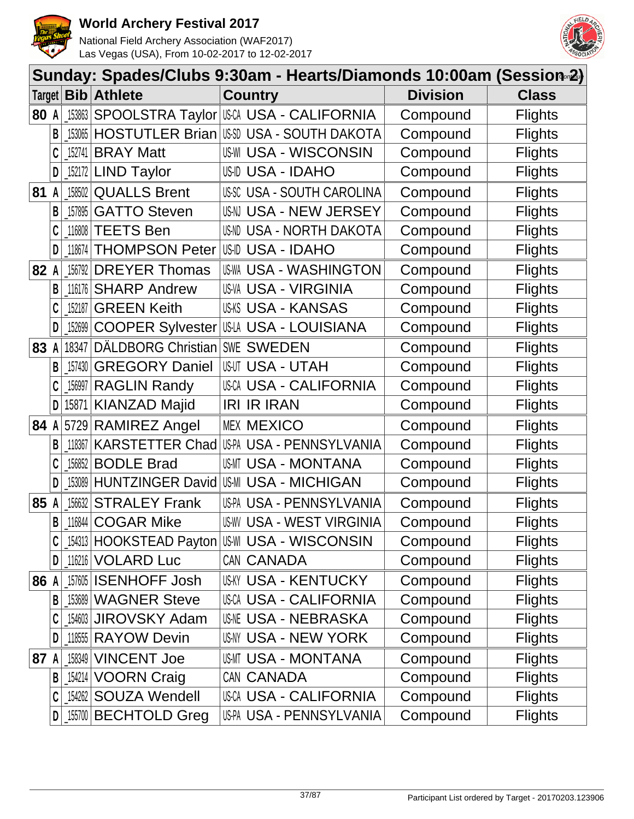



|        | Sunday: Spades/Clubs 9:30am - Hearts/Diamonds 10:00am (Session∞2) |            |                         |                                               |                 |                |  |  |  |
|--------|-------------------------------------------------------------------|------------|-------------------------|-----------------------------------------------|-----------------|----------------|--|--|--|
| Target |                                                                   | Bib        | <b>Athlete</b>          | <b>Country</b>                                | <b>Division</b> | <b>Class</b>   |  |  |  |
| 80 A   |                                                                   | 153863     |                         | SPOOLSTRA Taylor USA - CALIFORNIA             | Compound        | <b>Flights</b> |  |  |  |
|        | B                                                                 | 153065     |                         | <b>HOSTUTLER Brian USS USA - SOUTH DAKOTA</b> | Compound        | <b>Flights</b> |  |  |  |
|        |                                                                   | 152741     | <b>BRAY Matt</b>        | <b>US-WI USA - WISCONSIN</b>                  | Compound        | <b>Flights</b> |  |  |  |
|        | D                                                                 |            | 152172 LIND Taylor      | US-ID USA - IDAHO                             | Compound        | <b>Flights</b> |  |  |  |
| 81     | A                                                                 | 158502     | <b>QUALLS Brent</b>     | <b>US-SC USA - SOUTH CAROLINA</b>             | Compound        | <b>Flights</b> |  |  |  |
|        | B                                                                 | $-157895$  | <b>GATTO Steven</b>     | US-NJ USA - NEW JERSEY                        | Compound        | <b>Flights</b> |  |  |  |
|        | C                                                                 | 116808     | <b>TEETS Ben</b>        | USND USA - NORTH DAKOTA                       | Compound        | <b>Flights</b> |  |  |  |
|        | D                                                                 | 118674     | <b>THOMPSON Peter</b>   | <b>US-ID USA - IDAHO</b>                      | Compound        | <b>Flights</b> |  |  |  |
| 82     |                                                                   | 156792     | <b>DREYER Thomas</b>    | <b>US-WA USA - WASHINGTON</b>                 | Compound        | <b>Flights</b> |  |  |  |
|        | В                                                                 | 116176     | <b>SHARP Andrew</b>     | <b>US-VA USA - VIRGINIA</b>                   | Compound        | <b>Flights</b> |  |  |  |
|        |                                                                   | 152187     | <b>GREEN Keith</b>      | <b>USKS USA - KANSAS</b>                      | Compound        | <b>Flights</b> |  |  |  |
|        | D                                                                 | $-152699$  | <b>COOPER Sylvester</b> | US-LA USA - LOUISIANA                         | Compound        | <b>Flights</b> |  |  |  |
| 83     | $\mathsf{A}$                                                      | 18347      | DÄLDBORG Christian      | SWE SWEDEN                                    | Compound        | <b>Flights</b> |  |  |  |
|        | B                                                                 | 157430     | <b>GREGORY Daniel</b>   | <b>USUT USA - UTAH</b>                        | Compound        | <b>Flights</b> |  |  |  |
|        |                                                                   | $\_156997$ | <b>RAGLIN Randy</b>     | <b>USCA USA - CALIFORNIA</b>                  | Compound        | <b>Flights</b> |  |  |  |
|        | D                                                                 |            | 15871 KIANZAD Majid     | <b>IRI IR IRAN</b>                            | Compound        | <b>Flights</b> |  |  |  |
| 84 A   |                                                                   |            | 5729 RAMIREZ Angel      | <b>MEX MEXICO</b>                             | Compound        | <b>Flights</b> |  |  |  |
|        | B                                                                 | 118367     | KARSTETTER Chad         | US-PA USA - PENNSYLVANIA                      | Compound        | <b>Flights</b> |  |  |  |
|        |                                                                   |            | 156852 BODLE Brad       | US-MT USA - MONTANA                           | Compound        | <b>Flights</b> |  |  |  |
|        |                                                                   | 153089     | <b>HUNTZINGER David</b> | <b>US-MI USA - MICHIGAN</b>                   | Compound        | <b>Flights</b> |  |  |  |
| 85     | A                                                                 | 156632     | <b>STRALEY Frank</b>    | US-PA USA - PENNSYLVANIA                      | Compound        | <b>Flights</b> |  |  |  |
|        | B                                                                 |            | _116844   COGAR Mike    | <b>US-WY USA - WEST VIRGINIA</b>              | Compound        | <b>Flights</b> |  |  |  |
|        |                                                                   |            |                         | 154313 HOOKSTEAD Payton US-WI USA - WISCONSIN | Compound        | <b>Flights</b> |  |  |  |
|        | D                                                                 |            | 116216 VOLARD Luc       | CAN CANADA                                    | Compound        | <b>Flights</b> |  |  |  |
| 86 A   |                                                                   |            | 157605 ISENHOFF Josh    | <b>USKY USA - KENTUCKY</b>                    | Compound        | <b>Flights</b> |  |  |  |
|        | B                                                                 |            | 153689 WAGNER Steve     | <b>USCA USA - CALIFORNIA</b>                  | Compound        | <b>Flights</b> |  |  |  |
|        |                                                                   |            | 154603 JIROVSKY Adam    | <b>USNE USA - NEBRASKA</b>                    | Compound        | <b>Flights</b> |  |  |  |
|        | D                                                                 |            | 11855 RAYOW Devin       | USNY USA - NEW YORK                           | Compound        | <b>Flights</b> |  |  |  |
| 87 A   |                                                                   | 158349     | <b>VINCENT Joe</b>      | US-MT USA - MONTANA                           | Compound        | <b>Flights</b> |  |  |  |
|        | B                                                                 |            | 154214 VOORN Craig      | CAN CANADA                                    | Compound        | <b>Flights</b> |  |  |  |
|        |                                                                   |            | [154262 SOUZA Wendell   | USCA USA - CALIFORNIA                         | Compound        | <b>Flights</b> |  |  |  |
|        | D                                                                 | $\_155700$ | <b>BECHTOLD Greg</b>    | US-PA USA - PENNSYLVANIA                      | Compound        | <b>Flights</b> |  |  |  |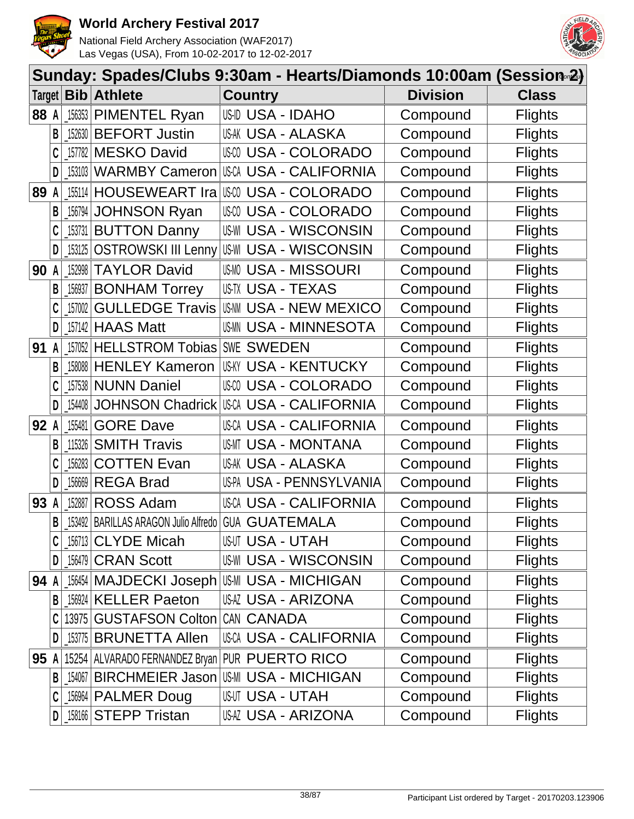



|        |   |        |                                        | Sunday: Spades/Clubs 9:30am - Hearts/Diamonds 10:00am (Session∞2) |                 |                |
|--------|---|--------|----------------------------------------|-------------------------------------------------------------------|-----------------|----------------|
| Target |   |        | <b>Bib</b> Athlete                     | <b>Country</b>                                                    | <b>Division</b> | <b>Class</b>   |
| 88 A   |   |        | 156353 PIMENTEL Ryan                   | <b>US-ID USA - IDAHO</b>                                          | Compound        | <b>Flights</b> |
|        | В |        | 152630 BEFORT Justin                   | <b>USAK USA - ALASKA</b>                                          | Compound        | <b>Flights</b> |
|        |   |        | 157782 MESKO David                     | <b>USA - COLORADO</b>                                             | Compound        | <b>Flights</b> |
|        | D | 153103 | <b>WARMBY Cameron</b>                  | USCA USA - CALIFORNIA                                             | Compound        | <b>Flights</b> |
| 89     | A | 155114 | <b>HOUSEWEART Ira</b>                  | <b>USA - COLORADO</b>                                             | Compound        | <b>Flights</b> |
|        | B | 156794 | <b>JOHNSON Ryan</b>                    | <b>USA - COLORADO</b><br>US-CO                                    | Compound        | <b>Flights</b> |
|        |   | 153731 | <b>BUTTON Danny</b>                    | <b>US-WI USA - WISCONSIN</b>                                      | Compound        | <b>Flights</b> |
|        | D | 153125 | <b>OSTROWSKI III Lenny</b>             | US-WI USA - WISCONSIN                                             | Compound        | <b>Flights</b> |
| 90     | A | 152998 | <b>TAYLOR David</b>                    | <b>USMO USA - MISSOURI</b>                                        | Compound        | <b>Flights</b> |
|        | В | 156937 | <b>BONHAM Torrey</b>                   | US-TX USA - TEXAS                                                 | Compound        | <b>Flights</b> |
|        |   | 157002 | <b>GULLEDGE Travis</b>                 | US-NN USA - NEW MEXICO                                            | Compound        | <b>Flights</b> |
|        | D | 157142 | <b>HAAS Matt</b>                       | <b>USMM USA - MINNESOTA</b>                                       | Compound        | <b>Flights</b> |
| 91     | A | 157052 | <b>HELLSTROM Tobias</b>                | SWE SWEDEN                                                        | Compound        | <b>Flights</b> |
|        | B | 158088 | <b>HENLEY Kameron</b>                  | USKY USA - KENTUCKY                                               | Compound        | <b>Flights</b> |
|        |   |        | 157538 NUNN Daniel                     | USM USA - COLORADO                                                | Compound        | <b>Flights</b> |
|        | D | 154408 | <b>JOHNSON Chadrick</b>                | USCA USA - CALIFORNIA                                             | Compound        | <b>Flights</b> |
| 92     | A | 155481 | <b>GORE Dave</b>                       | <b>USCA USA - CALIFORNIA</b>                                      | Compound        | <b>Flights</b> |
|        | B | 115326 | <b>SMITH Travis</b>                    | USMT USA - MONTANA                                                | Compound        | <b>Flights</b> |
|        |   | 156283 | <b>COTTEN Evan</b>                     | USAK USA - ALASKA                                                 | Compound        | <b>Flights</b> |
|        | D | 156669 | <b>REGA Brad</b>                       | US-PA USA - PENNSYLVANIA                                          | Compound        | <b>Flights</b> |
| 93     |   | 152887 | <b>ROSS Adam</b>                       | USCA USA - CALIFORNIA                                             | Compound        | <b>Flights</b> |
|        | B |        | 153492   BARILLAS ARAGON Julio Alfredo | <b>GUA GUATEMALA</b>                                              | Compound        | <b>Flights</b> |
|        |   |        | 156713 CLYDE Micah                     | USUT USA - UTAH                                                   | Compound        | <b>Flights</b> |
|        | D |        | 156479 CRAN Scott                      | <b>US-WI USA - WISCONSIN</b>                                      | Compound        | <b>Flights</b> |
| 94 A   |   |        |                                        | 156454 MAJDECKI Joseph US-MI USA - MICHIGAN                       | Compound        | <b>Flights</b> |
|        | B |        | 156924 KELLER Paeton                   | USAZ USA - ARIZONA                                                | Compound        | <b>Flights</b> |
|        |   |        | 13975 GUSTAFSON Colton                 | CAN CANADA                                                        | Compound        | <b>Flights</b> |
|        | D |        | 153775 BRUNETTA Allen                  | USCA USA - CALIFORNIA                                             | Compound        | <b>Flights</b> |
| 95 A   |   |        |                                        | 15254 ALVARADO FERNANDEZ Bryan PUR PUERTO RICO                    | Compound        | <b>Flights</b> |
|        | B | 154067 | BIRCHMEIER Jason                       | US-MI USA - MICHIGAN                                              | Compound        | <b>Flights</b> |
|        |   |        | 156964 PALMER Doug                     | USUT USA - UTAH                                                   | Compound        | <b>Flights</b> |
|        | D |        | 158166 STEPP Tristan                   | USAZ USA - ARIZONA                                                | Compound        | <b>Flights</b> |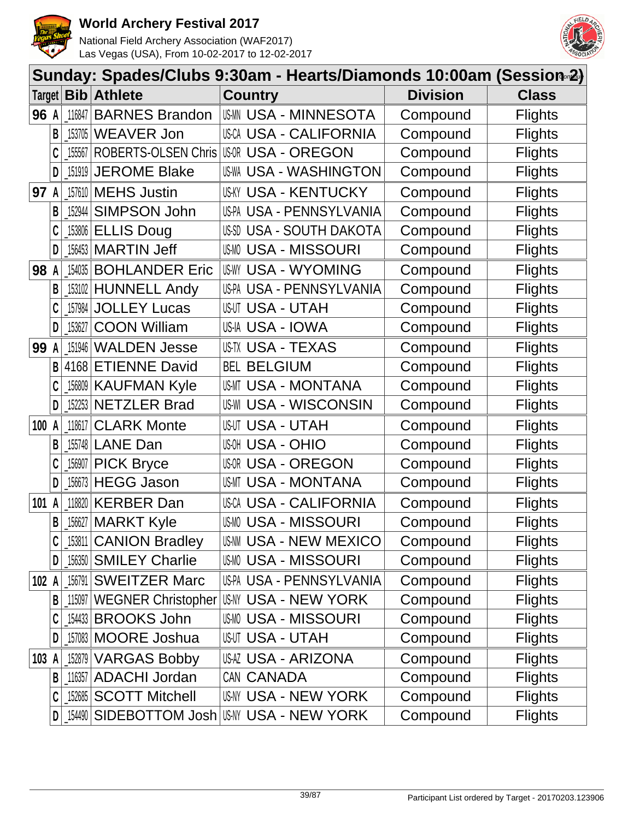



|        | Sunday: Spades/Clubs 9:30am - Hearts/Diamonds 10:00am (Session <sup>2</sup> ) |            |                       |                                         |                 |                |  |  |
|--------|-------------------------------------------------------------------------------|------------|-----------------------|-----------------------------------------|-----------------|----------------|--|--|
| Target |                                                                               | Bib        | <b>Athlete</b>        | <b>Country</b>                          | <b>Division</b> | <b>Class</b>   |  |  |
| 96 A   |                                                                               | 116847     | <b>BARNES Brandon</b> | <b>USMN USA - MINNESOTA</b>             | Compound        | <b>Flights</b> |  |  |
|        | B                                                                             | 153705     | <b>WEAVER Jon</b>     | <b>USCA USA - CALIFORNIA</b>            | Compound        | <b>Flights</b> |  |  |
|        |                                                                               | 155567     |                       | ROBERTS-OLSEN Chris USOR USA - OREGON   | Compound        | <b>Flights</b> |  |  |
|        | D                                                                             | 151919     | <b>JEROME Blake</b>   | <b>US-WA USA - WASHINGTON</b>           | Compound        | <b>Flights</b> |  |  |
| 97     |                                                                               | 157610     | <b>MEHS Justin</b>    | <b>USKY USA - KENTUCKY</b>              | Compound        | <b>Flights</b> |  |  |
|        | B                                                                             | 152944     | SIMPSON John          | US-PA USA - PENNSYLVANIA                | Compound        | <b>Flights</b> |  |  |
|        | C                                                                             | 153806     | <b>ELLIS Doug</b>     | USSD USA - SOUTH DAKOTA                 | Compound        | <b>Flights</b> |  |  |
|        | D                                                                             | 156453     | <b>MARTIN Jeff</b>    | <b>USMO USA - MISSOURI</b>              | Compound        | <b>Flights</b> |  |  |
| 98     |                                                                               | 154035     | <b>BOHLANDER Eric</b> | <b>USWY USA - WYOMING</b>               | Compound        | <b>Flights</b> |  |  |
|        | B                                                                             | 153102     | <b>HUNNELL Andy</b>   | US-PA USA - PENNSYLVANIA                | Compound        | <b>Flights</b> |  |  |
|        |                                                                               | 157984     | <b>JOLLEY Lucas</b>   | <b>USUT USA - UTAH</b>                  | Compound        | <b>Flights</b> |  |  |
|        | D                                                                             | 153627     | <b>COON William</b>   | US-IA USA - IOWA                        | Compound        | <b>Flights</b> |  |  |
| 99     | A                                                                             | 151946     | <b>WALDEN Jesse</b>   | US-TX USA - TEXAS                       | Compound        | <b>Flights</b> |  |  |
|        | B                                                                             | 4168       | <b>ETIENNE David</b>  | <b>BEL BELGIUM</b>                      | Compound        | <b>Flights</b> |  |  |
|        |                                                                               | 156809     | <b>KAUFMAN Kyle</b>   | USMT USA - MONTANA                      | Compound        | <b>Flights</b> |  |  |
|        | D                                                                             | 152253     | <b>NETZLER Brad</b>   | <b>US-WI USA - WISCONSIN</b>            | Compound        | <b>Flights</b> |  |  |
| 100    | A                                                                             | 118617     | <b>CLARK Monte</b>    | <b>USUT USA - UTAH</b>                  | Compound        | <b>Flights</b> |  |  |
|        | B                                                                             | 155748     | <b>LANE Dan</b>       | <b>USA - OHIO</b>                       | Compound        | <b>Flights</b> |  |  |
|        |                                                                               | 156907     | <b>PICK Bryce</b>     | <b>USOR USA - OREGON</b>                | Compound        | <b>Flights</b> |  |  |
|        | D                                                                             | 156673     | <b>HEGG Jason</b>     | USMT USA - MONTANA                      | Compound        | <b>Flights</b> |  |  |
| 101    |                                                                               | 118820     | <b>KERBER Dan</b>     | <b>USCA USA - CALIFORNIA</b>            | Compound        | <b>Flights</b> |  |  |
|        |                                                                               |            | $B$ 156627 MARKT Kyle | <b>USMO USA - MISSOURI</b>              | Compound        | <b>Flights</b> |  |  |
|        |                                                                               | $\_153811$ | <b>CANION Bradley</b> | US-NN USA - NEW MEXICO                  | Compound        | <b>Flights</b> |  |  |
|        | D                                                                             |            | 156350 SMILEY Charlie | <b>USMO USA - MISSOURI</b>              | Compound        | <b>Flights</b> |  |  |
| 102 A  |                                                                               | 156791     | <b>SWEITZER Marc</b>  | US-PA USA - PENNSYLVANIA                | Compound        | <b>Flights</b> |  |  |
|        | B                                                                             | 115097     |                       | WEGNER Christopher USA V USA - NEW YORK | Compound        | <b>Flights</b> |  |  |
|        |                                                                               |            | 154433 BROOKS John    | <b>USMO USA - MISSOURI</b>              | Compound        | <b>Flights</b> |  |  |
|        | D                                                                             | $\_157083$ | <b>MOORE Joshua</b>   | <b>USUT USA - UTAH</b>                  | Compound        | <b>Flights</b> |  |  |
| 103    |                                                                               | 152879     | <b>VARGAS Bobby</b>   | USAZ USA - ARIZONA                      | Compound        | <b>Flights</b> |  |  |
|        | B                                                                             |            | 116357 ADACHI Jordan  | CAN CANADA                              | Compound        | <b>Flights</b> |  |  |
|        | C                                                                             | $\_152685$ | <b>SCOTT Mitchell</b> | USNY USA - NEW YORK                     | Compound        | <b>Flights</b> |  |  |
|        | D                                                                             | $\_154490$ |                       | SIDEBOTTOM Josh USM USA - NEW YORK      | Compound        | <b>Flights</b> |  |  |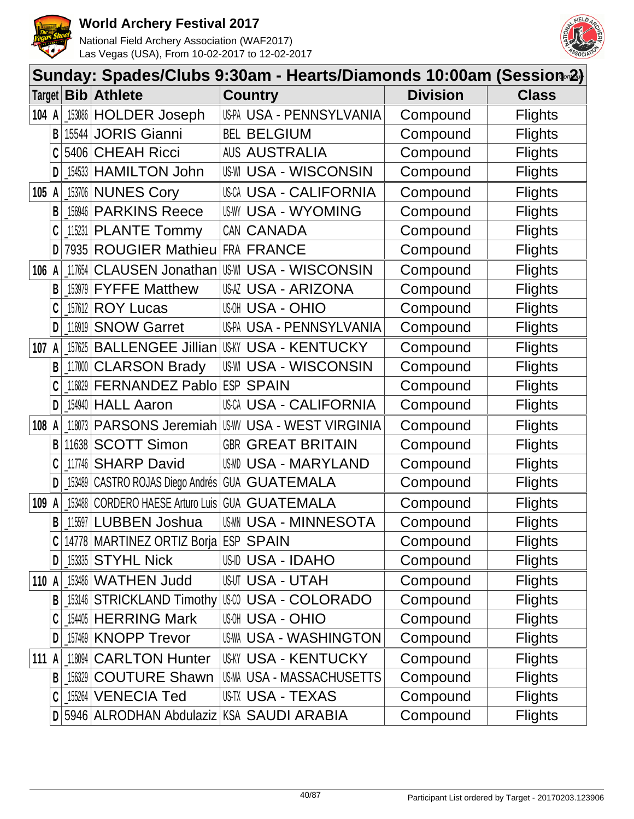



|        | Sunday: Spades/Clubs 9:30am - Hearts/Diamonds 10:00am (Session∞2) |          |                                      |                                            |                 |                |  |  |  |
|--------|-------------------------------------------------------------------|----------|--------------------------------------|--------------------------------------------|-----------------|----------------|--|--|--|
| Target |                                                                   |          | <b>Bib Athlete</b>                   | <b>Country</b>                             | <b>Division</b> | <b>Class</b>   |  |  |  |
| 104 A  |                                                                   | $153086$ | <b>HOLDER Joseph</b>                 | US-PA USA - PENNSYLVANIA                   | Compound        | <b>Flights</b> |  |  |  |
|        | B                                                                 |          | 15544 JORIS Gianni                   | <b>BEL BELGIUM</b>                         | Compound        | <b>Flights</b> |  |  |  |
|        |                                                                   | 5406     | <b>CHEAH Ricci</b>                   | <b>AUS AUSTRALIA</b>                       | Compound        | <b>Flights</b> |  |  |  |
|        | D                                                                 |          | [154533 HAMILTON John                | <b>US-WI USA - WISCONSIN</b>               | Compound        | <b>Flights</b> |  |  |  |
| 105    | A                                                                 |          | 153706 NUNES Cory                    | <b>USCA USA - CALIFORNIA</b>               | Compound        | <b>Flights</b> |  |  |  |
|        | B                                                                 |          | 156946 PARKINS Reece                 | <b>US-WY USA - WYOMING</b>                 | Compound        | <b>Flights</b> |  |  |  |
|        |                                                                   | 115231   | <b>PLANTE Tommy</b>                  | CAN CANADA                                 | Compound        | <b>Flights</b> |  |  |  |
|        | D                                                                 |          | 7935 ROUGIER Mathieu                 | FRA FRANCE                                 | Compound        | <b>Flights</b> |  |  |  |
| 106    | A                                                                 | 117654   |                                      | CLAUSEN Jonathan USM USA - WISCONSIN       | Compound        | <b>Flights</b> |  |  |  |
|        | В                                                                 | 153979   | <b>FYFFE Matthew</b>                 | USAZ USA - ARIZONA                         | Compound        | <b>Flights</b> |  |  |  |
|        |                                                                   |          | 157612 <b>ROY Lucas</b>              | <b>USA - OHIO</b>                          | Compound        | <b>Flights</b> |  |  |  |
|        | D                                                                 | 116919   | <b>SNOW Garret</b>                   | US-PA USA - PENNSYLVANIA                   | Compound        | <b>Flights</b> |  |  |  |
| 107 A  |                                                                   | 157625   | <b>BALLENGEE Jillian</b>             | <b>US-KY USA - KENTUCKY</b>                | Compound        | <b>Flights</b> |  |  |  |
|        | B                                                                 | 117000   | <b>CLARSON Brady</b>                 | <b>US-WI USA - WISCONSIN</b>               | Compound        | <b>Flights</b> |  |  |  |
|        |                                                                   |          | 116829 FERNANDEZ Pablo               | <b>ESP SPAIN</b>                           | Compound        | <b>Flights</b> |  |  |  |
|        | D                                                                 |          | 154940 HALL Aaron                    | USCA USA - CALIFORNIA                      | Compound        | <b>Flights</b> |  |  |  |
| 108    | A                                                                 | 118073   | PARSONS Jeremiah                     | <b>USW USA - WEST VIRGINIA</b>             | Compound        | <b>Flights</b> |  |  |  |
|        | B                                                                 | 11638    | <b>SCOTT Simon</b>                   | <b>GBR GREAT BRITAIN</b>                   | Compound        | <b>Flights</b> |  |  |  |
|        |                                                                   | 117746   | <b>SHARP David</b>                   | USMD USA - MARYLAND                        | Compound        | <b>Flights</b> |  |  |  |
|        |                                                                   | 153489   | CASTRO ROJAS Diego Andrés            | <b>GUA GUATEMALA</b>                       | Compound        | <b>Flights</b> |  |  |  |
| 109    | A                                                                 |          | 153488 CORDERO HAESE Arturo Luis     | <b>GUATEMALA</b><br>GUA                    | Compound        | <b>Flights</b> |  |  |  |
|        | B                                                                 |          | 115597 LUBBEN Joshua                 | <b>USMM USA - MINNESOTA</b>                | Compound        | <b>Flights</b> |  |  |  |
|        |                                                                   |          | 14778 MARTINEZ ORTIZ Borja ESP SPAIN |                                            | Compound        | <b>Flights</b> |  |  |  |
|        | D                                                                 |          | $153335$ STYHL Nick                  | <b>US-ID USA - IDAHO</b>                   | Compound        | <b>Flights</b> |  |  |  |
| 110 A  |                                                                   |          | 153486   WATHEN Judd                 | <b>USUT USA - UTAH</b>                     | Compound        | <b>Flights</b> |  |  |  |
|        | B                                                                 |          | 153146 STRICKLAND Timothy            | II\$00 USA - COLORADO                      | Compound        | <b>Flights</b> |  |  |  |
|        |                                                                   |          | 154405 HERRING Mark                  | <b>WOH USA - OHIO</b>                      | Compound        | <b>Flights</b> |  |  |  |
|        | D                                                                 |          | 157469 KNOPP Trevor                  | <b>US-WA USA - WASHINGTON</b>              | Compound        | <b>Flights</b> |  |  |  |
| 111 A  |                                                                   |          | 118094 CARLTON Hunter                | <b>USKY USA - KENTUCKY</b>                 | Compound        | <b>Flights</b> |  |  |  |
|        | B                                                                 |          | [156329 COUTURE Shawn]               | US-MA USA - MASSACHUSETTS                  | Compound        | <b>Flights</b> |  |  |  |
|        |                                                                   |          | 155264 VENECIA Ted                   | US-TX USA - TEXAS                          | Compound        | <b>Flights</b> |  |  |  |
|        |                                                                   |          |                                      | D 5946 ALRODHAN Abdulaziz KSA SAUDI ARABIA | Compound        | <b>Flights</b> |  |  |  |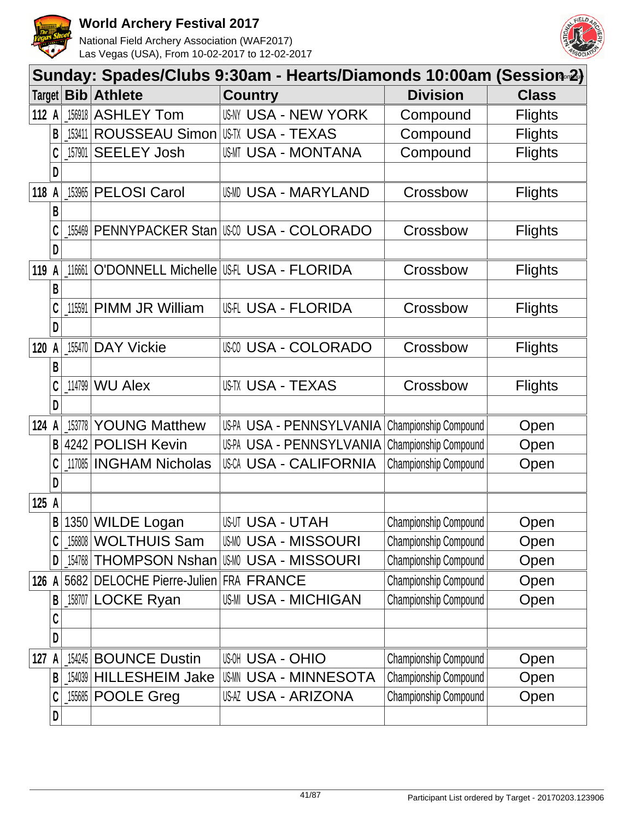



|        | Sunday: Spades/Clubs 9:30am - Hearts/Diamonds 10:00am (Session 2) |        |                                       |                                        |                       |                |  |  |  |  |
|--------|-------------------------------------------------------------------|--------|---------------------------------------|----------------------------------------|-----------------------|----------------|--|--|--|--|
| Target |                                                                   | Bib    | <b>Athlete</b>                        | <b>Country</b>                         | <b>Division</b>       | <b>Class</b>   |  |  |  |  |
| 112 A  |                                                                   | 156918 | <b>ASHLEY Tom</b>                     | <b>USNY USA - NEW YORK</b>             | Compound              | <b>Flights</b> |  |  |  |  |
|        | B                                                                 | 153411 | <b>ROUSSEAU Simon</b>                 | USTX USA - TEXAS                       | Compound              | <b>Flights</b> |  |  |  |  |
|        | C                                                                 | 157901 | <b>SEELEY Josh</b>                    | USMT USA - MONTANA                     | Compound              | <b>Flights</b> |  |  |  |  |
|        | D                                                                 |        |                                       |                                        |                       |                |  |  |  |  |
| 118    | A                                                                 | 153965 | <b>PELOSI Carol</b>                   | USMD USA - MARYLAND                    | Crossbow              | <b>Flights</b> |  |  |  |  |
|        | B                                                                 |        |                                       |                                        |                       |                |  |  |  |  |
|        | C                                                                 | 155469 |                                       | PENNYPACKER Stan   USA - COLORADO      | Crossbow              | <b>Flights</b> |  |  |  |  |
|        | D                                                                 |        |                                       |                                        |                       |                |  |  |  |  |
| 119    |                                                                   | 116661 |                                       | O'DONNELL Michelle   USH USA - FLORIDA | Crossbow              | <b>Flights</b> |  |  |  |  |
|        | B                                                                 |        |                                       |                                        |                       |                |  |  |  |  |
|        | C                                                                 | 115591 | PIMM JR William                       | <b>US-FLORIDA</b>                      | Crossbow              | <b>Flights</b> |  |  |  |  |
|        | D                                                                 |        |                                       |                                        |                       |                |  |  |  |  |
| 120    | A                                                                 | 155470 | <b>DAY Vickie</b>                     | USA - COLORADO                         | Crossbow              | <b>Flights</b> |  |  |  |  |
|        | B                                                                 |        |                                       |                                        |                       |                |  |  |  |  |
|        | C                                                                 | 114799 | <b>WU Alex</b>                        | <b>US-TX USA - TEXAS</b>               | Crossbow              | <b>Flights</b> |  |  |  |  |
|        | D                                                                 |        |                                       |                                        |                       |                |  |  |  |  |
| 124    | A                                                                 | 153778 | <b>YOUNG Matthew</b>                  | US-PA USA - PENNSYLVANIA               | Championship Compound | Open           |  |  |  |  |
|        | B                                                                 | 4242   | <b>POLISH Kevin</b>                   | US-PA USA - PENNSYLVANIA               | Championship Compound | Open           |  |  |  |  |
|        |                                                                   | 117085 | <b>INGHAM Nicholas</b>                | <b>USCA USA - CALIFORNIA</b>           | Championship Compound | Open           |  |  |  |  |
|        | D                                                                 |        |                                       |                                        |                       |                |  |  |  |  |
| 125 A  |                                                                   |        |                                       |                                        |                       |                |  |  |  |  |
|        | B                                                                 | 1350   | <b>WILDE Logan</b>                    | <b>USUT USA - UTAH</b>                 | Championship Compound | Open           |  |  |  |  |
|        |                                                                   | 156808 | <b>WOLTHUIS Sam</b>                   | <b>USMO USA - MISSOURI</b>             | Championship Compound | Open           |  |  |  |  |
|        | D                                                                 |        | 154768 THOMPSON Nshan                 | <b>USMO USA - MISSOURI</b>             | Championship Compound | Open           |  |  |  |  |
| 126 A  |                                                                   |        | 5682 DELOCHE Pierre-Julien FRA FRANCE |                                        | Championship Compound | Open           |  |  |  |  |
|        | B                                                                 |        | 158707 LOCKE Ryan                     | <b>US-MI USA - MICHIGAN</b>            | Championship Compound | Open           |  |  |  |  |
|        | C                                                                 |        |                                       |                                        |                       |                |  |  |  |  |
|        | D                                                                 |        |                                       |                                        |                       |                |  |  |  |  |
| 127    | A                                                                 |        | 154245 BOUNCE Dustin                  | <b>USOH USA - OHIO</b>                 | Championship Compound | Open           |  |  |  |  |
|        | В                                                                 |        | 154039 HILLESHEIM Jake                | <b>USMN USA - MINNESOTA</b>            | Championship Compound | Open           |  |  |  |  |
|        | C                                                                 |        | 155685 POOLE Greg                     | USAZ USA - ARIZONA                     | Championship Compound | Open           |  |  |  |  |
|        | D                                                                 |        |                                       |                                        |                       |                |  |  |  |  |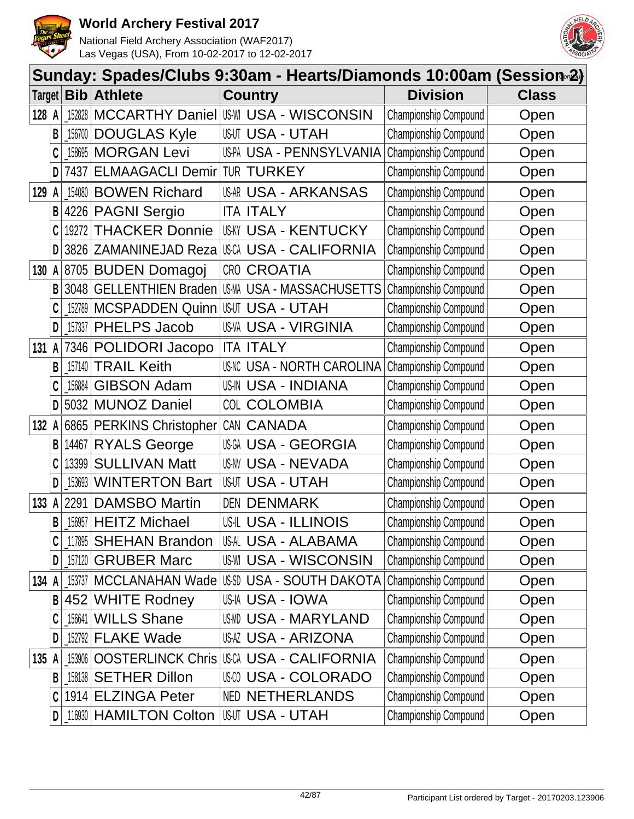



|        | Sunday: Spades/Clubs 9:30am - Hearts/Diamonds 10:00am (Session <sup>2</sup> ) |           |                               |       |                                                      |                              |              |  |  |
|--------|-------------------------------------------------------------------------------|-----------|-------------------------------|-------|------------------------------------------------------|------------------------------|--------------|--|--|
| Target |                                                                               | Bib       | <b>Athlete</b>                |       | <b>Country</b>                                       | <b>Division</b>              | <b>Class</b> |  |  |
| 128 A  |                                                                               | 152828    |                               |       | <b>MCCARTHY Daniel USM USA - WISCONSIN</b>           | Championship Compound        | Open         |  |  |
|        | B                                                                             | 156700    | <b>DOUGLAS Kyle</b>           |       | <b>USUT USA - UTAH</b>                               | Championship Compound        | Open         |  |  |
|        |                                                                               | 158695    | <b>MORGAN Levi</b>            |       | US-PA USA - PENNSYLVANIA                             | Championship Compound        | Open         |  |  |
|        | D                                                                             | 7437      | <b>ELMAAGACLI Demir</b>       |       | <b>TUR TURKEY</b>                                    | Championship Compound        | Open         |  |  |
| 129    | A                                                                             | 154080    | <b>BOWEN Richard</b>          |       | USAR USA - ARKANSAS                                  | Championship Compound        | Open         |  |  |
|        | B                                                                             |           | 4226 PAGNI Sergio             |       | <b>ITA ITALY</b>                                     | Championship Compound        | Open         |  |  |
|        |                                                                               | 19272     | <b>THACKER Donnie</b>         |       | USKY USA - KENTUCKY                                  | Championship Compound        | Open         |  |  |
|        | D                                                                             |           | 3826 ZAMANINEJAD Reza         |       | USCA USA - CALIFORNIA                                | <b>Championship Compound</b> | Open         |  |  |
| 130    | A                                                                             |           | 8705 BUDEN Domagoj            |       | CRO CROATIA                                          | Championship Compound        | Open         |  |  |
|        | B                                                                             |           | 3048 GELLENTHIEN Braden       |       | USMA USA - MASSACHUSETTS                             | Championship Compound        | Open         |  |  |
|        |                                                                               | 152789    | <b>MCSPADDEN Quinn</b>        |       | <b>USUT USA - UTAH</b>                               | Championship Compound        | Open         |  |  |
|        | D                                                                             | $-157337$ | PHELPS Jacob                  |       | US-VA USA - VIRGINIA                                 | Championship Compound        | Open         |  |  |
| 131    | A                                                                             |           | 7346 POLIDORI Jacopo          |       | <b>ITA ITALY</b>                                     | <b>Championship Compound</b> | Open         |  |  |
|        | B                                                                             | 157140    | <b>TRAIL Keith</b>            |       | <b>US-NC USA - NORTH CAROLINA</b>                    | Championship Compound        | Open         |  |  |
|        |                                                                               | 156884    | <b>GIBSON Adam</b>            |       | US-IN USA - INDIANA                                  | Championship Compound        | Open         |  |  |
|        | D                                                                             | 5032      | <b>MUNOZ Daniel</b>           |       | COL COLOMBIA                                         | Championship Compound        | Open         |  |  |
| 132 A  |                                                                               |           | 6865 PERKINS Christopher      |       | CAN CANADA                                           | Championship Compound        | Open         |  |  |
|        | B                                                                             | 14467     | <b>RYALS George</b>           | US-GA | <b>USA - GEORGIA</b>                                 | Championship Compound        | Open         |  |  |
|        | C                                                                             | 13399     | <b>SULLIVAN Matt</b>          |       | US-NV USA - NEVADA                                   | Championship Compound        | Open         |  |  |
|        | D                                                                             | 153693    | <b>WINTERTON Bart</b>         |       | <b>USUT USA - UTAH</b>                               | Championship Compound        | Open         |  |  |
| 133 A  |                                                                               | 2291      | <b>DAMSBO Martin</b>          |       | <b>DEN DENMARK</b>                                   | Championship Compound        | Open         |  |  |
|        | B                                                                             |           | 156957 HEITZ Michael          |       | <b>US-IL USA - ILLINOIS</b>                          | Championship Compound        | Open         |  |  |
|        |                                                                               | _117895   | <b>SHEHAN Brandon</b>         |       | USAL USA - ALABAMA                                   | <b>Championship Compound</b> | Open         |  |  |
|        | D                                                                             | 157120    | <b>GRUBER Marc</b>            |       | <b>US-WI USA - WISCONSIN</b>                         | Championship Compound        | Open         |  |  |
| 134 A  |                                                                               |           |                               |       | _153737   MCCLANAHAN Wade   US\$D USA - SOUTH DAKOTA | Championship Compound        | Open         |  |  |
|        | B                                                                             |           | 452 WHITE Rodney              |       | US-IA USA - IOWA                                     | Championship Compound        | Open         |  |  |
|        |                                                                               | _156641   | <b>WILLS Shane</b>            |       | USMD USA - MARYLAND                                  | Championship Compound        | Open         |  |  |
|        | D                                                                             |           | $152792$ FLAKE Wade           |       | USAZ USA - ARIZONA                                   | Championship Compound        | Open         |  |  |
| 135 A  |                                                                               | 153906    | <b>OOSTERLINCK Chris</b>      |       | USCA USA - CALIFORNIA                                | Championship Compound        | Open         |  |  |
|        | B                                                                             |           | 158138 SETHER Dillon          |       | <b>USA - COLORADO</b>                                | <b>Championship Compound</b> | Open         |  |  |
|        | C                                                                             |           | 1914 ELZINGA Peter            |       | <b>NED NETHERLANDS</b>                               | Championship Compound        | Open         |  |  |
|        | D                                                                             |           | <b>116930 HAMILTON Colton</b> |       | <b>USUT USA - UTAH</b>                               | Championship Compound        | Open         |  |  |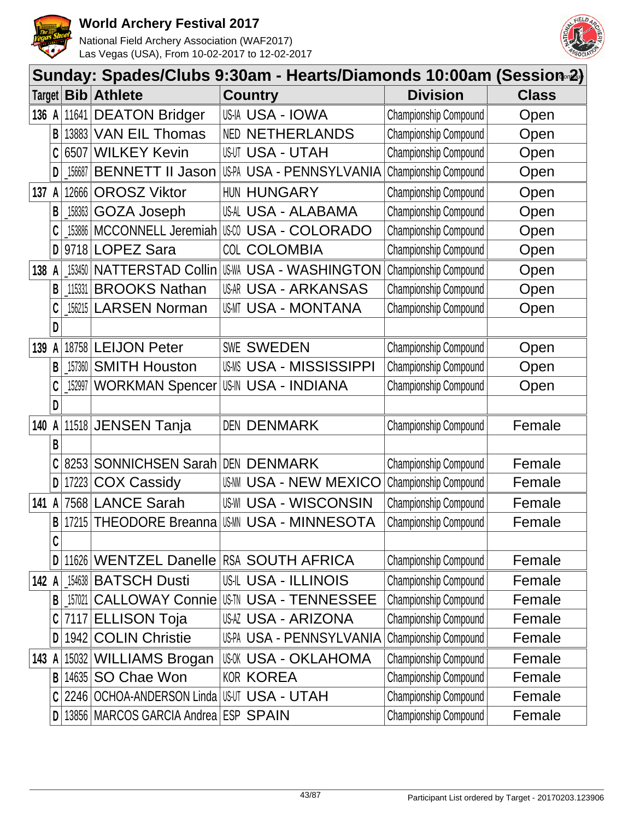



|        |   |                |                                           |       | Sunday: Spades/Clubs 9:30am - Hearts/Diamonds 10:00am (Session∞2) |                       |              |
|--------|---|----------------|-------------------------------------------|-------|-------------------------------------------------------------------|-----------------------|--------------|
| Target |   | <b>Bib</b>     | <b>Athlete</b>                            |       | <b>Country</b>                                                    | <b>Division</b>       | <b>Class</b> |
| 136 A  |   | 11641          | <b>DEATON Bridger</b>                     |       | USIA USA - IOWA                                                   | Championship Compound | Open         |
|        | B | 13883          | <b>VAN EIL Thomas</b>                     | NED   | <b>NETHERLANDS</b>                                                | Championship Compound | Open         |
|        | C | 6507           | <b>WILKEY Kevin</b>                       |       | <b>USUT USA - UTAH</b>                                            | Championship Compound | Open         |
|        | D | 156687         | <b>BENNETT II Jason</b>                   |       | US-PA USA - PENNSYLVANIA                                          | Championship Compound | Open         |
| 137    | A | 12666          | <b>OROSZ Viktor</b>                       |       | HUN HUNGARY                                                       | Championship Compound | Open         |
|        | B | $\_158363$ $ $ | <b>GOZA Joseph</b>                        |       | USAL USA - ALABAMA                                                | Championship Compound | Open         |
|        |   | 153886         | MCCONNELL Jeremiah                        | US-CO | <b>USA - COLORADO</b>                                             | Championship Compound | Open         |
|        | D |                | 9718 LOPEZ Sara                           |       | COL COLOMBIA                                                      | Championship Compound | Open         |
| 138    | A | 153450         | <b>NATTERSTAD Collin</b>                  |       | <b>USWA USA - WASHINGTON</b>                                      | Championship Compound | Open         |
|        | В | 115331         | <b>BROOKS Nathan</b>                      |       | <b>USAR USA - ARKANSAS</b>                                        | Championship Compound | Open         |
|        |   | 156215         | <b>LARSEN Norman</b>                      |       | <b>US-MT USA - MONTANA</b>                                        | Championship Compound | Open         |
|        | D |                |                                           |       |                                                                   |                       |              |
| 139    | A | 18758          | <b>LEIJON Peter</b>                       |       | <b>SWE SWEDEN</b>                                                 | Championship Compound | Open         |
|        | B | 157360         | <b>SMITH Houston</b>                      |       | USMS USA - MISSISSIPPI                                            | Championship Compound | Open         |
|        |   | 152997         | <b>WORKMAN Spencer</b>                    |       | <b>US-IN USA - INDIANA</b>                                        | Championship Compound | Open         |
|        | D |                |                                           |       |                                                                   |                       |              |
| 140    | A |                | 11518 JENSEN Tanja                        |       | <b>DEN DENMARK</b>                                                | Championship Compound | Female       |
|        | B |                |                                           |       |                                                                   |                       |              |
|        |   | 8253           | SONNICHSEN Sarah DEN DENMARK              |       |                                                                   | Championship Compound | Female       |
|        | D | 17223          | <b>COX Cassidy</b>                        | US-NM | <b>USA - NEW MEXICO</b>                                           | Championship Compound | Female       |
| 141    | A | 7568           | <b>LANCE Sarah</b>                        |       | <b>US-WI USA - WISCONSIN</b>                                      | Championship Compound | Female       |
|        | B | 17215          | <b>THEODORE Breanna</b>                   |       | <b>IUSMN USA - MINNESOTA</b>                                      | Championship Compound | Female       |
|        | C |                |                                           |       |                                                                   |                       |              |
|        | D |                | 11626 WENTZEL Danelle                     |       | <b>RSA SOUTH AFRICA</b>                                           | Championship Compound | Female       |
| 142 A  |   |                | 154638 BATSCH Dusti                       |       | USIL USA - ILLINOIS                                               | Championship Compound | Female       |
|        | В | 157021         |                                           |       | <b>CALLOWAY Connie USTN USA - TENNESSEE</b>                       | Championship Compound | Female       |
|        |   |                | 7117 ELLISON Toja                         |       | USAZ USA - ARIZONA                                                | Championship Compound | Female       |
|        | D | 1942           | <b>COLIN Christie</b>                     |       | US-PA USA - PENNSYLVANIA                                          | Championship Compound | Female       |
| 143 A  |   | 15032          | <b>WILLIAMS Brogan</b>                    |       | USOK USA - OKLAHOMA                                               | Championship Compound | Female       |
|        | B |                | 14635 SO Chae Won                         |       | <b>KOR KOREA</b>                                                  | Championship Compound | Female       |
|        | C |                | 2246 OCHOA-ANDERSON Linda USUT USA - UTAH |       |                                                                   | Championship Compound | Female       |
|        | D |                | 13856 MARCOS GARCIA Andrea ESP SPAIN      |       |                                                                   | Championship Compound | Female       |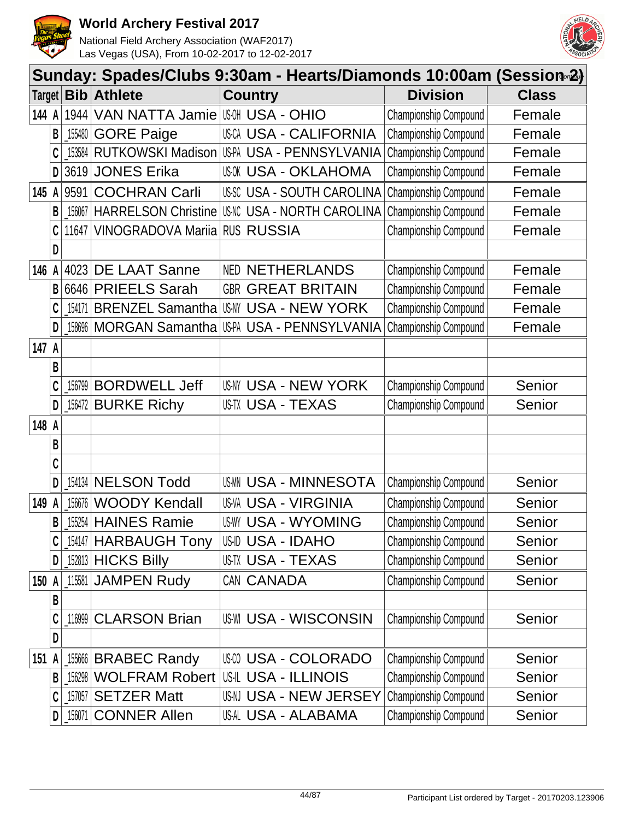



|        | Sunday: Spades/Clubs 9:30am - Hearts/Diamonds 10:00am (Session <sup>2</sup> ) |            |                            |                                   |                       |              |  |  |  |
|--------|-------------------------------------------------------------------------------|------------|----------------------------|-----------------------------------|-----------------------|--------------|--|--|--|
| Target |                                                                               | <b>Bib</b> | <b>Athlete</b>             | <b>Country</b>                    | <b>Division</b>       | <b>Class</b> |  |  |  |
| 144 A  |                                                                               | 1944       | VAN NATTA Jamie            | <b>USOH USA - OHIO</b>            | Championship Compound | Female       |  |  |  |
|        | B                                                                             | 155480     | <b>GORE Paige</b>          | <b>USCA USA - CALIFORNIA</b>      | Championship Compound | Female       |  |  |  |
|        | C                                                                             | 153584     | RUTKOWSKI Madison          | US-PA USA - PENNSYLVANIA          | Championship Compound | Female       |  |  |  |
|        | D                                                                             | 3619       | <b>JONES Erika</b>         | <b>USOK USA - OKLAHOMA</b>        | Championship Compound | Female       |  |  |  |
| 145 A  |                                                                               | 9591       | <b>COCHRAN Carli</b>       | USSC USA - SOUTH CAROLINA         | Championship Compound | Female       |  |  |  |
|        | B                                                                             | 156067     | <b>HARRELSON Christine</b> | <b>US-NC USA - NORTH CAROLINA</b> | Championship Compound | Female       |  |  |  |
|        | C                                                                             | 11647      | VINOGRADOVA Mariia         | <b>RUS RUSSIA</b>                 | Championship Compound | Female       |  |  |  |
|        | D                                                                             |            |                            |                                   |                       |              |  |  |  |
| 146    |                                                                               | 4023       | DE LAAT Sanne              | <b>NED NETHERLANDS</b>            | Championship Compound | Female       |  |  |  |
|        | B                                                                             | 6646       | <b>PRIEELS Sarah</b>       | <b>GBR GREAT BRITAIN</b>          | Championship Compound | Female       |  |  |  |
|        | C                                                                             | 154171     | <b>BRENZEL Samantha</b>    | <b>US-NY USA - NEW YORK</b>       | Championship Compound | Female       |  |  |  |
|        | D                                                                             | 158696     | MORGAN Samantha            | US-PA USA - PENNSYLVANIA          | Championship Compound | Female       |  |  |  |
| 147 A  |                                                                               |            |                            |                                   |                       |              |  |  |  |
|        | B                                                                             |            |                            |                                   |                       |              |  |  |  |
|        | C                                                                             | 156799     | <b>BORDWELL Jeff</b>       | USNY USA - NEW YORK               | Championship Compound | Senior       |  |  |  |
|        | D                                                                             | 156472     | <b>BURKE Richy</b>         | US-TX USA - TEXAS                 | Championship Compound | Senior       |  |  |  |
| 148 A  |                                                                               |            |                            |                                   |                       |              |  |  |  |
|        | В                                                                             |            |                            |                                   |                       |              |  |  |  |
|        | C                                                                             |            |                            |                                   |                       |              |  |  |  |
|        | D                                                                             | 154134     | <b>NELSON Todd</b>         | USMN USA - MINNESOTA              | Championship Compound | Senior       |  |  |  |
| 149    |                                                                               | 156676     | <b>WOODY Kendall</b>       | <b>US-VA USA - VIRGINIA</b>       | Championship Compound | Senior       |  |  |  |
|        | B                                                                             | 155254     | <b>HAINES Ramie</b>        | <b>USWY USA - WYOMING</b>         | Championship Compound | Senior       |  |  |  |
|        | C                                                                             | _154147    | <b>HARBAUGH Tony</b>       | USID USA - IDAHO                  | Championship Compound | Senior       |  |  |  |
|        | D                                                                             |            | 152813 HICKS Billy         | US-TX USA - TEXAS                 | Championship Compound | Senior       |  |  |  |
| 150 A  |                                                                               | 115581     | <b>JAMPEN Rudy</b>         | CAN CANADA                        | Championship Compound | Senior       |  |  |  |
|        | B                                                                             |            |                            |                                   |                       |              |  |  |  |
|        | C                                                                             | 116999     | <b>CLARSON Brian</b>       | <b>US-WI USA - WISCONSIN</b>      | Championship Compound | Senior       |  |  |  |
|        | D                                                                             |            |                            |                                   |                       |              |  |  |  |
| 151    |                                                                               | 155666     | <b>BRABEC Randy</b>        | <b>USA - COLORADO</b>             | Championship Compound | Senior       |  |  |  |
|        | B                                                                             | 156298     | <b>WOLFRAM Robert</b>      | US-IL USA - ILLINOIS              | Championship Compound | Senior       |  |  |  |
|        | C                                                                             | 157057     | <b>SETZER Matt</b>         | USN USA - NEW JERSEY              | Championship Compound | Senior       |  |  |  |
|        | D                                                                             | 156071     | <b>CONNER Allen</b>        | USAL USA - ALABAMA                | Championship Compound | Senior       |  |  |  |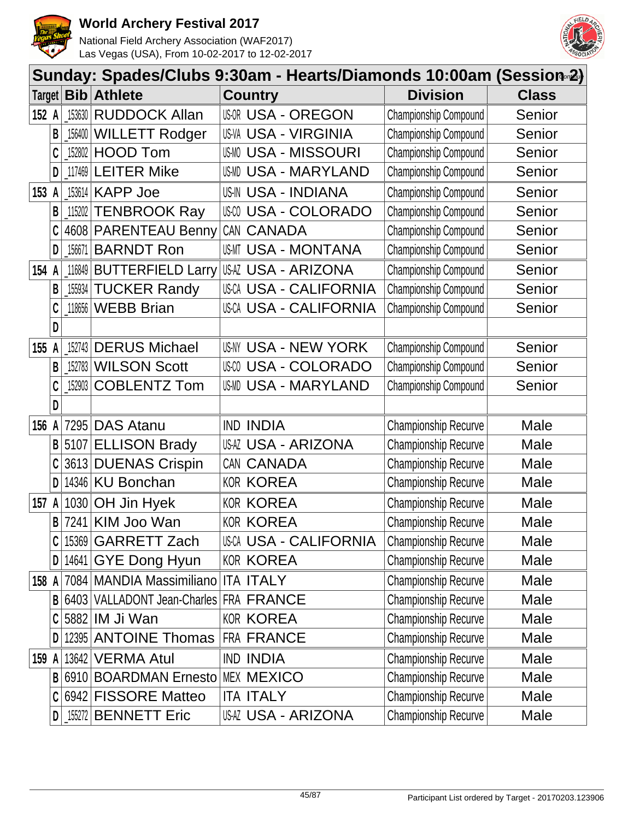



|       |   |                     | Sunday: Spades/Clubs 9:30am - Hearts/Diamonds 10:00am (Session 2) |                              |                             |              |
|-------|---|---------------------|-------------------------------------------------------------------|------------------------------|-----------------------------|--------------|
|       |   | Target   <b>Bib</b> | <b>Athlete</b>                                                    | <b>Country</b>               | <b>Division</b>             | <b>Class</b> |
| 152 A |   | $-153630$           | <b>RUDDOCK Allan</b>                                              | <b>USOR USA - OREGON</b>     | Championship Compound       | Senior       |
|       | B | 156400              | <b>WILLETT Rodger</b>                                             | <b>US-VA USA - VIRGINIA</b>  | Championship Compound       | Senior       |
|       |   |                     | 152802 HOOD Tom                                                   | <b>USMO USA - MISSOURI</b>   | Championship Compound       | Senior       |
|       | D |                     | $117469$ LEITER Mike                                              | USMD USA - MARYLAND          | Championship Compound       | Senior       |
| 153 A |   | 153614              | <b>KAPP Joe</b>                                                   | <b>US-IN USA - INDIANA</b>   | Championship Compound       | Senior       |
|       | B |                     | 115202 TENBROOK Ray                                               | <b>USO USA - COLORADO</b>    | Championship Compound       | Senior       |
|       |   |                     | 4608 PARENTEAU Benny                                              | CAN CANADA                   | Championship Compound       | Senior       |
|       | D | _156671             | <b>BARNDT Ron</b>                                                 | USMT USA - MONTANA           | Championship Compound       | Senior       |
| 154   | A |                     | 116849 BUTTERFIELD Larry                                          | USAZ USA - ARIZONA           | Championship Compound       | Senior       |
|       | B |                     | 155934 TUCKER Randy                                               | <b>USCA USA - CALIFORNIA</b> | Championship Compound       | Senior       |
|       |   |                     | 118656 WEBB Brian                                                 | <b>USCA USA - CALIFORNIA</b> | Championship Compound       | Senior       |
|       | D |                     |                                                                   |                              |                             |              |
| 155   | A | 152743              | <b>DERUS Michael</b>                                              | USNY USA - NEW YORK          | Championship Compound       | Senior       |
|       | B |                     | 152783 WILSON Scott                                               | <b>USA - COLORADO</b>        | Championship Compound       | Senior       |
|       |   | $\_152903$ $ $      | <b>COBLENTZ Tom</b>                                               | USMD USA - MARYLAND          | Championship Compound       | Senior       |
|       | D |                     |                                                                   |                              |                             |              |
| 156 A |   |                     | 7295 DAS Atanu                                                    | <b>IND INDIA</b>             | Championship Recurve        | Male         |
|       | B |                     | 5107 ELLISON Brady                                                | USAZ USA - ARIZONA           | Championship Recurve        | Male         |
|       |   |                     | 3613 DUENAS Crispin                                               | CAN CANADA                   | Championship Recurve        | Male         |
|       | D |                     | 14346 KU Bonchan                                                  | <b>KOR KOREA</b>             | Championship Recurve        | Male         |
| 157   | A |                     | 1030 OH Jin Hyek                                                  | <b>KOR KOREA</b>             | <b>Championship Recurve</b> | Male         |
|       | B |                     | 7241 KIM Joo Wan                                                  | <b>KOR KOREA</b>             | <b>Championship Recurve</b> | Male         |
|       |   |                     | 15369 GARRETT Zach                                                | USCA USA - CALIFORNIA        | <b>Championship Recurve</b> | Male         |
|       | D |                     | 14641 GYE Dong Hyun                                               | <b>KOR KOREA</b>             | <b>Championship Recurve</b> | Male         |
| 158 A |   |                     | 7084 MANDIA Massimiliano                                          | <b>ITA ITALY</b>             | Championship Recurve        | Male         |
|       | B |                     | 6403 VALLADONT Jean-Charles FRA FRANCE                            |                              | Championship Recurve        | Male         |
|       |   |                     | 5882 IM Ji Wan                                                    | <b>KOR KOREA</b>             | Championship Recurve        | Male         |
|       | D |                     | 12395 ANTOINE Thomas                                              | <b>FRA FRANCE</b>            | Championship Recurve        | Male         |
| 159 A |   |                     | 13642 VERMA Atul                                                  | <b>IND INDIA</b>             | Championship Recurve        | Male         |
|       | B |                     | 6910 BOARDMAN Ernesto                                             | <b>MEX MEXICO</b>            | Championship Recurve        | Male         |
|       |   |                     | 6942 FISSORE Matteo                                               | <b>ITA ITALY</b>             | Championship Recurve        | Male         |
|       | D |                     | $155272$ BENNETT Eric                                             | USAZ USA - ARIZONA           | Championship Recurve        | Male         |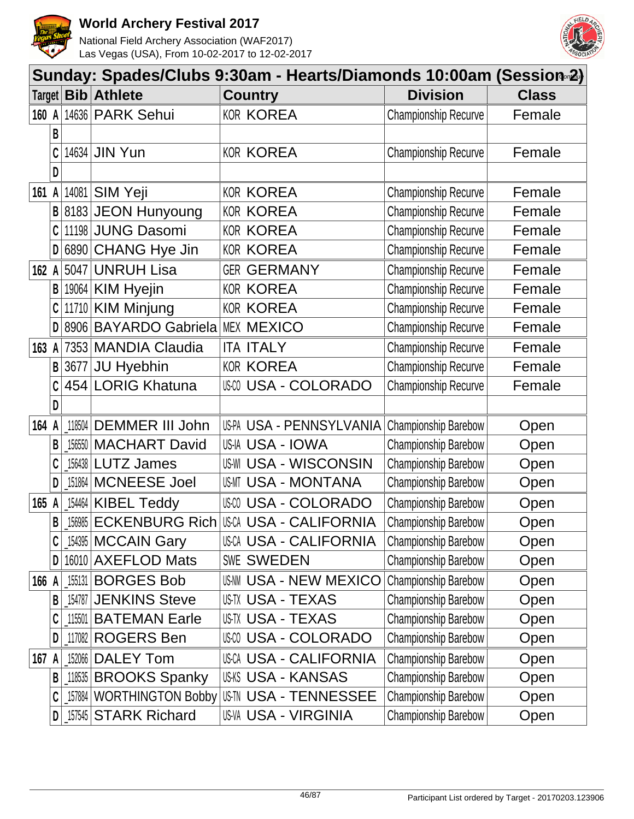



|       | Sunday: Spades/Clubs 9:30am - Hearts/Diamonds 10:00am (Session <sub>®</sub> 2) |        |                           |                              |                             |              |  |  |  |
|-------|--------------------------------------------------------------------------------|--------|---------------------------|------------------------------|-----------------------------|--------------|--|--|--|
|       |                                                                                |        | Target <b>Bib Athlete</b> | <b>Country</b>               | <b>Division</b>             | <b>Class</b> |  |  |  |
| 160 A |                                                                                |        | 14636 PARK Sehui          | <b>KOR KOREA</b>             | <b>Championship Recurve</b> | Female       |  |  |  |
|       | В                                                                              |        |                           |                              |                             |              |  |  |  |
|       | C                                                                              |        | 14634 JIN Yun             | <b>KOR KOREA</b>             | <b>Championship Recurve</b> | Female       |  |  |  |
|       | D                                                                              |        |                           |                              |                             |              |  |  |  |
| 161   | A                                                                              |        | 14081 SIM Yeji            | <b>KOR KOREA</b>             | <b>Championship Recurve</b> | Female       |  |  |  |
|       | B                                                                              |        | 8183 JEON Hunyoung        | <b>KOR KOREA</b>             | Championship Recurve        | Female       |  |  |  |
|       |                                                                                |        | 11198 JUNG Dasomi         | <b>KOR KOREA</b>             | Championship Recurve        | Female       |  |  |  |
|       | D                                                                              |        | 6890 CHANG Hye Jin        | <b>KOR KOREA</b>             | <b>Championship Recurve</b> | Female       |  |  |  |
| 162   | A                                                                              |        | 5047 UNRUH Lisa           | <b>GER GERMANY</b>           | <b>Championship Recurve</b> | Female       |  |  |  |
|       | В                                                                              |        | 19064 KIM Hyejin          | <b>KOR KOREA</b>             | Championship Recurve        | Female       |  |  |  |
|       | C                                                                              |        | 11710 KIM Minjung         | <b>KOR KOREA</b>             | <b>Championship Recurve</b> | Female       |  |  |  |
|       | D                                                                              |        | 8906 BAYARDO Gabriela     | <b>MEX MEXICO</b>            | Championship Recurve        | Female       |  |  |  |
| 163   | A                                                                              |        | 7353 MANDIA Claudia       | <b>ITA ITALY</b>             | <b>Championship Recurve</b> | Female       |  |  |  |
|       | B                                                                              | 3677   | JU Hyebhin                | <b>KOR KOREA</b>             | <b>Championship Recurve</b> | Female       |  |  |  |
|       |                                                                                |        | 454 LORIG Khatuna         | <b>USA - COLORADO</b>        | <b>Championship Recurve</b> | Female       |  |  |  |
|       | D                                                                              |        |                           |                              |                             |              |  |  |  |
| 164   | A                                                                              |        | 118504 DEMMER III John    | US-PA USA - PENNSYLVANIA     | Championship Barebow        | Open         |  |  |  |
|       | В                                                                              |        | 156550 MACHART David      | US-IA USA - IOWA             | Championship Barebow        | Open         |  |  |  |
|       | C                                                                              |        | 156438 LUTZ James         | <b>US-WI USA - WISCONSIN</b> | Championship Barebow        | Open         |  |  |  |
|       | D                                                                              |        | 151864 MCNEESE Joel       | US-MT USA - MONTANA          | Championship Barebow        | Open         |  |  |  |
| 165   | A                                                                              |        | 154464 KIBEL Teddy        | <b>USA - COLORADO</b>        | Championship Barebow        | Open         |  |  |  |
|       | B                                                                              | 156985 | <b>ECKENBURG Rich</b>     | <b>USCA USA - CALIFORNIA</b> | Championship Barebow        | Open         |  |  |  |
|       |                                                                                |        | [154395   MCCAIN Gary     | USCA USA - CALIFORNIA        | <b>Championship Barebow</b> | Open         |  |  |  |
|       | D                                                                              |        | 16010 AXEFLOD Mats        | <b>SWE SWEDEN</b>            | Championship Barebow        | Open         |  |  |  |
| 166 A |                                                                                |        | 155131 BORGES Bob         | <b>USAM USA - NEW MEXICO</b> | Championship Barebow        | Open         |  |  |  |
|       | B                                                                              | 154787 | <b>JENKINS Steve</b>      | US-TX USA - TEXAS            | Championship Barebow        | Open         |  |  |  |
|       |                                                                                |        | 115501 BATEMAN Earle      | <b>USTX USA - TEXAS</b>      | Championship Barebow        | Open         |  |  |  |
|       | D                                                                              |        | 117082 ROGERS Ben         | USA - COLORADO               | Championship Barebow        | Open         |  |  |  |
| 167 A |                                                                                |        | 152066   DALEY Tom        | <b>USCA USA - CALIFORNIA</b> | Championship Barebow        | Open         |  |  |  |
|       | B                                                                              |        | [11853] BROOKS Spanky     | USKS USA - KANSAS            | <b>Championship Barebow</b> | Open         |  |  |  |
|       | C                                                                              |        | 157884 WORTHINGTON Bobby  | USIN USA - TENNESSEE         | Championship Barebow        | Open         |  |  |  |
|       | D                                                                              |        | 157545 STARK Richard      | US-VA USA - VIRGINIA         | <b>Championship Barebow</b> | Open         |  |  |  |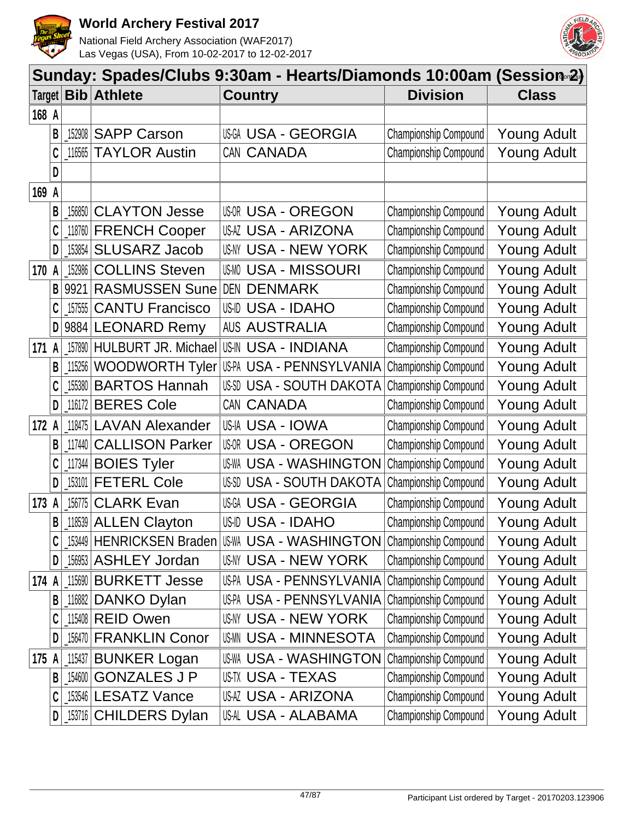



|        | Sunday: Spades/Clubs 9:30am - Hearts/Diamonds 10:00am (Session <sub>®</sub> 2) |         |                            |  |                               |                              |                    |  |  |  |
|--------|--------------------------------------------------------------------------------|---------|----------------------------|--|-------------------------------|------------------------------|--------------------|--|--|--|
| Target |                                                                                |         | <b>Bib Athlete</b>         |  | <b>Country</b>                | <b>Division</b>              | <b>Class</b>       |  |  |  |
| 168 A  |                                                                                |         |                            |  |                               |                              |                    |  |  |  |
|        | В                                                                              | 152908  | <b>SAPP Carson</b>         |  | <b>USA - GEORGIA</b>          | Championship Compound        | <b>Young Adult</b> |  |  |  |
|        | C                                                                              | 116565  | <b>TAYLOR Austin</b>       |  | CAN CANADA                    | Championship Compound        | <b>Young Adult</b> |  |  |  |
|        | D                                                                              |         |                            |  |                               |                              |                    |  |  |  |
| 169 A  |                                                                                |         |                            |  |                               |                              |                    |  |  |  |
|        | В                                                                              |         | 156850 CLAYTON Jesse       |  | <b>USOR USA - OREGON</b>      | Championship Compound        | <b>Young Adult</b> |  |  |  |
|        |                                                                                |         | 118760 FRENCH Cooper       |  | USAZ USA - ARIZONA            | Championship Compound        | <b>Young Adult</b> |  |  |  |
|        | D                                                                              | 153854  | <b>SLUSARZ Jacob</b>       |  | USNY USA - NEW YORK           | Championship Compound        | <b>Young Adult</b> |  |  |  |
| 170    | A                                                                              | 152986  | <b>COLLINS Steven</b>      |  | <b>USMO USA - MISSOURI</b>    | Championship Compound        | <b>Young Adult</b> |  |  |  |
|        | B                                                                              | 9921    | <b>RASMUSSEN Sune</b>      |  | DEN DENMARK                   | Championship Compound        | <b>Young Adult</b> |  |  |  |
|        |                                                                                | 157555  | <b>CANTU Francisco</b>     |  | USID USA - IDAHO              | Championship Compound        | <b>Young Adult</b> |  |  |  |
|        | D                                                                              |         | 9884 LEONARD Remy          |  | <b>AUS AUSTRALIA</b>          | Championship Compound        | <b>Young Adult</b> |  |  |  |
| 171    | A                                                                              |         | 157890 HULBURT JR. Michael |  | <b>US-IN USA - INDIANA</b>    | Championship Compound        | <b>Young Adult</b> |  |  |  |
|        | В                                                                              | 115256  | <b>WOODWORTH Tyler</b>     |  | US-PA USA - PENNSYLVANIA      | Championship Compound        | <b>Young Adult</b> |  |  |  |
|        |                                                                                | 155380  | <b>BARTOS Hannah</b>       |  | US-SD USA - SOUTH DAKOTA      | Championship Compound        | <b>Young Adult</b> |  |  |  |
|        | D                                                                              | 116172  | <b>BERES Cole</b>          |  | CAN CANADA                    | Championship Compound        | <b>Young Adult</b> |  |  |  |
| 172 A  |                                                                                |         | 118475 LAVAN Alexander     |  | USIA USA - IOWA               | Championship Compound        | <b>Young Adult</b> |  |  |  |
|        | В                                                                              | 117440  | <b>CALLISON Parker</b>     |  | <b>USOR USA - OREGON</b>      | Championship Compound        | <b>Young Adult</b> |  |  |  |
|        |                                                                                | _117344 | <b>BOIES Tyler</b>         |  | <b>US-WA USA - WASHINGTON</b> | Championship Compound        | <b>Young Adult</b> |  |  |  |
|        | D                                                                              | 153101  | <b>FETERL Cole</b>         |  | US-SD USA - SOUTH DAKOTA      | Championship Compound        | <b>Young Adult</b> |  |  |  |
| 173    | A                                                                              | 156775  | <b>CLARK Evan</b>          |  | <b>USGA USA - GEORGIA</b>     | Championship Compound        | <b>Young Adult</b> |  |  |  |
|        | B                                                                              |         | 118539 ALLEN Clayton       |  | USID USA - IDAHO              | Championship Compound        | <b>Young Adult</b> |  |  |  |
|        |                                                                                |         |                            |  |                               | <b>Championship Compound</b> | Young Adult        |  |  |  |
|        | D                                                                              |         | 156953 ASHLEY Jordan       |  | USNY USA - NEW YORK           | Championship Compound        | <b>Young Adult</b> |  |  |  |
| 174 A  |                                                                                |         | 115690 BURKETT Jesse       |  | US-PA USA - PENNSYLVANIA      | Championship Compound        | Young Adult        |  |  |  |
|        | B                                                                              |         | 116882 DANKO Dylan         |  | US-PA USA - PENNSYLVANIA      | Championship Compound        | <b>Young Adult</b> |  |  |  |
|        |                                                                                |         | 115408 REID Owen           |  | USNY USA - NEW YORK           | Championship Compound        | Young Adult        |  |  |  |
|        | D                                                                              |         | 156470 FRANKLIN Conor      |  | USMN USA - MINNESOTA          | Championship Compound        | <b>Young Adult</b> |  |  |  |
| 175 A  |                                                                                |         | 115437 BUNKER Logan        |  | <b>US-WA USA - WASHINGTON</b> | Championship Compound        | <b>Young Adult</b> |  |  |  |
|        | B                                                                              |         | 154600 GONZALES J P        |  | USTX USA - TEXAS              | Championship Compound        | <b>Young Adult</b> |  |  |  |
|        | C                                                                              |         | 153546 LESATZ Vance        |  | USAZ USA - ARIZONA            | Championship Compound        | <b>Young Adult</b> |  |  |  |
|        | D                                                                              |         | [153716 CHILDERS Dylan     |  | US-AL USA - ALABAMA           | Championship Compound        | Young Adult        |  |  |  |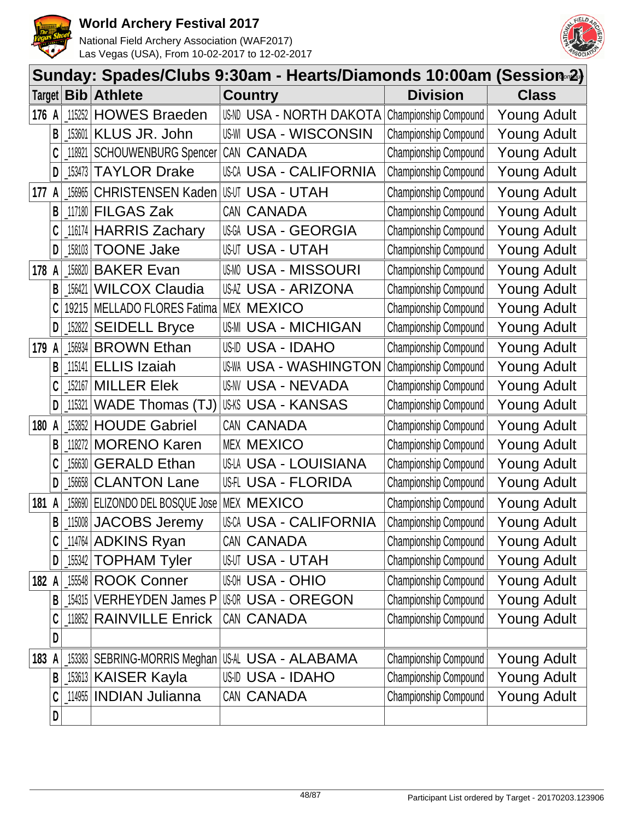



|        |              |            |                                 | Sunday: Spades/Clubs 9:30am - Hearts/Diamonds 10:00am (Session 2)  |                    |
|--------|--------------|------------|---------------------------------|--------------------------------------------------------------------|--------------------|
| Target |              | <b>Bib</b> | <b>Athlete</b>                  | <b>Country</b><br><b>Division</b>                                  | <b>Class</b>       |
| 176 A  |              | 115252     | <b>HOWES Braeden</b>            | USND USA - NORTH DAKOTA<br>Championship Compound                   | <b>Young Adult</b> |
|        | B            | 153601     | KLUS JR. John                   | <b>US-WI USA - WISCONSIN</b><br>Championship Compound              | <b>Young Adult</b> |
|        | C            | 118921     | <b>SCHOUWENBURG Spencer</b>     | CAN CANADA<br>Championship Compound                                | <b>Young Adult</b> |
|        | D            | 153473     | <b>TAYLOR Drake</b>             | USCA USA - CALIFORNIA<br>Championship Compound                     | Young Adult        |
| 177    | A            | 156965     | <b>CHRISTENSEN Kaden</b>        | Championship Compound<br>USUT USA - UTAH                           | <b>Young Adult</b> |
|        | $\mathsf{B}$ | 117180     | <b>FILGAS Zak</b>               | Championship Compound<br>CAN CANADA                                | <b>Young Adult</b> |
|        | C            | 116174     | <b>HARRIS Zachary</b>           | <b>USGA USA - GEORGIA</b><br>Championship Compound                 | <b>Young Adult</b> |
|        | D            | 158103     | <b>TOONE Jake</b>               | Championship Compound<br>USUT USA - UTAH                           | <b>Young Adult</b> |
| 178    | A            | 156820     | <b>BAKER Evan</b>               | Championship Compound<br><b>USA - MISSOURI</b>                     | <b>Young Adult</b> |
|        | B            | 156421     | <b>WILCOX Claudia</b>           | <b>USAZ USA - ARIZONA</b><br>Championship Compound                 | <b>Young Adult</b> |
|        |              | 19215      | MELLADO FLORES Fatima           | <b>MEX MEXICO</b><br>Championship Compound                         | <b>Young Adult</b> |
|        | D            | 152822     | <b>SEIDELL Bryce</b>            | <b>US-MI USA - MICHIGAN</b><br>Championship Compound               | <b>Young Adult</b> |
| 179    | A            | 156934     | <b>BROWN Ethan</b>              | Championship Compound<br>US-ID USA - IDAHO                         | <b>Young Adult</b> |
|        | B            | 115141     | <b>ELLIS Izaiah</b>             | <b>US-WA USA - WASHINGTON</b><br>Championship Compound             | <b>Young Adult</b> |
|        | C            | 152167     | <b>MILLER Elek</b>              | Championship Compound<br>US-NV USA - NEVADA                        | <b>Young Adult</b> |
|        | D            | 115321     | WADE Thomas (TJ)                | US-KS USA - KANSAS<br>Championship Compound                        | Young Adult        |
| 180    | A            | 153852     | <b>HOUDE Gabriel</b>            | CAN CANADA<br>Championship Compound                                | <b>Young Adult</b> |
|        | B            | 118272     | <b>MORENO Karen</b>             | <b>MEX MEXICO</b><br>Championship Compound                         | <b>Young Adult</b> |
|        | C            | 156630     | <b>GERALD Ethan</b>             | US-LA USA - LOUISIANA<br>Championship Compound                     | <b>Young Adult</b> |
|        | D            | 156658     | <b>CLANTON Lane</b>             | US-FLORIDA<br>Championship Compound                                | Young Adult        |
| 181    | A            | 158690     | <b>ELIZONDO DEL BOSQUE Jose</b> | <b>MEX MEXICO</b><br>Championship Compound                         | <b>Young Adult</b> |
|        | $\mathsf{B}$ |            | 115008 JACOBS Jeremy            | Championship Compound<br>USCA USA - CALIFORNIA                     | <b>Young Adult</b> |
|        | C            |            | 114764 ADKINS Ryan              | Championship Compound<br>CAN CANADA                                | <b>Young Adult</b> |
|        | D            | 155342     | <b>TOPHAM Tyler</b>             | <b>USUT USA - UTAH</b><br>Championship Compound                    | <b>Young Adult</b> |
| 182 A  |              | 155548     | <b>ROOK Conner</b>              | Championship Compound<br><b>USA - OHIO</b>                         | <b>Young Adult</b> |
|        | B            |            |                                 | 154315 VERHEYDEN James P USR USA - OREGON<br>Championship Compound | <b>Young Adult</b> |
|        | C            |            | 118852 RAINVILLE Enrick         | CAN CANADA<br>Championship Compound                                | <b>Young Adult</b> |
|        | D            |            |                                 |                                                                    |                    |
| 183    |              |            | [153383   SEBRING-MORRIS Meghan | USAL USA - ALABAMA<br>Championship Compound                        | Young Adult        |
|        | B            |            | 153613 KAISER Kayla             | Championship Compound<br>US-ID USA - IDAHO                         | <b>Young Adult</b> |
|        | C            |            | 114955 INDIAN Julianna          | CAN CANADA<br>Championship Compound                                | <b>Young Adult</b> |
|        | D            |            |                                 |                                                                    |                    |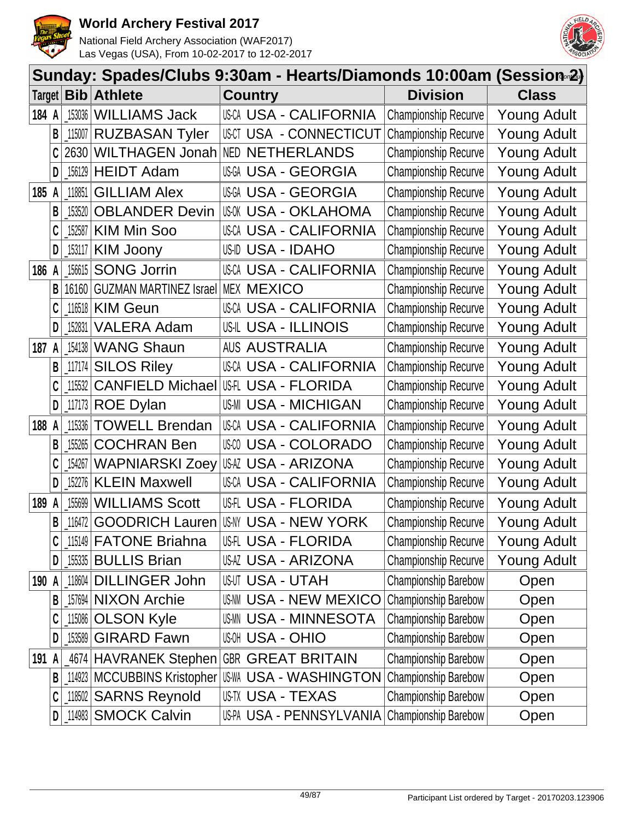



|        | Sunday: Spades/Clubs 9:30am - Hearts/Diamonds 10:00am (Session 2) |            |                                       |  |                   |                               |                             |                    |  |
|--------|-------------------------------------------------------------------|------------|---------------------------------------|--|-------------------|-------------------------------|-----------------------------|--------------------|--|
| Target |                                                                   | <b>Bib</b> | <b>Athlete</b>                        |  | <b>Country</b>    |                               | <b>Division</b>             | <b>Class</b>       |  |
| 184 A  |                                                                   | 153036     | <b>WILLIAMS Jack</b>                  |  |                   | <b>USCA USA - CALIFORNIA</b>  | <b>Championship Recurve</b> | <b>Young Adult</b> |  |
|        | B                                                                 | 115007     | <b>RUZBASAN Tyler</b>                 |  |                   | USCT USA - CONNECTICUT        | <b>Championship Recurve</b> | <b>Young Adult</b> |  |
|        |                                                                   | 2630       | WILTHAGEN Jonah                       |  |                   | <b>NED NETHERLANDS</b>        | <b>Championship Recurve</b> | <b>Young Adult</b> |  |
|        | D                                                                 | 156129     | <b>HEIDT Adam</b>                     |  |                   | USGA USA - GEORGIA            | <b>Championship Recurve</b> | <b>Young Adult</b> |  |
| 185    | A                                                                 | 118851     | <b>GILLIAM Alex</b>                   |  |                   | <b>USGA - GEORGIA</b>         | Championship Recurve        | <b>Young Adult</b> |  |
|        | $\mathsf{B}$                                                      | 153520     | <b>OBLANDER Devin</b>                 |  |                   | USOK USA - OKLAHOMA           | <b>Championship Recurve</b> | <b>Young Adult</b> |  |
|        | C                                                                 | 152587     | <b>KIM Min Soo</b>                    |  |                   | USCA USA - CALIFORNIA         | <b>Championship Recurve</b> | <b>Young Adult</b> |  |
|        | $\mathsf{D}$                                                      | 153117     | <b>KIM Joony</b>                      |  |                   | US-ID USA - IDAHO             | <b>Championship Recurve</b> | <b>Young Adult</b> |  |
| 186 A  |                                                                   | 156615     | <b>SONG Jorrin</b>                    |  |                   | USCA USA - CALIFORNIA         | <b>Championship Recurve</b> | <b>Young Adult</b> |  |
|        | B                                                                 | 16160      | <b>GUZMAN MARTINEZ Israel</b>         |  | <b>MEX MEXICO</b> |                               | Championship Recurve        | <b>Young Adult</b> |  |
|        |                                                                   | 116518     | <b>KIM Geun</b>                       |  |                   | USCA USA - CALIFORNIA         | <b>Championship Recurve</b> | <b>Young Adult</b> |  |
|        | D                                                                 | 152831     | <b>VALERA Adam</b>                    |  |                   | USIL USA - ILLINOIS           | <b>Championship Recurve</b> | <b>Young Adult</b> |  |
| 187 A  |                                                                   | 154138     | <b>WANG Shaun</b>                     |  |                   | <b>AUS AUSTRALIA</b>          | Championship Recurve        | <b>Young Adult</b> |  |
|        | B                                                                 | 117174     | <b>SILOS Riley</b>                    |  |                   | USCA USA - CALIFORNIA         | Championship Recurve        | <b>Young Adult</b> |  |
|        | C                                                                 | 115532     | <b>CANFIELD Michael USA - FLORIDA</b> |  |                   |                               | <b>Championship Recurve</b> | <b>Young Adult</b> |  |
|        | D                                                                 | 117173     | <b>ROE Dylan</b>                      |  |                   | <b>US-MI USA - MICHIGAN</b>   | <b>Championship Recurve</b> | Young Adult        |  |
| 188    | A                                                                 | 115336     | <b>TOWELL Brendan</b>                 |  |                   | USCA USA - CALIFORNIA         | <b>Championship Recurve</b> | <b>Young Adult</b> |  |
|        | B                                                                 | 155265     | <b>COCHRAN Ben</b>                    |  |                   | <b>USA - COLORADO</b>         | <b>Championship Recurve</b> | <b>Young Adult</b> |  |
|        | C                                                                 | 154267     | WAPNIARSKI Zoey                       |  |                   | USAZ USA - ARIZONA            | <b>Championship Recurve</b> | <b>Young Adult</b> |  |
|        | D                                                                 | 152276     | <b>KLEIN Maxwell</b>                  |  |                   | USCA USA - CALIFORNIA         | <b>Championship Recurve</b> | Young Adult        |  |
| 189    | A                                                                 | 155699     | <b>WILLIAMS Scott</b>                 |  |                   | USH USA - FLORIDA             | Championship Recurve        | <b>Young Adult</b> |  |
|        | $\mathsf{B}$                                                      | 116472     | GOODRICH Lauren USMY USA - NEW YORK   |  |                   |                               | <b>Championship Recurve</b> | <b>Young Adult</b> |  |
|        | C                                                                 | 115149     | <b>FATONE Briahna</b>                 |  |                   | USH USA - FLORIDA             | <b>Championship Recurve</b> | Young Adult        |  |
|        | D                                                                 |            | 155335 BULLIS Brian                   |  |                   | USAZ USA - ARIZONA            | <b>Championship Recurve</b> | <b>Young Adult</b> |  |
| 190 A  |                                                                   | 118604     | <b>DILLINGER John</b>                 |  |                   | <b>USUT USA - UTAH</b>        | Championship Barebow        | Open               |  |
|        | B                                                                 | 157694     | <b>NIXON Archie</b>                   |  |                   | <b>US-NN USA - NEW MEXICO</b> | <b>Championship Barebow</b> | Open               |  |
|        | C                                                                 | 115086     | <b>OLSON Kyle</b>                     |  |                   | <b>USMN USA - MINNESOTA</b>   | Championship Barebow        | Open               |  |
|        | D                                                                 | 153589     | <b>GIRARD Fawn</b>                    |  |                   | <b>USA - OHIO</b>             | Championship Barebow        | Open               |  |
| 191    | A                                                                 |            | 4674   HAVRANEK Stephen               |  |                   | <b>GBR GREAT BRITAIN</b>      | Championship Barebow        | Open               |  |
|        | B <sub>1</sub>                                                    | 114923     | MCCUBBINS Kristopher                  |  |                   | <b>USWA USA - WASHINGTON</b>  | Championship Barebow        | Open               |  |
|        | C                                                                 | 118502     | <b>SARNS Reynold</b>                  |  |                   | USTX USA - TEXAS              | <b>Championship Barebow</b> | Open               |  |
|        | $\mathsf{D}$                                                      | 114983     | <b>SMOCK Calvin</b>                   |  |                   | US-PA USA - PENNSYLVANIA      | Championship Barebow        | Open               |  |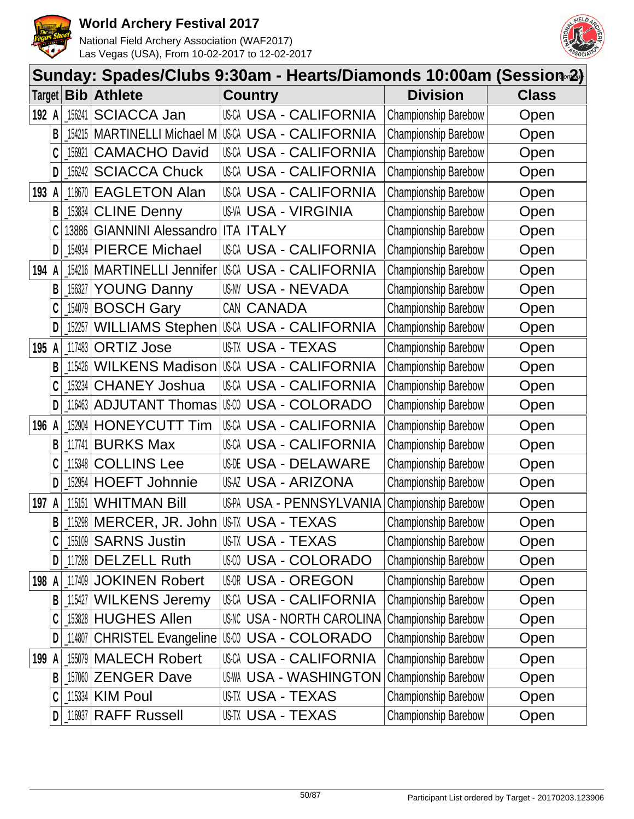



|        |   |            | Sunday: Spades/Clubs 9:30am - Hearts/Diamonds 10:00am (Session∞2) |                                      |                             |              |
|--------|---|------------|-------------------------------------------------------------------|--------------------------------------|-----------------------------|--------------|
| Target |   | <b>Bib</b> | <b>Athlete</b>                                                    | <b>Country</b>                       | <b>Division</b>             | <b>Class</b> |
| 192 A  |   | 156241     | <b>SCIACCA Jan</b>                                                | USCA USA - CALIFORNIA                | Championship Barebow        | Open         |
|        | B | 154215     | <b>MARTINELLI Michael M</b>                                       | USCA USA - CALIFORNIA                | Championship Barebow        | Open         |
|        | C | 156921     | <b>CAMACHO David</b>                                              | USCA USA - CALIFORNIA                | Championship Barebow        | Open         |
|        | D | 156242     | <b>SCIACCA Chuck</b>                                              | <b>USCA USA - CALIFORNIA</b>         | <b>Championship Barebow</b> | Open         |
| 193    |   | 118670     | <b>EAGLETON Alan</b>                                              | USCA USA - CALIFORNIA                | Championship Barebow        | Open         |
|        | B | 153834     | <b>CLINE Denny</b>                                                | <b>US-VA USA - VIRGINIA</b>          | Championship Barebow        | Open         |
|        | C | 13886      | <b>GIANNINI Alessandro</b>                                        | <b>ITA ITALY</b>                     | Championship Barebow        | Open         |
|        | D | 154934     | <b>PIERCE Michael</b>                                             | USCA USA - CALIFORNIA                | <b>Championship Barebow</b> | Open         |
| 194    |   | 154216     | <b>MARTINELLI Jennifer</b>                                        | USCA USA - CALIFORNIA                | Championship Barebow        | Open         |
|        | B | 156327     | <b>YOUNG Danny</b>                                                | <b>US-NV USA - NEVADA</b>            | Championship Barebow        | Open         |
|        | C | 154079     | <b>BOSCH Gary</b>                                                 | CAN CANADA                           | <b>Championship Barebow</b> | Open         |
|        | D | 152257     | WILLIAMS Stephen                                                  | USCA USA - CALIFORNIA                | Championship Barebow        | Open         |
| 195 A  |   | 117483     | <b>ORTIZ Jose</b>                                                 | US-TX USA - TEXAS                    | Championship Barebow        | Open         |
|        | B | 115426     | <b>WILKENS Madison</b>                                            | USCA USA - CALIFORNIA                | Championship Barebow        | Open         |
|        | C | 153234     | <b>CHANEY Joshua</b>                                              | <b>USCA USA - CALIFORNIA</b>         | Championship Barebow        | Open         |
|        | D | 116463     | <b>ADJUTANT Thomas</b>                                            | USM USA - COLORADO                   | <b>Championship Barebow</b> | Open         |
| 196 A  |   | 152904     | <b>HONEYCUTT Tim</b>                                              | USCA USA - CALIFORNIA                | Championship Barebow        | Open         |
|        | B | 117741     | <b>BURKS Max</b>                                                  | USCA USA - CALIFORNIA                | Championship Barebow        | Open         |
|        | C | 115348     | <b>COLLINS Lee</b>                                                | <b>USOE USA - DELAWARE</b>           | Championship Barebow        | Open         |
|        | D | 152954     | <b>HOEFT Johnnie</b>                                              | USAZ USA - ARIZONA                   | Championship Barebow        | Open         |
| 197    |   | 115151     | <b>WHITMAN Bill</b>                                               | US-PA USA - PENNSYLVANIA             | Championship Barebow        | Open         |
|        | B |            | 115298   MERCER, JR. John   US-TX USA - TEXAS                     |                                      | Championship Barebow        | Open         |
|        | C | 155109     | <b>SARNS Justin</b>                                               | US-TX USA - TEXAS                    | Championship Barebow        | Open         |
|        | D |            | 117288 DELZELL Ruth                                               | USM USA - COLORADO                   | Championship Barebow        | Open         |
| 198 A  |   |            | 117409 JOKINEN Robert                                             | <b>USOR USA - OREGON</b>             | Championship Barebow        | Open         |
|        | B | 115427     | <b>WILKENS Jeremy</b>                                             | <b>USCA USA - CALIFORNIA</b>         | Championship Barebow        | Open         |
|        | C |            | 153828 HUGHES Allen                                               | <b>US-NC USA - NORTH CAROLINA</b>    | Championship Barebow        | Open         |
|        | D | 114807     |                                                                   | CHRISTEL Evangeline   USA - COLORADO | <b>Championship Barebow</b> | Open         |
| 199    |   | 155079     | <b>MALECH Robert</b>                                              | <b>USCA USA - CALIFORNIA</b>         | <b>Championship Barebow</b> | Open         |
|        | B |            | 157060 ZENGER Dave                                                | <b>US-WA USA - WASHINGTON</b>        | <b>Championship Barebow</b> | Open         |
|        | C | 115334     | <b>KIM Poul</b>                                                   | US-TX USA - TEXAS                    | <b>Championship Barebow</b> | Open         |
|        | D | 116937     | <b>RAFF Russell</b>                                               | USTX USA - TEXAS                     | Championship Barebow        | Open         |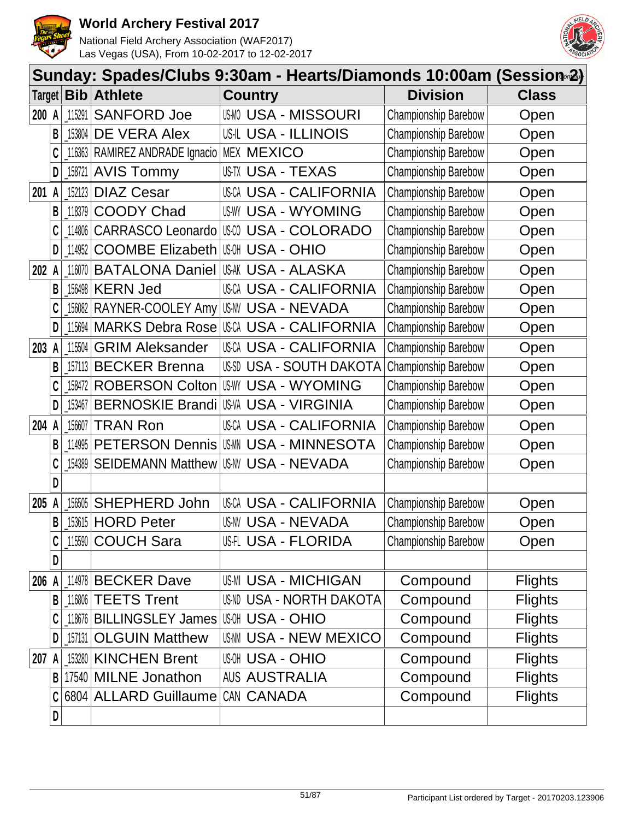



|        |   | Sunday: Spades/Clubs 9:30am - Hearts/Diamonds 10:00am (Session <sub>®</sub> 2) |                                              |                                                               |                |  |  |
|--------|---|--------------------------------------------------------------------------------|----------------------------------------------|---------------------------------------------------------------|----------------|--|--|
| Target |   | <b>Bib</b>                                                                     | <b>Athlete</b>                               | <b>Division</b><br><b>Country</b>                             | <b>Class</b>   |  |  |
| 200    | A | 115291                                                                         | <b>SANFORD Joe</b>                           | <b>USMO USA - MISSOURI</b><br>Championship Barebow            | Open           |  |  |
|        | B | $\left[ \begin{smallmatrix} 153804 \end{smallmatrix} \right]$                  | DE VERA Alex                                 | Championship Barebow<br>US-IL USA - ILLINOIS                  | Open           |  |  |
|        | C | 116363                                                                         | RAMIREZ ANDRADE Ignacio                      | Championship Barebow<br>MEX MEXICO                            | Open           |  |  |
|        | D | 158721                                                                         | <b>AVIS Tommy</b>                            | USTX USA - TEXAS<br><b>Championship Barebow</b>               | Open           |  |  |
| 201    | A | 152123                                                                         | <b>DIAZ Cesar</b>                            | Championship Barebow<br>USCA USA - CALIFORNIA                 | Open           |  |  |
|        | B | 118379                                                                         | <b>COODY Chad</b>                            | <b>USWY USA - WYOMING</b><br><b>Championship Barebow</b>      | Open           |  |  |
|        | C | 114806                                                                         | <b>CARRASCO Leonardo</b>                     | US-CO<br>USA - COLORADO<br><b>Championship Barebow</b>        | Open           |  |  |
|        | D | 114952                                                                         | <b>COOMBE Elizabeth</b>                      | ∣ାଖା USA - OHIO<br><b>Championship Barebow</b>                | Open           |  |  |
| 202    | A | 116070                                                                         | <b>BATALONA Daniel</b>                       | Championship Barebow<br>USAK USA - ALASKA                     | Open           |  |  |
|        | B | 156498                                                                         | <b>KERN Jed</b>                              | Championship Barebow<br>USCA USA - CALIFORNIA                 | Open           |  |  |
|        | C | 156082                                                                         | RAYNER-COOLEY Amy                            | USNV USA - NEVADA<br><b>Championship Barebow</b>              | Open           |  |  |
|        | D | 115694                                                                         |                                              | MARKS Debra Rose USA USA - CALIFORNIA<br>Championship Barebow | Open           |  |  |
| 203    | A | 115504                                                                         | <b>GRIM Aleksander</b>                       | USCA USA - CALIFORNIA<br>Championship Barebow                 | Open           |  |  |
|        | B | 157113                                                                         | <b>BECKER Brenna</b>                         | Championship Barebow<br>US-SD<br>USA - SOUTH DAKOTA           | Open           |  |  |
|        | C | 158472                                                                         | <b>ROBERSON Colton</b>                       | <b>USWY USA - WYOMING</b><br><b>Championship Barebow</b>      | Open           |  |  |
|        | D | 153467                                                                         | <b>BERNOSKIE Brandi</b>                      | <b>US-VA USA - VIRGINIA</b><br><b>Championship Barebow</b>    | Open           |  |  |
| 204 A  |   | 156607                                                                         | <b>TRAN Ron</b>                              | Championship Barebow<br>USCA USA - CALIFORNIA                 | Open           |  |  |
|        | B | 114995                                                                         | <b>PETERSON Dennis</b>                       | IUSMN USA - MINNESOTA<br><b>Championship Barebow</b>          | Open           |  |  |
|        |   | 154389                                                                         | <b>SEIDEMANN Matthew</b>                     | <b>US-NV USA - NEVADA</b><br>Championship Barebow             | Open           |  |  |
|        | D |                                                                                |                                              |                                                               |                |  |  |
| 205    |   | 156505                                                                         | <b>SHEPHERD John</b>                         | <b>USCA USA - CALIFORNIA</b><br>Championship Barebow          | Open           |  |  |
|        | B |                                                                                | <b>153615 HORD Peter</b>                     | Championship Barebow<br>US-NV USA - NEVADA                    | Open           |  |  |
|        |   |                                                                                | 115590 COUCH Sara                            | <b>USA - FLORIDA</b><br><b>Championship Barebow</b>           | Open           |  |  |
|        | D |                                                                                |                                              |                                                               |                |  |  |
| 206 A  |   |                                                                                | 114978 BECKER Dave                           | US-MI USA - MICHIGAN<br>Compound                              | <b>Flights</b> |  |  |
|        | B |                                                                                | 116806 TEETS Trent                           | <b>US-ND USA - NORTH DAKOTA</b><br>Compound                   | <b>Flights</b> |  |  |
|        |   |                                                                                | 118676   BILLINGSLEY James   USOH USA - OHIO | Compound                                                      | <b>Flights</b> |  |  |
|        | D | 157131                                                                         | <b>OLGUIN Matthew</b>                        | USNM USA - NEW MEXICO<br>Compound                             | <b>Flights</b> |  |  |
| 207 A  |   |                                                                                | 153280 KINCHEN Brent                         | <b>USA - OHIO</b><br>Compound                                 | <b>Flights</b> |  |  |
|        | B |                                                                                | 17540 MILNE Jonathon                         | <b>AUS AUSTRALIA</b><br>Compound                              | <b>Flights</b> |  |  |
|        |   |                                                                                | 6804 ALLARD Guillaume                        | CAN CANADA<br>Compound                                        | <b>Flights</b> |  |  |
|        | D |                                                                                |                                              |                                                               |                |  |  |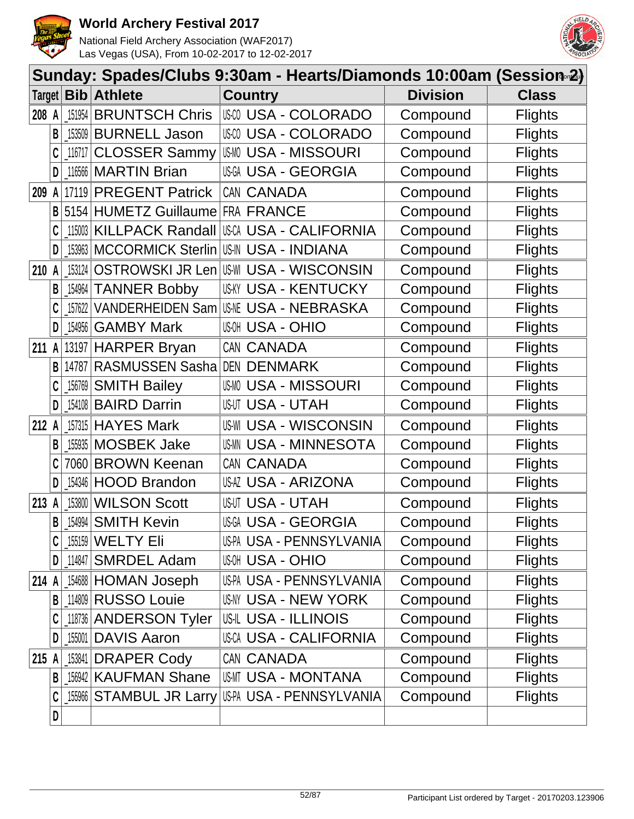



|               |                |                                                     |                                  | Sunday: Spades/Clubs 9:30am - Hearts/Diamonds 10:00am (Session∞2) |                 |                |
|---------------|----------------|-----------------------------------------------------|----------------------------------|-------------------------------------------------------------------|-----------------|----------------|
| Target $\mid$ |                |                                                     | <b>Bib Athlete</b>               | <b>Country</b>                                                    | <b>Division</b> | <b>Class</b>   |
| 208 A         |                | 151954                                              | <b>BRUNTSCH Chris</b>            | <b>USO USA - COLORADO</b>                                         | Compound        | <b>Flights</b> |
|               | B              | 153509                                              | <b>BURNELL Jason</b>             | <b>USA - COLORADO</b>                                             | Compound        | <b>Flights</b> |
|               |                |                                                     | 116717 CLOSSER Sammy             | <b>USMO USA - MISSOURI</b>                                        | Compound        | <b>Flights</b> |
|               | D              |                                                     | 116566 MARTIN Brian              | USGA USA - GEORGIA                                                | Compound        | <b>Flights</b> |
| 209           | A              |                                                     | 17119 PREGENT Patrick            | CAN CANADA                                                        | Compound        | <b>Flights</b> |
|               | B              |                                                     | 5154 HUMETZ Guillaume FRA FRANCE |                                                                   | Compound        | <b>Flights</b> |
|               | C              |                                                     | 115003 KILLPACK Randall          | USCA USA - CALIFORNIA                                             | Compound        | <b>Flights</b> |
|               | D              |                                                     | _153963   MCCORMICK Sterlin      | <b>US-IN USA - INDIANA</b>                                        | Compound        | <b>Flights</b> |
| 210           | A              | 153124                                              | OSTROWSKI JR Len                 | <b>US-WI USA - WISCONSIN</b>                                      | Compound        | <b>Flights</b> |
|               | В              | $\left[ \begin{matrix} 154964 \end{matrix} \right]$ | <b>TANNER Bobby</b>              | <b>USKY USA - KENTUCKY</b>                                        | Compound        | <b>Flights</b> |
|               |                |                                                     | 157622 VANDERHEIDEN Sam          | <b>USME USA - NEBRASKA</b>                                        | Compound        | <b>Flights</b> |
|               | D              | 154956                                              | <b>GAMBY Mark</b>                | <b>USA - OHIO</b>                                                 | Compound        | <b>Flights</b> |
| 211 A         |                |                                                     | 13197 HARPER Bryan               | CAN CANADA                                                        | Compound        | <b>Flights</b> |
|               | B              |                                                     | 14787 RASMUSSEN Sasha            | DEN DENMARK                                                       | Compound        | <b>Flights</b> |
|               | C              |                                                     | 156769 SMITH Bailey              | <b>USMO USA - MISSOURI</b>                                        | Compound        | <b>Flights</b> |
|               | D              |                                                     | 154108 BAIRD Darrin              | <b>USUT USA - UTAH</b>                                            | Compound        | <b>Flights</b> |
| 212 A         |                |                                                     | 157315 HAYES Mark                | <b>USWI USA - WISCONSIN</b>                                       | Compound        | <b>Flights</b> |
|               | В              |                                                     | 155935 MOSBEK Jake               | <b>US-MI USA - MINNESOTA</b>                                      | Compound        | <b>Flights</b> |
|               |                |                                                     | 7060 BROWN Keenan                | CAN CANADA                                                        | Compound        | <b>Flights</b> |
|               | D              |                                                     | 154346 HOOD Brandon              | USAZ USA - ARIZONA                                                | Compound        | <b>Flights</b> |
| 213           | A              | 153800                                              | <b>WILSON Scott</b>              | <b>USUT USA - UTAH</b>                                            | Compound        | <b>Flights</b> |
|               | $\overline{B}$ |                                                     | $154994$ SMITH Kevin             | <b>USGA USA - GEORGIA</b>                                         | Compound        | <b>Flights</b> |
|               |                |                                                     | 155159 WELTY Eli                 | US-PA USA - PENNSYLVANIA                                          | Compound        | <b>Flights</b> |
|               | D              |                                                     | 114847 SMRDEL Adam               | <b>USA - OHIO</b>                                                 | Compound        | <b>Flights</b> |
| 214 A         |                |                                                     | 154688 HOMAN Joseph              | US-PA USA - PENNSYLVANIA                                          | Compound        | <b>Flights</b> |
|               | B              |                                                     | 114809 RUSSO Louie               | USNY USA - NEW YORK                                               | Compound        | <b>Flights</b> |
|               |                |                                                     | 118736 ANDERSON Tyler            | US-IL USA - ILLINOIS                                              | Compound        | <b>Flights</b> |
|               | D              |                                                     | 155001 DAVIS Aaron               | USCA USA - CALIFORNIA                                             | Compound        | <b>Flights</b> |
| 215 A         |                |                                                     | 153841 DRAPER Cody               | CAN CANADA                                                        | Compound        | <b>Flights</b> |
|               | B              |                                                     | 156942 KAUFMAN Shane             | USMT USA - MONTANA                                                | Compound        | <b>Flights</b> |
|               | C              |                                                     | [155966 STAMBUL JR Larry         | US-PA USA - PENNSYLVANIA                                          | Compound        | <b>Flights</b> |
|               | D              |                                                     |                                  |                                                                   |                 |                |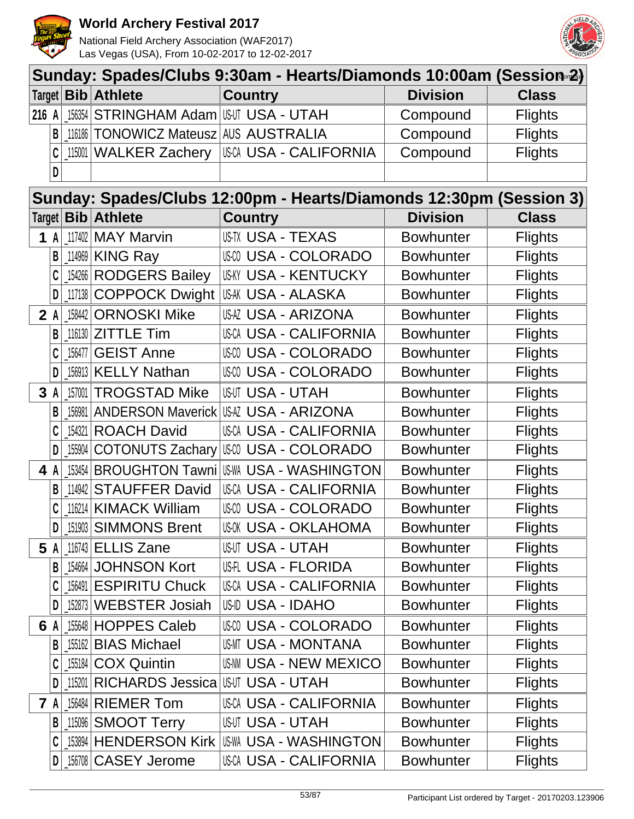

National Field Archery Association (WAF2017) Las Vegas (USA), From 10-02-2017 to 12-02-2017



|       | Target   Bib   Athlete                       | <b>Country</b>                                                     | <b>Division</b>  | <b>Class</b>   |
|-------|----------------------------------------------|--------------------------------------------------------------------|------------------|----------------|
| 216 A | <b>156354 STRINGHAM Adam USUT USA - UTAH</b> |                                                                    | Compound         | <b>Flights</b> |
| B     | 116186   TONOWICZ Mateusz   AUS AUSTRALIA    |                                                                    | Compound         | <b>Flights</b> |
|       | 115001 WALKER Zachery                        | USCA USA - CALIFORNIA                                              | Compound         | <b>Flights</b> |
| D     |                                              |                                                                    |                  |                |
|       |                                              | Sunday: Spades/Clubs 12:00pm - Hearts/Diamonds 12:30pm (Session 3) |                  |                |
|       | Target   Bib   Athlete                       | <b>Country</b>                                                     | <b>Division</b>  | <b>Class</b>   |
| 1 A   | $117402$ MAY Marvin                          | <b>USTX USA - TEXAS</b>                                            | <b>Bowhunter</b> | <b>Flights</b> |
|       | 114969 KING Ray                              | USM USA - COLORADO                                                 | <b>Bowhunter</b> | <b>Flights</b> |
|       | 154266 RODGERS Bailey                        | <b>US-KY USA - KENTUCKY</b>                                        | <b>Bowhunter</b> | <b>Flights</b> |
| D     | 117138 COPPOCK Dwight                        | USAK USA - ALASKA                                                  | <b>Bowhunter</b> | <b>Flights</b> |
| 2A    | 158442 ORNOSKI Mike                          | <b>USAZ USA - ARIZONA</b>                                          | <b>Bowhunter</b> | <b>Flights</b> |
| B     | 116130 <b>ZITTLE Tim</b>                     | <b>USCA USA - CALIFORNIA</b>                                       | <b>Bowhunter</b> | <b>Flights</b> |
|       | 156477 GEIST Anne                            | USCO USA - COLORADO                                                | <b>Bowhunter</b> | <b>Flights</b> |
| D     | 156913 KELLY Nathan                          | USCO USA - COLORADO                                                | <b>Bowhunter</b> | <b>Flights</b> |
| 3A    | 157001 TROGSTAD Mike                         | <b>USUT USA - UTAH</b>                                             | <b>Bowhunter</b> | <b>Flights</b> |
| B     |                                              | [156981   ANDERSON Maverick   USAZ USA - ARIZONA                   | <b>Bowhunter</b> | <b>Flights</b> |
|       | 154321 ROACH David                           | <b>USCA USA - CALIFORNIA</b>                                       | <b>Bowhunter</b> | <b>Flights</b> |
| D     | 155904 COTONUTS Zachary                      | III:00 USA - COLORADO                                              | <b>Bowhunter</b> | <b>Flights</b> |
| 4 A   | 153454 BROUGHTON Tawni                       | USWA USA - WASHINGTON                                              | <b>Bowhunter</b> | <b>Flights</b> |
| B     | 114942 STAUFFER David                        | USCA USA - CALIFORNIA                                              | <b>Bowhunter</b> | <b>Flights</b> |
| C     | 116214 KIMACK William                        | USCO USA - COLORADO                                                | <b>Bowhunter</b> | <b>Flights</b> |
| D     | 151903 SIMMONS Brent                         | <b>USOK USA - OKLAHOMA</b>                                         | <b>Bowhunter</b> | <b>Flights</b> |
| 5 A   | 116743 <b>ELLIS Zane</b>                     | <b>USUT USA - UTAH</b>                                             | <b>Bowhunter</b> | <b>Flights</b> |
| В     | 154664 JOHNSON Kort                          | USA - FLORIDA                                                      | <b>Bowhunter</b> | <b>Flights</b> |
|       | 156491 ESPIRITU Chuck                        | USCA USA - CALIFORNIA                                              | <b>Bowhunter</b> | <b>Flights</b> |
| D     | 152873 WEBSTER Josiah                        | US-ID USA - IDAHO                                                  | <b>Bowhunter</b> | <b>Flights</b> |
| 6 A   | 155648 HOPPES Caleb                          | USA - COLORADO                                                     | <b>Bowhunter</b> | <b>Flights</b> |
| B     | 155162 BIAS Michael                          | USMT USA - MONTANA                                                 | <b>Bowhunter</b> | <b>Flights</b> |
|       | [155184 COX Quintin                          | US-NM USA - NEW MEXICO                                             | <b>Bowhunter</b> | <b>Flights</b> |
| D     | 115201 RICHARDS Jessica                      | <b>IUSUT USA - UTAH</b>                                            | <b>Bowhunter</b> | <b>Flights</b> |
| 7 A   | 156484 RIEMER Tom                            | USCA USA - CALIFORNIA                                              | <b>Bowhunter</b> | <b>Flights</b> |
| B     | 115096 SMOOT Terry                           | <b>USUT USA - UTAH</b>                                             | <b>Bowhunter</b> | <b>Flights</b> |
|       | 153894 HENDERSON Kirk                        | <b>USWA USA - WASHINGTON</b>                                       | <b>Bowhunter</b> | <b>Flights</b> |
| D     | _156708 CASEY Jerome                         | USCA USA - CALIFORNIA                                              | <b>Bowhunter</b> | <b>Flights</b> |

**Sunday: Spades/Clubs 9:30am - Hearts/Diamonds 10:00am (Session-2)**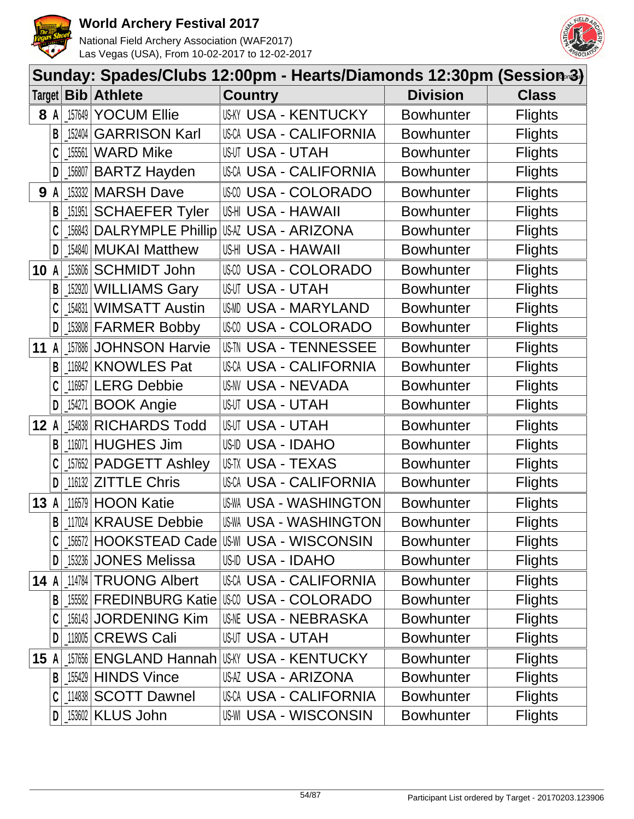



|        |     |            | Sunday: Spades/Clubs 12:00pm - Hearts/Diamonds 12:30pm (Session-3) |                          |                               |                  |                |
|--------|-----|------------|--------------------------------------------------------------------|--------------------------|-------------------------------|------------------|----------------|
|        |     |            | Target   Bib   Athlete                                             | <b>Country</b>           |                               | <b>Division</b>  | <b>Class</b>   |
|        | 8 A | 157649     | <b>YOCUM Ellie</b>                                                 |                          | USKY USA - KENTUCKY           | <b>Bowhunter</b> | <b>Flights</b> |
|        | B   | 152404     | <b>GARRISON Karl</b>                                               |                          | USCA USA - CALIFORNIA         | <b>Bowhunter</b> | <b>Flights</b> |
|        |     | 155561     | <b>WARD Mike</b>                                                   | <b>USUT USA - UTAH</b>   |                               | <b>Bowhunter</b> | <b>Flights</b> |
|        | D   | $-156807$  | <b>BARTZ Hayden</b>                                                |                          | USCA USA - CALIFORNIA         | <b>Bowhunter</b> | <b>Flights</b> |
| 9      | A   |            | 153332 MARSH Dave                                                  |                          | <b>USA - COLORADO</b>         | <b>Bowhunter</b> | <b>Flights</b> |
|        | B   | $\_151951$ | <b>SCHAEFER Tyler</b>                                              | US-HI USA - HAWAII       |                               | <b>Bowhunter</b> | <b>Flights</b> |
|        |     |            | 156843 DALRYMPLE Phillip                                           |                          | USAZ USA - ARIZONA            | <b>Bowhunter</b> | <b>Flights</b> |
|        | D   |            | [154840   MUKAI Matthew                                            | US-HI USA - HAWAII       |                               | <b>Bowhunter</b> | <b>Flights</b> |
| 10     | A   | 153606     | <b>SCHMIDT John</b>                                                |                          | <b>USA - COLORADO</b>         | <b>Bowhunter</b> | <b>Flights</b> |
|        | В   |            | 152920 WILLIAMS Gary                                               | <b>USUT USA - UTAH</b>   |                               | <b>Bowhunter</b> | <b>Flights</b> |
|        |     | 154831     | <b>WIMSATT Austin</b>                                              | US-MD                    | <b>USA - MARYLAND</b>         | <b>Bowhunter</b> | <b>Flights</b> |
|        | D   |            | 153808 FARMER Bobby                                                |                          | USM USA - COLORADO            | <b>Bowhunter</b> | <b>Flights</b> |
| 11     | A   | 157886     | <b>JOHNSON Harvie</b>                                              |                          | <b>USIN USA - TENNESSEE</b>   | <b>Bowhunter</b> | <b>Flights</b> |
|        | B   | 116842     | <b>KNOWLES Pat</b>                                                 |                          | <b>USCA USA - CALIFORNIA</b>  | <b>Bowhunter</b> | <b>Flights</b> |
|        |     | 116957     | <b>LERG Debbie</b>                                                 |                          | USNV USA - NEVADA             | <b>Bowhunter</b> | <b>Flights</b> |
|        | D   | 154271     | <b>BOOK Angie</b>                                                  | <b>USUT USA - UTAH</b>   |                               | <b>Bowhunter</b> | <b>Flights</b> |
| 12A    |     |            | 154838 RICHARDS Todd                                               | <b>USUT USA - UTAH</b>   |                               | <b>Bowhunter</b> | <b>Flights</b> |
|        | B   | 116071     | <b>HUGHES Jim</b>                                                  | <b>US-ID USA - IDAHO</b> |                               | <b>Bowhunter</b> | <b>Flights</b> |
|        |     |            | 157652 PADGETT Ashley                                              | US-TX USA - TEXAS        |                               | <b>Bowhunter</b> | <b>Flights</b> |
|        | D   |            | 116132 <b>ZITTLE Chris</b>                                         |                          | USCA USA - CALIFORNIA         | <b>Bowhunter</b> | <b>Flights</b> |
| 13A    |     |            | 116579 HOON Katie                                                  |                          | US-WA USA - WASHINGTON        | <b>Bowhunter</b> | <b>Flights</b> |
|        |     |            | <b>B</b> 117024 KRAUSE Debbie                                      |                          | <b>US-WA USA - WASHINGTON</b> | <b>Bowhunter</b> | <b>Flights</b> |
|        |     |            |                                                                    |                          |                               | <b>Bowhunter</b> | <b>Flights</b> |
|        | D   |            | 153236 JONES Melissa                                               | USID USA - IDAHO         |                               | <b>Bowhunter</b> | <b>Flights</b> |
| 14 $A$ |     |            | 114784 TRUONG Albert                                               |                          | USCA USA - CALIFORNIA         | <b>Bowhunter</b> | <b>Flights</b> |
|        | B   |            | 155582 FREDINBURG Katie USW USA - COLORADO                         |                          |                               | <b>Bowhunter</b> | <b>Flights</b> |
|        |     |            | 156143 JORDENING Kim                                               |                          | <b>USNE USA - NEBRASKA</b>    | <b>Bowhunter</b> | <b>Flights</b> |
|        |     |            | 118005 CREWS Cali                                                  | <b>USUT USA - UTAH</b>   |                               | <b>Bowhunter</b> | <b>Flights</b> |
| 15A    |     |            | 157656 ENGLAND Hannah                                              |                          | <b>US-KY USA - KENTUCKY</b>   | <b>Bowhunter</b> | <b>Flights</b> |
|        | B   |            | $\lfloor 155429 \rfloor$ HINDS Vince                               |                          | USAZ USA - ARIZONA            | <b>Bowhunter</b> | <b>Flights</b> |
|        |     |            | 114838 SCOTT Dawnel                                                |                          | <b>USCA USA - CALIFORNIA</b>  | <b>Bowhunter</b> | <b>Flights</b> |
|        | D   |            | <b>153602 KLUS John</b>                                            |                          | <b>US-WI USA - WISCONSIN</b>  | <b>Bowhunter</b> | <b>Flights</b> |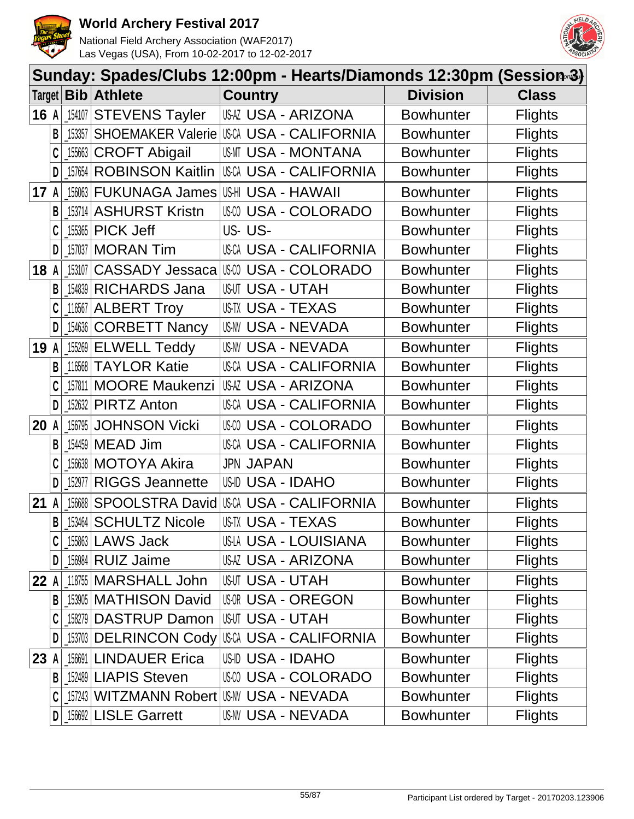



|      |              |                                             | Sunday: Spades/Clubs 12:00pm - Hearts/Diamonds 12:30pm (Session-3) |                           |                           |                  |                |
|------|--------------|---------------------------------------------|--------------------------------------------------------------------|---------------------------|---------------------------|------------------|----------------|
|      |              |                                             | Target <b>Bib Athlete</b>                                          | <b>Country</b>            |                           | <b>Division</b>  | <b>Class</b>   |
| 16 A |              |                                             | 154107 STEVENS Tayler                                              |                           | USAZ USA - ARIZONA        | <b>Bowhunter</b> | <b>Flights</b> |
|      | B            | 153357                                      | SHOEMAKER Valerie USCA USA - CALIFORNIA                            |                           |                           | <b>Bowhunter</b> | <b>Flights</b> |
|      |              | $\_155663$ $\vert$                          | <b>CROFT Abigail</b>                                               |                           | USMT USA - MONTANA        | <b>Bowhunter</b> | <b>Flights</b> |
|      | D            |                                             | 157654 ROBINSON Kaitlin                                            |                           | USCA USA - CALIFORNIA     | <b>Bowhunter</b> | <b>Flights</b> |
| 17   | $\mathsf{A}$ |                                             | 156063 FUKUNAGA James                                              | USHI USA - HAWAII         |                           | <b>Bowhunter</b> | <b>Flights</b> |
|      | B            |                                             | 153714 ASHURST Kristn                                              |                           | <b>USA - COLORADO</b>     | <b>Bowhunter</b> | <b>Flights</b> |
|      |              |                                             | _155365   <b>PICK Jeff</b>                                         | US-US-                    |                           | <b>Bowhunter</b> | <b>Flights</b> |
|      | D            |                                             | 157037   MORAN Tim                                                 |                           | USCA USA - CALIFORNIA     | <b>Bowhunter</b> | <b>Flights</b> |
| 18   | A            | 153107                                      | CASSADY Jessaca   USA - COLORADO                                   |                           |                           | <b>Bowhunter</b> | <b>Flights</b> |
|      | B            | $\begin{array}{c c c c} 154839 \end{array}$ | <b>RICHARDS Jana</b>                                               | <b>USUT USA - UTAH</b>    |                           | <b>Bowhunter</b> | <b>Flights</b> |
|      |              |                                             | 116567 ALBERT Troy                                                 | <b>USTX USA - TEXAS</b>   |                           | <b>Bowhunter</b> | <b>Flights</b> |
|      | D            | 154636                                      | <b>CORBETT Nancy</b>                                               |                           | <b>US-NV USA - NEVADA</b> | <b>Bowhunter</b> | <b>Flights</b> |
| 19   | $\mathsf{A}$ |                                             | $155269$ ELWELL Teddy                                              | <b>US-NV USA - NEVADA</b> |                           | <b>Bowhunter</b> | <b>Flights</b> |
|      | B            |                                             | 116568 TAYLOR Katie                                                |                           | USCA USA - CALIFORNIA     | <b>Bowhunter</b> | <b>Flights</b> |
|      |              |                                             | 157811 MOORE Maukenzi                                              |                           | USAZ USA - ARIZONA        | <b>Bowhunter</b> | <b>Flights</b> |
|      | D            |                                             | 152632 PIRTZ Anton                                                 |                           | USCA USA - CALIFORNIA     | <b>Bowhunter</b> | <b>Flights</b> |
| 20   | A            | 156795                                      | <b>JOHNSON Vicki</b>                                               |                           | USCO USA - COLORADO       | <b>Bowhunter</b> | <b>Flights</b> |
|      | B            | 154459                                      | <b>MEAD Jim</b>                                                    |                           | USCA USA - CALIFORNIA     | <b>Bowhunter</b> | <b>Flights</b> |
|      |              | 156638                                      | <b>MOTOYA Akira</b>                                                | <b>JPN JAPAN</b>          |                           | <b>Bowhunter</b> | <b>Flights</b> |
|      | D            | 152977                                      | <b>RIGGS Jeannette</b>                                             | USID USA - IDAHO          |                           | <b>Bowhunter</b> | <b>Flights</b> |
| 21   | A            |                                             | 156688 SPOOLSTRA David                                             |                           | USCA USA - CALIFORNIA     | <b>Bowhunter</b> | <b>Flights</b> |
|      | $\mathsf{B}$ |                                             | 153464 SCHULTZ Nicole                                              | USTX USA - TEXAS          |                           | <b>Bowhunter</b> | <b>Flights</b> |
|      |              |                                             | $155863$ LAWS Jack                                                 |                           | USLA USA - LOUISIANA      | <b>Bowhunter</b> | <b>Flights</b> |
|      | D            |                                             | 156984 RUIZ Jaime                                                  |                           | USAZ USA - ARIZONA        | <b>Bowhunter</b> | <b>Flights</b> |
| 22 A |              |                                             | 118755 MARSHALL John                                               | <b>USUT USA - UTAH</b>    |                           | <b>Bowhunter</b> | <b>Flights</b> |
|      | B            |                                             | 153905 MATHISON David                                              |                           | <b>USOR USA - OREGON</b>  | <b>Bowhunter</b> | <b>Flights</b> |
|      |              |                                             | 158279 DASTRUP Damon                                               | <b>USUT USA - UTAH</b>    |                           | <b>Bowhunter</b> | <b>Flights</b> |
|      | D            |                                             | _153703   DELRINCON Cody   USCA USA - CALIFORNIA                   |                           |                           | <b>Bowhunter</b> | <b>Flights</b> |
| 23 A |              |                                             | 156691 LINDAUER Erica                                              | USID USA - IDAHO          |                           | <b>Bowhunter</b> | <b>Flights</b> |
|      |              |                                             | <b>B</b> 152489 LIAPIS Steven                                      |                           | USCO USA - COLORADO       | <b>Bowhunter</b> | <b>Flights</b> |
|      |              |                                             | 157243 WITZMANN Robert                                             | IUSNV USA - NEVADA        |                           | <b>Bowhunter</b> | <b>Flights</b> |
|      | D            |                                             | [156692 LISLE Garrett                                              |                           | US-NV USA - NEVADA        | <b>Bowhunter</b> | <b>Flights</b> |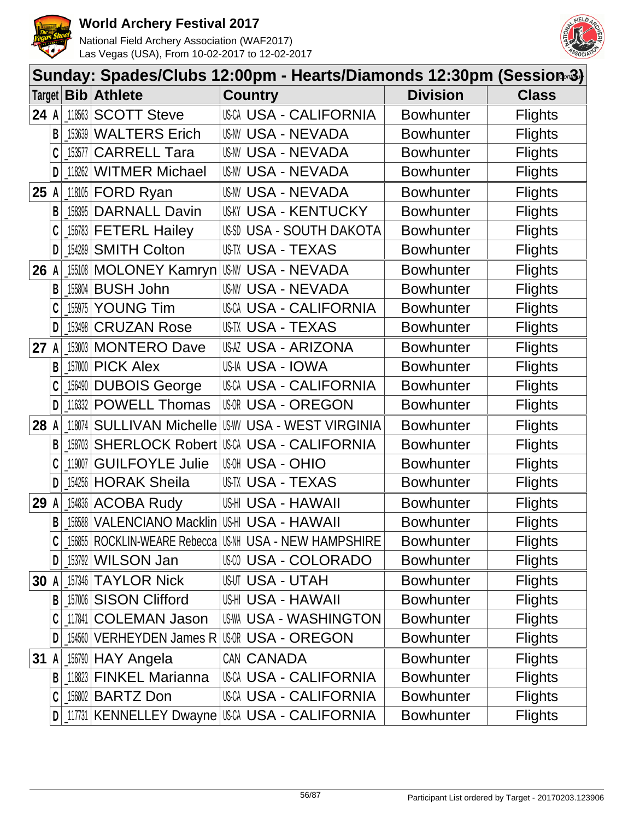



|      |   |        | Sunday: Spades/Clubs 12:00pm - Hearts/Diamonds 12:30pm (Session-3) |                                                            |                  |                |
|------|---|--------|--------------------------------------------------------------------|------------------------------------------------------------|------------------|----------------|
|      |   |        | Target   Bib   Athlete                                             | <b>Country</b>                                             | <b>Division</b>  | <b>Class</b>   |
| 24 A |   |        | 118563 SCOTT Steve                                                 | <b>USCA USA - CALIFORNIA</b>                               | <b>Bowhunter</b> | <b>Flights</b> |
|      | В | 153639 | <b>WALTERS Erich</b>                                               | <b>US-NV USA - NEVADA</b>                                  | <b>Bowhunter</b> | <b>Flights</b> |
|      |   | 153577 | <b>CARRELL Tara</b>                                                | US-NV USA - NEVADA                                         | <b>Bowhunter</b> | <b>Flights</b> |
|      | D | 118262 | <b>WITMER Michael</b>                                              | USNV USA - NEVADA                                          | <b>Bowhunter</b> | <b>Flights</b> |
| 25   | A |        | 118105 <b>FORD Ryan</b>                                            | <b>US-NV USA - NEVADA</b>                                  | <b>Bowhunter</b> | <b>Flights</b> |
|      | B | 158395 | <b>DARNALL Davin</b>                                               | <b>US-KY USA - KENTUCKY</b>                                | <b>Bowhunter</b> | <b>Flights</b> |
|      |   |        | 156783 FETERL Hailey                                               | USSD USA - SOUTH DAKOTA                                    | <b>Bowhunter</b> | <b>Flights</b> |
|      | D |        | 154289 SMITH Colton                                                | US-TX USA - TEXAS                                          | <b>Bowhunter</b> | <b>Flights</b> |
| 26   |   |        | 155108 MOLONEY Kamryn                                              | <b>US-NV USA - NEVADA</b>                                  | <b>Bowhunter</b> | <b>Flights</b> |
|      | B | 155804 | <b>BUSH John</b>                                                   | <b>US-NV USA - NEVADA</b>                                  | <b>Bowhunter</b> | <b>Flights</b> |
|      |   | 155975 | <b>YOUNG Tim</b>                                                   | <b>USCA USA - CALIFORNIA</b>                               | <b>Bowhunter</b> | <b>Flights</b> |
|      | D | 153498 | <b>CRUZAN Rose</b>                                                 | US-TX USA - TEXAS                                          | <b>Bowhunter</b> | <b>Flights</b> |
| 27   | A |        | 153003 MONTERO Dave                                                | <b>USAZ USA - ARIZONA</b>                                  | <b>Bowhunter</b> | <b>Flights</b> |
|      | B | 157000 | <b>PICK Alex</b>                                                   | US-IA USA - IOWA                                           | <b>Bowhunter</b> | <b>Flights</b> |
|      |   |        | [156490 DUBOIS George                                              | USCA USA - CALIFORNIA                                      | <b>Bowhunter</b> | <b>Flights</b> |
|      | D | 116332 | <b>POWELL Thomas</b>                                               | <b>USOR USA - OREGON</b>                                   | <b>Bowhunter</b> | <b>Flights</b> |
| 28   | A | 118074 | <b>SULLIVAN Michelle</b>                                           | <b>US-WY USA - WEST VIRGINIA</b>                           | <b>Bowhunter</b> | <b>Flights</b> |
|      | B | 158703 | <b>SHERLOCK Robert</b>                                             | USCA USA - CALIFORNIA                                      | <b>Bowhunter</b> | <b>Flights</b> |
|      |   | 119007 | <b>GUILFOYLE Julie</b>                                             | <b>USA - OHIO</b><br>US-OH                                 | <b>Bowhunter</b> | <b>Flights</b> |
|      | D | 154256 | <b>HORAK Sheila</b>                                                | USTX USA - TEXAS                                           | <b>Bowhunter</b> | <b>Flights</b> |
| 29   |   | 154836 | <b>ACOBA Rudy</b>                                                  | US-HI USA - HAWAII                                         | <b>Bowhunter</b> | <b>Flights</b> |
|      | B |        | 156588 VALENCIANO Macklin                                          | USHI USA - HAWAII                                          | <b>Bowhunter</b> | <b>Flights</b> |
|      |   |        |                                                                    | 156855   ROCKLIN-WEARE Rebecca   US-NH USA - NEW HAMPSHIRE | <b>Bowhunter</b> | <b>Flights</b> |
|      | D |        | 153792 WILSON Jan                                                  | <b>USA - COLORADO</b>                                      | <b>Bowhunter</b> | <b>Flights</b> |
| 30   | A |        | 157346 TAYLOR Nick                                                 | USUT USA - UTAH                                            | <b>Bowhunter</b> | <b>Flights</b> |
|      | B | 157006 | <b>SISON Clifford</b>                                              | USHI USA - HAWAII                                          | <b>Bowhunter</b> | <b>Flights</b> |
|      |   |        | 117841 COLEMAN Jason                                               | <b>US-WA USA - WASHINGTON</b>                              | <b>Bowhunter</b> | <b>Flights</b> |
|      |   |        | 154560 VERHEYDEN James R                                           | <b>IUGOR USA - OREGON</b>                                  | <b>Bowhunter</b> | <b>Flights</b> |
| 31   | A |        | 156790 HAY Angela                                                  | CAN CANADA                                                 | <b>Bowhunter</b> | <b>Flights</b> |
|      | B |        | 118823 FINKEL Marianna                                             | USCA USA - CALIFORNIA                                      | <b>Bowhunter</b> | <b>Flights</b> |
|      |   |        | 156802 BARTZ Don                                                   | <b>USCA USA - CALIFORNIA</b>                               | <b>Bowhunter</b> | <b>Flights</b> |
|      | D |        |                                                                    | 117731 KENNELLEY Dwayne USCA USA - CALIFORNIA              | <b>Bowhunter</b> | <b>Flights</b> |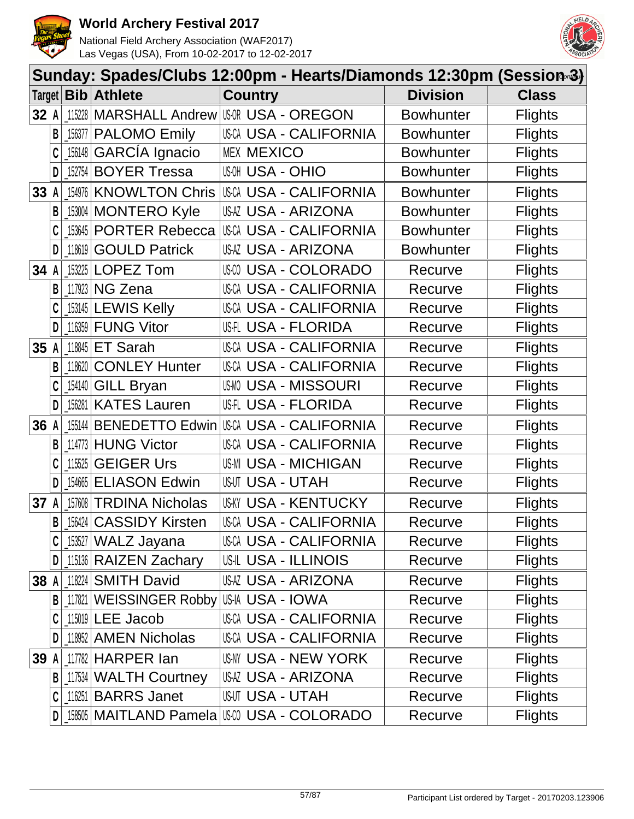



|        |              |           | Sunday: Spades/Clubs 12:00pm - Hearts/Diamonds 12:30pm (Session-3) |                        |                              |                  |                |
|--------|--------------|-----------|--------------------------------------------------------------------|------------------------|------------------------------|------------------|----------------|
|        |              |           | Target   Bib   Athlete                                             | <b>Country</b>         |                              | <b>Division</b>  | <b>Class</b>   |
| 32A    |              |           | 115228   MARSHALL Andrew   US-OR - OREGON                          |                        |                              | <b>Bowhunter</b> | <b>Flights</b> |
|        | B            |           | 156377   PALOMO Emily                                              |                        | USCA USA - CALIFORNIA        | <b>Bowhunter</b> | <b>Flights</b> |
|        |              | 156148    | GARCÍA Ignacio                                                     | <b>MEX MEXICO</b>      |                              | <b>Bowhunter</b> | <b>Flights</b> |
|        | D            |           | 152754 BOYER Tressa                                                | <b>USON - OHIO</b>     |                              | <b>Bowhunter</b> | <b>Flights</b> |
| 33 A   |              | 154976    | <b>KNOWLTON Chris</b>                                              |                        | <b>USCA USA - CALIFORNIA</b> | <b>Bowhunter</b> | <b>Flights</b> |
|        | B            |           | 153004 MONTERO Kyle                                                |                        | USAZ USA - ARIZONA           | <b>Bowhunter</b> | <b>Flights</b> |
|        |              |           | _153645   PORTER Rebecca                                           |                        | USCA USA - CALIFORNIA        | <b>Bowhunter</b> | <b>Flights</b> |
|        | D            | $-118619$ | <b>GOULD Patrick</b>                                               |                        | USAZ USA - ARIZONA           | <b>Bowhunter</b> | <b>Flights</b> |
| 34     | A            |           | 153225 LOPEZ Tom                                                   |                        | USCO USA - COLORADO          | Recurve          | <b>Flights</b> |
|        | В            |           | 117923 NG Zena                                                     |                        | <b>USCA USA - CALIFORNIA</b> | Recurve          | <b>Flights</b> |
|        |              |           | 153145 LEWIS Kelly                                                 |                        | USCA USA - CALIFORNIA        | Recurve          | <b>Flights</b> |
|        | D            |           | $116359$ FUNG Vitor                                                |                        | US-FLORIDA                   | Recurve          | <b>Flights</b> |
| 35 A   |              |           | $118845$ ET Sarah                                                  |                        | USCA USA - CALIFORNIA        | Recurve          | <b>Flights</b> |
|        | B            | 118620    | <b>CONLEY Hunter</b>                                               |                        | USCA USA - CALIFORNIA        | Recurve          | <b>Flights</b> |
|        |              |           | [154140 GILL Bryan]                                                |                        | <b>USMO USA - MISSOURI</b>   | Recurve          | <b>Flights</b> |
|        | D            | 156281    | <b>KATES Lauren</b>                                                |                        | US-FLORIDA                   | Recurve          | <b>Flights</b> |
| 36 A   |              | 155144    | <b>BENEDETTO Edwin</b>                                             |                        | USCA USA - CALIFORNIA        | Recurve          | <b>Flights</b> |
|        | B            | 114773    | <b>HUNG Victor</b>                                                 |                        | <b>USCA USA - CALIFORNIA</b> | Recurve          | <b>Flights</b> |
|        |              | 115525    | <b>GEIGER Urs</b>                                                  |                        | <b>US-MI USA - MICHIGAN</b>  | Recurve          | <b>Flights</b> |
|        | D            | 154665    | <b>ELIASON Edwin</b>                                               | <b>USUT USA - UTAH</b> |                              | Recurve          | <b>Flights</b> |
| 37     | A            |           | 157608 TRDINA Nicholas                                             |                        | <b>US-KY USA - KENTUCKY</b>  | Recurve          | <b>Flights</b> |
|        | $\mathsf{B}$ |           | 156424 CASSIDY Kirsten                                             |                        | <b>USCA USA - CALIFORNIA</b> | Recurve          | <b>Flights</b> |
|        |              |           | s53527   WALZ Jayana                                               |                        | <b>USCA USA - CALIFORNIA</b> | Recurve          | <b>Flights</b> |
|        | DI           |           | 15136 RAIZEN Zachary                                               |                        | US-IL USA - ILLINOIS         | Recurve          | <b>Flights</b> |
| 38 $A$ |              |           | 118224 SMITH David                                                 |                        | USAZ USA - ARIZONA           | Recurve          | <b>Flights</b> |
|        | B            |           | 117821 WEISSINGER Robby US-IA USA - IOWA                           |                        |                              | Recurve          | <b>Flights</b> |
|        |              |           | 115019 LEE Jacob                                                   |                        | <b>USCA USA - CALIFORNIA</b> | Recurve          | <b>Flights</b> |
|        | D            |           | 118952 AMEN Nicholas                                               |                        | <b>USCA USA - CALIFORNIA</b> | Recurve          | <b>Flights</b> |
| 39 A   |              |           | $117782$ HARPER $I$ an                                             |                        | USNY USA - NEW YORK          | Recurve          | <b>Flights</b> |
|        | B            |           | 117534 WALTH Courtney                                              |                        | USAZ USA - ARIZONA           | Recurve          | <b>Flights</b> |
|        | C            |           | $116251$ BARRS Janet                                               | <b>USUT USA - UTAH</b> |                              | Recurve          | <b>Flights</b> |
|        | D            |           | 158505   MAITLAND Pamela   USW USA - COLORADO                      |                        |                              | Recurve          | <b>Flights</b> |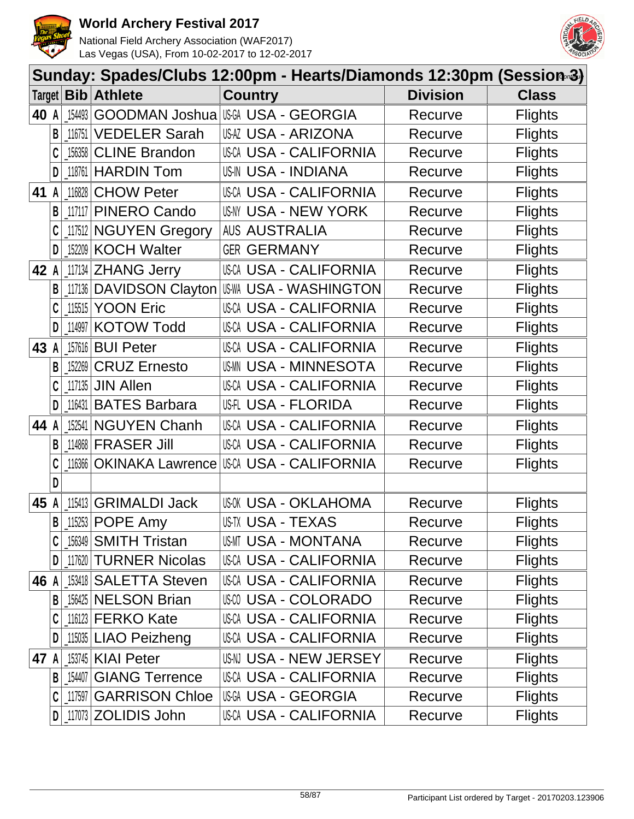



|      |              |          |                                | Sunday: Spades/Clubs 12:00pm - Hearts/Diamonds 12:30pm (Session-3) |                |  |  |
|------|--------------|----------|--------------------------------|--------------------------------------------------------------------|----------------|--|--|
|      |              |          | Target <b>Bib Athlete</b>      | <b>Country</b><br><b>Division</b>                                  | <b>Class</b>   |  |  |
| 40 A |              | 154493   |                                | GOODMAN Joshua USA USA - GEORGIA<br>Recurve                        | <b>Flights</b> |  |  |
|      | B            | 116751   | <b>VEDELER Sarah</b>           | USAZ USA - ARIZONA<br>Recurve                                      | <b>Flights</b> |  |  |
|      |              | 156358   | <b>CLINE Brandon</b>           | <b>USCA USA - CALIFORNIA</b><br>Recurve                            | <b>Flights</b> |  |  |
|      | D            |          | $118761$ HARDIN Tom            | <b>US-IN USA - INDIANA</b><br>Recurve                              | <b>Flights</b> |  |  |
| 41   | $\mathsf{A}$ | 116828   | <b>CHOW Peter</b>              | <b>USCA USA - CALIFORNIA</b><br>Recurve                            | <b>Flights</b> |  |  |
|      | B            |          | 117117 PINERO Cando            | USNY USA - NEW YORK<br>Recurve                                     | <b>Flights</b> |  |  |
|      |              |          | 117512 NGUYEN Gregory          | <b>AUS AUSTRALIA</b><br>Recurve                                    | <b>Flights</b> |  |  |
|      | D            |          | 152209 KOCH Walter             | <b>GER GERMANY</b><br>Recurve                                      | <b>Flights</b> |  |  |
| 42 A |              |          | 117134 ZHANG Jerry             | USCA USA - CALIFORNIA<br>Recurve                                   | <b>Flights</b> |  |  |
|      | B            | 117136   | <b>DAVIDSON Clayton</b>        | <b>IUS-WA USA - WASHINGTON</b><br>Recurve                          | <b>Flights</b> |  |  |
|      |              | 115515   | <b>YOON Eric</b>               | <b>USCA USA - CALIFORNIA</b><br>Recurve                            | <b>Flights</b> |  |  |
|      | D            | 114997   | <b>KOTOW Todd</b>              | <b>USCA USA - CALIFORNIA</b><br>Recurve                            | <b>Flights</b> |  |  |
| 43   | $\mathsf{A}$ |          | 157616 <b>BUI Peter</b>        | <b>USCA USA - CALIFORNIA</b><br>Recurve                            | <b>Flights</b> |  |  |
|      | B            | 152269   | <b>CRUZ Ernesto</b>            | USMN USA - MINNESOTA<br>Recurve                                    | <b>Flights</b> |  |  |
|      | C            |          | 117135 JIN Allen               | <b>USCA USA - CALIFORNIA</b><br>Recurve                            | <b>Flights</b> |  |  |
|      | D            | $116431$ | <b>BATES Barbara</b>           | US-FLORIDA<br>Recurve                                              | <b>Flights</b> |  |  |
| 44 A |              | 152541   | <b>NGUYEN Chanh</b>            | USCA USA - CALIFORNIA<br>Recurve                                   | <b>Flights</b> |  |  |
|      | B            |          | 114868 FRASER Jill             | <b>USCA USA - CALIFORNIA</b><br>Recurve                            | <b>Flights</b> |  |  |
|      |              | 116366   | <b>OKINAKA Lawrence</b>        | USCA USA - CALIFORNIA<br>Recurve                                   | <b>Flights</b> |  |  |
|      | D            |          |                                |                                                                    |                |  |  |
| 45 A |              |          | 115413 GRIMALDI Jack           | US-OK USA - OKLAHOMA<br>Recurve                                    | <b>Flights</b> |  |  |
|      |              |          | $B$   115253 POPE Amy          | US-TX USA - TEXAS<br>Recurve                                       | <b>Flights</b> |  |  |
|      |              |          | $156349$ SMITH Tristan         | USMT USA - MONTANA<br>Recurve                                      | <b>Flights</b> |  |  |
|      | D            |          | 117620 TURNER Nicolas          | USCA USA - CALIFORNIA<br>Recurve                                   | <b>Flights</b> |  |  |
| 46 A |              |          | 153418 SALETTA Steven          | USCA USA - CALIFORNIA<br>Recurve                                   | <b>Flights</b> |  |  |
|      | B            |          | 156425 NELSON Brian            | USM USA - COLORADO<br>Recurve                                      | <b>Flights</b> |  |  |
|      |              |          | $116123$ FERKO Kate            | <b>USCA USA - CALIFORNIA</b><br>Recurve                            | <b>Flights</b> |  |  |
|      | D            |          | 115035 LIAO Peizheng           | USCA USA - CALIFORNIA<br>Recurve                                   | <b>Flights</b> |  |  |
| 47 A |              |          | 153745   KIAI Peter            | USN USA - NEW JERSEY<br>Recurve                                    | <b>Flights</b> |  |  |
|      |              |          | <b>B</b> 154407 GIANG Terrence | USCA USA - CALIFORNIA<br>Recurve                                   | <b>Flights</b> |  |  |
|      | C            |          | 117597 GARRISON Chloe          | <b>USGA USA - GEORGIA</b><br>Recurve                               | <b>Flights</b> |  |  |
|      |              |          | $D$   117073 ZOLIDIS John      | USCA USA - CALIFORNIA<br>Recurve                                   | <b>Flights</b> |  |  |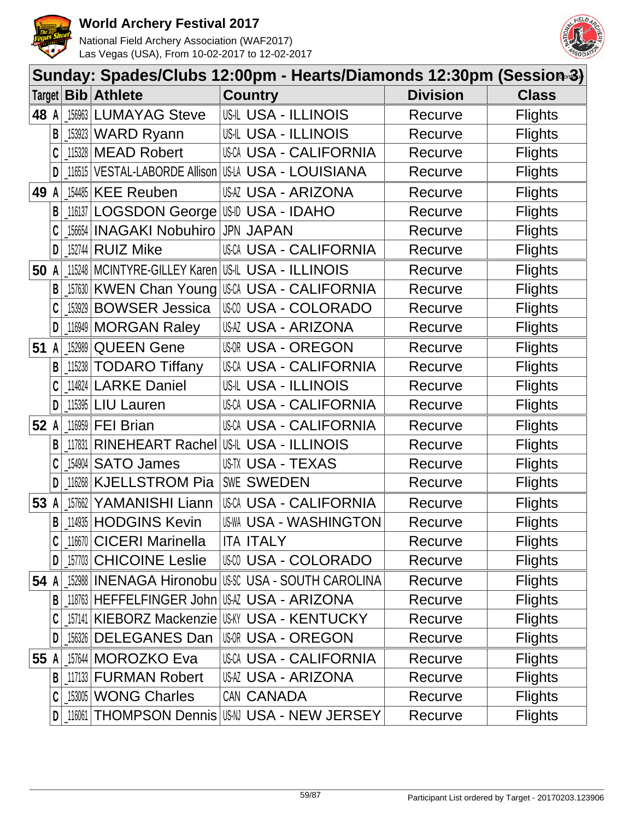



|      |              | Sunday: Spades/Clubs 12:00pm - Hearts/Diamonds 12:30pm (Session-3) |                                         |                                                          |                 |                |  |  |  |  |
|------|--------------|--------------------------------------------------------------------|-----------------------------------------|----------------------------------------------------------|-----------------|----------------|--|--|--|--|
|      |              |                                                                    | Target <b>Bib Athlete</b>               | <b>Country</b>                                           | <b>Division</b> | <b>Class</b>   |  |  |  |  |
| 48 A |              |                                                                    | 156963 LUMAYAG Steve                    | <b>US-IL USA - ILLINOIS</b>                              | Recurve         | <b>Flights</b> |  |  |  |  |
|      | B            |                                                                    | 153923 WARD Ryann                       | <b>US-IL USA - ILLINOIS</b>                              | Recurve         | <b>Flights</b> |  |  |  |  |
|      |              |                                                                    | 115328 MEAD Robert                      | <b>USCA USA - CALIFORNIA</b>                             | Recurve         | <b>Flights</b> |  |  |  |  |
|      | D            |                                                                    |                                         | _116515   VESTAL-LABORDE Allison   US-LA USA - LOUISIANA | Recurve         | <b>Flights</b> |  |  |  |  |
| 49 A |              |                                                                    | 154485 KEE Reuben                       | USAZ USA - ARIZONA                                       | Recurve         | <b>Flights</b> |  |  |  |  |
|      | B            |                                                                    | 116137 LOGSDON George US-ID USA - IDAHO |                                                          | Recurve         | <b>Flights</b> |  |  |  |  |
|      |              |                                                                    | [156654 INAGAKI Nobuhiro                | <b>JPN JAPAN</b>                                         | Recurve         | <b>Flights</b> |  |  |  |  |
|      | D            |                                                                    | $15274$ RUIZ Mike                       | USCA USA - CALIFORNIA                                    | Recurve         | <b>Flights</b> |  |  |  |  |
| 50 A |              |                                                                    |                                         | 115248   MCINTYRE-GILLEY Karen   US-IL USA - ILLINOIS    | Recurve         | <b>Flights</b> |  |  |  |  |
|      | В            |                                                                    |                                         | 157630 KWEN Chan Young USCA USA - CALIFORNIA             | Recurve         | <b>Flights</b> |  |  |  |  |
|      |              |                                                                    | 153929 BOWSER Jessica                   | <b>USCO USA - COLORADO</b>                               | Recurve         | <b>Flights</b> |  |  |  |  |
|      | D            |                                                                    | 116949 MORGAN Raley                     | USAZ USA - ARIZONA                                       | Recurve         | <b>Flights</b> |  |  |  |  |
| 51   | $\mathsf{A}$ |                                                                    | 152989 QUEEN Gene                       | <b>USOR USA - OREGON</b>                                 | Recurve         | <b>Flights</b> |  |  |  |  |
|      | B            |                                                                    | 115238 TODARO Tiffany                   | USCA USA - CALIFORNIA                                    | Recurve         | <b>Flights</b> |  |  |  |  |
|      |              |                                                                    | 114824 LARKE Daniel                     | <b>US-IL USA - ILLINOIS</b>                              | Recurve         | <b>Flights</b> |  |  |  |  |
|      | D            |                                                                    | $115395$ LIU Lauren                     | <b>USCA USA - CALIFORNIA</b>                             | Recurve         | <b>Flights</b> |  |  |  |  |
| 52 A |              |                                                                    | $116959$ FEI Brian                      | <b>USCA USA - CALIFORNIA</b>                             | Recurve         | <b>Flights</b> |  |  |  |  |
|      | B            | 117831                                                             |                                         | RINEHEART Rachel US-IL USA - ILLINOIS                    | Recurve         | <b>Flights</b> |  |  |  |  |
|      |              |                                                                    | 154904 SATO James                       | US-TX USA - TEXAS                                        | Recurve         | <b>Flights</b> |  |  |  |  |
|      |              |                                                                    | 116268   KJELLSTROM Pia                 | SWE SWEDEN                                               | Recurve         | <b>Flights</b> |  |  |  |  |
| 53 A |              | 157662                                                             | YAMANISHI Liann                         | USCA USA - CALIFORNIA                                    | Recurve         | <b>Flights</b> |  |  |  |  |
|      | $\mathsf{B}$ |                                                                    | 114935 HODGINS Kevin                    | <b>US-WA USA - WASHINGTON</b>                            | Recurve         | <b>Flights</b> |  |  |  |  |
|      |              |                                                                    | 116670 CICERI Marinella                 | <b>ITA ITALY</b>                                         | Recurve         | <b>Flights</b> |  |  |  |  |
|      | D            |                                                                    | 157703 CHICOINE Leslie                  | <b>USA - COLORADO</b>                                    | Recurve         | <b>Flights</b> |  |  |  |  |
| 54 A |              |                                                                    |                                         |                                                          | Recurve         | <b>Flights</b> |  |  |  |  |
|      | B            |                                                                    |                                         | 118763 HEFFELFINGER John USAZ USA - ARIZONA              | Recurve         | <b>Flights</b> |  |  |  |  |
|      |              |                                                                    |                                         | 157141 KIEBORZ Mackenzie USKY USA - KENTUCKY             | Recurve         | <b>Flights</b> |  |  |  |  |
|      |              |                                                                    | 156326 DELEGANES Dan                    | USOR USA - OREGON                                        | Recurve         | <b>Flights</b> |  |  |  |  |
| 55 A |              |                                                                    | 157644 MOROZKO Eva                      | <b>USCA USA - CALIFORNIA</b>                             | Recurve         | <b>Flights</b> |  |  |  |  |
|      | B            |                                                                    | 117133 <b>FURMAN Robert</b>             | USAZ USA - ARIZONA                                       | Recurve         | <b>Flights</b> |  |  |  |  |
|      | C            |                                                                    | 153005   WONG Charles                   | CAN CANADA                                               | Recurve         | <b>Flights</b> |  |  |  |  |
|      | D            |                                                                    |                                         | 116061   THOMPSON Dennis   USA USA - NEW JERSEY          | Recurve         | <b>Flights</b> |  |  |  |  |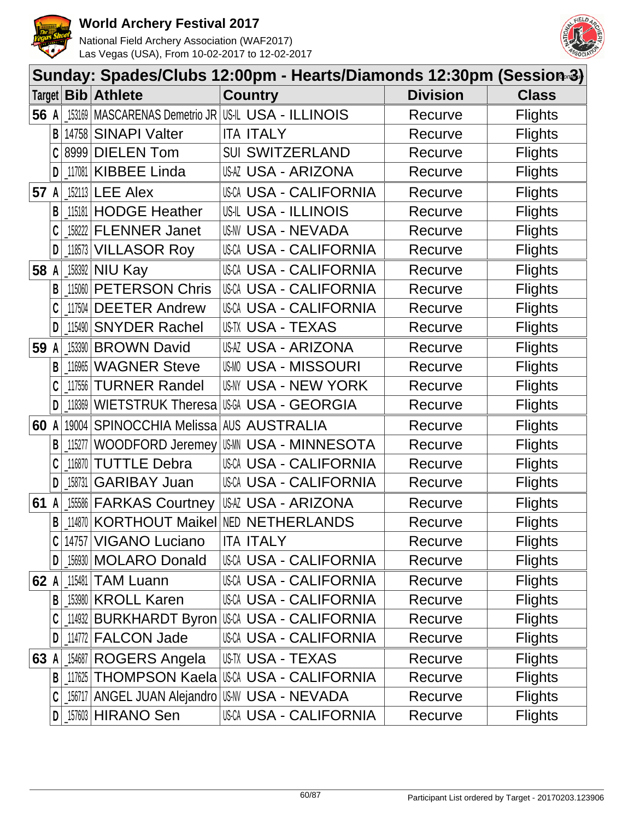



|        |   |            |                                  | Sunday: Spades/Clubs 12:00pm - Hearts/Diamonds 12:30pm (Session-3) |                 |                |
|--------|---|------------|----------------------------------|--------------------------------------------------------------------|-----------------|----------------|
| Target |   | <b>Bib</b> | <b>Athlete</b>                   | <b>Country</b>                                                     | <b>Division</b> | <b>Class</b>   |
| 56 A   |   | 153169     |                                  | MASCARENAS Demetrio JR US-IL USA - ILLINOIS                        | Recurve         | <b>Flights</b> |
|        | B | 14758      | <b>SINAPI Valter</b>             | <b>ITA ITALY</b>                                                   | Recurve         | <b>Flights</b> |
|        |   | 8999       | <b>DIELEN Tom</b>                | <b>SUI SWITZERLAND</b>                                             | Recurve         | <b>Flights</b> |
|        | D |            | 117081 KIBBEE Linda              | USAZ USA - ARIZONA                                                 | Recurve         | <b>Flights</b> |
| 57     |   |            | $152113$ LEE Alex                | <b>USCA USA - CALIFORNIA</b>                                       | Recurve         | <b>Flights</b> |
|        | B | 115181     | <b>HODGE Heather</b>             | <b>USIL USA - ILLINOIS</b>                                         | Recurve         | <b>Flights</b> |
|        |   | 158222     | <b>FLENNER Janet</b>             | <b>US-NV USA - NEVADA</b>                                          | Recurve         | <b>Flights</b> |
|        | D | 118573     | <b>VILLASOR Roy</b>              | <b>USCA USA - CALIFORNIA</b>                                       | Recurve         | <b>Flights</b> |
| 58     |   | 158392     | <b>NIU Kay</b>                   | <b>USCA USA - CALIFORNIA</b>                                       | Recurve         | <b>Flights</b> |
|        |   | 115060     | <b>PETERSON Chris</b>            | <b>USCA USA - CALIFORNIA</b>                                       | Recurve         | <b>Flights</b> |
|        |   | 117504     | <b>DEETER Andrew</b>             | <b>USCA USA - CALIFORNIA</b>                                       | Recurve         | <b>Flights</b> |
|        | D | 115490     | <b>SNYDER Rachel</b>             | US-TX USA - TEXAS                                                  | Recurve         | <b>Flights</b> |
| 59     | A | 153390     | <b>BROWN David</b>               | USAZ USA - ARIZONA                                                 | Recurve         | <b>Flights</b> |
|        | B | 116965     | <b>WAGNER Steve</b>              | <b>USMO USA - MISSOURI</b>                                         | Recurve         | <b>Flights</b> |
|        |   | 117556     | <b>TURNER Randel</b>             | USNY USA - NEW YORK                                                | Recurve         | <b>Flights</b> |
|        | D | 118369     | WIETSTRUK Theresa                | USGA USA - GEORGIA                                                 | Recurve         | <b>Flights</b> |
| 60     |   | 19004      | SPINOCCHIA Melissa AUS AUSTRALIA |                                                                    | Recurve         | <b>Flights</b> |
|        | B | 115277     | WOODFORD Jeremey                 | <b>USA - MINNESOTA</b><br>US-MN                                    | Recurve         | <b>Flights</b> |
|        |   | 116870     | <b>TUTTLE Debra</b>              | <b>USCA USA - CALIFORNIA</b>                                       | Recurve         | <b>Flights</b> |
|        | D | 158731     | <b>GARIBAY Juan</b>              | <b>USCA USA - CALIFORNIA</b>                                       | Recurve         | <b>Flights</b> |
| 61     |   | 155586     | <b>FARKAS Courtney</b>           | <b>USAZ USA - ARIZONA</b>                                          | Recurve         | <b>Flights</b> |
|        |   |            |                                  | <b>B</b> 114870 KORTHOUT Maikel NED NETHERLANDS                    | Recurve         | <b>Flights</b> |
|        |   | 14757      | <b>VIGANO Luciano</b>            | <b>ITA ITALY</b>                                                   | Recurve         | <b>Flights</b> |
|        | D |            | 156930 MOLARO Donald             | <b>USCA USA - CALIFORNIA</b>                                       | Recurve         | <b>Flights</b> |
| 62 A   |   | 115481     | <b>TAM Luann</b>                 | USCA USA - CALIFORNIA                                              | Recurve         | <b>Flights</b> |
|        | B |            | 153980 KROLL Karen               | USCA USA - CALIFORNIA                                              | Recurve         | <b>Flights</b> |
|        |   |            | 114932 BURKHARDT Byron           | USCA USA - CALIFORNIA                                              | Recurve         | <b>Flights</b> |
|        | D |            | 114772 FALCON Jade               | USCA USA - CALIFORNIA                                              | Recurve         | <b>Flights</b> |
| 63     |   |            | 154687 ROGERS Angela             | US-TX USA - TEXAS                                                  | Recurve         | <b>Flights</b> |
|        | B | 117625     |                                  | <b>THOMPSON Kaela USA - CALIFORNIA</b>                             | Recurve         | <b>Flights</b> |
|        | C | 156717     |                                  | ANGEL JUAN Alejandro US-NV USA - NEVADA                            | Recurve         | <b>Flights</b> |
|        | D |            | $157603$ HIRANO Sen              | USCA USA - CALIFORNIA                                              | Recurve         | <b>Flights</b> |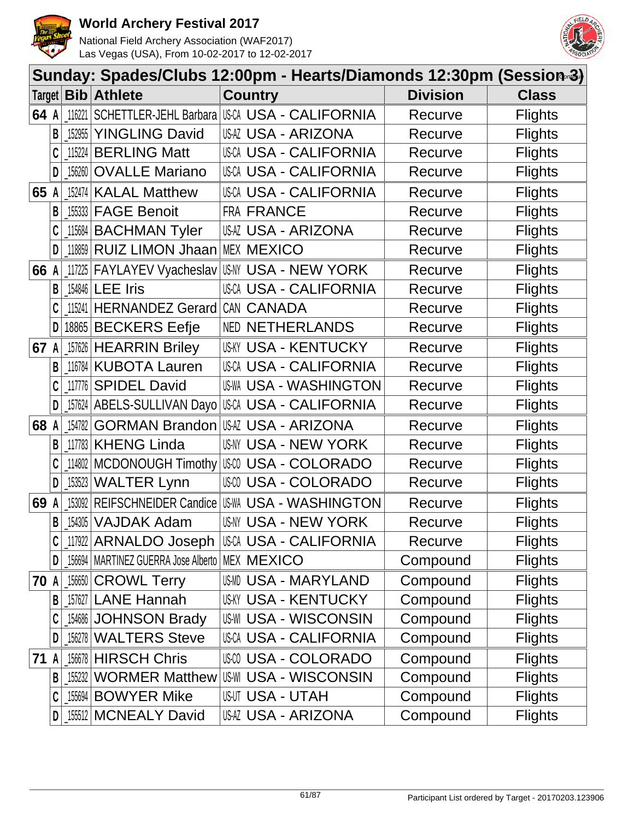



|        | Sunday: Spades/Clubs 12:00pm - Hearts/Diamonds 12:30pm (Session-3) |            |                                                    |                                              |                 |                |  |  |  |  |
|--------|--------------------------------------------------------------------|------------|----------------------------------------------------|----------------------------------------------|-----------------|----------------|--|--|--|--|
| Target |                                                                    | <b>Bib</b> | <b>Athlete</b>                                     | <b>Country</b>                               | <b>Division</b> | <b>Class</b>   |  |  |  |  |
| 64 A   |                                                                    | 116221     |                                                    | SCHETTLER-JEHL Barbara USA USA - CALIFORNIA  | Recurve         | <b>Flights</b> |  |  |  |  |
|        | B                                                                  | 152955     | <b>YINGLING David</b>                              | USAZ USA - ARIZONA                           | Recurve         | <b>Flights</b> |  |  |  |  |
|        |                                                                    | 115224     | <b>BERLING Matt</b>                                | USCA USA - CALIFORNIA                        | Recurve         | <b>Flights</b> |  |  |  |  |
|        | D                                                                  | 156260     | <b>OVALLE Mariano</b>                              | USCA USA - CALIFORNIA                        | Recurve         | <b>Flights</b> |  |  |  |  |
| 65     |                                                                    | 152474     | <b>KALAL Matthew</b>                               | <b>USCA USA - CALIFORNIA</b>                 | Recurve         | <b>Flights</b> |  |  |  |  |
|        | B                                                                  | 155333     | <b>FAGE Benoit</b>                                 | FRA FRANCE                                   | Recurve         | <b>Flights</b> |  |  |  |  |
|        | C                                                                  | 115684     | <b>BACHMAN Tyler</b>                               | USAZ USA - ARIZONA                           | Recurve         | <b>Flights</b> |  |  |  |  |
|        | D                                                                  | 118859     | RUIZ LIMON Jhaan                                   | <b>MEX MEXICO</b>                            | Recurve         | <b>Flights</b> |  |  |  |  |
| 66     |                                                                    | 117225     |                                                    | FAYLAYEV Vyacheslav USM USA - NEW YORK       | Recurve         | <b>Flights</b> |  |  |  |  |
|        | B                                                                  | 154846     | <b>LEE Iris</b>                                    | USCA USA - CALIFORNIA                        | Recurve         | <b>Flights</b> |  |  |  |  |
|        |                                                                    | 115241     | <b>HERNANDEZ Gerard</b>                            | CAN CANADA                                   | Recurve         | <b>Flights</b> |  |  |  |  |
|        | D                                                                  | 18865      | <b>BECKERS Eefje</b>                               | <b>NED NETHERLANDS</b>                       | Recurve         | <b>Flights</b> |  |  |  |  |
| 67 A   |                                                                    |            | 157626 HEARRIN Briley                              | <b>US-KY USA - KENTUCKY</b>                  | Recurve         | <b>Flights</b> |  |  |  |  |
|        | B                                                                  | 116784     | <b>KUBOTA Lauren</b>                               | <b>USCA USA - CALIFORNIA</b>                 | Recurve         | <b>Flights</b> |  |  |  |  |
|        | C                                                                  | 117776     | <b>SPIDEL David</b>                                | <b>US-WA USA - WASHINGTON</b>                | Recurve         | <b>Flights</b> |  |  |  |  |
|        | D                                                                  | 157624     | ABELS-SULLIVAN Dayo                                | USCA USA - CALIFORNIA                        | Recurve         | <b>Flights</b> |  |  |  |  |
| 68     |                                                                    | 154782     |                                                    | GORMAN Brandon USAZ USA - ARIZONA            | Recurve         | <b>Flights</b> |  |  |  |  |
|        | B                                                                  | 117783     | <b>KHENG Linda</b>                                 | USNY USA - NEW YORK                          | Recurve         | <b>Flights</b> |  |  |  |  |
|        |                                                                    | 114802     |                                                    | MCDONOUGH Timothy   USA - COLORADO           | Recurve         | <b>Flights</b> |  |  |  |  |
|        | D                                                                  | 153523     | <b>WALTER Lynn</b>                                 | <b>USA - COLORADO</b>                        | Recurve         | <b>Flights</b> |  |  |  |  |
| 69     |                                                                    | 153092     | REIFSCHNEIDER Candice US-WA                        | <b>USA - WASHINGTON</b>                      | Recurve         | <b>Flights</b> |  |  |  |  |
|        | B                                                                  |            | 154305 VAJDAK Adam                                 | <b>US-NY USA - NEW YORK</b>                  | Recurve         | <b>Flights</b> |  |  |  |  |
|        | C                                                                  |            |                                                    | 117922   ARNALDO Joseph   US-CA - CALIFORNIA | Recurve         | <b>Flights</b> |  |  |  |  |
|        | D                                                                  |            | 156694   MARTINEZ GUERRA Jose Alberto   MEX MEXICO |                                              | Compound        | <b>Flights</b> |  |  |  |  |
| 70     | A                                                                  | 156650     | <b>CROWL Terry</b>                                 | USMD USA - MARYLAND                          | Compound        | <b>Flights</b> |  |  |  |  |
|        | B                                                                  | 157627     | <b>LANE Hannah</b>                                 | <b>US-KY USA - KENTUCKY</b>                  | Compound        | <b>Flights</b> |  |  |  |  |
|        | C                                                                  |            | 154686 JOHNSON Brady                               | <b>US-WI USA - WISCONSIN</b>                 | Compound        | <b>Flights</b> |  |  |  |  |
|        | D                                                                  |            | 156278 WALTERS Steve                               | USCA USA - CALIFORNIA                        | Compound        | <b>Flights</b> |  |  |  |  |
| 71     | A                                                                  | 156678     | <b>HIRSCH Chris</b>                                | USCO USA - COLORADO                          | Compound        | <b>Flights</b> |  |  |  |  |
|        | B                                                                  | 155232     | <b>WORMER Matthew</b>                              | <b>US-WI USA - WISCONSIN</b>                 | Compound        | <b>Flights</b> |  |  |  |  |
|        | C                                                                  |            | 155694 BOWYER Mike                                 | <b>USUT USA - UTAH</b>                       | Compound        | <b>Flights</b> |  |  |  |  |
|        | D                                                                  |            | 155512 MCNEALY David                               | USAZ USA - ARIZONA                           | Compound        | <b>Flights</b> |  |  |  |  |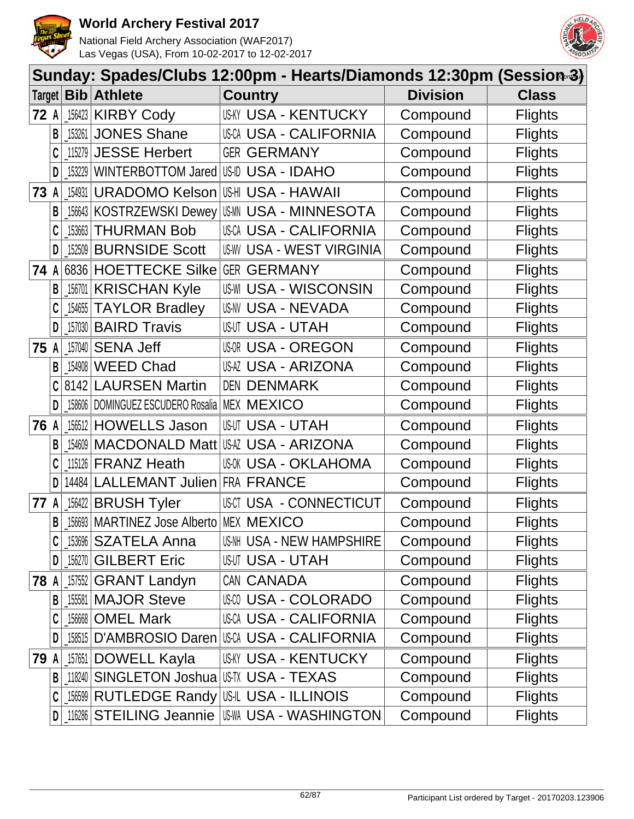



|        | Sunday: Spades/Clubs 12:00pm - Hearts/Diamonds 12:30pm (Session-3) |        |                                                        |                                                   |                 |                |  |  |  |
|--------|--------------------------------------------------------------------|--------|--------------------------------------------------------|---------------------------------------------------|-----------------|----------------|--|--|--|
|        |                                                                    |        | Target   Bib   Athlete                                 | <b>Country</b>                                    | <b>Division</b> | <b>Class</b>   |  |  |  |
| 72 A   |                                                                    |        | 156423 KIRBY Cody                                      | <b>USKY USA - KENTUCKY</b>                        | Compound        | <b>Flights</b> |  |  |  |
|        | B                                                                  | 153261 | <b>JONES Shane</b>                                     | <b>USCA USA - CALIFORNIA</b>                      | Compound        | <b>Flights</b> |  |  |  |
|        |                                                                    |        | 115279 JESSE Herbert                                   | <b>GER GERMANY</b>                                | Compound        | <b>Flights</b> |  |  |  |
|        | D                                                                  |        | 153229 WINTERBOTTOM Jared US-ID USA - IDAHO            |                                                   | Compound        | <b>Flights</b> |  |  |  |
| 73     | A                                                                  | 154931 | <b>URADOMO Kelson</b>                                  | US-HI USA - HAWAII                                | Compound        | <b>Flights</b> |  |  |  |
|        | B                                                                  |        | [156643 KOSTRZEWSKI Dewey]                             | <b>IUSMN USA - MINNESOTA</b>                      | Compound        | <b>Flights</b> |  |  |  |
|        | C                                                                  |        | 153663 THURMAN Bob                                     | USCA USA - CALIFORNIA                             | Compound        | <b>Flights</b> |  |  |  |
|        | D                                                                  |        | 152509 BURNSIDE Scott                                  | <b>US-WY USA - WEST VIRGINIA</b>                  | Compound        | <b>Flights</b> |  |  |  |
| 74     | A                                                                  |        | 6836 HOETTECKE Silke GER GERMANY                       |                                                   | Compound        | <b>Flights</b> |  |  |  |
|        | В                                                                  | 156701 | <b>KRISCHAN Kyle</b>                                   | <b>US-WI USA - WISCONSIN</b>                      | Compound        | <b>Flights</b> |  |  |  |
|        |                                                                    |        | 154655 TAYLOR Bradley                                  | <b>US-NV USA - NEVADA</b>                         | Compound        | <b>Flights</b> |  |  |  |
|        | D                                                                  |        | 157030 BAIRD Travis                                    | <b>USUT USA - UTAH</b>                            | Compound        | <b>Flights</b> |  |  |  |
| 75 $A$ |                                                                    |        | $157040$ SENA Jeff                                     | <b>USOR USA - OREGON</b>                          | Compound        | <b>Flights</b> |  |  |  |
|        | B                                                                  |        | 154908 WEED Chad                                       | <b>USAZ USA - ARIZONA</b>                         | Compound        | <b>Flights</b> |  |  |  |
|        | C                                                                  |        | 8142 LAURSEN Martin                                    | <b>DEN DENMARK</b>                                | Compound        | <b>Flights</b> |  |  |  |
|        | D                                                                  |        | $\_158606$ DOMINGUEZ ESCUDERO Rosalia   MEX $MEXICO$   |                                                   | Compound        | <b>Flights</b> |  |  |  |
| 76 A   |                                                                    |        | 156512 HOWELLS Jason                                   | <b>USUT USA - UTAH</b>                            | Compound        | <b>Flights</b> |  |  |  |
|        | B                                                                  | 154609 |                                                        | MACDONALD Matt USA USA - ARIZONA                  | Compound        | <b>Flights</b> |  |  |  |
|        |                                                                    |        | 115126 FRANZ Heath                                     | USOK USA - OKLAHOMA                               | Compound        | <b>Flights</b> |  |  |  |
|        | D                                                                  |        | 14484 LALLEMANT Julien FRA FRANCE                      |                                                   | Compound        | <b>Flights</b> |  |  |  |
| 77     | A                                                                  |        | $156422$ BRUSH Tyler                                   | USCT USA - CONNECTICUT                            | Compound        | <b>Flights</b> |  |  |  |
|        |                                                                    |        | <b>B</b>   156693   MARTINEZ Jose Alberto   MEX MEXICO |                                                   | Compound        | <b>Flights</b> |  |  |  |
|        |                                                                    |        | 153696 SZATELA Anna                                    | US-NH USA - NEW HAMPSHIRE                         | Compound        | <b>Flights</b> |  |  |  |
|        | D                                                                  |        | 156270 GILBERT Eric                                    | <b>USUT USA - UTAH</b>                            | Compound        | <b>Flights</b> |  |  |  |
| 78 A   |                                                                    |        | 157552 GRANT Landyn                                    | CAN CANADA                                        | Compound        | <b>Flights</b> |  |  |  |
|        | B                                                                  |        | [15581   MAJOR Steve                                   | <b>USM USA - COLORADO</b>                         | Compound        | <b>Flights</b> |  |  |  |
|        |                                                                    |        | 156668   OMEL Mark                                     | USCA USA - CALIFORNIA                             | Compound        | <b>Flights</b> |  |  |  |
|        | D                                                                  |        |                                                        | 158515   D'AMBROSIO Daren   US-CA - CALIFORNIA    | Compound        | <b>Flights</b> |  |  |  |
| 79 A   |                                                                    |        | 157651 DOWELL Kayla                                    | <b>USKY USA - KENTUCKY</b>                        | Compound        | <b>Flights</b> |  |  |  |
|        |                                                                    |        | <b>B</b> 18240 SINGLETON Joshua USTX USA - TEXAS       |                                                   | Compound        | <b>Flights</b> |  |  |  |
|        | C                                                                  |        |                                                        | <b>156599 RUTLEDGE Randy US-IL USA - ILLINOIS</b> | Compound        | <b>Flights</b> |  |  |  |
|        | $\mathsf{D}$                                                       |        | 116286 STEILING Jeannie                                | US-WA USA - WASHINGTON                            | Compound        | <b>Flights</b> |  |  |  |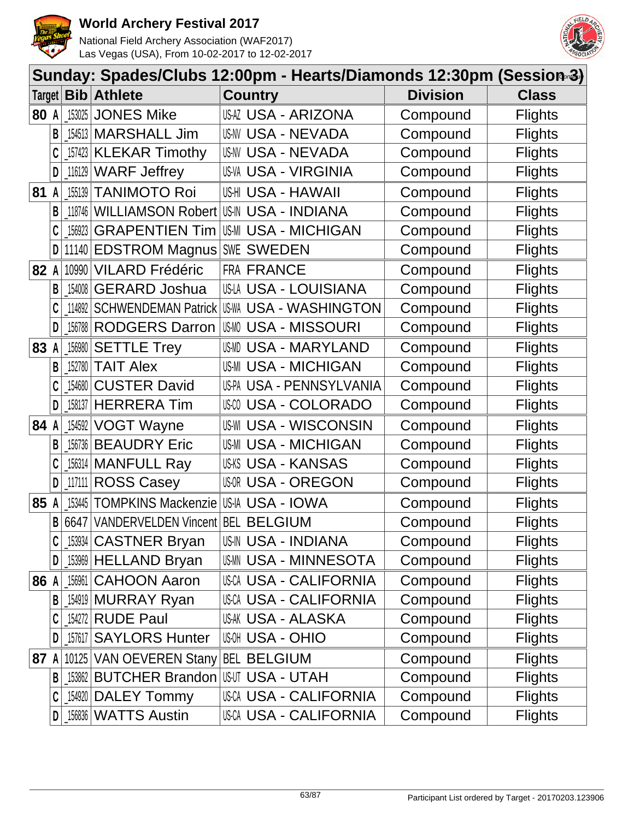



|        |              |        |                                        | Sunday: Spades/Clubs 12:00pm - Hearts/Diamonds 12:30pm (Session-3) |                 |                |
|--------|--------------|--------|----------------------------------------|--------------------------------------------------------------------|-----------------|----------------|
| Target |              |        | <b>Bib</b> Athlete                     | <b>Country</b>                                                     | <b>Division</b> | <b>Class</b>   |
| 80 A   |              |        | $153025$ JONES Mike                    | USAZ USA - ARIZONA                                                 | Compound        | <b>Flights</b> |
|        | B            |        | [154513   MARSHALL Jim                 | US-NV USA - NEVADA                                                 | Compound        | <b>Flights</b> |
|        |              |        | 157423 KLEKAR Timothy                  | US-NV USA - NEVADA                                                 | Compound        | <b>Flights</b> |
|        | D            |        | 116129 WARF Jeffrey                    | <b>US-VA USA - VIRGINIA</b>                                        | Compound        | <b>Flights</b> |
| 81     | A            | 155139 | <b>TANIMOTO Roi</b>                    | US-HI USA - HAWAII                                                 | Compound        | <b>Flights</b> |
|        | B            |        | 118746 WILLIAMSON Robert               | <b>US-IN USA - INDIANA</b>                                         | Compound        | <b>Flights</b> |
|        | C            | 156923 | <b>GRAPENTIEN Tim</b>                  | <b>US-MI USA - MICHIGAN</b>                                        | Compound        | <b>Flights</b> |
|        | D            |        | 11140 EDSTROM Magnus                   | SWE SWEDEN                                                         | Compound        | <b>Flights</b> |
| 82     | A            |        | 10990 VILARD Frédéric                  | FRA FRANCE                                                         | Compound        | <b>Flights</b> |
|        | В            | 154008 | <b>GERARD Joshua</b>                   | USLA USA - LOUISIANA                                               | Compound        | <b>Flights</b> |
|        |              |        | 114892 SCHWENDEMAN Patrick             | <b>US-WA USA - WASHINGTON</b>                                      | Compound        | <b>Flights</b> |
|        | D            |        | 156788 RODGERS Darron                  | <b>USMO USA - MISSOURI</b>                                         | Compound        | <b>Flights</b> |
| 83     | A            |        | [156980 SETTLE Trey                    | USMD USA - MARYLAND                                                | Compound        | <b>Flights</b> |
|        | B            |        | $152780$ TAIT Alex                     | <b>US-MI USA - MICHIGAN</b>                                        | Compound        | <b>Flights</b> |
|        |              |        | 154680 CUSTER David                    | US-PA USA - PENNSYLVANIA                                           | Compound        | <b>Flights</b> |
|        | D            |        | 158137 HERRERA Tim                     | USM USA - COLORADO                                                 | Compound        | <b>Flights</b> |
| 84 A   |              |        | 154592 VOGT Wayne                      | <b>USA - WISCONSIN</b><br>US-WI                                    | Compound        | <b>Flights</b> |
|        | B            |        | 156736 BEAUDRY Eric                    | <b>USA - MICHIGAN</b><br>US-MI                                     | Compound        | <b>Flights</b> |
|        |              |        | 156314 MANFULL Ray                     | <b>US-KS USA - KANSAS</b>                                          | Compound        | <b>Flights</b> |
|        | D            | 117111 | <b>ROSS Casey</b>                      | <b>USOR USA - OREGON</b>                                           | Compound        | <b>Flights</b> |
| 85 A   |              | 153445 | <b>TOMPKINS Mackenzie</b>              | US-IA USA - IOWA                                                   | Compound        | <b>Flights</b> |
|        | $\mathsf{B}$ |        | 6647 VANDERVELDEN Vincent BEL BELGIUM  |                                                                    | Compound        | <b>Flights</b> |
|        |              |        | 153934 CASTNER Bryan                   | <b>US-IN USA - INDIANA</b>                                         | Compound        | <b>Flights</b> |
|        | D            |        | 153969 HELLAND Bryan                   | <b>USMN USA - MINNESOTA</b>                                        | Compound        | <b>Flights</b> |
| 86 A   |              |        | 156961 CAHOON Aaron                    | <b>USCA USA - CALIFORNIA</b>                                       | Compound        | <b>Flights</b> |
|        | B            |        | 154919 MURRAY Ryan                     | <b>USCA USA - CALIFORNIA</b>                                       | Compound        | <b>Flights</b> |
|        |              |        | 154272 RUDE Paul                       | <b>US-AK USA - ALASKA</b>                                          | Compound        | <b>Flights</b> |
|        | D            |        | 157617 SAYLORS Hunter                  | <b>USA - OHIO</b>                                                  | Compound        | <b>Flights</b> |
| 87 A   |              |        | 10125 VAN OEVEREN Stany BEL BELGIUM    |                                                                    | Compound        | <b>Flights</b> |
|        | B            |        | 153862 BUTCHER Brandon USUT USA - UTAH |                                                                    | Compound        | <b>Flights</b> |
|        |              |        | $154920$ DALEY Tommy                   | <b>USCA USA - CALIFORNIA</b>                                       | Compound        | <b>Flights</b> |
|        | D            |        | <b>156836 WATTS Austin</b>             | <b>USCA USA - CALIFORNIA</b>                                       | Compound        | <b>Flights</b> |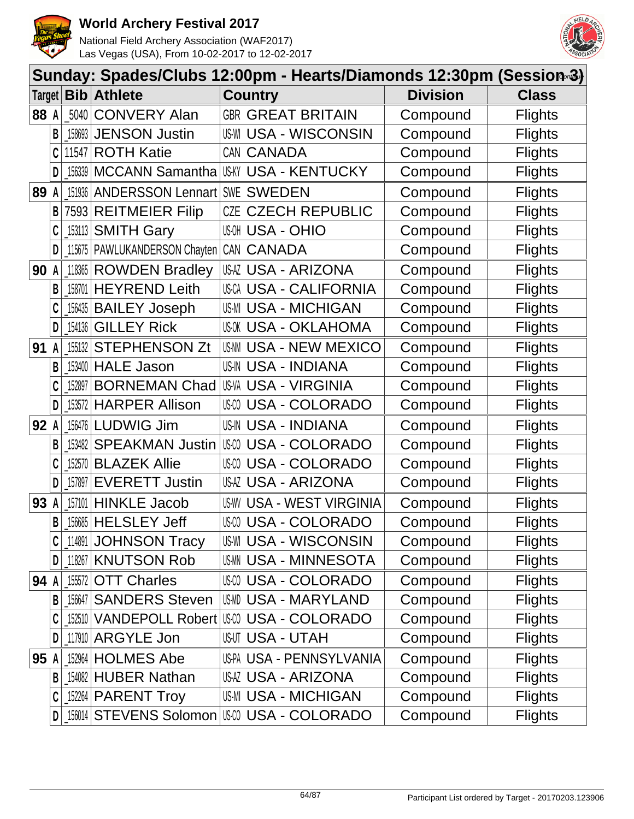



|      | Sunday: Spades/Clubs 12:00pm - Hearts/Diamonds 12:30pm (Session-3) |           |                                  |                                                  |                 |                |  |  |  |
|------|--------------------------------------------------------------------|-----------|----------------------------------|--------------------------------------------------|-----------------|----------------|--|--|--|
|      |                                                                    |           | Target <b>Bib Athlete</b>        | <b>Country</b>                                   | <b>Division</b> | <b>Class</b>   |  |  |  |
| 88 A |                                                                    |           | 5040 CONVERY Alan                | <b>GBR GREAT BRITAIN</b>                         | Compound        | <b>Flights</b> |  |  |  |
|      | B                                                                  |           | 158693 JENSON Justin             | US-WI USA - WISCONSIN                            | Compound        | <b>Flights</b> |  |  |  |
|      | C                                                                  |           | 11547 ROTH Katie                 | CAN CANADA                                       | Compound        | <b>Flights</b> |  |  |  |
|      | D                                                                  |           |                                  | [156339   MCCANN Samantha   US-KY USA - KENTUCKY | Compound        | <b>Flights</b> |  |  |  |
| 89   | A                                                                  | 151936    | <b>ANDERSSON Lennart</b>         | <b>SWE SWEDEN</b>                                | Compound        | <b>Flights</b> |  |  |  |
|      | B                                                                  |           | 7593 REITMEIER Filip             | <b>CZECH REPUBLIC</b><br>CZE                     | Compound        | <b>Flights</b> |  |  |  |
|      |                                                                    |           | [153113 SMITH Gary               | <b>USOH USA - OHIO</b>                           | Compound        | <b>Flights</b> |  |  |  |
|      | D                                                                  |           | _115675   PAWLUKANDERSON Chayten | CAN CANADA                                       | Compound        | <b>Flights</b> |  |  |  |
| 90   | A                                                                  |           | 118365 ROWDEN Bradley            | USAZ USA - ARIZONA                               | Compound        | <b>Flights</b> |  |  |  |
|      | В                                                                  | 158701    | <b>HEYREND Leith</b>             | USCA USA - CALIFORNIA                            | Compound        | <b>Flights</b> |  |  |  |
|      |                                                                    |           | 156435 BAILEY Joseph             | <b>US-MI USA - MICHIGAN</b>                      | Compound        | <b>Flights</b> |  |  |  |
|      | D                                                                  | 154136    | <b>GILLEY Rick</b>               | <b>USOK USA - OKLAHOMA</b>                       | Compound        | <b>Flights</b> |  |  |  |
| 91   | A                                                                  | $-155132$ | <b>STEPHENSON Zt</b>             | US-NN USA - NEW MEXICO                           | Compound        | <b>Flights</b> |  |  |  |
|      | B                                                                  |           | 153400 HALE Jason                | <b>US-IN USA - INDIANA</b>                       | Compound        | <b>Flights</b> |  |  |  |
|      |                                                                    | 152897    | <b>BORNEMAN Chad</b>             | US-VA USA - VIRGINIA                             | Compound        | <b>Flights</b> |  |  |  |
|      | D                                                                  |           | 153572 HARPER Allison            | USCO USA - COLORADO                              | Compound        | <b>Flights</b> |  |  |  |
| 92 A |                                                                    |           | 156476   LUDWIG Jim              | <b>US-IN USA - INDIANA</b>                       | Compound        | <b>Flights</b> |  |  |  |
|      | B                                                                  | 153482    | <b>SPEAKMAN Justin</b>           | USA - COLORADO<br>US-CO                          | Compound        | <b>Flights</b> |  |  |  |
|      |                                                                    |           | 152570 BLAZEK Allie              | USCO USA - COLORADO                              | Compound        | <b>Flights</b> |  |  |  |
|      | D                                                                  | 157897    | <b>EVERETT Justin</b>            | USAZ USA - ARIZONA                               | Compound        | <b>Flights</b> |  |  |  |
| 93   | A                                                                  | 157101    | <b>HINKLE Jacob</b>              | <b>US-WY USA - WEST VIRGINIA</b>                 | Compound        | <b>Flights</b> |  |  |  |
|      | $\mathsf{B}$                                                       |           | $156685$ HELSLEY Jeff            | USCO USA - COLORADO                              | Compound        | <b>Flights</b> |  |  |  |
|      |                                                                    | _114891   | JOHNSON Tracy                    | US-WI USA - WISCONSIN                            | Compound        | <b>Flights</b> |  |  |  |
|      | D                                                                  |           | 118267 KNUTSON Rob               | USMN USA - MINNESOTA                             | Compound        | <b>Flights</b> |  |  |  |
| 94 A |                                                                    |           | 155572 OTT Charles               | USCO USA - COLORADO                              | Compound        | <b>Flights</b> |  |  |  |
|      | B                                                                  |           | 156647 SANDERS Steven            | IUSMD USA - MARYLAND                             | Compound        | <b>Flights</b> |  |  |  |
|      |                                                                    |           |                                  | 152510 VANDEPOLL Robert US-00 USA - COLORADO     | Compound        | <b>Flights</b> |  |  |  |
|      | D                                                                  |           | 117910 ARGYLE Jon                | <b>USUT USA - UTAH</b>                           | Compound        | <b>Flights</b> |  |  |  |
| 95 A |                                                                    |           | 152964 HOLMES Abe                | US-PA USA - PENNSYLVANIA                         | Compound        | <b>Flights</b> |  |  |  |
|      | B                                                                  |           | $154082$ HUBER Nathan            | USAZ USA - ARIZONA                               | Compound        | <b>Flights</b> |  |  |  |
|      | C                                                                  |           | $152264$ PARENT Troy             | <b>US-MI USA - MICHIGAN</b>                      | Compound        | <b>Flights</b> |  |  |  |
|      | DI                                                                 |           |                                  |                                                  | Compound        | <b>Flights</b> |  |  |  |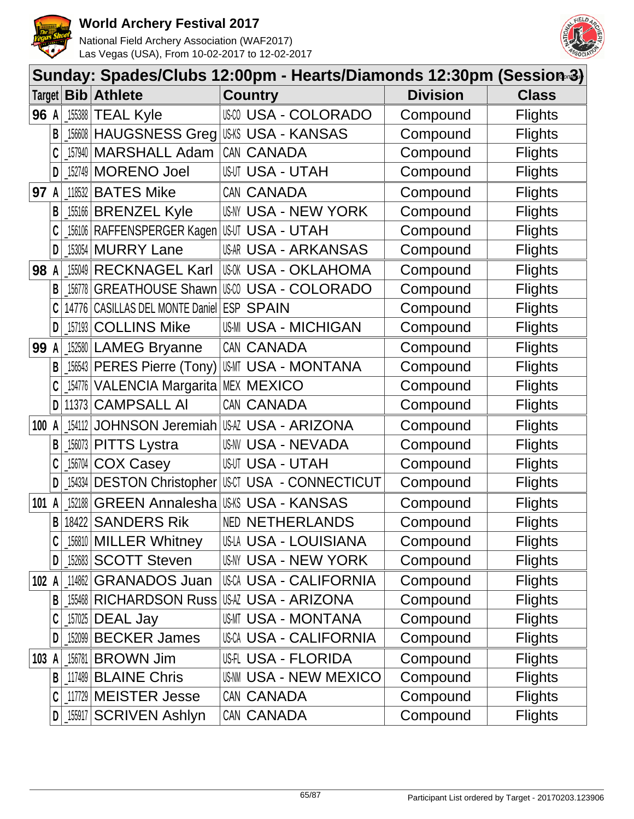



|        | Sunday: Spades/Clubs 12:00pm - Hearts/Diamonds 12:30pm (Session-3) |                                                     |                                           |                                      |                 |                |  |  |  |  |
|--------|--------------------------------------------------------------------|-----------------------------------------------------|-------------------------------------------|--------------------------------------|-----------------|----------------|--|--|--|--|
| Target |                                                                    | Bib                                                 | <b>Athlete</b>                            | <b>Country</b>                       | <b>Division</b> | <b>Class</b>   |  |  |  |  |
| 96 A   |                                                                    | 155388                                              | <b>TEAL Kyle</b>                          | <b>USO USA - COLORADO</b>            | Compound        | <b>Flights</b> |  |  |  |  |
|        | B                                                                  |                                                     | _156608   HAUGSNESS Greg                  | <b>US-KS USA - KANSAS</b>            | Compound        | <b>Flights</b> |  |  |  |  |
|        |                                                                    | 157940                                              | <b>MARSHALL Adam</b>                      | CAN CANADA                           | Compound        | <b>Flights</b> |  |  |  |  |
|        | D                                                                  | 152749                                              | <b>MORENO Joel</b>                        | <b>USUT USA - UTAH</b>               | Compound        | <b>Flights</b> |  |  |  |  |
| 97     |                                                                    | 118532                                              | <b>BATES Mike</b>                         | CAN CANADA                           | Compound        | <b>Flights</b> |  |  |  |  |
|        | В                                                                  |                                                     | 155166 BRENZEL Kyle                       | USNY USA - NEW YORK                  | Compound        | <b>Flights</b> |  |  |  |  |
|        | C                                                                  |                                                     | _156106   RAFFENSPERGER Kagen             | <b>USUT USA - UTAH</b>               | Compound        | <b>Flights</b> |  |  |  |  |
|        | D                                                                  |                                                     | 153054 MURRY Lane                         | USAR USA - ARKANSAS                  | Compound        | <b>Flights</b> |  |  |  |  |
| 98     |                                                                    | 155049                                              | <b>RECKNAGEL Karl</b>                     | <b>USOK USA - OKLAHOMA</b>           | Compound        | <b>Flights</b> |  |  |  |  |
|        | B                                                                  | 156778                                              | <b>GREATHOUSE Shawn</b>                   | <b>USA - COLORADO</b>                | Compound        | <b>Flights</b> |  |  |  |  |
|        |                                                                    |                                                     | 14776 CASILLAS DEL MONTE Daniel ESP SPAIN |                                      | Compound        | <b>Flights</b> |  |  |  |  |
|        | D                                                                  | 157193                                              | <b>COLLINS Mike</b>                       | <b>US-MI USA - MICHIGAN</b>          | Compound        | <b>Flights</b> |  |  |  |  |
| 99     | $\mathsf{A}$                                                       |                                                     | 152580 LAMEG Bryanne                      | CAN CANADA                           | Compound        | <b>Flights</b> |  |  |  |  |
|        | B                                                                  |                                                     | 156543 PERES Pierre (Tony)                | USMT USA - MONTANA                   | Compound        | <b>Flights</b> |  |  |  |  |
|        |                                                                    | 154776                                              | VALENCIA Margarita MEX MEXICO             |                                      | Compound        | <b>Flights</b> |  |  |  |  |
|        | D                                                                  | 11373                                               | <b>CAMPSALL AI</b>                        | CAN CANADA                           | Compound        | <b>Flights</b> |  |  |  |  |
| 100 A  |                                                                    | 154112                                              | JOHNSON Jeremiah                          | USAZ USA - ARIZONA                   | Compound        | <b>Flights</b> |  |  |  |  |
|        | B                                                                  | 156073                                              | <b>PITTS Lystra</b>                       | <b>US-NV USA - NEVADA</b>            | Compound        | <b>Flights</b> |  |  |  |  |
|        |                                                                    | 156704                                              | <b>COX Casey</b>                          | <b>USUT USA - UTAH</b>               | Compound        | <b>Flights</b> |  |  |  |  |
|        |                                                                    | $\left[ \begin{matrix} 154334 \end{matrix} \right]$ | <b>DESTON Christopher</b>                 | USCT USA - CONNECTICUT               | Compound        | <b>Flights</b> |  |  |  |  |
| 101    |                                                                    | 152188                                              | <b>GREEN Annalesha</b>                    | USKS USA - KANSAS                    | Compound        | <b>Flights</b> |  |  |  |  |
|        | B                                                                  |                                                     | 18422 SANDERS Rik                         | <b>NED NETHERLANDS</b>               | Compound        | <b>Flights</b> |  |  |  |  |
|        |                                                                    |                                                     | 156810 MILLER Whitney                     | US-LA USA - LOUISIANA                | Compound        | <b>Flights</b> |  |  |  |  |
|        | D                                                                  |                                                     | 152683 SCOTT Steven                       | <b>USNY USA - NEW YORK</b>           | Compound        | <b>Flights</b> |  |  |  |  |
| 102 A  |                                                                    | 114862                                              | <b>GRANADOS Juan</b>                      | USCA USA - CALIFORNIA                | Compound        | <b>Flights</b> |  |  |  |  |
|        | B                                                                  |                                                     |                                           | 155468 RICHARDSON Russ USA - ARIZONA | Compound        | <b>Flights</b> |  |  |  |  |
|        |                                                                    | 157025                                              | DEAL Jay                                  | USMT USA - MONTANA                   | Compound        | <b>Flights</b> |  |  |  |  |
|        | D                                                                  |                                                     | 152099 BECKER James                       | <b>USCA USA - CALIFORNIA</b>         | Compound        | <b>Flights</b> |  |  |  |  |
| 103    | A                                                                  | 156781                                              | <b>BROWN Jim</b>                          | <b>USH USA - FLORIDA</b>             | Compound        | <b>Flights</b> |  |  |  |  |
|        |                                                                    |                                                     | <b>B</b> 117489 BLAINE Chris              | <b>US-NN USA - NEW MEXICO</b>        | Compound        | <b>Flights</b> |  |  |  |  |
|        | C                                                                  |                                                     | 117729 MEISTER Jesse                      | CAN CANADA                           | Compound        | <b>Flights</b> |  |  |  |  |
|        | D                                                                  | $\_$ 155917                                         | <b>SCRIVEN Ashlyn</b>                     | CAN CANADA                           | Compound        | <b>Flights</b> |  |  |  |  |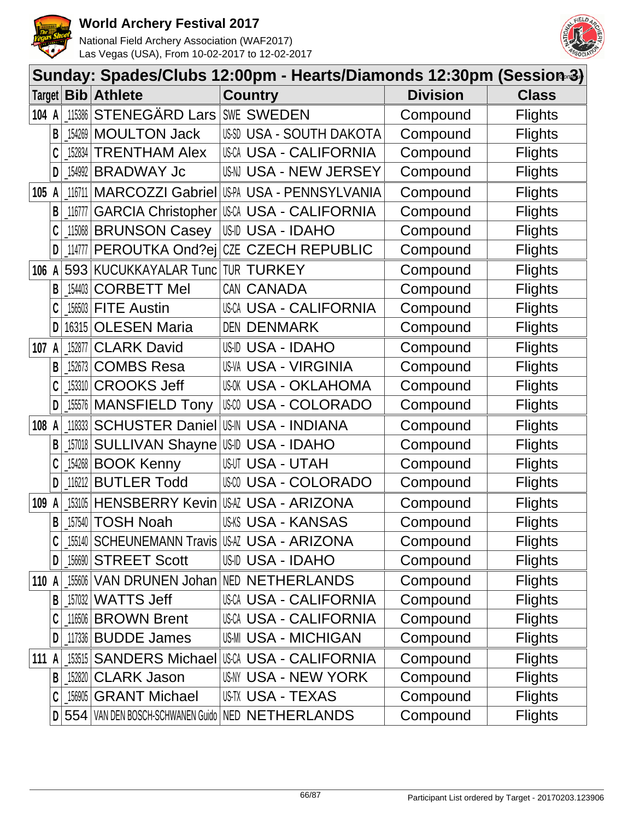



|       | Sunday: Spades/Clubs 12:00pm - Hearts/Diamonds 12:30pm (Session-3) |                                                     |                                  |                                                    |                 |                |  |  |  |
|-------|--------------------------------------------------------------------|-----------------------------------------------------|----------------------------------|----------------------------------------------------|-----------------|----------------|--|--|--|
|       |                                                                    |                                                     | Target <b>Bib Athlete</b>        | <b>Country</b>                                     | <b>Division</b> | <b>Class</b>   |  |  |  |
| 104 A |                                                                    | 115386                                              | STENEGÄRD Lars SWE SWEDEN        |                                                    | Compound        | <b>Flights</b> |  |  |  |
|       | B                                                                  |                                                     | 154269 MOULTON Jack              | USSD USA - SOUTH DAKOTA                            | Compound        | <b>Flights</b> |  |  |  |
|       |                                                                    | 152834                                              | <b>TRENTHAM Alex</b>             | USCA USA - CALIFORNIA                              | Compound        | <b>Flights</b> |  |  |  |
|       | D                                                                  |                                                     | 154992 BRADWAY Jc                | USN USA - NEW JERSEY                               | Compound        | <b>Flights</b> |  |  |  |
| 105 A |                                                                    | 116711                                              | <b>MARCOZZI Gabriel</b>          | US-PA USA - PENNSYLVANIA                           | Compound        | <b>Flights</b> |  |  |  |
|       | B                                                                  | 116777                                              | <b>GARCIA Christopher</b>        | <b>USCA USA - CALIFORNIA</b>                       | Compound        | <b>Flights</b> |  |  |  |
|       | C                                                                  |                                                     | 115068 BRUNSON Casey             | USID USA - IDAHO                                   | Compound        | <b>Flights</b> |  |  |  |
|       | D                                                                  | 114777                                              | PEROUTKA Ond?ej                  | CZE CZECH REPUBLIC                                 | Compound        | <b>Flights</b> |  |  |  |
| 106   | A                                                                  |                                                     | 593 KUCUKKAYALAR Tunc TUR TURKEY |                                                    | Compound        | <b>Flights</b> |  |  |  |
|       | B                                                                  | $\left[ \begin{matrix} 154403 \end{matrix} \right]$ | <b>CORBETT Mel</b>               | CAN CANADA                                         | Compound        | <b>Flights</b> |  |  |  |
|       |                                                                    |                                                     | 156503 FITE Austin               | <b>USCA USA - CALIFORNIA</b>                       | Compound        | <b>Flights</b> |  |  |  |
|       | D                                                                  |                                                     | 16315 OLESEN Maria               | DEN DENMARK                                        | Compound        | <b>Flights</b> |  |  |  |
| 107 A |                                                                    | 152877                                              | <b>CLARK David</b>               | US-ID USA - IDAHO                                  | Compound        | <b>Flights</b> |  |  |  |
|       | B                                                                  | 152673                                              | <b>COMBS Resa</b>                | <b>US-VA USA - VIRGINIA</b>                        | Compound        | <b>Flights</b> |  |  |  |
|       | C                                                                  |                                                     | [153310 CROOKS Jeff              | USOK USA - OKLAHOMA                                | Compound        | <b>Flights</b> |  |  |  |
|       | D                                                                  |                                                     | 155576 MANSFIELD Tony            | USCO USA - COLORADO                                | Compound        | <b>Flights</b> |  |  |  |
| 108 A |                                                                    | 118333                                              |                                  | <b>SCHUSTER Daniel USM USA - INDIANA</b>           | Compound        | <b>Flights</b> |  |  |  |
|       | B                                                                  | 157018                                              | <b>SULLIVAN Shayne US-ID</b>     | <b>USA - IDAHO</b>                                 | Compound        | <b>Flights</b> |  |  |  |
|       |                                                                    |                                                     | 154268 BOOK Kenny                | <b>USUT USA - UTAH</b>                             | Compound        | <b>Flights</b> |  |  |  |
|       | D                                                                  | 116212                                              | <b>BUTLER Todd</b>               | <b>USA - COLORADO</b><br>US-CO                     | Compound        | <b>Flights</b> |  |  |  |
| 109   | A                                                                  |                                                     | 153105 HENSBERRY Kevin           | <b>USAZ USA - ARIZONA</b>                          | Compound        | <b>Flights</b> |  |  |  |
|       | B                                                                  |                                                     | 157540 TOSH Noah                 | <b>US-KS USA - KANSAS</b>                          | Compound        | <b>Flights</b> |  |  |  |
|       |                                                                    |                                                     |                                  | 155140 SCHEUNEMANN Travis USA USA - ARIZONA        | Compound        | <b>Flights</b> |  |  |  |
|       | D                                                                  |                                                     | <b>156690 STREET Scott</b>       | USID USA - IDAHO                                   | Compound        | <b>Flights</b> |  |  |  |
| 110 A |                                                                    |                                                     |                                  | 155606 VAN DRUNEN Johan NED NETHERLANDS            | Compound        | <b>Flights</b> |  |  |  |
|       | B                                                                  |                                                     | $157032$ WATTS Jeff              | <b>USCA USA - CALIFORNIA</b>                       | Compound        | <b>Flights</b> |  |  |  |
|       |                                                                    |                                                     | 116506 BROWN Brent               | <b>USCA USA - CALIFORNIA</b>                       | Compound        | <b>Flights</b> |  |  |  |
|       | D                                                                  |                                                     | 117336 BUDDE James               | <b>US-MI USA - MICHIGAN</b>                        | Compound        | <b>Flights</b> |  |  |  |
| 111 A |                                                                    |                                                     | 153515 SANDERS Michael           | IUSCA USA - CALIFORNIA                             | Compound        | <b>Flights</b> |  |  |  |
|       | B                                                                  |                                                     | 152820 CLARK Jason               | USNY USA - NEW YORK                                | Compound        | <b>Flights</b> |  |  |  |
|       | C                                                                  |                                                     | 156905 GRANT Michael             | US-TX USA - TEXAS                                  | Compound        | <b>Flights</b> |  |  |  |
|       |                                                                    |                                                     |                                  | D 554 VAN DEN BOSCH-SCHWANEN Guido NED NETHERLANDS | Compound        | <b>Flights</b> |  |  |  |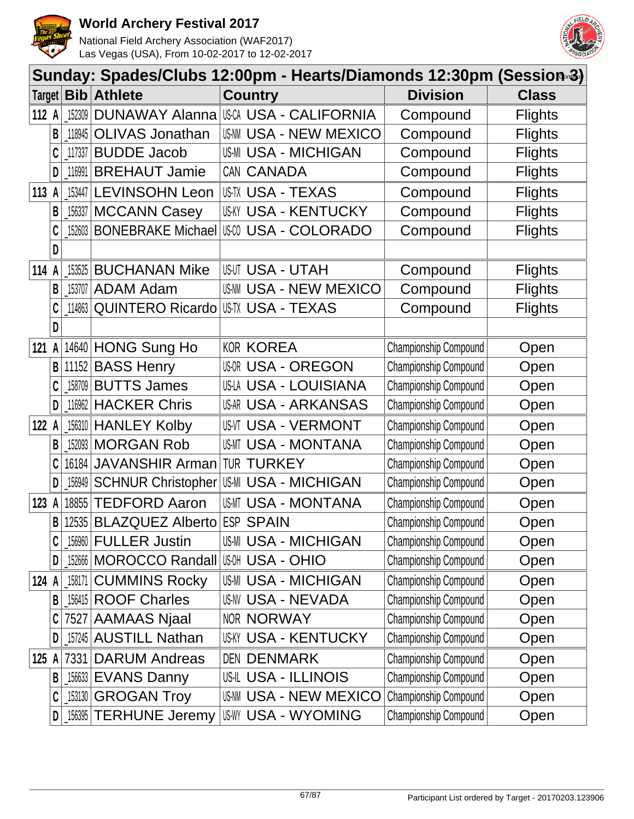



|               | Sunday: Spades/Clubs 12:00pm - Hearts/Diamonds 12:30pm (Session-3) |            |                                           |  |                                            |                       |                |  |  |  |
|---------------|--------------------------------------------------------------------|------------|-------------------------------------------|--|--------------------------------------------|-----------------------|----------------|--|--|--|
| Target $\mid$ |                                                                    | <b>Bib</b> | <b>Athlete</b>                            |  | <b>Country</b>                             | <b>Division</b>       | <b>Class</b>   |  |  |  |
| 112 A         |                                                                    | 152309     |                                           |  | <b>DUNAWAY Alanna USA USA - CALIFORNIA</b> | Compound              | <b>Flights</b> |  |  |  |
|               | B                                                                  | 118945     | <b>OLIVAS Jonathan</b>                    |  | US-NM USA - NEW MEXICO                     | Compound              | <b>Flights</b> |  |  |  |
|               | C                                                                  | 117337     | <b>BUDDE Jacob</b>                        |  | <b>US-MI USA - MICHIGAN</b>                | Compound              | <b>Flights</b> |  |  |  |
|               | D                                                                  | 116991     | <b>BREHAUT Jamie</b>                      |  | CAN CANADA                                 | Compound              | <b>Flights</b> |  |  |  |
| 113           |                                                                    | 153447     | <b>LEVINSOHN Leon</b>                     |  | USTX USA - TEXAS                           | Compound              | <b>Flights</b> |  |  |  |
|               | B                                                                  | 156337     | <b>MCCANN Casey</b>                       |  | <b>US-KY USA - KENTUCKY</b>                | Compound              | <b>Flights</b> |  |  |  |
|               | C                                                                  | 152603     | <b>BONEBRAKE Michael</b>                  |  | <b>USO USA - COLORADO</b>                  | Compound              | <b>Flights</b> |  |  |  |
|               | D                                                                  |            |                                           |  |                                            |                       |                |  |  |  |
| 114           |                                                                    | 153525     | <b>BUCHANAN Mike</b>                      |  | <b>USUT USA - UTAH</b>                     | Compound              | <b>Flights</b> |  |  |  |
|               | B                                                                  | 153707     | <b>ADAM Adam</b>                          |  | <b>US-NM USA - NEW MEXICO</b>              | Compound              | <b>Flights</b> |  |  |  |
|               |                                                                    | 114863     | <b>QUINTERO Ricardo</b>                   |  | <b>US-TX USA - TEXAS</b>                   | Compound              | <b>Flights</b> |  |  |  |
|               | D                                                                  |            |                                           |  |                                            |                       |                |  |  |  |
| 121           | A                                                                  |            | 14640 HONG Sung Ho                        |  | <b>KOR KOREA</b>                           | Championship Compound | Open           |  |  |  |
|               | B                                                                  |            | 11152 BASS Henry                          |  | <b>USOR USA - OREGON</b>                   | Championship Compound | Open           |  |  |  |
|               | C                                                                  | 158709     | <b>BUTTS James</b>                        |  | US-LA USA - LOUISIANA                      | Championship Compound | Open           |  |  |  |
|               | D                                                                  | 116962     | <b>HACKER Chris</b>                       |  | USAR USA - ARKANSAS                        | Championship Compound | Open           |  |  |  |
| 122           |                                                                    | 156310     | <b>HANLEY Kolby</b>                       |  | <b>US-VT USA - VERMONT</b>                 | Championship Compound | Open           |  |  |  |
|               | B                                                                  | 152093     | <b>MORGAN Rob</b>                         |  | <b>USMT USA - MONTANA</b>                  | Championship Compound | Open           |  |  |  |
|               | C                                                                  | 16184      | JAVANSHIR Arman                           |  | <b>TUR TURKEY</b>                          | Championship Compound | Open           |  |  |  |
|               | D                                                                  | 156949     | <b>SCHNUR Christopher</b>                 |  | <b>US-MI USA - MICHIGAN</b>                | Championship Compound | Open           |  |  |  |
| 123           | A                                                                  |            | 18855 TEDFORD Aaron                       |  | <b>USMT USA - MONTANA</b>                  | Championship Compound | Open           |  |  |  |
|               | B                                                                  |            | 12535 BLAZQUEZ Alberto                    |  | <b>ESP SPAIN</b>                           | Championship Compound | Open           |  |  |  |
|               | C                                                                  | 156960     | <b>FULLER Justin</b>                      |  | US-MI USA - MICHIGAN                       | Championship Compound | Open           |  |  |  |
|               | D                                                                  |            | 152666   MOROCCO Randall   USM USA - OHIO |  |                                            | Championship Compound | Open           |  |  |  |
| 124 A         |                                                                    | 158171     | <b>CUMMINS Rocky</b>                      |  | US-MI USA - MICHIGAN                       | Championship Compound | Open           |  |  |  |
|               | B                                                                  |            | 156415 ROOF Charles                       |  | <b>US-NV USA - NEVADA</b>                  | Championship Compound | Open           |  |  |  |
|               | C                                                                  |            | 7527 AAMAAS Njaal                         |  | NOR NORWAY                                 | Championship Compound | Open           |  |  |  |
|               | D                                                                  |            | 157245 AUSTILL Nathan                     |  | <b>USKY USA - KENTUCKY</b>                 | Championship Compound | Open           |  |  |  |
| 125 A         |                                                                    | 7331       | <b>DARUM Andreas</b>                      |  | <b>DEN DENMARK</b>                         | Championship Compound | Open           |  |  |  |
|               | B                                                                  |            | 156633 EVANS Danny                        |  | <b>US-IL USA - ILLINOIS</b>                | Championship Compound | Open           |  |  |  |
|               | C                                                                  |            | 153130 GROGAN Troy                        |  | USNM USA - NEW MEXICO                      | Championship Compound | Open           |  |  |  |
|               | D                                                                  |            | [156395   TERHUNE Jeremy                  |  | <b>USWY USA - WYOMING</b>                  | Championship Compound | Open           |  |  |  |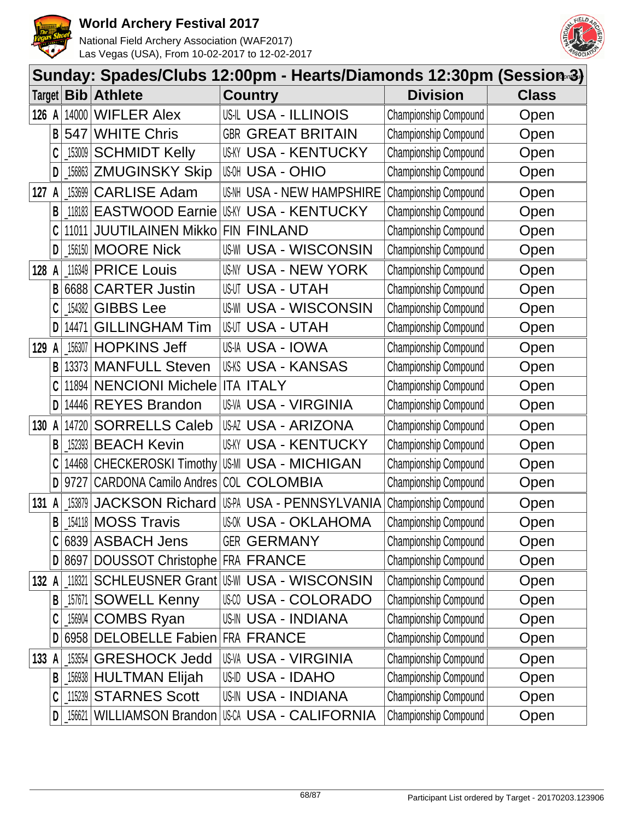



|        | Sunday: Spades/Clubs 12:00pm - Hearts/Diamonds 12:30pm (Session-3) |                |                                             |                         |                              |                              |              |  |  |  |
|--------|--------------------------------------------------------------------|----------------|---------------------------------------------|-------------------------|------------------------------|------------------------------|--------------|--|--|--|
| Target |                                                                    | Bib            | <b>Athlete</b>                              | <b>Country</b>          |                              | <b>Division</b>              | <b>Class</b> |  |  |  |
| 126    | A                                                                  | 14000          | <b>WIFLER Alex</b>                          |                         | USIL USA - ILLINOIS          | Championship Compound        | Open         |  |  |  |
|        | B                                                                  | 547            | <b>WHITE Chris</b>                          | <b>GBR</b>              | <b>GREAT BRITAIN</b>         | Championship Compound        | Open         |  |  |  |
|        |                                                                    | 153009         | <b>SCHMIDT Kelly</b>                        |                         | <b>US-KY USA - KENTUCKY</b>  | Championship Compound        | Open         |  |  |  |
|        | D                                                                  | $\_156863$     | <b>ZMUGINSKY Skip</b>                       | <b>USA - OHIO</b>       |                              | Championship Compound        | Open         |  |  |  |
| 127    | A                                                                  | 153699         | <b>CARLISE Adam</b>                         |                         | US-NH USA - NEW HAMPSHIRE    | Championship Compound        | Open         |  |  |  |
|        | B                                                                  | 118183         | <b>EASTWOOD Earnie</b>                      |                         | <b>USKY USA - KENTUCKY</b>   | Championship Compound        | Open         |  |  |  |
|        | C                                                                  | 11011          | <b>JUUTILAINEN Mikko</b>                    | FIN FINLAND             |                              | Championship Compound        | Open         |  |  |  |
|        | D                                                                  | $156150$       | <b>MOORE Nick</b>                           |                         | US-WI USA - WISCONSIN        | Championship Compound        | Open         |  |  |  |
| 128    | A                                                                  | 116349         | <b>PRICE Louis</b>                          |                         | USNY USA - NEW YORK          | Championship Compound        | Open         |  |  |  |
|        | B                                                                  | 6688           | <b>CARTER Justin</b>                        | <b>US-UT USA - UTAH</b> |                              | Championship Compound        | Open         |  |  |  |
|        |                                                                    | 154382         | <b>GIBBS Lee</b>                            |                         | <b>US-WI USA - WISCONSIN</b> | Championship Compound        | Open         |  |  |  |
|        | D                                                                  | 14471          | <b>GILLINGHAM Tim</b>                       | <b>USUT USA - UTAH</b>  |                              | Championship Compound        | Open         |  |  |  |
| 129    | A                                                                  | 156307         | <b>HOPKINS Jeff</b>                         | USIA USA - IOWA         |                              | Championship Compound        | Open         |  |  |  |
|        | B                                                                  | 13373          | <b>MANFULL Steven</b>                       |                         | USKS USA - KANSAS            | Championship Compound        | Open         |  |  |  |
|        |                                                                    | 11894          | <b>NENCIONI Michele</b>                     | <b>ITA ITALY</b>        |                              | Championship Compound        | Open         |  |  |  |
|        | D                                                                  | 14446          | <b>REYES Brandon</b>                        |                         | US-VA USA - VIRGINIA         | Championship Compound        | Open         |  |  |  |
| 130    | A                                                                  | 14720          | <b>SORRELLS Caleb</b>                       |                         | USAZ USA - ARIZONA           | Championship Compound        | Open         |  |  |  |
|        | B                                                                  | 152393         | <b>BEACH Kevin</b>                          |                         | USKY USA - KENTUCKY          | Championship Compound        | Open         |  |  |  |
|        |                                                                    |                | 14468 CHECKEROSKI Timothy                   |                         | US-MI USA - MICHIGAN         | Championship Compound        | Open         |  |  |  |
|        | D                                                                  | 9727           | CARDONA Camilo Andres                       | COL                     | <b>COLOMBIA</b>              | Championship Compound        | Open         |  |  |  |
| 131    | A                                                                  | 153879         | <b>JACKSON Richard</b>                      |                         | US-PA USA - PENNSYLVANIA     | Championship Compound        | Open         |  |  |  |
|        | B                                                                  |                | 154118 MOSS Travis                          |                         | <b>USOK USA - OKLAHOMA</b>   | Championship Compound        | Open         |  |  |  |
|        |                                                                    |                | 6839 ASBACH Jens                            | <b>GER GERMANY</b>      |                              | Championship Compound        | Open         |  |  |  |
|        | D                                                                  |                | 8697 DOUSSOT Christophe FRA FRANCE          |                         |                              | Championship Compound        | Open         |  |  |  |
| 132 A  |                                                                    | 118321         | <b>SCHLEUSNER Grant USM USA - WISCONSIN</b> |                         |                              | Championship Compound        | Open         |  |  |  |
|        | В                                                                  | $\_157671$ $ $ | <b>SOWELL Kenny</b>                         |                         | USM USA - COLORADO           | Championship Compound        | Open         |  |  |  |
|        |                                                                    |                | 156904 COMBS Ryan                           |                         | <b>US-IN USA - INDIANA</b>   | Championship Compound        | Open         |  |  |  |
|        | D                                                                  |                | 6958 DELOBELLE Fabien FRA FRANCE            |                         |                              | <b>Championship Compound</b> | Open         |  |  |  |
| 133 A  |                                                                    | 153554         | <b>GRESHOCK Jedd</b>                        |                         | <b>US-VA USA - VIRGINIA</b>  | Championship Compound        | Open         |  |  |  |
|        | B                                                                  |                | 156938 HULTMAN Elijah                       | USID USA - IDAHO        |                              | Championship Compound        | Open         |  |  |  |
|        | C                                                                  |                | 115239 STARNES Scott                        |                         | <b>US-IN USA - INDIANA</b>   | Championship Compound        | Open         |  |  |  |
|        | D                                                                  | _156621        | WILLIAMSON Brandon USCA USA - CALIFORNIA    |                         |                              | Championship Compound        | Open         |  |  |  |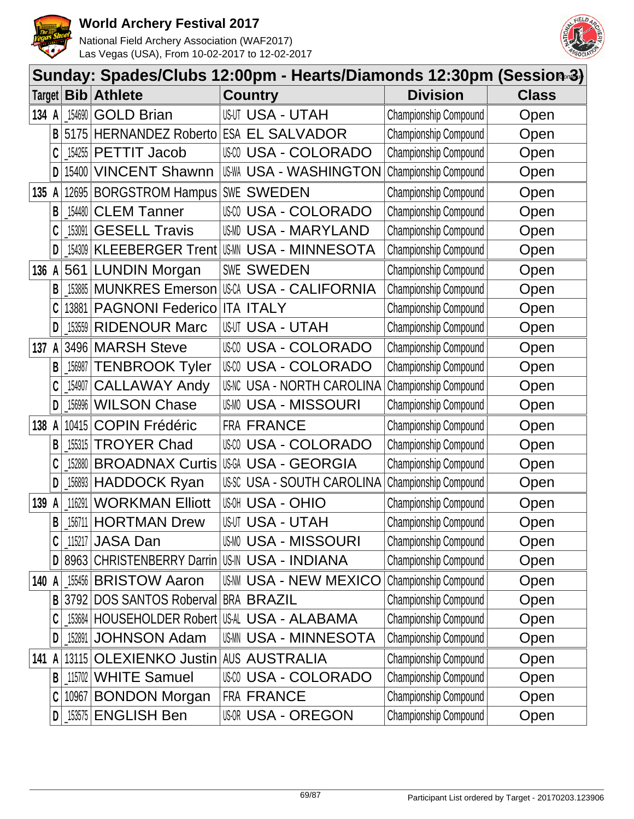



| Sunday: Spades/Clubs 12:00pm - Hearts/Diamonds 12:30pm (Session-3) |   |           |                                               |       |                              |                       |              |  |
|--------------------------------------------------------------------|---|-----------|-----------------------------------------------|-------|------------------------------|-----------------------|--------------|--|
| Target                                                             |   | Bib       | <b>Athlete</b>                                |       | <b>Country</b>               | <b>Division</b>       | <b>Class</b> |  |
| 134 A                                                              |   | 154690    | <b>GOLD Brian</b>                             |       | <b>USUT USA - UTAH</b>       | Championship Compound | Open         |  |
|                                                                    | B | 5175      | <b>HERNANDEZ Roberto</b>                      |       | <b>ESA EL SALVADOR</b>       | Championship Compound | Open         |  |
|                                                                    |   | _154255   | <b>PETTIT Jacob</b>                           |       | USCO USA - COLORADO          | Championship Compound | Open         |  |
|                                                                    | D | 15400     | <b>VINCENT Shawnn</b>                         |       | USWA USA - WASHINGTON        | Championship Compound | Open         |  |
| 135                                                                | A | 12695     | <b>BORGSTROM Hampus SWE SWEDEN</b>            |       |                              | Championship Compound | Open         |  |
|                                                                    | B | 154480    | <b>CLEM Tanner</b>                            | US-CO | USA - COLORADO               | Championship Compound | Open         |  |
|                                                                    |   | 153091    | <b>GESELL Travis</b>                          | US-MD | <b>USA - MARYLAND</b>        | Championship Compound | Open         |  |
|                                                                    | D | 154309    | <b>KLEEBERGER Trent</b>                       | US-MN | <b>USA - MINNESOTA</b>       | Championship Compound | Open         |  |
| 136                                                                | A |           | 561 LUNDIN Morgan                             |       | <b>SWE SWEDEN</b>            | Championship Compound | Open         |  |
|                                                                    | B | 153885    | <b>MUNKRES Emerson</b>                        |       | <b>USCA USA - CALIFORNIA</b> | Championship Compound | Open         |  |
|                                                                    | C | 13881     | <b>PAGNONI Federico</b>                       |       | <b>ITA ITALY</b>             | Championship Compound | Open         |  |
|                                                                    | D | $-153559$ | <b>RIDENOUR Marc</b>                          |       | <b>USUT USA - UTAH</b>       | Championship Compound | Open         |  |
| 137                                                                | A |           | 3496 MARSH Steve                              |       | USCO USA - COLORADO          | Championship Compound | Open         |  |
|                                                                    | B | 156987    | <b>TENBROOK Tyler</b>                         | US-CO | <b>USA - COLORADO</b>        | Championship Compound | Open         |  |
|                                                                    |   | 154907    | <b>CALLAWAY Andy</b>                          |       | US-NC USA - NORTH CAROLINA   | Championship Compound | Open         |  |
|                                                                    | D | 156996    | <b>WILSON Chase</b>                           | US-MO | <b>USA - MISSOURI</b>        | Championship Compound | Open         |  |
| 138 A                                                              |   | 10415     | <b>COPIN Frédéric</b>                         |       | FRA FRANCE                   | Championship Compound | Open         |  |
|                                                                    | B | 155315    | <b>TROYER Chad</b>                            | US-CO | USA - COLORADO               | Championship Compound | Open         |  |
|                                                                    | C | 152880    | <b>BROADNAX Curtis</b>                        |       | USGA USA - GEORGIA           | Championship Compound | Open         |  |
|                                                                    | D | 156893    | <b>HADDOCK Ryan</b>                           |       | USSC USA - SOUTH CAROLINA    | Championship Compound | Open         |  |
| 139                                                                | A | 116291    | <b>WORKMAN Elliott</b>                        | US-OH | USA - OHIO                   | Championship Compound | Open         |  |
|                                                                    | B |           | 156711 HORTMAN Drew                           |       | <b>USUT USA - UTAH</b>       | Championship Compound | Open         |  |
|                                                                    |   |           | $115217$ JASA Dan                             |       | <b>USM USA - MISSOURI</b>    | Championship Compound | Open         |  |
|                                                                    | D |           | 8963 CHRISTENBERRY Darrin US-IN USA - INDIANA |       |                              | Championship Compound | Open         |  |
| 140 A                                                              |   |           | 155456 BRISTOW Aaron                          |       | <b>USAM USA - NEW MEXICO</b> | Championship Compound | Open         |  |
|                                                                    | B |           | 3792 DOS SANTOS Roberval BRA BRAZIL           |       |                              | Championship Compound | Open         |  |
|                                                                    |   |           | 153684 HOUSEHOLDER Robert US-AL USA - ALABAMA |       |                              | Championship Compound | Open         |  |
|                                                                    | D | 152891    | <b>JOHNSON Adam</b>                           |       | USMN USA - MINNESOTA         | Championship Compound | Open         |  |
| 141 A                                                              |   |           | 13115 OLEXIENKO Justin                        |       | <b>AUS AUSTRALIA</b>         | Championship Compound | Open         |  |
|                                                                    | B |           | 115702 WHITE Samuel                           |       | USCO USA - COLORADO          | Championship Compound | Open         |  |
|                                                                    | C |           | 10967 BONDON Morgan                           |       | <b>FRA FRANCE</b>            | Championship Compound | Open         |  |
|                                                                    | D |           | [153575   ENGLISH Ben                         |       | <b>USOR USA - OREGON</b>     | Championship Compound | Open         |  |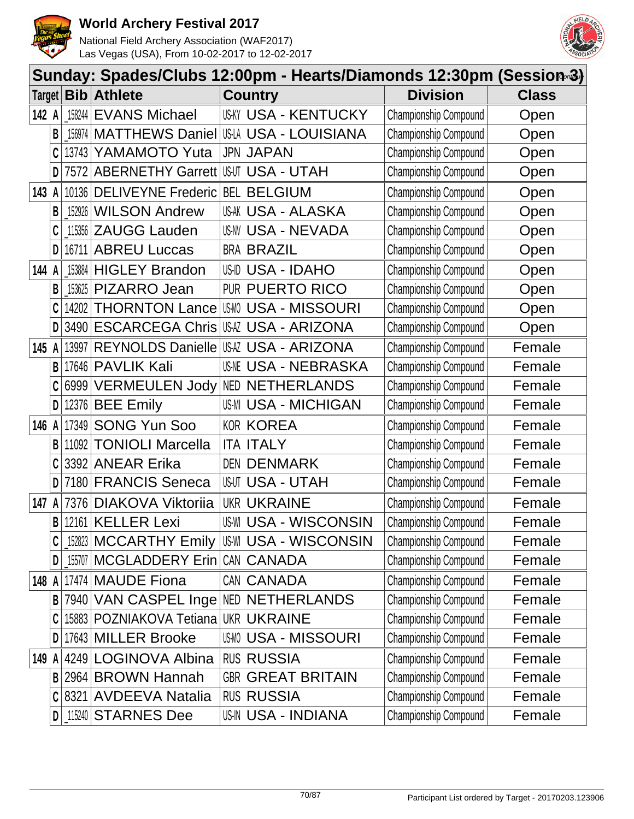



|        | Sunday: Spades/Clubs 12:00pm - Hearts/Diamonds 12:30pm (Session-3) |            |                            |                                                   |                              |              |  |  |  |  |
|--------|--------------------------------------------------------------------|------------|----------------------------|---------------------------------------------------|------------------------------|--------------|--|--|--|--|
| Target |                                                                    | <b>Bib</b> | <b>Athlete</b>             | <b>Country</b>                                    | <b>Division</b>              | <b>Class</b> |  |  |  |  |
| 142 A  |                                                                    | 158244     | <b>EVANS Michael</b>       | <b>USKY USA - KENTUCKY</b>                        | Championship Compound        | Open         |  |  |  |  |
|        | В                                                                  | 156974     | MATTHEWS Daniel            | US-LA USA - LOUISIANA                             | Championship Compound        | Open         |  |  |  |  |
|        | C                                                                  | 13743      | YAMAMOTO Yuta              | <b>JPN JAPAN</b>                                  | Championship Compound        | Open         |  |  |  |  |
|        | D                                                                  | 7572       | <b>ABERNETHY Garrett</b>   | <b>USUT USA - UTAH</b>                            | Championship Compound        | Open         |  |  |  |  |
| 143    | A                                                                  | 10136      | <b>DELIVEYNE Frederic</b>  | <b>BEL BELGIUM</b>                                | Championship Compound        | Open         |  |  |  |  |
|        | B                                                                  | 152926     | <b>WILSON Andrew</b>       | US-AK USA - ALASKA                                | Championship Compound        | Open         |  |  |  |  |
|        | C                                                                  | 115356     | <b>ZAUGG Lauden</b>        | <b>US-NV USA - NEVADA</b>                         | Championship Compound        | Open         |  |  |  |  |
|        | D                                                                  | 16711      | <b>ABREU Luccas</b>        | <b>BRA BRAZIL</b>                                 | Championship Compound        | Open         |  |  |  |  |
| 144 A  |                                                                    | 153884     | <b>HIGLEY Brandon</b>      | USID USA - IDAHO                                  | Championship Compound        | Open         |  |  |  |  |
|        | В                                                                  | 153625     | <b>PIZARRO Jean</b>        | <b>PUR</b><br><b>PUERTO RICO</b>                  | Championship Compound        | Open         |  |  |  |  |
|        | C                                                                  | 14202      | <b>THORNTON Lance</b>      | <b>USMO USA - MISSOURI</b>                        | Championship Compound        | Open         |  |  |  |  |
|        | D                                                                  | 3490       | <b>ESCARCEGA Chris</b>     | USAZ USA - ARIZONA                                | Championship Compound        | Open         |  |  |  |  |
| 145    | A                                                                  | 13997      | <b>REYNOLDS Danielle</b>   | <b>USAZ USA - ARIZONA</b>                         | Championship Compound        | Female       |  |  |  |  |
|        | B                                                                  |            | 17646 PAVLIK Kali          | <b>USME USA - NEBRASKA</b>                        | Championship Compound        | Female       |  |  |  |  |
|        | C                                                                  | 6999       | <b>VERMEULEN Jody</b>      | <b>NED NETHERLANDS</b>                            | Championship Compound        | Female       |  |  |  |  |
|        | D                                                                  | 12376      | <b>BEE Emily</b>           | <b>US-MI USA - MICHIGAN</b>                       | Championship Compound        | Female       |  |  |  |  |
| 146    | A                                                                  | 17349      | <b>SONG Yun Soo</b>        | <b>KOR KOREA</b>                                  | Championship Compound        | Female       |  |  |  |  |
|        | В                                                                  | 11092      | <b>TONIOLI Marcella</b>    | <b>ITALY</b><br>ITA                               | Championship Compound        | Female       |  |  |  |  |
|        | C                                                                  | 3392       | <b>ANEAR Erika</b>         | <b>DEN DENMARK</b>                                | Championship Compound        | Female       |  |  |  |  |
|        | D                                                                  | 7180       | <b>FRANCIS Seneca</b>      | US-UT<br><b>USA - UTAH</b>                        | Championship Compound        | Female       |  |  |  |  |
| 147    | A                                                                  | 7376       | <b>DIAKOVA Viktoriia</b>   | <b>UKR UKRAINE</b>                                | Championship Compound        | Female       |  |  |  |  |
|        | B                                                                  | 12161      | <b>KELLER Lexi</b>         | <b>US-WI USA - WISCONSIN</b>                      | Championship Compound        | Female       |  |  |  |  |
|        | C                                                                  |            |                            | [152823   MCCARTHY Emily   US\III USA - WISCONSIN | <b>Championship Compound</b> | Female       |  |  |  |  |
|        | D                                                                  | 155707     | MCGLADDERY Erin CAN CANADA |                                                   | Championship Compound        | Female       |  |  |  |  |
| 148 A  |                                                                    |            | 17474 MAUDE Fiona          | CAN CANADA                                        | Championship Compound        | Female       |  |  |  |  |
|        | B                                                                  |            |                            | 7940 VAN CASPEL Inge NED NETHERLANDS              | Championship Compound        | Female       |  |  |  |  |
|        | C                                                                  |            | 15883 POZNIAKOVA Tetiana   | <b>UKR UKRAINE</b>                                | Championship Compound        | Female       |  |  |  |  |
|        | D                                                                  |            | 17643 MILLER Brooke        | <b>USMO USA - MISSOURI</b>                        | <b>Championship Compound</b> | Female       |  |  |  |  |
| 149 A  |                                                                    |            | 4249 LOGINOVA Albina       | <b>RUS RUSSIA</b>                                 | Championship Compound        | Female       |  |  |  |  |
|        |                                                                    |            | B 2964 BROWN Hannah        | <b>GBR GREAT BRITAIN</b>                          | Championship Compound        | Female       |  |  |  |  |
|        |                                                                    | $C$  8321  | <b>AVDEEVA Natalia</b>     | <b>RUS RUSSIA</b>                                 | Championship Compound        | Female       |  |  |  |  |
|        |                                                                    |            | D 15240 STARNES Dee        | <b>US-IN USA - INDIANA</b>                        | Championship Compound        | Female       |  |  |  |  |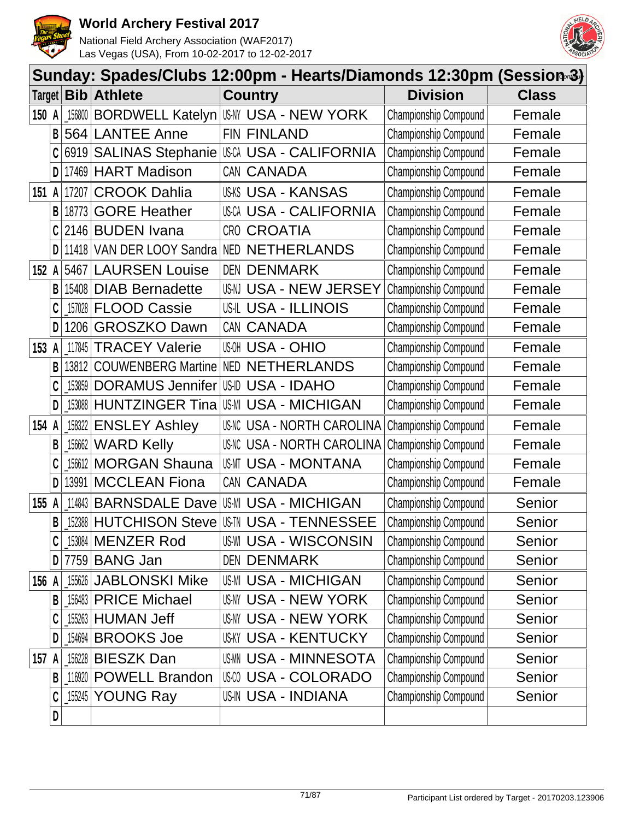



|        | Sunday: Spades/Clubs 12:00pm - Hearts/Diamonds 12:30pm (Session-3) |            |                           |            |                                        |                              |              |  |  |
|--------|--------------------------------------------------------------------|------------|---------------------------|------------|----------------------------------------|------------------------------|--------------|--|--|
| Target |                                                                    | <b>Bib</b> | <b>Athlete</b>            |            | <b>Country</b>                         | <b>Division</b>              | <b>Class</b> |  |  |
| 150 A  |                                                                    | 156800     | <b>BORDWELL Katelyn</b>   |            | USNY USA - NEW YORK                    | Championship Compound        | Female       |  |  |
|        | B                                                                  | 564        | <b>LANTEE Anne</b>        |            | FIN FINLAND                            | Championship Compound        | Female       |  |  |
|        |                                                                    | 6919       |                           |            | SALINAS Stephanie USA USA - CALIFORNIA | Championship Compound        | Female       |  |  |
|        | D                                                                  | 17469      | <b>HART Madison</b>       |            | CAN CANADA                             | <b>Championship Compound</b> | Female       |  |  |
| 151    |                                                                    | 17207      | <b>CROOK Dahlia</b>       |            | <b>US-KS USA - KANSAS</b>              | Championship Compound        | Female       |  |  |
|        | B                                                                  | 18773      | <b>GORE Heather</b>       |            | <b>USCA USA - CALIFORNIA</b>           | Championship Compound        | Female       |  |  |
|        |                                                                    | 2146       | <b>BUDEN Ivana</b>        | CRO        | <b>CROATIA</b>                         | Championship Compound        | Female       |  |  |
|        | D                                                                  | 11418      | VAN DER LOOY Sandra       | <b>NED</b> | <b>NETHERLANDS</b>                     | Championship Compound        | Female       |  |  |
| 152    | A                                                                  | 5467       | <b>LAURSEN Louise</b>     |            | <b>DEN DENMARK</b>                     | Championship Compound        | Female       |  |  |
|        | B                                                                  | 15408      | <b>DIAB Bernadette</b>    | US-NJ      | <b>USA - NEW JERSEY</b>                | Championship Compound        | Female       |  |  |
|        |                                                                    | 157028     | <b>FLOOD Cassie</b>       |            | <b>US-IL USA - ILLINOIS</b>            | Championship Compound        | Female       |  |  |
|        | D                                                                  | 1206       | <b>GROSZKO Dawn</b>       |            | CAN CANADA                             | <b>Championship Compound</b> | Female       |  |  |
| 153    | A                                                                  | 117845     | <b>TRACEY Valerie</b>     |            | <b>USA - OHIO</b>                      | Championship Compound        | Female       |  |  |
|        | B                                                                  | 13812      | <b>COUWENBERG Martine</b> |            | <b>NED NETHERLANDS</b>                 | Championship Compound        | Female       |  |  |
|        |                                                                    | 153859     | <b>DORAMUS Jennifer</b>   |            | USID USA - IDAHO                       | Championship Compound        | Female       |  |  |
|        | D                                                                  | 153088     | <b>HUNTZINGER Tina</b>    | US-MI      | <b>USA - MICHIGAN</b>                  | Championship Compound        | Female       |  |  |
| 154    | A                                                                  | 158322     | <b>ENSLEY Ashley</b>      |            | <b>US-NC USA - NORTH CAROLINA</b>      | Championship Compound        | Female       |  |  |
|        | B                                                                  | 156662     | <b>WARD Kelly</b>         |            | <b>US-NC USA - NORTH CAROLINA</b>      | Championship Compound        | Female       |  |  |
|        |                                                                    | 156612     | <b>MORGAN Shauna</b>      |            | USMT USA - MONTANA                     | Championship Compound        | Female       |  |  |
|        | D                                                                  | 13991      | <b>MCCLEAN Fiona</b>      |            | CAN CANADA                             | Championship Compound        | Female       |  |  |
| 155    | A                                                                  | 114843     | <b>BARNSDALE Dave</b>     |            | <b>US-MI USA - MICHIGAN</b>            | Championship Compound        | Senior       |  |  |
|        | B                                                                  |            | [152388 HUTCHISON Steve]  |            | US-TN USA - TENNESSEE                  | Championship Compound        | Senior       |  |  |
|        | C                                                                  |            | 153084 MENZER Rod         |            | US-WI USA - WISCONSIN                  | Championship Compound        | Senior       |  |  |
|        | D                                                                  |            | 7759 BANG Jan             |            | <b>DEN DENMARK</b>                     | Championship Compound        | Senior       |  |  |
| 156 A  |                                                                    | 155626     | <b>JABLONSKI Mike</b>     |            | <b>US-MI USA - MICHIGAN</b>            | Championship Compound        | Senior       |  |  |
|        | B                                                                  | 156483     | <b>PRICE Michael</b>      |            | <b>USNY USA - NEW YORK</b>             | Championship Compound        | Senior       |  |  |
|        |                                                                    | 155263     | <b>HUMAN Jeff</b>         |            | USNY USA - NEW YORK                    | Championship Compound        | Senior       |  |  |
|        | D                                                                  | 154694     | <b>BROOKS Joe</b>         |            | <b>USKY USA - KENTUCKY</b>             | <b>Championship Compound</b> | Senior       |  |  |
| 157 A  |                                                                    | 156228     | <b>BIESZK Dan</b>         |            | <b>USMN USA - MINNESOTA</b>            | Championship Compound        | Senior       |  |  |
|        | B                                                                  | 116920     | <b>POWELL Brandon</b>     |            | USCO USA - COLORADO                    | Championship Compound        | Senior       |  |  |
|        | C                                                                  | _155245    | <b>YOUNG Ray</b>          |            | US-IN USA - INDIANA                    | Championship Compound        | Senior       |  |  |
|        | D                                                                  |            |                           |            |                                        |                              |              |  |  |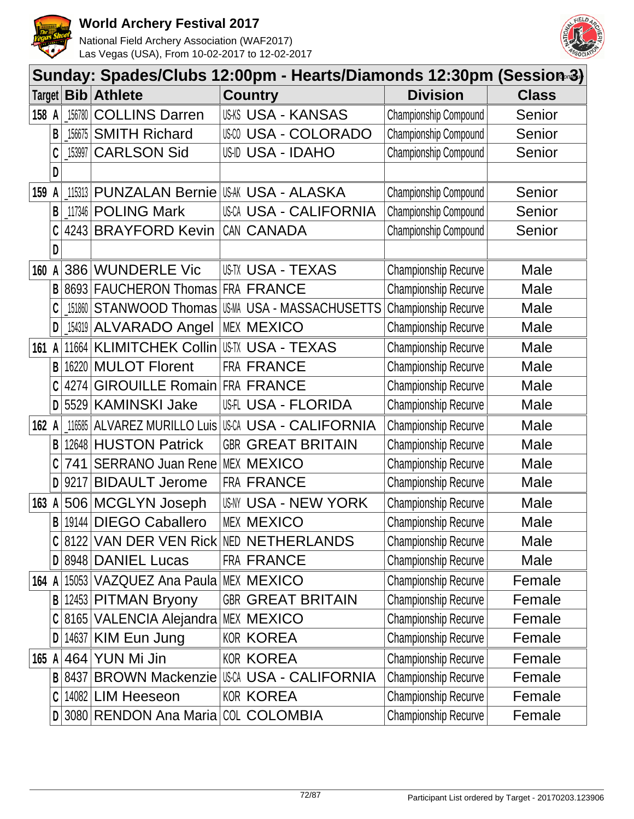



|        | Sunday: Spades/Clubs 12:00pm - Hearts/Diamonds 12:30pm (Session-3) |            |                                         |  |                                              |                             |              |  |  |  |
|--------|--------------------------------------------------------------------|------------|-----------------------------------------|--|----------------------------------------------|-----------------------------|--------------|--|--|--|
| Target |                                                                    | <b>Bib</b> | <b>Athlete</b>                          |  | <b>Country</b>                               | <b>Division</b>             | <b>Class</b> |  |  |  |
| 158 A  |                                                                    | 156780     | <b>COLLINS Darren</b>                   |  | <b>US-KS USA - KANSAS</b>                    | Championship Compound       | Senior       |  |  |  |
|        | B                                                                  | 156675     | <b>SMITH Richard</b>                    |  | USCO USA - COLORADO                          | Championship Compound       | Senior       |  |  |  |
|        | C                                                                  | 153997     | <b>CARLSON Sid</b>                      |  | USID USA - IDAHO                             | Championship Compound       | Senior       |  |  |  |
|        | D                                                                  |            |                                         |  |                                              |                             |              |  |  |  |
| 159    |                                                                    | 115313     | <b>PUNZALAN Bernie USA - ALASKA</b>     |  |                                              | Championship Compound       | Senior       |  |  |  |
|        | B                                                                  |            | 117346 POLING Mark                      |  | USCA USA - CALIFORNIA                        | Championship Compound       | Senior       |  |  |  |
|        | C                                                                  | 4243       | <b>BRAYFORD Kevin</b>                   |  | CAN CANADA                                   | Championship Compound       | Senior       |  |  |  |
|        | D                                                                  |            |                                         |  |                                              |                             |              |  |  |  |
| 160    |                                                                    | 386        | <b>WUNDERLE Vic</b>                     |  | USTX USA - TEXAS                             | <b>Championship Recurve</b> | Male         |  |  |  |
|        | B                                                                  | 8693       | <b>FAUCHERON Thomas</b>                 |  | <b>FRA FRANCE</b>                            | Championship Recurve        | Male         |  |  |  |
|        | C                                                                  | 151860     |                                         |  | STANWOOD Thomas USM USA - MASSACHUSETTS      | Championship Recurve        | Male         |  |  |  |
|        | D                                                                  |            | 154319 ALVARADO Angel                   |  | <b>MEX MEXICO</b>                            | Championship Recurve        | Male         |  |  |  |
| 161 A  |                                                                    | 11664      | KLIMITCHEK Collin USTX USA - TEXAS      |  |                                              | Championship Recurve        | Male         |  |  |  |
|        | B                                                                  |            | 16220 MULOT Florent                     |  | FRA FRANCE                                   | Championship Recurve        | Male         |  |  |  |
|        | C                                                                  | 4274       | <b>GIROUILLE Romain FRA FRANCE</b>      |  |                                              | Championship Recurve        | Male         |  |  |  |
|        | D                                                                  | 5529       | <b>KAMINSKI Jake</b>                    |  | US-FLORIDA                                   | Championship Recurve        | Male         |  |  |  |
| 162 A  |                                                                    | 116585     | <b>ALVAREZ MURILLO Luis</b>             |  | USCA USA - CALIFORNIA                        | Championship Recurve        | Male         |  |  |  |
|        | B                                                                  | 12648      | <b>HUSTON Patrick</b>                   |  | <b>GBR GREAT BRITAIN</b>                     | Championship Recurve        | Male         |  |  |  |
|        | C                                                                  | 741        | SERRANO Juan Rene                       |  | <b>MEX MEXICO</b>                            | Championship Recurve        | Male         |  |  |  |
|        | D                                                                  | 9217       | <b>BIDAULT Jerome</b>                   |  | FRA FRANCE                                   | Championship Recurve        | Male         |  |  |  |
| 163    | A                                                                  |            | 506 MCGLYN Joseph                       |  | US-NY USA - NEW YORK                         | Championship Recurve        | Male         |  |  |  |
|        | B                                                                  |            | 19144 DIEGO Caballero                   |  | <b>MEX MEXICO</b>                            | Championship Recurve        | Male         |  |  |  |
|        |                                                                    |            | C 8122 VAN DER VEN Rick NED NETHERLANDS |  |                                              | <b>Championship Recurve</b> | Male         |  |  |  |
|        |                                                                    |            | D 8948 DANIEL Lucas                     |  | FRA FRANCE                                   | <b>Championship Recurve</b> | Male         |  |  |  |
| 164 A  |                                                                    |            | 15053 VAZQUEZ Ana Paula MEX MEXICO      |  |                                              | Championship Recurve        | Female       |  |  |  |
|        | B                                                                  |            | 12453 PITMAN Bryony                     |  | <b>GBR GREAT BRITAIN</b>                     | Championship Recurve        | Female       |  |  |  |
|        |                                                                    |            | C 8165 VALENCIA Alejandra MEX MEXICO    |  |                                              | Championship Recurve        | Female       |  |  |  |
|        | D                                                                  |            | 14637 KIM Eun Jung                      |  | <b>KOR KOREA</b>                             | Championship Recurve        | Female       |  |  |  |
| 165 A  |                                                                    |            | 464 YUN Mi Jin                          |  | <b>KOR KOREA</b>                             | Championship Recurve        | Female       |  |  |  |
|        |                                                                    |            |                                         |  | B 8437 BROWN Mackenzie USCA USA - CALIFORNIA | Championship Recurve        | Female       |  |  |  |
|        | C                                                                  |            | 14082 LIM Heeseon                       |  | <b>KOR KOREA</b>                             | <b>Championship Recurve</b> | Female       |  |  |  |
|        |                                                                    |            | D 3080 RENDON Ana Maria COL COLOMBIA    |  |                                              | <b>Championship Recurve</b> | Female       |  |  |  |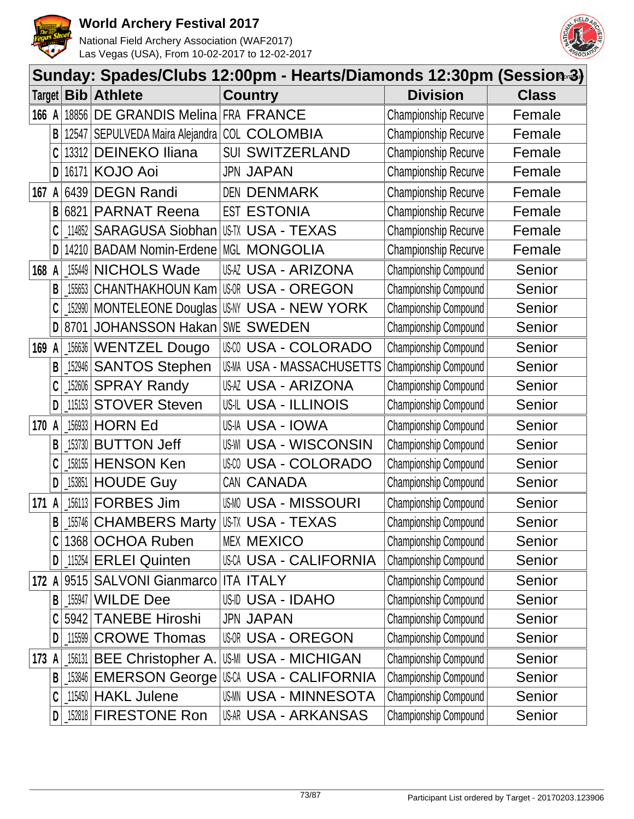



|        | Sunday: Spades/Clubs 12:00pm - Hearts/Diamonds 12:30pm (Session-3) |            |                                                |                                 |  |                              |              |  |
|--------|--------------------------------------------------------------------|------------|------------------------------------------------|---------------------------------|--|------------------------------|--------------|--|
| Target |                                                                    | <b>Bib</b> | <b>Athlete</b>                                 | <b>Country</b>                  |  | <b>Division</b>              | <b>Class</b> |  |
| 166 A  |                                                                    | 18856      | DE GRANDIS Melina FRA FRANCE                   |                                 |  | <b>Championship Recurve</b>  | Female       |  |
|        | B                                                                  | 12547      | SEPULVEDA Maira Alejandra   COL                | <b>COLOMBIA</b>                 |  | <b>Championship Recurve</b>  | Female       |  |
|        |                                                                    | 13312      | <b>DEINEKO Iliana</b>                          | <b>SWITZERLAND</b><br>SUI       |  | <b>Championship Recurve</b>  | Female       |  |
|        | D                                                                  | 16171      | <b>KOJO Aoi</b>                                | <b>JPN JAPAN</b>                |  | Championship Recurve         | Female       |  |
| 167    | A                                                                  | 6439       | <b>DEGN Randi</b>                              | <b>DEN DENMARK</b>              |  | Championship Recurve         | Female       |  |
|        | B                                                                  | 6821       | <b>PARNAT Reena</b>                            | <b>EST ESTONIA</b>              |  | <b>Championship Recurve</b>  | Female       |  |
|        |                                                                    | 114852     | <b>SARAGUSA Siobhan</b>                        | US-TX USA - TEXAS               |  | Championship Recurve         | Female       |  |
|        | D                                                                  | 14210      | BADAM Nomin-Erdene MGL MONGOLIA                |                                 |  | <b>Championship Recurve</b>  | Female       |  |
| 168    | A                                                                  | 155449     | <b>NICHOLS Wade</b>                            | USAZ USA - ARIZONA              |  | Championship Compound        | Senior       |  |
|        | B                                                                  | 155653     | <b>CHANTHAKHOUN Kam</b>                        | USOR USA - OREGON               |  | Championship Compound        | Senior       |  |
|        |                                                                    |            | 152990 MONTELEONE Douglas US NY USA - NEW YORK |                                 |  | Championship Compound        | Senior       |  |
|        | D                                                                  | 8701       | JOHANSSON Hakan   SWE SWEDEN                   |                                 |  | Championship Compound        | Senior       |  |
| 169    | A                                                                  | 156636     | <b>WENTZEL Dougo</b>                           | USCO USA - COLORADO             |  | Championship Compound        | Senior       |  |
|        | B                                                                  | 152946     | <b>SANTOS Stephen</b>                          | US-MA USA - MASSACHUSETTS       |  | Championship Compound        | Senior       |  |
|        |                                                                    | 152606     | <b>SPRAY Randy</b>                             | USAZ USA - ARIZONA              |  | Championship Compound        | Senior       |  |
|        | D                                                                  | 115153     | <b>STOVER Steven</b>                           | <b>US-IL USA - ILLINOIS</b>     |  | Championship Compound        | Senior       |  |
| 170 A  |                                                                    | 156933     | <b>HORN Ed</b>                                 | USIA USA - IOWA                 |  | Championship Compound        | Senior       |  |
|        | B                                                                  | 153730     | <b>BUTTON Jeff</b>                             | <b>USA - WISCONSIN</b><br>US-WI |  | Championship Compound        | Senior       |  |
|        | C                                                                  | 158155     | <b>HENSON Ken</b>                              | <b>USA - COLORADO</b><br>US-CO  |  | Championship Compound        | Senior       |  |
|        | D                                                                  | 153851     | <b>HOUDE Guy</b>                               | CAN CANADA                      |  | Championship Compound        | Senior       |  |
| 171    | A                                                                  | 156113     | <b>FORBES Jim</b>                              | <b>USMO USA - MISSOURI</b>      |  | Championship Compound        | Senior       |  |
|        | B                                                                  |            | [155746 CHAMBERS Marty                         | <b>US-TX USA - TEXAS</b>        |  | Championship Compound        | Senior       |  |
|        |                                                                    |            | 1368 OCHOA Ruben                               | <b>MEX MEXICO</b>               |  | <b>Championship Compound</b> | Senior       |  |
|        | D                                                                  |            | $115254$ ERLEI Quinten                         | <b>USCA USA - CALIFORNIA</b>    |  | Championship Compound        | Senior       |  |
| 172 A  |                                                                    |            | 9515 SALVONI Gianmarco                         | <b>ITA ITALY</b>                |  | Championship Compound        | Senior       |  |
|        | B                                                                  | 155947     | <b>WILDE Dee</b>                               | USID USA - IDAHO                |  | Championship Compound        | Senior       |  |
|        |                                                                    |            | 5942 TANEBE Hiroshi                            | <b>JPN JAPAN</b>                |  | Championship Compound        | Senior       |  |
|        | D                                                                  | $\_115599$ | <b>CROWE Thomas</b>                            | <b>USOR USA - OREGON</b>        |  | Championship Compound        | Senior       |  |
| 173 A  |                                                                    |            | 156131 BEE Christopher A.                      | <b>US-MI USA - MICHIGAN</b>     |  | Championship Compound        | Senior       |  |
|        | B                                                                  |            | 153846 EMERSON George USCA USA - CALIFORNIA    |                                 |  | Championship Compound        | Senior       |  |
|        |                                                                    |            | $115450$ HAKL Julene                           | <b>USMN USA - MINNESOTA</b>     |  | Championship Compound        | Senior       |  |
|        | D                                                                  |            | 152818 FIRESTONE Ron                           | USAR USA - ARKANSAS             |  | Championship Compound        | Senior       |  |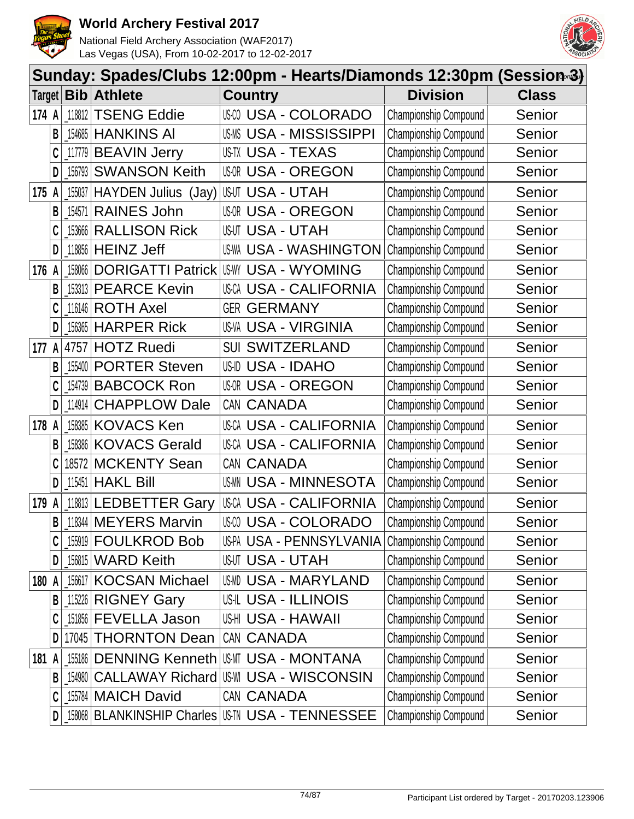



|        |   | Sunday: Spades/Clubs 12:00pm - Hearts/Diamonds 12:30pm (Session-3) |                            |                                                       |                       |              |
|--------|---|--------------------------------------------------------------------|----------------------------|-------------------------------------------------------|-----------------------|--------------|
| Target |   | <b>Bib</b>                                                         | <b>Athlete</b>             | <b>Country</b>                                        | <b>Division</b>       | <b>Class</b> |
| 174 A  |   | 118812                                                             | <b>TSENG Eddie</b>         | <b>USO USA - COLORADO</b>                             | Championship Compound | Senior       |
|        | B | 154685                                                             | <b>HANKINS AI</b>          | <b>USA - MISSISSIPPI</b><br>US-MS                     | Championship Compound | Senior       |
|        | C | 117779                                                             | <b>BEAVIN Jerry</b>        | US-TX USA - TEXAS                                     | Championship Compound | Senior       |
|        | D | 156793                                                             | <b>SWANSON Keith</b>       | <b>USOR USA - OREGON</b>                              | Championship Compound | Senior       |
| 175    |   | 155037                                                             | HAYDEN Julius (Jay)        | <b>USUT USA - UTAH</b>                                | Championship Compound | Senior       |
|        | B | 154571                                                             | <b>RAINES John</b>         | <b>USOR USA - OREGON</b>                              | Championship Compound | Senior       |
|        | C | 153666                                                             | <b>RALLISON Rick</b>       | <b>USUT USA - UTAH</b>                                | Championship Compound | Senior       |
|        | D | 118856                                                             | <b>HEINZ Jeff</b>          | <b>US-WA USA - WASHINGTON</b>                         | Championship Compound | Senior       |
| 176 A  |   | 158066                                                             | <b>DORIGATTI Patrick</b>   | <b>USA - WYOMING</b><br>US-WY                         | Championship Compound | Senior       |
|        | B | 153313                                                             | <b>PEARCE Kevin</b>        | <b>USA - CALIFORNIA</b><br>US-CA                      | Championship Compound | Senior       |
|        | C | 116146                                                             | <b>ROTH Axel</b>           | <b>GER GERMANY</b>                                    | Championship Compound | Senior       |
|        | D | 156365                                                             | <b>HARPER Rick</b>         | <b>US-VA USA - VIRGINIA</b>                           | Championship Compound | Senior       |
| 177    | A | 4757                                                               | <b>HOTZ Ruedi</b>          | <b>SUI SWITZERLAND</b>                                | Championship Compound | Senior       |
|        | B | 155400                                                             | <b>PORTER Steven</b>       | US-ID USA - IDAHO                                     | Championship Compound | Senior       |
|        | C | 154739                                                             | <b>BABCOCK Ron</b>         | <b>USOR USA - OREGON</b>                              | Championship Compound | Senior       |
|        | D | 114914                                                             | <b>CHAPPLOW Dale</b>       | CAN CANADA                                            | Championship Compound | Senior       |
| 178 A  |   | 158385                                                             | <b>KOVACS Ken</b>          | <b>USCA USA - CALIFORNIA</b>                          | Championship Compound | Senior       |
|        | B | 158386                                                             | <b>KOVACS Gerald</b>       | <b>USA - CALIFORNIA</b><br>US-CA                      | Championship Compound | Senior       |
|        | C | 18572                                                              | <b>MCKENTY Sean</b>        | CAN CANADA                                            | Championship Compound | Senior       |
|        | D | 115451                                                             | <b>HAKL Bill</b>           | US-MN<br><b>USA - MINNESOTA</b>                       | Championship Compound | Senior       |
| 179    |   | 118813                                                             | <b>LEDBETTER Gary</b>      | <b>USCA USA - CALIFORNIA</b>                          | Championship Compound | Senior       |
|        | B |                                                                    | 118344 MEYERS Marvin       | <b>USA - COLORADO</b>                                 | Championship Compound | Senior       |
|        |   |                                                                    | 155919 <b>FOULKROD Bob</b> | US-PA USA - PENNSYLVANIA                              | Championship Compound | Senior       |
|        | D |                                                                    | 156815 WARD Keith          | <b>USUT USA - UTAH</b>                                | Championship Compound | Senior       |
| 180 A  |   | 156617                                                             | <b>KOCSAN Michael</b>      | USMD USA - MARYLAND                                   | Championship Compound | Senior       |
|        | B |                                                                    | 115226 RIGNEY Gary         | <b>USIL USA - ILLINOIS</b>                            | Championship Compound | Senior       |
|        |   | 151856                                                             | <b>FEVELLA Jason</b>       | USHI USA - HAWAII                                     | Championship Compound | Senior       |
|        | D |                                                                    | 17045 THORNTON Dean        | CAN CANADA                                            | Championship Compound | Senior       |
| 181 A  |   | 155186                                                             | <b>DENNING Kenneth</b>     | USMT USA - MONTANA                                    | Championship Compound | Senior       |
|        | B |                                                                    | 154980   CALLAWAY Richard  | US-WI USA - WISCONSIN                                 | Championship Compound | Senior       |
|        | C | 155784                                                             | <b>MAICH David</b>         | CAN CANADA                                            | Championship Compound | Senior       |
|        | D |                                                                    |                            | [158068   BLANKINSHIP Charles   US-TN USA - TENNESSEE | Championship Compound | Senior       |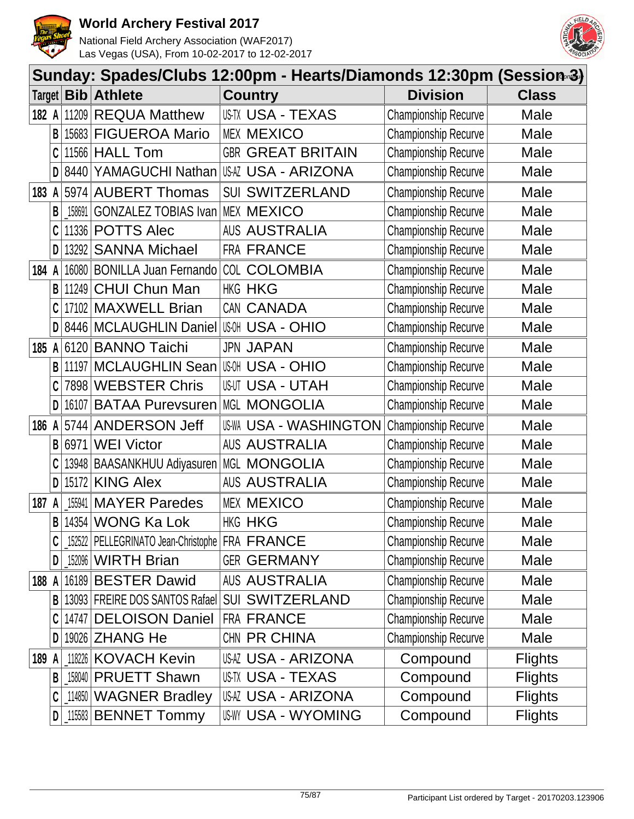



|       | Sunday: Spades/Clubs 12:00pm - Hearts/Diamonds 12:30pm (Session-3) |        |                                                  |                                                |                             |                |  |  |  |
|-------|--------------------------------------------------------------------|--------|--------------------------------------------------|------------------------------------------------|-----------------------------|----------------|--|--|--|
|       |                                                                    |        | Target <b>Bib Athlete</b>                        | <b>Country</b>                                 | <b>Division</b>             | <b>Class</b>   |  |  |  |
| 182 A |                                                                    |        | 11209 REQUA Matthew                              | US-TX USA - TEXAS                              | <b>Championship Recurve</b> | Male           |  |  |  |
|       | B                                                                  |        | 15683 FIGUEROA Mario                             | <b>MEX MEXICO</b>                              | Championship Recurve        | Male           |  |  |  |
|       |                                                                    |        | 11566 HALL Tom                                   | <b>GBR GREAT BRITAIN</b>                       | Championship Recurve        | Male           |  |  |  |
|       | D                                                                  | 8440   |                                                  | YAMAGUCHI Nathan USA USA - ARIZONA             | <b>Championship Recurve</b> | Male           |  |  |  |
| 183 A |                                                                    |        | 5974 AUBERT Thomas                               | <b>SUI SWITZERLAND</b>                         | <b>Championship Recurve</b> | Male           |  |  |  |
|       | B                                                                  |        | 158691 GONZALEZ TOBIAS Ivan                      | <b>MEX MEXICO</b>                              | Championship Recurve        | Male           |  |  |  |
|       |                                                                    |        | 11336 POTTS Alec                                 | <b>AUS AUSTRALIA</b>                           | <b>Championship Recurve</b> | Male           |  |  |  |
|       | D                                                                  | 13292  | <b>SANNA Michael</b>                             | FRA FRANCE                                     | <b>Championship Recurve</b> | Male           |  |  |  |
| 184   | A                                                                  |        | 16080 BONILLA Juan Fernando                      | <b>COL COLOMBIA</b>                            | Championship Recurve        | Male           |  |  |  |
|       | B                                                                  |        | 11249 CHUI Chun Man                              | HKG HKG                                        | Championship Recurve        | Male           |  |  |  |
|       |                                                                    |        | 17102 MAXWELL Brian                              | CAN CANADA                                     | Championship Recurve        | Male           |  |  |  |
|       | D                                                                  |        | 8446 MCLAUGHLIN Daniel USA - OHIO                |                                                | Championship Recurve        | Male           |  |  |  |
| 185   | A                                                                  |        | 6120 BANNO Taichi                                | <b>JPN JAPAN</b>                               | <b>Championship Recurve</b> | Male           |  |  |  |
|       | B                                                                  |        | 11197 MCLAUGHLIN Sean                            | <b>USH USA - OHIO</b>                          | <b>Championship Recurve</b> | Male           |  |  |  |
|       |                                                                    |        | 7898 WEBSTER Chris                               | <b>USUT USA - UTAH</b>                         | <b>Championship Recurve</b> | Male           |  |  |  |
|       | D                                                                  | 16107  | <b>BATAA Purevsuren</b>                          | <b>MGL MONGOLIA</b>                            | <b>Championship Recurve</b> | Male           |  |  |  |
| 186 A |                                                                    |        | 5744 ANDERSON Jeff                               | <b>US-WA USA - WASHINGTON</b>                  | Championship Recurve        | Male           |  |  |  |
|       | B                                                                  | 6971   | <b>WEI Victor</b>                                | <b>AUS AUSTRALIA</b>                           | Championship Recurve        | Male           |  |  |  |
|       |                                                                    |        | 13948   BAASANKHUU Adiyasuren                    | MGL MONGOLIA                                   | Championship Recurve        | Male           |  |  |  |
|       | D                                                                  | 15172  | <b>KING Alex</b>                                 | <b>AUS AUSTRALIA</b>                           | Championship Recurve        | Male           |  |  |  |
| 187   | A                                                                  | 155941 | <b>MAYER Paredes</b>                             | <b>MEX MEXICO</b>                              | Championship Recurve        | Male           |  |  |  |
|       | B                                                                  |        | 14354 WONG Ka Lok                                | HKG HKG                                        | <b>Championship Recurve</b> | Male           |  |  |  |
|       |                                                                    |        | 152522 PELLEGRINATO Jean-Christophe   FRA FRANCE |                                                | <b>Championship Recurve</b> | Male           |  |  |  |
|       | D                                                                  |        | $152096$ WIRTH Brian                             | <b>GER GERMANY</b>                             | <b>Championship Recurve</b> | Male           |  |  |  |
| 188 A |                                                                    |        | 16189 BESTER Dawid                               | <b>AUS AUSTRALIA</b>                           | Championship Recurve        | Male           |  |  |  |
|       | B                                                                  |        |                                                  | 13093 FREIRE DOS SANTOS Rafael SUI SWITZERLAND | Championship Recurve        | Male           |  |  |  |
|       |                                                                    |        | 14747 DELOISON Daniel                            | <b>FRA FRANCE</b>                              | Championship Recurve        | Male           |  |  |  |
|       | D                                                                  |        | 19026 ZHANG He                                   | CHN PR CHINA                                   | <b>Championship Recurve</b> | Male           |  |  |  |
| 189 A |                                                                    |        | 118226 KOVACH Kevin                              | <b>USAZ USA - ARIZONA</b>                      | Compound                    | <b>Flights</b> |  |  |  |
|       | B                                                                  |        | 158040 PRUETT Shawn                              | US-TX USA - TEXAS                              | Compound                    | <b>Flights</b> |  |  |  |
|       |                                                                    |        | 114850 WAGNER Bradley                            | <b>USAZ USA - ARIZONA</b>                      | Compound                    | <b>Flights</b> |  |  |  |
|       | D                                                                  |        | 115583 BENNET Tommy                              | <b>US-WY USA - WYOMING</b>                     | Compound                    | <b>Flights</b> |  |  |  |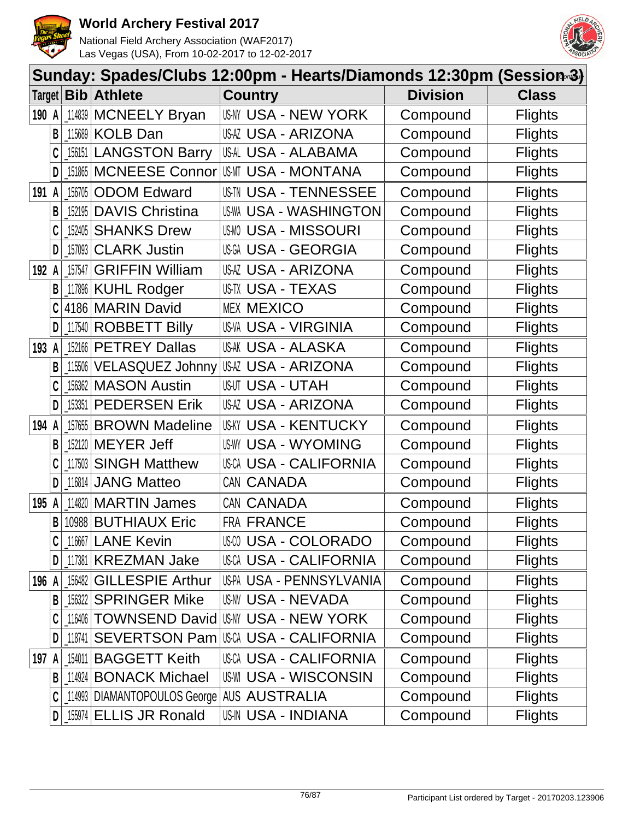



|               | Sunday: Spades/Clubs 12:00pm - Hearts/Diamonds 12:30pm (Session-3) |           |                                                |                                              |                 |                |  |  |  |
|---------------|--------------------------------------------------------------------|-----------|------------------------------------------------|----------------------------------------------|-----------------|----------------|--|--|--|
| Target $\mid$ |                                                                    |           | <b>Bib</b> Athlete                             | <b>Country</b>                               | <b>Division</b> | <b>Class</b>   |  |  |  |
| 190 A         |                                                                    | 114839    | <b>MCNEELY Bryan</b>                           | USNY USA - NEW YORK                          | Compound        | <b>Flights</b> |  |  |  |
|               | B                                                                  |           | 115689 KOLB Dan                                | <b>USAZ USA - ARIZONA</b>                    | Compound        | <b>Flights</b> |  |  |  |
|               |                                                                    |           | 156151 LANGSTON Barry                          | USAL USA - ALABAMA                           | Compound        | <b>Flights</b> |  |  |  |
|               | D                                                                  |           | 151865 MCNEESE Connor                          | USMT USA - MONTANA                           | Compound        | <b>Flights</b> |  |  |  |
| 191 A         |                                                                    | $-156705$ | <b>ODOM Edward</b>                             | <b>USIN USA - TENNESSEE</b>                  | Compound        | <b>Flights</b> |  |  |  |
|               | B                                                                  |           | 152195 DAVIS Christina                         | <b>US-WA USA - WASHINGTON</b>                | Compound        | <b>Flights</b> |  |  |  |
|               | C                                                                  | $-152405$ | <b>SHANKS Drew</b>                             | <b>USMO USA - MISSOURI</b>                   | Compound        | <b>Flights</b> |  |  |  |
|               | D                                                                  | 157093    | <b>CLARK Justin</b>                            | USGA USA - GEORGIA                           | Compound        | <b>Flights</b> |  |  |  |
| 192           | A                                                                  | 157547    | <b>GRIFFIN William</b>                         | USAZ USA - ARIZONA                           | Compound        | <b>Flights</b> |  |  |  |
|               | В                                                                  |           | 117896 KUHL Rodger                             | <b>US-TX USA - TEXAS</b>                     | Compound        | <b>Flights</b> |  |  |  |
|               |                                                                    |           | 4186 MARIN David                               | <b>MEX MEXICO</b>                            | Compound        | <b>Flights</b> |  |  |  |
|               | D                                                                  |           | 117540 ROBBETT Billy                           | <b>US-VA USA - VIRGINIA</b>                  | Compound        | <b>Flights</b> |  |  |  |
| 193 A         |                                                                    |           | 152166 PETREY Dallas                           | <b>US-AK USA - ALASKA</b>                    | Compound        | <b>Flights</b> |  |  |  |
|               | B                                                                  |           | 115506 VELASQUEZ Johnny                        | USAZ USA - ARIZONA                           | Compound        | <b>Flights</b> |  |  |  |
|               | C                                                                  |           | 156362 MASON Austin                            | <b>USUT USA - UTAH</b>                       | Compound        | <b>Flights</b> |  |  |  |
|               | D                                                                  |           | 153351 PEDERSEN Erik                           | USAZ USA - ARIZONA                           | Compound        | <b>Flights</b> |  |  |  |
| 194 A         |                                                                    |           | 157655 BROWN Madeline                          | <b>USKY USA - KENTUCKY</b>                   | Compound        | <b>Flights</b> |  |  |  |
|               | B                                                                  |           | 152120 MEYER Jeff                              | <b>US-WY USA - WYOMING</b>                   | Compound        | <b>Flights</b> |  |  |  |
|               |                                                                    |           | 117503 SINGH Matthew                           | <b>USCA USA - CALIFORNIA</b>                 | Compound        | <b>Flights</b> |  |  |  |
|               | D                                                                  |           | 116814 JANG Matteo                             | CAN CANADA                                   | Compound        | <b>Flights</b> |  |  |  |
| 195           | A                                                                  |           | 114820   MARTIN James                          | CAN CANADA                                   | Compound        | <b>Flights</b> |  |  |  |
|               | $\mathsf{B}$                                                       |           | 10988 BUTHIAUX Eric                            | FRA FRANCE                                   | Compound        | <b>Flights</b> |  |  |  |
|               |                                                                    |           | 116667 LANE Kevin                              | <b>USA - COLORADO</b>                        | Compound        | <b>Flights</b> |  |  |  |
|               | D                                                                  |           | 117381 KREZMAN Jake                            | <b>USCA USA - CALIFORNIA</b>                 | Compound        | <b>Flights</b> |  |  |  |
| 196 A         |                                                                    | 156482    | <b>GILLESPIE Arthur</b>                        | US-PA USA - PENNSYLVANIA                     | Compound        | <b>Flights</b> |  |  |  |
|               | B                                                                  |           | 156322 SPRINGER Mike                           | <b>US-NV USA - NEVADA</b>                    | Compound        | <b>Flights</b> |  |  |  |
|               |                                                                    |           |                                                | 116406   TOWNSEND David   USM USA - NEW YORK | Compound        | <b>Flights</b> |  |  |  |
|               | D                                                                  | 118741    | SEVERTSON Pam                                  | USCA USA - CALIFORNIA                        | Compound        | <b>Flights</b> |  |  |  |
| 197           | A                                                                  | 154011    | <b>BAGGETT Keith</b>                           | <b>USCA USA - CALIFORNIA</b>                 | Compound        | <b>Flights</b> |  |  |  |
|               | B                                                                  |           | 114924 BONACK Michael                          | <b>US-WI USA - WISCONSIN</b>                 | Compound        | <b>Flights</b> |  |  |  |
|               | C                                                                  |           | 114993   DIAMANTOPOULOS George   AUS AUSTRALIA |                                              | Compound        | <b>Flights</b> |  |  |  |
|               | $\mathsf{D}$                                                       |           | 155974 ELLIS JR Ronald                         | <b>US-IN USA - INDIANA</b>                   | Compound        | <b>Flights</b> |  |  |  |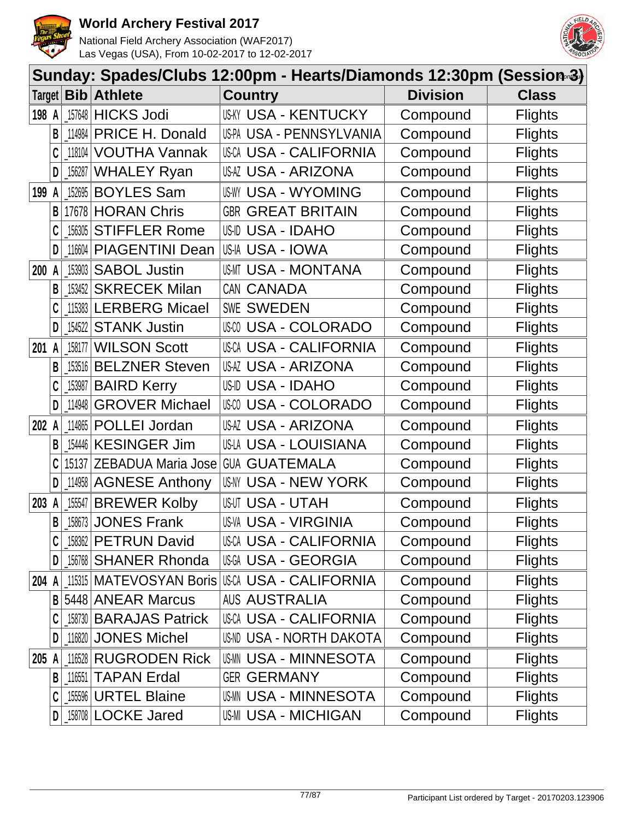



|        | Sunday: Spades/Clubs 12:00pm - Hearts/Diamonds 12:30pm (Session-3) |            |                          |                                                   |                 |                |  |  |  |
|--------|--------------------------------------------------------------------|------------|--------------------------|---------------------------------------------------|-----------------|----------------|--|--|--|
| Target |                                                                    | Bib        | <b>Athlete</b>           | <b>Country</b>                                    | <b>Division</b> | <b>Class</b>   |  |  |  |
| 198 A  |                                                                    | 157648     | <b>HICKS Jodi</b>        | <b>US-KY USA - KENTUCKY</b>                       | Compound        | <b>Flights</b> |  |  |  |
|        | B                                                                  | 114984     | PRICE H. Donald          | US-PA USA - PENNSYLVANIA                          | Compound        | <b>Flights</b> |  |  |  |
|        | C                                                                  | 118104     | <b>VOUTHA Vannak</b>     | <b>USCA USA - CALIFORNIA</b>                      | Compound        | <b>Flights</b> |  |  |  |
|        | D                                                                  | 156287     | <b>WHALEY Ryan</b>       | USAZ USA - ARIZONA                                | Compound        | <b>Flights</b> |  |  |  |
| 199    | A                                                                  | 152695     | <b>BOYLES Sam</b>        | <b>US-WY USA - WYOMING</b>                        | Compound        | <b>Flights</b> |  |  |  |
|        | B                                                                  | 17678      | <b>HORAN Chris</b>       | <b>GBR GREAT BRITAIN</b>                          | Compound        | <b>Flights</b> |  |  |  |
|        |                                                                    | 156305     | <b>STIFFLER Rome</b>     | US-ID USA - IDAHO                                 | Compound        | <b>Flights</b> |  |  |  |
|        | D                                                                  | 116604     | <b>PIAGENTINI Dean</b>   | US-IA USA - IOWA                                  | Compound        | <b>Flights</b> |  |  |  |
| 200    |                                                                    | 153903     | <b>SABOL Justin</b>      | USMT USA - MONTANA                                | Compound        | <b>Flights</b> |  |  |  |
|        | B                                                                  | 153452     | <b>SKRECEK Milan</b>     | CAN CANADA                                        | Compound        | <b>Flights</b> |  |  |  |
|        |                                                                    |            | 115383 LERBERG Micael    | SWE SWEDEN                                        | Compound        | <b>Flights</b> |  |  |  |
|        | D                                                                  | 154522     | <b>STANK Justin</b>      | USM USA - COLORADO                                | Compound        | <b>Flights</b> |  |  |  |
| 201    | A                                                                  | 158177     | <b>WILSON Scott</b>      | <b>USCA USA - CALIFORNIA</b>                      | Compound        | <b>Flights</b> |  |  |  |
|        | B                                                                  | 153516     | <b>BELZNER Steven</b>    | USAZ USA - ARIZONA                                | Compound        | <b>Flights</b> |  |  |  |
|        | C                                                                  | 153987     | <b>BAIRD Kerry</b>       | US-ID USA - IDAHO                                 | Compound        | <b>Flights</b> |  |  |  |
|        | D                                                                  | 114948     | <b>GROVER Michael</b>    | USM USA - COLORADO                                | Compound        | <b>Flights</b> |  |  |  |
| 202    |                                                                    | 114865     | POLLEI Jordan            | USAZ USA - ARIZONA                                | Compound        | <b>Flights</b> |  |  |  |
|        | B                                                                  | 154446     | <b>KESINGER Jim</b>      | USLA USA - LOUISIANA                              | Compound        | <b>Flights</b> |  |  |  |
|        |                                                                    | 15137      | ZEBADUA Maria Jose       | <b>GUA GUATEMALA</b>                              | Compound        | <b>Flights</b> |  |  |  |
|        | D                                                                  | 114958     | <b>AGNESE Anthony</b>    | <b>USAY USA - NEW YORK</b>                        | Compound        | <b>Flights</b> |  |  |  |
| 203    |                                                                    | 155547     | <b>BREWER Kolby</b>      | <b>USUT USA - UTAH</b>                            | Compound        | <b>Flights</b> |  |  |  |
|        |                                                                    |            | B   158673   JONES Frank | <b>US-VA USA - VIRGINIA</b>                       | Compound        | <b>Flights</b> |  |  |  |
|        |                                                                    |            | 158362 PETRUN David      | USCA USA - CALIFORNIA                             | Compound        | <b>Flights</b> |  |  |  |
|        | D                                                                  |            | 156768 SHANER Rhonda     | <b>USA - GEORGIA</b>                              | Compound        | <b>Flights</b> |  |  |  |
| 204 A  |                                                                    |            |                          | 115315   MATEVOSYAN Boris   USCA USA - CALIFORNIA | Compound        | <b>Flights</b> |  |  |  |
|        | B                                                                  |            | 5448 ANEAR Marcus        | <b>AUS AUSTRALIA</b>                              | Compound        | <b>Flights</b> |  |  |  |
|        |                                                                    |            | 158730 BARAJAS Patrick   | <b>USCA USA - CALIFORNIA</b>                      | Compound        | <b>Flights</b> |  |  |  |
|        | D                                                                  | 116820     | <b>JONES Michel</b>      | US-ND USA - NORTH DAKOTA                          | Compound        | <b>Flights</b> |  |  |  |
| 205    |                                                                    | 116528     | <b>RUGRODEN Rick</b>     | <b>USMN USA - MINNESOTA</b>                       | Compound        | <b>Flights</b> |  |  |  |
|        | B                                                                  | $ $ 116551 | <b>TAPAN Erdal</b>       | <b>GER GERMANY</b>                                | Compound        | <b>Flights</b> |  |  |  |
|        | C                                                                  | 155596     | <b>URTEL Blaine</b>      | <b>USMN USA - MINNESOTA</b>                       | Compound        | <b>Flights</b> |  |  |  |
|        | D                                                                  |            | 158708 LOCKE Jared       | <b>US-MI USA - MICHIGAN</b>                       | Compound        | <b>Flights</b> |  |  |  |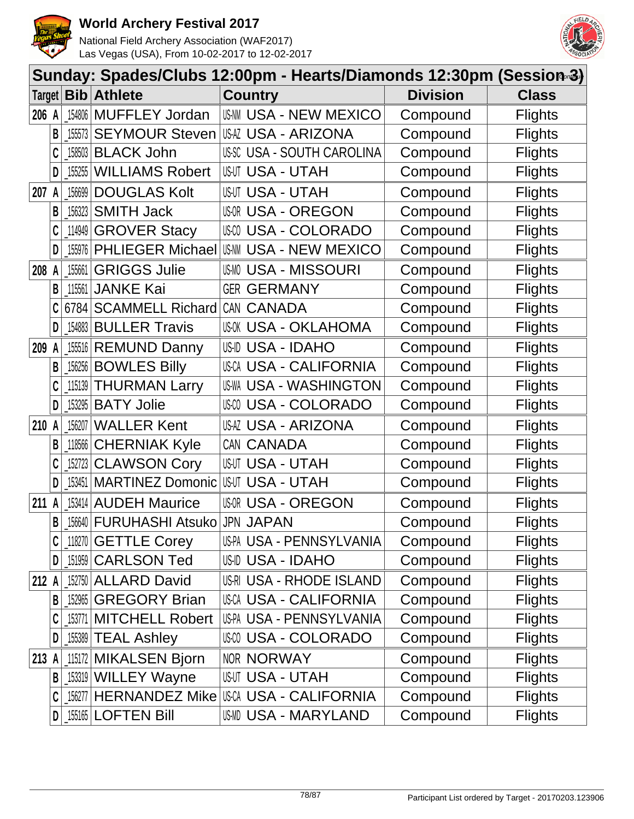



|        | Sunday: Spades/Clubs 12:00pm - Hearts/Diamonds 12:30pm (Session-3) |                                                               |                               |                                  |                 |                |  |  |  |
|--------|--------------------------------------------------------------------|---------------------------------------------------------------|-------------------------------|----------------------------------|-----------------|----------------|--|--|--|
| Target |                                                                    | Bib                                                           | <b>Athlete</b>                | <b>Country</b>                   | <b>Division</b> | <b>Class</b>   |  |  |  |
| 206 A  |                                                                    | 154806                                                        | <b>MUFFLEY Jordan</b>         | <b>US-NN USA - NEW MEXICO</b>    | Compound        | <b>Flights</b> |  |  |  |
|        | B                                                                  | 155573                                                        | <b>SEYMOUR Steven</b>         | USAZ USA - ARIZONA               | Compound        | <b>Flights</b> |  |  |  |
|        |                                                                    | 158503                                                        | <b>BLACK John</b>             | <b>USSC USA - SOUTH CAROLINA</b> | Compound        | <b>Flights</b> |  |  |  |
|        | D                                                                  | 155255                                                        | <b>WILLIAMS Robert</b>        | <b>USUT USA - UTAH</b>           | Compound        | <b>Flights</b> |  |  |  |
| 207    |                                                                    | 156699                                                        | <b>DOUGLAS Kolt</b>           | <b>USUT USA - UTAH</b>           | Compound        | <b>Flights</b> |  |  |  |
|        | В                                                                  | 156323                                                        | <b>SMITH Jack</b>             | <b>USOR USA - OREGON</b>         | Compound        | <b>Flights</b> |  |  |  |
|        | C                                                                  | 114949                                                        | <b>GROVER Stacy</b>           | USM USA - COLORADO               | Compound        | <b>Flights</b> |  |  |  |
|        | D                                                                  | 155976                                                        | <b>PHLIEGER Michael</b>       | <b>USAM USA - NEW MEXICO</b>     | Compound        | <b>Flights</b> |  |  |  |
| 208    | A                                                                  | 155661                                                        | <b>GRIGGS Julie</b>           | <b>USMO USA - MISSOURI</b>       | Compound        | <b>Flights</b> |  |  |  |
|        | B                                                                  | 115561                                                        | <b>JANKE Kai</b>              | <b>GER GERMANY</b>               | Compound        | <b>Flights</b> |  |  |  |
|        |                                                                    | 6784                                                          | <b>SCAMMELL Richard</b>       | CAN CANADA                       | Compound        | <b>Flights</b> |  |  |  |
|        | D                                                                  | 154883                                                        | <b>BULLER Travis</b>          | <b>USOK USA - OKLAHOMA</b>       | Compound        | <b>Flights</b> |  |  |  |
| 209    |                                                                    | 155516                                                        | <b>REMUND Danny</b>           | USID USA - IDAHO                 | Compound        | <b>Flights</b> |  |  |  |
|        | B                                                                  | $\left[ \begin{smallmatrix} 156256 \end{smallmatrix} \right]$ | <b>BOWLES Billy</b>           | <b>USCA USA - CALIFORNIA</b>     | Compound        | <b>Flights</b> |  |  |  |
|        |                                                                    | 115139                                                        | <b>THURMAN Larry</b>          | US-WA USA - WASHINGTON           | Compound        | <b>Flights</b> |  |  |  |
|        | D                                                                  | 153295                                                        | <b>BATY Jolie</b>             | USM USA - COLORADO               | Compound        | <b>Flights</b> |  |  |  |
| 210    |                                                                    | 156207                                                        | <b>WALLER Kent</b>            | <b>US-AZ USA - ARIZONA</b>       | Compound        | <b>Flights</b> |  |  |  |
|        | B                                                                  | 118566                                                        | <b>CHERNIAK Kyle</b>          | CAN CANADA                       | Compound        | <b>Flights</b> |  |  |  |
|        |                                                                    | 152723                                                        | <b>CLAWSON Cory</b>           | <b>USUT USA - UTAH</b>           | Compound        | <b>Flights</b> |  |  |  |
|        | D                                                                  | 153451                                                        | <b>MARTINEZ Domonic</b>       | <b>USUT USA - UTAH</b>           | Compound        | <b>Flights</b> |  |  |  |
| 211    |                                                                    | 153414                                                        | <b>AUDEH Maurice</b>          | <b>USOR USA - OREGON</b>         | Compound        | <b>Flights</b> |  |  |  |
|        | B                                                                  |                                                               | [156640   FURUHASHI Atsuko    | <b>JPN JAPAN</b>                 | Compound        | <b>Flights</b> |  |  |  |
|        |                                                                    |                                                               | $\lfloor$ 118270 GETTLE Corey | US-PA USA - PENNSYLVANIA         | Compound        | <b>Flights</b> |  |  |  |
|        | D                                                                  |                                                               | [151959 CARLSON Ted           | <b>US-ID USA - IDAHO</b>         | Compound        | <b>Flights</b> |  |  |  |
| 212 A  |                                                                    |                                                               | 152750 ALLARD David           | US-RI USA - RHODE ISLAND         | Compound        | <b>Flights</b> |  |  |  |
|        | B                                                                  | 152965                                                        | <b>GREGORY Brian</b>          | <b>USCA USA - CALIFORNIA</b>     | Compound        | <b>Flights</b> |  |  |  |
|        |                                                                    |                                                               | 153771 MITCHELL Robert        | US-PA USA - PENNSYLVANIA         | Compound        | <b>Flights</b> |  |  |  |
|        | D                                                                  |                                                               | [155389 TEAL Ashley           | USM USA - COLORADO               | Compound        | <b>Flights</b> |  |  |  |
| 213 A  |                                                                    |                                                               | 115172 MIKALSEN Bjorn         | NOR NORWAY                       | Compound        | <b>Flights</b> |  |  |  |
|        |                                                                    |                                                               | B   153319   WILLEY Wayne     | <b>USUT USA - UTAH</b>           | Compound        | <b>Flights</b> |  |  |  |
|        | C                                                                  |                                                               | 156277 HERNANDEZ Mike         | USCA USA - CALIFORNIA            | Compound        | <b>Flights</b> |  |  |  |
|        | D                                                                  |                                                               | 155165 LOFTEN Bill            | US-MD USA - MARYLAND             | Compound        | <b>Flights</b> |  |  |  |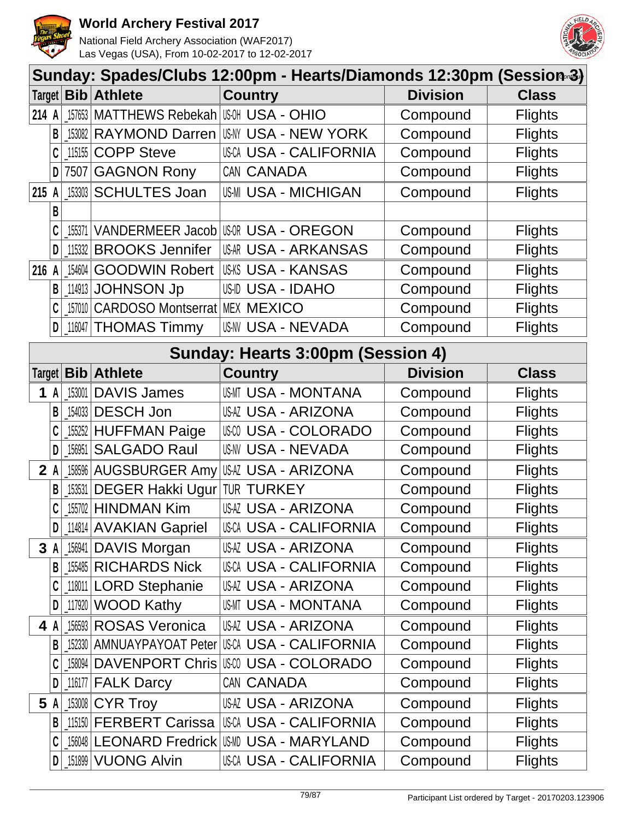



| Sunday: Spades/Clubs 12:00pm - Hearts/Diamonds 12:30pm (Session-3) |                                   |        |                                        |                                                |                 |                |  |  |
|--------------------------------------------------------------------|-----------------------------------|--------|----------------------------------------|------------------------------------------------|-----------------|----------------|--|--|
|                                                                    |                                   |        | Target <b>Bib Athlete</b>              | <b>Country</b>                                 | <b>Division</b> | <b>Class</b>   |  |  |
| 214 A                                                              |                                   |        | 157653   MATTHEWS Rebekah   USA - OHIO |                                                | Compound        | <b>Flights</b> |  |  |
|                                                                    | B                                 |        |                                        | 153082 RAYMOND Darren USMY USA - NEW YORK      | Compound        | <b>Flights</b> |  |  |
|                                                                    | C                                 |        | 115155 COPP Steve                      | <b>USCA USA - CALIFORNIA</b>                   | Compound        | <b>Flights</b> |  |  |
|                                                                    | D                                 |        | 7507 GAGNON Rony                       | CAN CANADA                                     | Compound        | <b>Flights</b> |  |  |
| 215                                                                | $\mathsf{A}$                      |        | 153303 SCHULTES Joan                   | <b>US-MI USA - MICHIGAN</b>                    | Compound        | <b>Flights</b> |  |  |
|                                                                    | B                                 |        |                                        |                                                |                 |                |  |  |
|                                                                    | C                                 | 155371 |                                        | VANDERMEER Jacob USOR USA - OREGON             | Compound        | <b>Flights</b> |  |  |
|                                                                    | D                                 |        | 115332 BROOKS Jennifer                 | USAR USA - ARKANSAS                            | Compound        | <b>Flights</b> |  |  |
| 216                                                                | A                                 |        |                                        | 154604 GOODWIN Robert USKS USA - KANSAS        | Compound        | <b>Flights</b> |  |  |
|                                                                    | В                                 |        | 114913 JOHNSON Jp                      | US-ID USA - IDAHO                              | Compound        | <b>Flights</b> |  |  |
|                                                                    |                                   |        | 157010 CARDOSO Montserrat MEX MEXICO   |                                                | Compound        | <b>Flights</b> |  |  |
|                                                                    | $\mathsf{D}$                      |        | 116047 THOMAS Timmy                    | <b>US-NV USA - NEVADA</b>                      | Compound        | <b>Flights</b> |  |  |
|                                                                    | Sunday: Hearts 3:00pm (Session 4) |        |                                        |                                                |                 |                |  |  |
| Target                                                             |                                   |        | <b>Bib</b> Athlete                     | <b>Country</b>                                 | <b>Division</b> | <b>Class</b>   |  |  |
| 1                                                                  | A                                 | 153001 | <b>DAVIS James</b>                     | <b>USMT USA - MONTANA</b>                      | Compound        | <b>Flights</b> |  |  |
|                                                                    | B                                 |        | 154033 DESCH Jon                       | <b>USAZ USA - ARIZONA</b>                      | Compound        | <b>Flights</b> |  |  |
|                                                                    | C                                 |        | 155252 HUFFMAN Paige                   | USCO USA - COLORADO                            | Compound        | <b>Flights</b> |  |  |
|                                                                    | D                                 | 156951 | <b>SALGADO Raul</b>                    | <b>US-NV USA - NEVADA</b>                      | Compound        | <b>Flights</b> |  |  |
|                                                                    | $2 \mathsf{A}$                    |        | 158596 AUGSBURGER Amy                  | <b>USAZ USA - ARIZONA</b>                      | Compound        | <b>Flights</b> |  |  |
|                                                                    | B                                 | 153531 | <b>DEGER Hakki Ugur TUR TURKEY</b>     |                                                | Compound        | <b>Flights</b> |  |  |
|                                                                    | C                                 |        | 155702 HINDMAN Kim                     | <b>USAZ USA - ARIZONA</b>                      | Compound        | <b>Flights</b> |  |  |
|                                                                    | $\mathsf{D}$                      |        | 114814   AVAKIAN Gapriel               | <b>USCA USA - CALIFORNIA</b>                   | Compound        | <b>Flights</b> |  |  |
|                                                                    | 3 A                               |        | 156941 DAVIS Morgan                    | USAZ USA - ARIZONA                             | Compound        | <b>Flights</b> |  |  |
|                                                                    | B                                 |        | 155485 RICHARDS Nick                   | <b>USCA USA - CALIFORNIA</b>                   | Compound        | <b>Flights</b> |  |  |
|                                                                    |                                   |        | 118011 LORD Stephanie                  | USAZ USA - ARIZONA                             | Compound        | <b>Flights</b> |  |  |
|                                                                    | D                                 |        | 117920 WOOD Kathy                      | USMT USA - MONTANA                             | Compound        | <b>Flights</b> |  |  |
|                                                                    | 4 A                               |        | 156593 ROSAS Veronica                  | USAZ USA - ARIZONA                             | Compound        | <b>Flights</b> |  |  |
|                                                                    | $\mathsf{B}$                      |        | 152330   AMNUAYPAYOAT Peter            | USCA USA - CALIFORNIA                          | Compound        | <b>Flights</b> |  |  |
|                                                                    | C                                 |        |                                        | 158094 DAVENPORT Chris US@ USA - COLORADO      | Compound        | <b>Flights</b> |  |  |
|                                                                    | D                                 |        | 116177 <b>FALK Darcy</b>               | CAN CANADA                                     | Compound        | <b>Flights</b> |  |  |
|                                                                    | 5 A                               |        | 153008 CYR Troy                        | USAZ USA - ARIZONA                             | Compound        | <b>Flights</b> |  |  |
|                                                                    | $\mathsf{B}$                      |        |                                        | 115150 FERBERT Carissa I USCA USA - CALIFORNIA | Compound        | <b>Flights</b> |  |  |
|                                                                    |                                   |        |                                        | 156048 LEONARD Fredrick USMD USA - MARYLAND    | Compound        | <b>Flights</b> |  |  |
|                                                                    | D                                 |        | [151899   VUONG Alvin                  | USCA USA - CALIFORNIA                          | Compound        | <b>Flights</b> |  |  |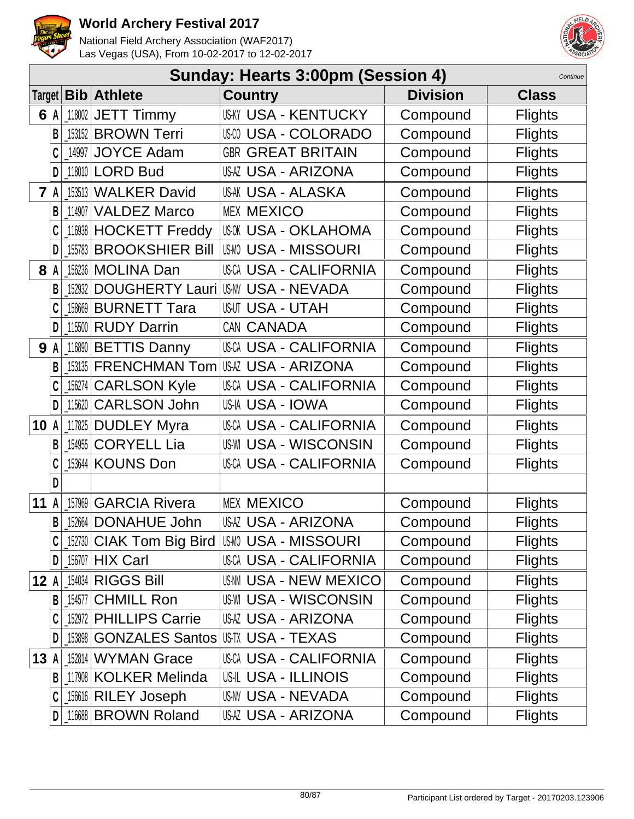



|         | Sunday: Hearts 3:00pm (Session 4)<br>Continue |                        |                                        |                 |                |  |  |  |  |
|---------|-----------------------------------------------|------------------------|----------------------------------------|-----------------|----------------|--|--|--|--|
| Target  |                                               | <b>Bib</b> Athlete     | <b>Country</b>                         | <b>Division</b> | <b>Class</b>   |  |  |  |  |
| 6 A     | 118002                                        | <b>JETT Timmy</b>      | <b>US-KY USA - KENTUCKY</b>            | Compound        | <b>Flights</b> |  |  |  |  |
| B       | 153152                                        | <b>BROWN Terri</b>     | <b>USA - COLORADO</b>                  | Compound        | <b>Flights</b> |  |  |  |  |
| C       | 14997                                         | <b>JOYCE Adam</b>      | <b>GBR GREAT BRITAIN</b>               | Compound        | <b>Flights</b> |  |  |  |  |
| D       | 118010                                        | <b>LORD Bud</b>        | USAZ USA - ARIZONA                     | Compound        | <b>Flights</b> |  |  |  |  |
| 7       | 153513                                        | <b>WALKER David</b>    | USAK USA - ALASKA                      | Compound        | <b>Flights</b> |  |  |  |  |
| B       | 114907                                        | <b>VALDEZ Marco</b>    | <b>MEX MEXICO</b>                      | Compound        | <b>Flights</b> |  |  |  |  |
|         | 116938                                        | <b>HOCKETT Freddy</b>  | <b>USOK USA - OKLAHOMA</b>             | Compound        | <b>Flights</b> |  |  |  |  |
| D       | 155783                                        | <b>BROOKSHIER Bill</b> | <b>USMO USA - MISSOURI</b>             | Compound        | <b>Flights</b> |  |  |  |  |
| 8       | 156236                                        | <b>MOLINA Dan</b>      | <b>USCA USA - CALIFORNIA</b>           | Compound        | <b>Flights</b> |  |  |  |  |
| B       | 152932                                        | <b>DOUGHERTY Lauri</b> | US-NV USA - NEVADA                     | Compound        | <b>Flights</b> |  |  |  |  |
|         | 158669                                        | <b>BURNETT Tara</b>    | <b>USUT USA - UTAH</b>                 | Compound        | <b>Flights</b> |  |  |  |  |
| D       | 115500                                        | <b>RUDY Darrin</b>     | CAN CANADA                             | Compound        | <b>Flights</b> |  |  |  |  |
| 9<br>A  | 116890                                        | <b>BETTIS Danny</b>    | <b>USCA USA - CALIFORNIA</b>           | Compound        | <b>Flights</b> |  |  |  |  |
| B       | 153135                                        | <b>FRENCHMAN Tom</b>   | <b>USAZ USA - ARIZONA</b>              | Compound        | <b>Flights</b> |  |  |  |  |
| C       | 156274                                        | <b>CARLSON Kyle</b>    | <b>USCA USA - CALIFORNIA</b>           | Compound        | <b>Flights</b> |  |  |  |  |
| D       | 115620                                        | <b>CARLSON John</b>    | USIA USA - IOWA                        | Compound        | <b>Flights</b> |  |  |  |  |
| 10      | 117825                                        | <b>DUDLEY Myra</b>     | <b>USCA USA - CALIFORNIA</b>           | Compound        | <b>Flights</b> |  |  |  |  |
| В       | 154955                                        | <b>CORYELL Lia</b>     | <b>US-WI USA - WISCONSIN</b>           | Compound        | <b>Flights</b> |  |  |  |  |
|         | 153644                                        | <b>KOUNS Don</b>       | <b>USCA USA - CALIFORNIA</b>           | Compound        | <b>Flights</b> |  |  |  |  |
| D       |                                               |                        |                                        |                 |                |  |  |  |  |
| 11      | 157969                                        | <b>GARCIA Rivera</b>   | <b>MEX MEXICO</b>                      | Compound        | <b>Flights</b> |  |  |  |  |
| B       |                                               | 152664 DONAHUE John    | <b>USAZ USA - ARIZONA</b>              | Compound        | <b>Flights</b> |  |  |  |  |
|         | 152730                                        |                        | CIAK Tom Big Bird   USM USA - MISSOURI | Compound        | <b>Flights</b> |  |  |  |  |
| D       |                                               | $156707$ HIX Carl      | USCA USA - CALIFORNIA                  | Compound        | <b>Flights</b> |  |  |  |  |
| 12<br>A |                                               | 154034 RIGGS Bill      | <b>US-NM USA - NEW MEXICO</b>          | Compound        | <b>Flights</b> |  |  |  |  |
| В       | 154577                                        | <b>CHMILL Ron</b>      | <b>US-WI USA - WISCONSIN</b>           | Compound        | <b>Flights</b> |  |  |  |  |
| C       | 152972                                        | <b>PHILLIPS Carrie</b> | USAZ USA - ARIZONA                     | Compound        | <b>Flights</b> |  |  |  |  |
| D       | $\_153898$                                    | <b>GONZALES Santos</b> | US-TX USA - TEXAS                      | Compound        | <b>Flights</b> |  |  |  |  |
| 13<br>A |                                               | 152814 WYMAN Grace     | USCA USA - CALIFORNIA                  | Compound        | <b>Flights</b> |  |  |  |  |
| B       |                                               | 117908 KOLKER Melinda  | <b>US-IL USA - ILLINOIS</b>            | Compound        | <b>Flights</b> |  |  |  |  |
| C       |                                               | 156616 RILEY Joseph    | <b>USNV USA - NEVADA</b>               | Compound        | <b>Flights</b> |  |  |  |  |
| D       |                                               | 116688 BROWN Roland    | USAZ USA - ARIZONA                     | Compound        | <b>Flights</b> |  |  |  |  |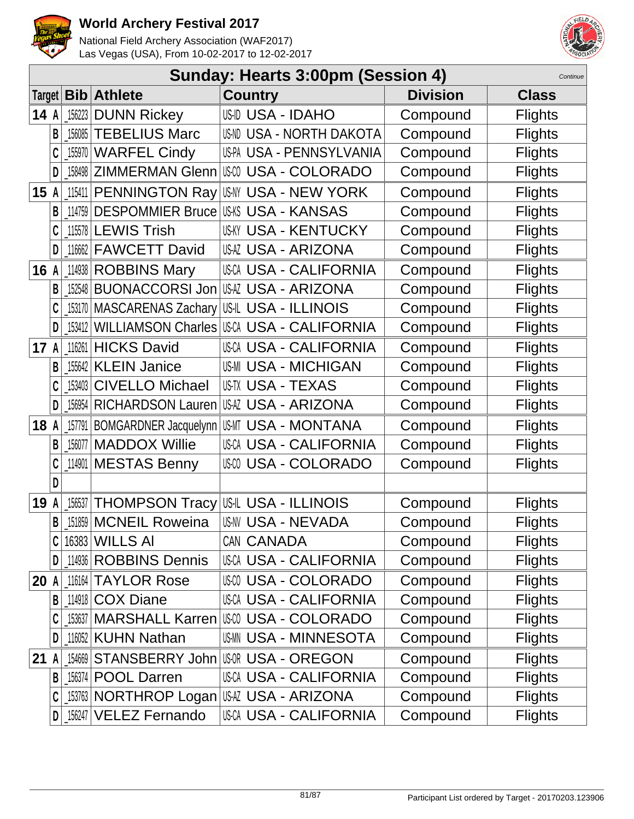



|      | Sunday: Hearts 3:00pm (Session 4)<br>Continue |        |                                  |                                                    |                 |                |  |  |
|------|-----------------------------------------------|--------|----------------------------------|----------------------------------------------------|-----------------|----------------|--|--|
|      |                                               |        | Target   Bib   Athlete           | <b>Country</b>                                     | <b>Division</b> | <b>Class</b>   |  |  |
|      |                                               |        | 14 $A$ $\mid$ 156223 DUNN Rickey | <b>US-ID USA - IDAHO</b>                           | Compound        | <b>Flights</b> |  |  |
|      | B                                             |        | 156085 TEBELIUS Marc             | US-ND USA - NORTH DAKOTA                           | Compound        | <b>Flights</b> |  |  |
|      | C                                             |        | 155970 WARFEL Cindy              | US-PA USA - PENNSYLVANIA                           | Compound        | <b>Flights</b> |  |  |
|      | D                                             |        | 158498 ZIMMERMAN Glenn           | III:00 USA - COLORADO                              | Compound        | <b>Flights</b> |  |  |
| 15 A |                                               |        |                                  | 115411 PENNINGTON Ray USM USA - NEW YORK           | Compound        | <b>Flights</b> |  |  |
|      | B                                             | 114759 |                                  | DESPOMMIER Bruce USKS USA - KANSAS                 | Compound        | <b>Flights</b> |  |  |
|      |                                               |        | 115578 LEWIS Trish               | <b>USKY USA - KENTUCKY</b>                         | Compound        | <b>Flights</b> |  |  |
|      | D                                             |        | 116662 FAWCETT David             | USAZ USA - ARIZONA                                 | Compound        | <b>Flights</b> |  |  |
| 16A  |                                               |        | 114938 ROBBINS Mary              | <b>USCA USA - CALIFORNIA</b>                       | Compound        | <b>Flights</b> |  |  |
|      | B                                             |        | 152548 BUONACCORSI Jon           | IUSAZ USA - ARIZONA                                | Compound        | <b>Flights</b> |  |  |
|      |                                               |        |                                  | 153170   MASCARENAS Zachary   US-IL USA - ILLINOIS | Compound        | <b>Flights</b> |  |  |
|      | D                                             |        |                                  | 153412 WILLIAMSON Charles USCA USA - CALIFORNIA    | Compound        | <b>Flights</b> |  |  |
| 17 A |                                               |        | 116261 HICKS David               | <b>USCA USA - CALIFORNIA</b>                       | Compound        | <b>Flights</b> |  |  |
|      | В                                             |        | [15642 KLEIN Janice              | <b>US-MI USA - MICHIGAN</b>                        | Compound        | <b>Flights</b> |  |  |
|      |                                               | 153403 | <b>CIVELLO Michael</b>           | US-TX USA - TEXAS                                  | Compound        | <b>Flights</b> |  |  |
|      | D                                             | 156954 | <b>RICHARDSON Lauren</b>         | USAZ USA - ARIZONA                                 | Compound        | <b>Flights</b> |  |  |
| 18   | A                                             |        |                                  | 157791 BOMGARDNER Jacquelynn USMT USA - MONTANA    | Compound        | <b>Flights</b> |  |  |
|      | B                                             |        | 156077 MADDOX Willie             | <b>USCA USA - CALIFORNIA</b>                       | Compound        | <b>Flights</b> |  |  |
|      | C                                             |        | 114901 MESTAS Benny              | USM USA - COLORADO                                 | Compound        | <b>Flights</b> |  |  |
|      | D                                             |        |                                  |                                                    |                 |                |  |  |
| 19   | A                                             | 156537 |                                  | <b>THOMPSON Tracy US-IL USA - ILLINOIS</b>         | Compound        | <b>Flights</b> |  |  |
|      | B                                             |        | 151859 MCNEIL Roweina            | US-NV USA - NEVADA                                 | Compound        | <b>Flights</b> |  |  |
|      |                                               |        | 16383 WILLS AI                   | CAN CANADA                                         | Compound        | <b>Flights</b> |  |  |
|      | D                                             |        | 114936 ROBBINS Dennis            | USCA USA - CALIFORNIA                              | Compound        | <b>Flights</b> |  |  |
| 20   | A                                             |        | 116164 TAYLOR Rose               | <b>USM USA - COLORADO</b>                          | Compound        | <b>Flights</b> |  |  |
|      | B                                             |        | 114918 COX Diane                 | <b>USCA USA - CALIFORNIA</b>                       | Compound        | <b>Flights</b> |  |  |
|      |                                               |        |                                  | <b>153637 MARSHALL Karren USW USA - COLORADO</b>   | Compound        | <b>Flights</b> |  |  |
|      | D                                             |        | 116052 KUHN Nathan               | <b>USMN USA - MINNESOTA</b>                        | Compound        | <b>Flights</b> |  |  |
| 21   | A                                             |        |                                  | 154669 STANSBERRY John USR USA - OREGON            | Compound        | <b>Flights</b> |  |  |
|      | B                                             |        | 156374 POOL Darren               | <b>USCA USA - CALIFORNIA</b>                       | Compound        | <b>Flights</b> |  |  |
|      |                                               |        |                                  |                                                    | Compound        | <b>Flights</b> |  |  |
|      | D                                             |        | 156247 VELEZ Fernando            | USCA USA - CALIFORNIA                              | Compound        | <b>Flights</b> |  |  |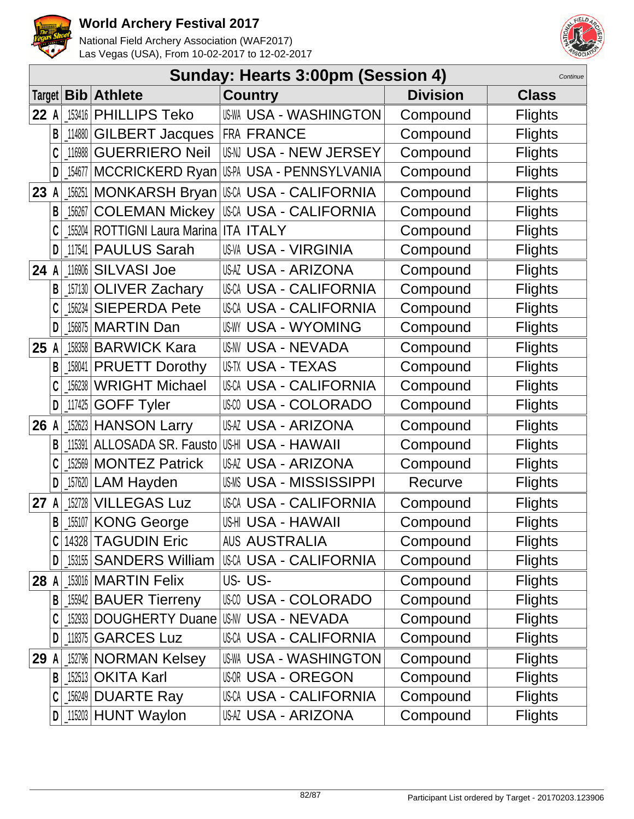



|        | Sunday: Hearts 3:00pm (Session 4)<br>Continue |            |                                            |                                                 |                 |                |  |  |  |
|--------|-----------------------------------------------|------------|--------------------------------------------|-------------------------------------------------|-----------------|----------------|--|--|--|
| Target |                                               |            | <b>Bib</b> Athlete                         | <b>Country</b>                                  | <b>Division</b> | <b>Class</b>   |  |  |  |
| 22 A   |                                               | 153416     | <b>PHILLIPS Teko</b>                       | <b>US-WA USA - WASHINGTON</b>                   | Compound        | <b>Flights</b> |  |  |  |
|        | B                                             | 114880     | <b>GILBERT Jacques</b>                     | <b>FRA FRANCE</b>                               | Compound        | <b>Flights</b> |  |  |  |
|        |                                               | 116988     | <b>GUERRIERO Neil</b>                      | USN USA - NEW JERSEY                            | Compound        | <b>Flights</b> |  |  |  |
|        | D                                             |            | _154677   MCCRICKERD Ryan                  | IUSPA USA - PENNSYLVANIA                        | Compound        | <b>Flights</b> |  |  |  |
| 23     | A                                             |            |                                            | 156251   MONKARSH Bryan   USCA USA - CALIFORNIA | Compound        | <b>Flights</b> |  |  |  |
|        | B                                             | $\_156267$ | <b>COLEMAN Mickey</b>                      | IUSCA USA - CALIFORNIA                          | Compound        | <b>Flights</b> |  |  |  |
|        |                                               |            | 155204   ROTTIGNI Laura Marina   ITA ITALY |                                                 | Compound        | <b>Flights</b> |  |  |  |
|        | D                                             | 117541     | <b>PAULUS Sarah</b>                        | <b>US-VA USA - VIRGINIA</b>                     | Compound        | <b>Flights</b> |  |  |  |
| 24 A   |                                               | 116906     | <b>SILVASI Joe</b>                         | <b>USAZ USA - ARIZONA</b>                       | Compound        | <b>Flights</b> |  |  |  |
|        | B                                             |            | 157130 OLIVER Zachary                      | USCA USA - CALIFORNIA                           | Compound        | <b>Flights</b> |  |  |  |
|        |                                               |            | 156234 SIEPERDA Pete                       | USCA USA - CALIFORNIA                           | Compound        | <b>Flights</b> |  |  |  |
|        | D                                             |            | 156875   MARTIN Dan                        | <b>US-WY USA - WYOMING</b>                      | Compound        | <b>Flights</b> |  |  |  |
| 25 A   |                                               |            | 158358 BARWICK Kara                        | US-NV USA - NEVADA                              | Compound        | <b>Flights</b> |  |  |  |
|        | B                                             | 158041     | <b>PRUETT Dorothy</b>                      | US-TX USA - TEXAS                               | Compound        | <b>Flights</b> |  |  |  |
|        |                                               | 156238     | <b>WRIGHT Michael</b>                      | USCA USA - CALIFORNIA                           | Compound        | <b>Flights</b> |  |  |  |
|        | D                                             | 117425     | <b>GOFF Tyler</b>                          | USM USA - COLORADO                              | Compound        | <b>Flights</b> |  |  |  |
| 26 A   |                                               |            | 152623 HANSON Larry                        | <b>US-AZ USA - ARIZONA</b>                      | Compound        | <b>Flights</b> |  |  |  |
|        | B                                             | 115391     | ALLOSADA SR. Fausto                        | USHI USA - HAWAII                               | Compound        | <b>Flights</b> |  |  |  |
|        |                                               |            | 152569 MONTEZ Patrick                      | USAZ USA - ARIZONA                              | Compound        | <b>Flights</b> |  |  |  |
|        | D                                             | $-157620$  | <b>LAM Hayden</b>                          | <b>USMS USA - MISSISSIPPI</b>                   | Recurve         | <b>Flights</b> |  |  |  |
| 27     | A                                             |            | 152728 VILLEGAS Luz                        | USCA USA - CALIFORNIA                           | Compound        | <b>Flights</b> |  |  |  |
|        | B                                             |            | 155107 KONG George                         | USHI USA - HAWAII                               | Compound        | <b>Flights</b> |  |  |  |
|        |                                               |            | 14328 TAGUDIN Eric                         | <b>AUS AUSTRALIA</b>                            | Compound        | <b>Flights</b> |  |  |  |
|        | D                                             |            | [153155   SANDERS William                  | USCA USA - CALIFORNIA                           | Compound        | <b>Flights</b> |  |  |  |
| 28     | A                                             |            | 153016 MARTIN Felix                        | US-US-                                          | Compound        | <b>Flights</b> |  |  |  |
|        | B                                             |            | [155942   BAUER Tierreny                   | USCO USA - COLORADO                             | Compound        | <b>Flights</b> |  |  |  |
|        |                                               |            |                                            | 152933 DOUGHERTY Duane USMV USA - NEVADA        | Compound        | <b>Flights</b> |  |  |  |
|        | D                                             |            | 118375 GARCES Luz                          | USCA USA - CALIFORNIA                           | Compound        | <b>Flights</b> |  |  |  |
| 29     | A                                             |            | 152796 NORMAN Kelsey                       | US-WA USA - WASHINGTON                          | Compound        | <b>Flights</b> |  |  |  |
|        | B                                             |            | 152513 OKITA Karl                          | <b>USOR USA - OREGON</b>                        | Compound        | <b>Flights</b> |  |  |  |
|        |                                               |            | 156249 DUARTE Ray                          | USCA USA - CALIFORNIA                           | Compound        | <b>Flights</b> |  |  |  |
|        | D                                             |            | $115203$ HUNT Waylon                       | USAZ USA - ARIZONA                              | Compound        | <b>Flights</b> |  |  |  |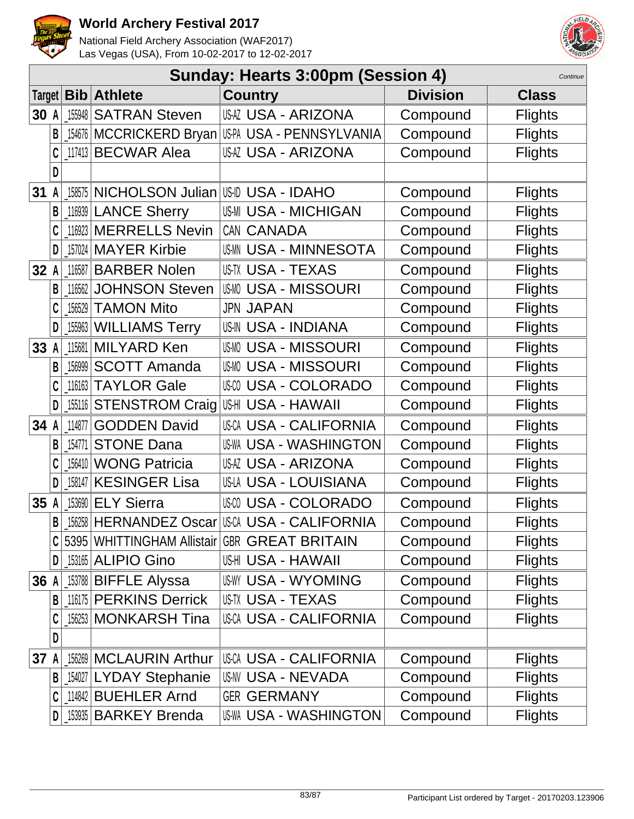



|        | Sunday: Hearts 3:00pm (Session 4)<br>Continue |                |                                   |                                              |                 |                |  |  |  |
|--------|-----------------------------------------------|----------------|-----------------------------------|----------------------------------------------|-----------------|----------------|--|--|--|
| Target |                                               | $\mathbf{Bib}$ | <b>Athlete</b>                    | <b>Country</b>                               | <b>Division</b> | <b>Class</b>   |  |  |  |
| 30 A   |                                               | 155948         | <b>SATRAN Steven</b>              | <b>USAZ USA - ARIZONA</b>                    | Compound        | <b>Flights</b> |  |  |  |
|        | B                                             | 154676         |                                   | MCCRICKERD Bryan USA - PENNSYLVANIA          | Compound        | <b>Flights</b> |  |  |  |
|        |                                               | 117413         | <b>BECWAR Alea</b>                | USAZ USA - ARIZONA                           | Compound        | <b>Flights</b> |  |  |  |
|        | D                                             |                |                                   |                                              |                 |                |  |  |  |
| 31     |                                               | 158575         | NICHOLSON Julian USID USA - IDAHO |                                              | Compound        | <b>Flights</b> |  |  |  |
|        | B                                             |                | 116939 LANCE Sherry               | <b>US-MI USA - MICHIGAN</b>                  | Compound        | <b>Flights</b> |  |  |  |
|        | C                                             | 116923         | <b>MERRELLS Nevin</b>             | CAN CANADA                                   | Compound        | <b>Flights</b> |  |  |  |
|        | D                                             |                | 157024 MAYER Kirbie               | USMN USA - MINNESOTA                         | Compound        | <b>Flights</b> |  |  |  |
| 32     |                                               | 116587         | <b>BARBER Nolen</b>               | US-TX USA - TEXAS                            | Compound        | <b>Flights</b> |  |  |  |
|        | В                                             | 116562         | <b>JOHNSON Steven</b>             | <b>USMO USA - MISSOURI</b>                   | Compound        | <b>Flights</b> |  |  |  |
|        | C                                             | 156529         | <b>TAMON Mito</b>                 | <b>JPN JAPAN</b>                             | Compound        | <b>Flights</b> |  |  |  |
|        | D                                             | 155963         | <b>WILLIAMS Terry</b>             | <b>US-IN USA - INDIANA</b>                   | Compound        | <b>Flights</b> |  |  |  |
| 33     | A                                             | 115681         | <b>MILYARD Ken</b>                | <b>USMO USA - MISSOURI</b>                   | Compound        | <b>Flights</b> |  |  |  |
|        | B                                             | 156999         | <b>SCOTT Amanda</b>               | <b>USMO USA - MISSOURI</b>                   | Compound        | <b>Flights</b> |  |  |  |
|        | C                                             | 116163         | <b>TAYLOR Gale</b>                | <b>USA - COLORADO</b>                        | Compound        | <b>Flights</b> |  |  |  |
|        | D                                             | 155116         | <b>STENSTROM Craig</b>            | USHI USA - HAWAII                            | Compound        | <b>Flights</b> |  |  |  |
| 34 A   |                                               | 114877         | <b>GODDEN David</b>               | USCA USA - CALIFORNIA                        | Compound        | <b>Flights</b> |  |  |  |
|        | B                                             | 154771         | <b>STONE Dana</b>                 | <b>US-WA USA - WASHINGTON</b>                | Compound        | <b>Flights</b> |  |  |  |
|        |                                               | 156410         | <b>WONG Patricia</b>              | <b>USAZ USA - ARIZONA</b>                    | Compound        | <b>Flights</b> |  |  |  |
|        | D                                             | 158147         | <b>KESINGER Lisa</b>              | US-LA USA - LOUISIANA                        | Compound        | <b>Flights</b> |  |  |  |
| 35     |                                               | 153690         | <b>ELY Sierra</b>                 | <b>USA - COLORADO</b>                        | Compound        | <b>Flights</b> |  |  |  |
|        | B                                             |                | 156258 HERNANDEZ Oscar            | IUSCA USA - CALIFORNIA                       | Compound        | <b>Flights</b> |  |  |  |
|        | C                                             |                |                                   | 5395 WHITTINGHAM Allistair GBR GREAT BRITAIN | Compound        | <b>Flights</b> |  |  |  |
|        | D                                             |                | <b>_153165 ALIPIO Gino</b>        | USHI USA - HAWAII                            | Compound        | <b>Flights</b> |  |  |  |
| 36 A   |                                               |                | 153788 BIFFLE Alyssa              | <b>USWY USA - WYOMING</b>                    | Compound        | <b>Flights</b> |  |  |  |
|        | B                                             |                | 116175 PERKINS Derrick            | USTX USA - TEXAS                             | Compound        | <b>Flights</b> |  |  |  |
|        |                                               |                | 156253 MONKARSH Tina              | <b>USCA USA - CALIFORNIA</b>                 | Compound        | <b>Flights</b> |  |  |  |
|        | D                                             |                |                                   |                                              |                 |                |  |  |  |
| 37     |                                               | 156269         | <b>MCLAURIN Arthur</b>            | USCA USA - CALIFORNIA                        | Compound        | <b>Flights</b> |  |  |  |
|        |                                               |                | <b>B</b> 154027 LYDAY Stephanie   | USNV USA - NEVADA                            | Compound        | <b>Flights</b> |  |  |  |
|        | C                                             |                | 114842 BUEHLER Arnd               | <b>GER GERMANY</b>                           | Compound        | <b>Flights</b> |  |  |  |
|        | D                                             |                | [153935   BARKEY Brenda           | USWA USA - WASHINGTON                        | Compound        | <b>Flights</b> |  |  |  |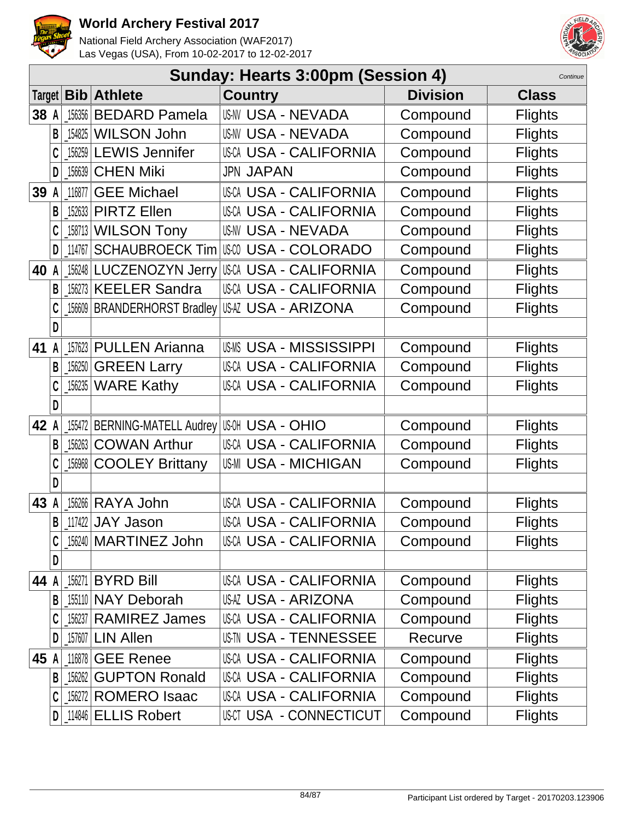



|        | Sunday: Hearts 3:00pm (Session 4)<br>Continue |        |                                               |                               |                 |                |  |  |  |
|--------|-----------------------------------------------|--------|-----------------------------------------------|-------------------------------|-----------------|----------------|--|--|--|
| Target |                                               |        | <b>Bib Athlete</b>                            | <b>Country</b>                | <b>Division</b> | <b>Class</b>   |  |  |  |
| 38 A   |                                               | 156356 | <b>BEDARD Pamela</b>                          | <b>US-NV USA - NEVADA</b>     | Compound        | <b>Flights</b> |  |  |  |
|        | B                                             | 154825 | <b>WILSON John</b>                            | <b>US-NV USA - NEVADA</b>     | Compound        | <b>Flights</b> |  |  |  |
|        |                                               | 156259 | <b>LEWIS Jennifer</b>                         | <b>USCA USA - CALIFORNIA</b>  | Compound        | <b>Flights</b> |  |  |  |
|        | D                                             | 156639 | <b>CHEN Miki</b>                              | <b>JPN JAPAN</b>              | Compound        | <b>Flights</b> |  |  |  |
| 39     | A                                             | 116877 | <b>GEE Michael</b>                            | <b>USCA USA - CALIFORNIA</b>  | Compound        | <b>Flights</b> |  |  |  |
|        | B                                             | 152633 | <b>PIRTZ Ellen</b>                            | <b>USCA USA - CALIFORNIA</b>  | Compound        | <b>Flights</b> |  |  |  |
|        | C                                             | 158713 | <b>WILSON Tony</b>                            | <b>USNV USA - NEVADA</b>      | Compound        | <b>Flights</b> |  |  |  |
|        | D                                             | 114767 | <b>SCHAUBROECK Tim</b>                        | USCO USA - COLORADO           | Compound        | <b>Flights</b> |  |  |  |
| 40     |                                               | 156248 | <b>LUCZENOZYN Jerry</b>                       | <b>USCA USA - CALIFORNIA</b>  | Compound        | <b>Flights</b> |  |  |  |
|        | B                                             | 156273 | <b>KEELER Sandra</b>                          | <b>USCA USA - CALIFORNIA</b>  | Compound        | <b>Flights</b> |  |  |  |
|        |                                               |        | 156609 BRANDERHORST Bradley                   | <b>USAZ USA - ARIZONA</b>     | Compound        | <b>Flights</b> |  |  |  |
|        | D                                             |        |                                               |                               |                 |                |  |  |  |
| 41     |                                               | 157623 | <b>PULLEN Arianna</b>                         | <b>USMS USA - MISSISSIPPI</b> | Compound        | <b>Flights</b> |  |  |  |
|        | B                                             | 156250 | <b>GREEN Larry</b>                            | <b>USCA USA - CALIFORNIA</b>  | Compound        | <b>Flights</b> |  |  |  |
|        | C                                             | 156235 | <b>WARE Kathy</b>                             | <b>USCA USA - CALIFORNIA</b>  | Compound        | <b>Flights</b> |  |  |  |
|        | D                                             |        |                                               |                               |                 |                |  |  |  |
| 42 A   |                                               |        | 155472 BERNING-MATELL Audrey US-0H USA - OHIO |                               | Compound        | <b>Flights</b> |  |  |  |
|        | В                                             | 156263 | <b>COWAN Arthur</b>                           | <b>USCA USA - CALIFORNIA</b>  | Compound        | <b>Flights</b> |  |  |  |
|        |                                               | 156968 | <b>COOLEY Brittany</b>                        | <b>US-MI USA - MICHIGAN</b>   | Compound        | <b>Flights</b> |  |  |  |
|        | D                                             |        |                                               |                               |                 |                |  |  |  |
| 43     |                                               | 156266 | RAYA John                                     | <b>USCA USA - CALIFORNIA</b>  | Compound        | <b>Flights</b> |  |  |  |
|        | B                                             |        | $117422$ JAY Jason                            | <b>USCA USA - CALIFORNIA</b>  | Compound        | <b>Flights</b> |  |  |  |
|        | C                                             |        | 156240   MARTINEZ John                        | <b>USCA USA - CALIFORNIA</b>  | Compound        | <b>Flights</b> |  |  |  |
|        | D                                             |        |                                               |                               |                 |                |  |  |  |
| 44     | A                                             | 156271 | <b>BYRD Bill</b>                              | USCA USA - CALIFORNIA         | Compound        | <b>Flights</b> |  |  |  |
|        | B                                             |        | 155110 NAY Deborah                            | <b>USAZ USA - ARIZONA</b>     | Compound        | <b>Flights</b> |  |  |  |
|        |                                               | 156237 | <b>RAMIREZ James</b>                          | USCA USA - CALIFORNIA         | Compound        | <b>Flights</b> |  |  |  |
|        | D                                             | 157607 | <b>LIN Allen</b>                              | USIN USA - TENNESSEE          | Recurve         | <b>Flights</b> |  |  |  |
| 45     |                                               | 116878 | <b>GEE Renee</b>                              | USCA USA - CALIFORNIA         | Compound        | <b>Flights</b> |  |  |  |
|        | B                                             | 156262 | <b>GUPTON Ronald</b>                          | <b>USCA USA - CALIFORNIA</b>  | Compound        | <b>Flights</b> |  |  |  |
|        | C                                             |        | 156272 ROMERO Isaac                           | <b>USCA USA - CALIFORNIA</b>  | Compound        | <b>Flights</b> |  |  |  |
|        | D                                             |        | 114846 ELLIS Robert                           | USCT USA - CONNECTICUT        | Compound        | <b>Flights</b> |  |  |  |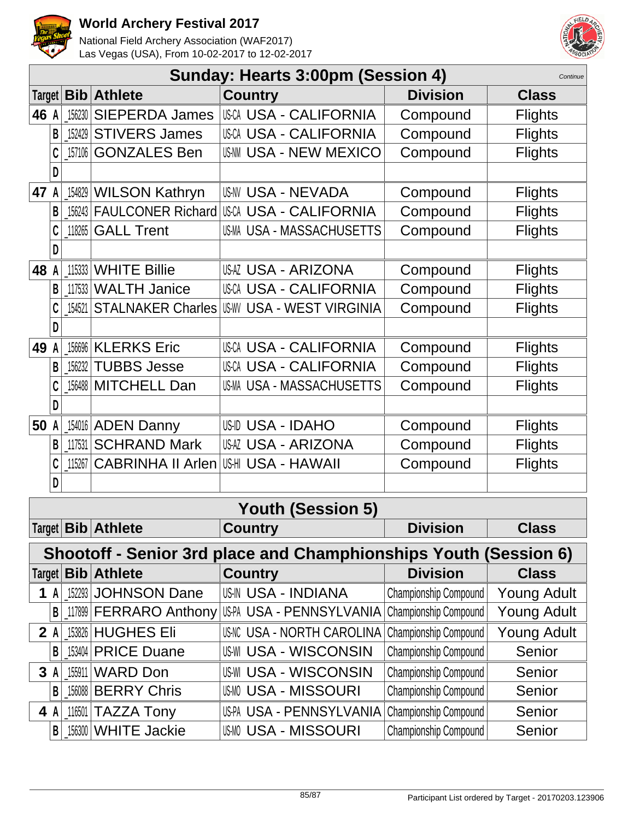



|                          | Sunday: Hearts 3:00pm (Session 4)<br>Continue                    |        |                               |                                |                       |                    |  |  |
|--------------------------|------------------------------------------------------------------|--------|-------------------------------|--------------------------------|-----------------------|--------------------|--|--|
| Target                   |                                                                  |        | <b>Bib Athlete</b>            | <b>Country</b>                 | <b>Division</b>       | <b>Class</b>       |  |  |
| 46 A                     |                                                                  |        | 156230 SIEPERDA James         | <b>USCA USA - CALIFORNIA</b>   | Compound              | <b>Flights</b>     |  |  |
|                          | B                                                                |        | 152429 STIVERS James          | <b>USCA USA - CALIFORNIA</b>   | Compound              | <b>Flights</b>     |  |  |
|                          | C                                                                |        | 157106 GONZALES Ben           | <b>USAM USA - NEW MEXICO</b>   | Compound              | <b>Flights</b>     |  |  |
|                          |                                                                  |        |                               |                                |                       |                    |  |  |
| 47                       | A                                                                |        | 154829 WILSON Kathryn         | <b>US-NV USA - NEVADA</b>      | Compound              | <b>Flights</b>     |  |  |
|                          | B                                                                |        | 156243 FAULCONER Richard      | USCA USA - CALIFORNIA          | Compound              | <b>Flights</b>     |  |  |
|                          |                                                                  | 118265 | <b>GALL Trent</b>             | US-MA USA - MASSACHUSETTS      | Compound              | <b>Flights</b>     |  |  |
|                          | D                                                                |        |                               |                                |                       |                    |  |  |
| 48                       |                                                                  |        | 115333 WHITE Billie           | <b>USAZ USA - ARIZONA</b>      | Compound              | <b>Flights</b>     |  |  |
|                          | B                                                                |        | 117533 WALTH Janice           | <b>USCA USA - CALIFORNIA</b>   | Compound              | <b>Flights</b>     |  |  |
|                          |                                                                  | 154521 | <b>STALNAKER Charles</b>      | <b>USW USA - WEST VIRGINIA</b> | Compound              | <b>Flights</b>     |  |  |
|                          | D                                                                |        |                               |                                |                       |                    |  |  |
| 49                       | A                                                                |        | 156696 KLERKS Eric            | <b>USCA USA - CALIFORNIA</b>   | Compound              | <b>Flights</b>     |  |  |
|                          | B                                                                |        | 156232 TUBBS Jesse            | USCA USA - CALIFORNIA          | Compound              | <b>Flights</b>     |  |  |
|                          |                                                                  |        | 156488 MITCHELL Dan           | US-MA USA - MASSACHUSETTS      | Compound              | <b>Flights</b>     |  |  |
|                          |                                                                  |        |                               |                                |                       |                    |  |  |
| 50                       | A                                                                |        | 154016 ADEN Danny             | US-ID USA - IDAHO              | Compound              | <b>Flights</b>     |  |  |
|                          | B                                                                |        | 117531 SCHRAND Mark           | <b>USAZ USA - ARIZONA</b>      | Compound              | <b>Flights</b>     |  |  |
|                          | C                                                                | 115267 | <b>CABRINHA II Arlen</b>      | US-HI USA - HAWAII             | Compound              | <b>Flights</b>     |  |  |
|                          | D                                                                |        |                               |                                |                       |                    |  |  |
| <b>Youth (Session 5)</b> |                                                                  |        |                               |                                |                       |                    |  |  |
|                          |                                                                  |        | Target   Bib   Athlete        | <b>Country</b>                 | <b>Division</b>       | <b>Class</b>       |  |  |
|                          | Shootoff - Senior 3rd place and Champhionships Youth (Session 6) |        |                               |                                |                       |                    |  |  |
| Target                   |                                                                  |        | <b>Bib Athlete</b>            | <b>Country</b>                 | <b>Division</b>       | <b>Class</b>       |  |  |
| 1                        | A                                                                |        | 152293 JOHNSON Dane           | USIN USA - INDIANA             | Championship Compound | <b>Young Adult</b> |  |  |
|                          | B                                                                |        | 117899 <b>FERRARO</b> Anthony | US-PA USA - PENNSYLVANIA       | Championship Compound | <b>Young Adult</b> |  |  |
|                          | 2A                                                               |        | 153826 HUGHES Eli             | US-NC USA - NORTH CAROLINA     | Championship Compound | <b>Young Adult</b> |  |  |
|                          | B                                                                |        | 153404 PRICE Duane            | <b>US-WI USA - WISCONSIN</b>   | Championship Compound | Senior             |  |  |
| 3                        | A                                                                |        | 155911 WARD Don               | <b>US-WI USA - WISCONSIN</b>   | Championship Compound | Senior             |  |  |
|                          | B                                                                |        | 156088 BERRY Chris            | <b>USM USA - MISSOURI</b>      | Championship Compound | Senior             |  |  |
|                          | 4 A                                                              |        | $116501$ TAZZA Tony           | US-PA USA - PENNSYLVANIA       | Championship Compound | Senior             |  |  |
|                          | B                                                                |        | 156300 WHITE Jackie           | <b>USMO USA - MISSOURI</b>     | Championship Compound | Senior             |  |  |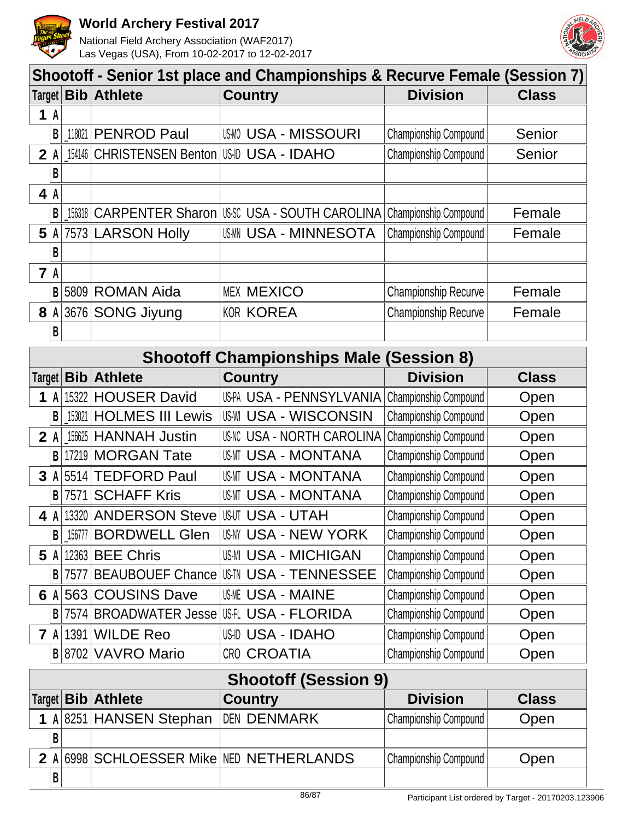

**B**

#### **World Archery Festival 2017**

National Field Archery Association (WAF2017) Las Vegas (USA), From 10-02-2017 to 12-02-2017



| Shootoff - Senior 1st place and Championships & Recurve Female (Session 7) |       |        |                                             |                                                   |                             |              |
|----------------------------------------------------------------------------|-------|--------|---------------------------------------------|---------------------------------------------------|-----------------------------|--------------|
|                                                                            |       |        | Target <b>Bib Athlete</b>                   | <b>Country</b>                                    | <b>Division</b>             | <b>Class</b> |
|                                                                            | 1A    |        |                                             |                                                   |                             |              |
|                                                                            | B     | 118021 | PENROD Paul                                 | <b>USMO USA - MISSOURI</b>                        | Championship Compound       | Senior       |
|                                                                            | $2$ A |        | 154146 CHRISTENSEN Benton US-ID USA - IDAHO |                                                   | Championship Compound       | Senior       |
|                                                                            | B     |        |                                             |                                                   |                             |              |
| 4 A                                                                        |       |        |                                             |                                                   |                             |              |
|                                                                            | B     |        |                                             | 156318 CARPENTER Sharon USSC USA - SOUTH CAROLINA | Championship Compound       | Female       |
|                                                                            | 5A    |        | 7573 LARSON Holly                           | <b>USMN USA - MINNESOTA</b>                       | Championship Compound       | Female       |
|                                                                            | B     |        |                                             |                                                   |                             |              |
| <b>7</b> A                                                                 |       |        |                                             |                                                   |                             |              |
|                                                                            | B     |        | 5809 ROMAN Aida                             | <b>MEX MEXICO</b>                                 | <b>Championship Recurve</b> | Female       |
|                                                                            | 8A    |        | 3676 SONG Jiyung                            | <b>KOR KOREA</b>                                  | Championship Recurve        | Female       |
|                                                                            | B     |        |                                             |                                                   |                             |              |
|                                                                            |       |        |                                             |                                                   |                             |              |

| <b>Shootoff Championships Male (Session 8)</b> |                |        |                           |                                   |                              |              |
|------------------------------------------------|----------------|--------|---------------------------|-----------------------------------|------------------------------|--------------|
|                                                |                |        | Target <b>Bib Athlete</b> | <b>Country</b>                    | <b>Division</b>              | <b>Class</b> |
| 1                                              | $\mathsf{A}$   |        | 15322 HOUSER David        | US-PA USA - PENNSYLVANIA          | Championship Compound        | Open         |
|                                                | B              | 153021 | <b>HOLMES III Lewis</b>   | <b>US-WI USA - WISCONSIN</b>      | Championship Compound        | Open         |
| $2$ A                                          |                |        | 156625 HANNAH Justin      | <b>US-NC USA - NORTH CAROLINA</b> | Championship Compound        | Open         |
|                                                | B              |        | 17219 MORGAN Tate         | USMT USA - MONTANA                | Championship Compound        | Open         |
|                                                |                |        | 3 A 5514 TEDFORD Paul     | <b>US-MT USA - MONTANA</b>        | Championship Compound        | Open         |
|                                                | B              |        | 7571 SCHAFF Kris          | USMT USA - MONTANA                | Championship Compound        | Open         |
| 4 A                                            |                |        | 13320 ANDERSON Steve      | US-UT USA - UTAH                  | Championship Compound        | Open         |
|                                                | B <sub>1</sub> | 156777 | <b>BORDWELL Glen</b>      | USNY USA - NEW YORK               | Championship Compound        | Open         |
| 5                                              | A              |        | 12363 BEE Chris           | US-MI USA - MICHIGAN              | Championship Compound        | Open         |
|                                                | $\mathsf{B}$   | 7577   | <b>BEAUBOUEF Chance</b>   | <b>US-TN USA - TENNESSEE</b>      | <b>Championship Compound</b> | Open         |
| 6                                              | A <sub>1</sub> |        | 563 COUSINS Dave          | <b>US-ME USA - MAINE</b>          | Championship Compound        | Open         |
|                                                | B <sub>1</sub> |        | 7574 BROADWATER Jesse     | USFL USA - FLORIDA                | <b>Championship Compound</b> | Open         |
|                                                |                |        | <b>7 A 1391 WILDE Reo</b> | USID USA - IDAHO                  | Championship Compound        | Open         |
|                                                |                |        | B 8702 VAVRO Mario        | <b>CRO CROATIA</b>                | Championship Compound        | Open         |
| <b>Shootoff (Session 9)</b>                    |                |        |                           |                                   |                              |              |
|                                                |                |        | Target   Bib   Athlete    | <b>Country</b>                    | <b>Division</b>              | <b>Class</b> |
| $\mathbf 1$                                    |                |        | A 8251 HANSEN Stephan     | <b>DEN DENMARK</b>                | Championship Compound        | Open         |
|                                                | B              |        |                           |                                   |                              |              |

**2 A** 6998 SCHLOESSER Mike NED NETHERLANDS Championship Compound Open